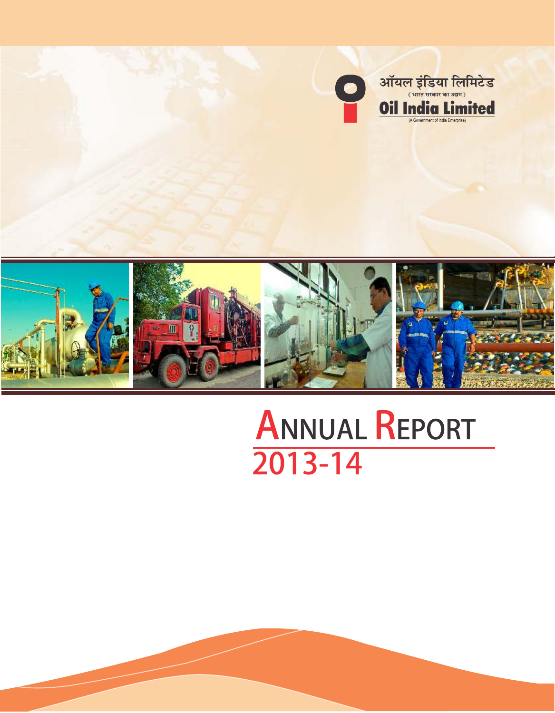



# **ANNUAL REPORT**  $2013 - 14$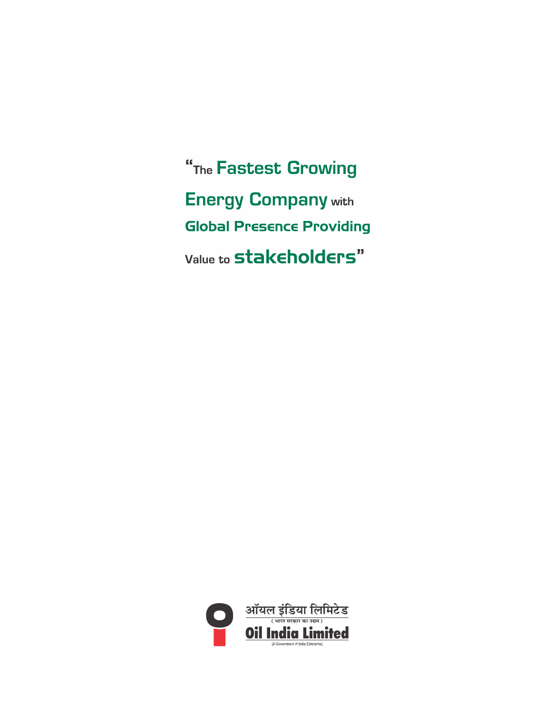"The Fastest Growing **Energy Company with Global Presence Providing** Value to stakeholders"

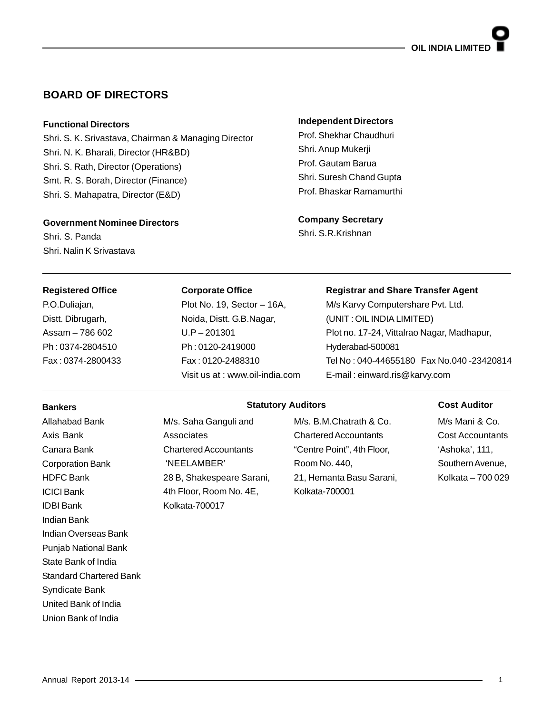# **BOARD OF DIRECTORS**

#### **Functional Directors**

Shri. S. K. Srivastava, Chairman & Managing Director Shri. N. K. Bharali, Director (HR&BD) Shri. S. Rath, Director (Operations) Smt. R. S. Borah, Director (Finance) Shri. S. Mahapatra, Director (E&D)

#### **Government Nominee Directors**

Shri. S. Panda Shri. Nalin K Srivastava

#### **Independent Directors**

Prof. Shekhar Chaudhuri Shri. Anup Mukerji Prof. Gautam Barua Shri. Suresh Chand Gupta Prof. Bhaskar Ramamurthi

**Company Secretary** Shri. S.R.Krishnan

#### **Registered Office**

P.O.Duliajan, Distt. Dibrugarh, Assam – 786 602 Ph : 0374-2804510 Fax : 0374-2800433

#### **Corporate Office**

Plot No. 19, Sector – 16A, Noida, Distt. G.B.Nagar, U.P – 201301 Ph : 0120-2419000 Fax : 0120-2488310 Visit us at : www.oil-india.com

#### **Registrar and Share Transfer Agent**

M/s Karvy Computershare Pvt. Ltd. (UNIT : OIL INDIA LIMITED) Plot no. 17-24, Vittalrao Nagar, Madhapur, Hyderabad-500081 Tel No : 040-44655180 Fax No.040 -23420814 E-mail : einward.ris@karvy.com

#### **Bankers**

Allahabad Bank Axis Bank Canara Bank Corporation Bank HDFC Bank ICICI Bank IDBI Bank Indian Bank Indian Overseas Bank Punjab National Bank State Bank of India Standard Chartered Bank Syndicate Bank United Bank of India Union Bank of India

M/s. Saha Ganguli and Associates Chartered Accountants 'NEELAMBER' 28 B, Shakespeare Sarani, 4th Floor, Room No. 4E, Kolkata-700017

# **Statutory Auditors Cost Auditor**

M/s. B.M.Chatrath & Co. Chartered Accountants "Centre Point", 4th Floor, Room No. 440, 21, Hemanta Basu Sarani, Kolkata-700001

M/s Mani & Co. Cost Accountants 'Ashoka', 111, Southern Avenue, Kolkata – 700 029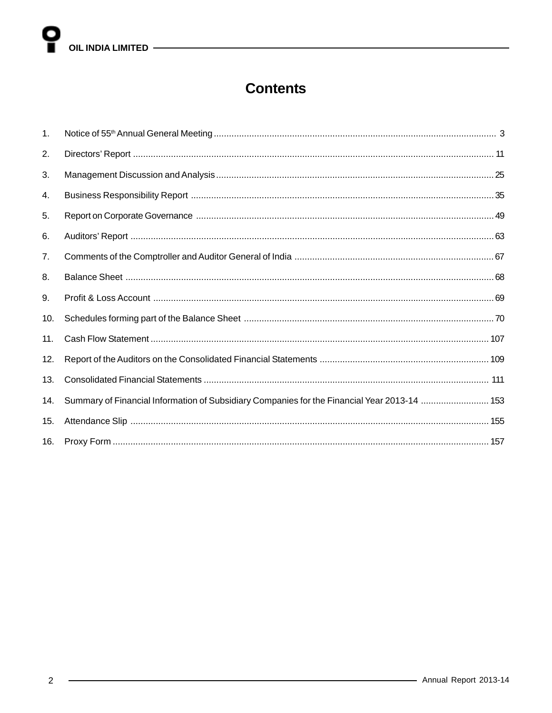# **Contents**

| 1.  |                                                                                              |  |
|-----|----------------------------------------------------------------------------------------------|--|
| 2.  |                                                                                              |  |
| 3.  |                                                                                              |  |
| 4.  |                                                                                              |  |
| 5.  |                                                                                              |  |
| 6.  |                                                                                              |  |
| 7.  |                                                                                              |  |
| 8.  |                                                                                              |  |
| 9.  |                                                                                              |  |
| 10. |                                                                                              |  |
| 11. |                                                                                              |  |
| 12. |                                                                                              |  |
| 13. |                                                                                              |  |
| 14. | Summary of Financial Information of Subsidiary Companies for the Financial Year 2013-14  153 |  |
| 15. |                                                                                              |  |
| 16. |                                                                                              |  |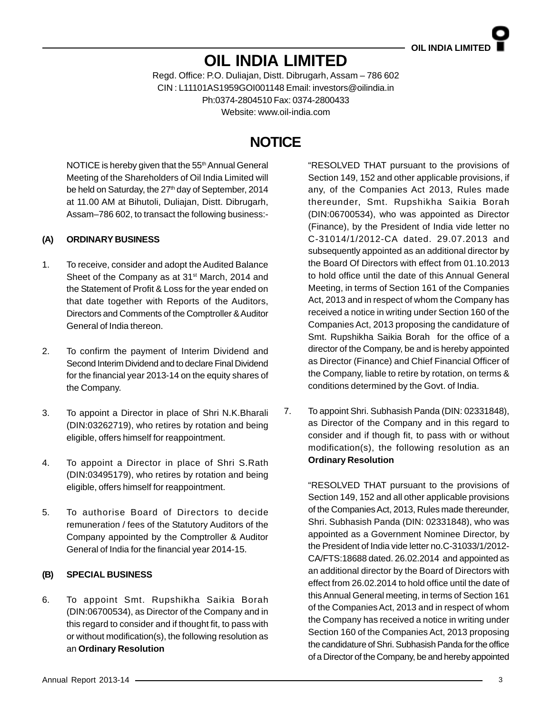Regd. Office: P.O. Duliajan, Distt. Dibrugarh, Assam – 786 602 CIN : L11101AS1959GOI001148 Email: investors@oilindia.in Ph:0374-2804510 Fax: 0374-2800433 Website: www.oil-india.com

# **NOTICE**

NOTICE is hereby given that the 55<sup>th</sup> Annual General Meeting of the Shareholders of Oil India Limited will be held on Saturday, the 27<sup>th</sup> day of September, 2014 at 11.00 AM at Bihutoli, Duliajan, Distt. Dibrugarh, Assam–786 602, to transact the following business:-

# **(A) ORDINARY BUSINESS**

- 1. To receive, consider and adopt the Audited Balance Sheet of the Company as at 31<sup>st</sup> March, 2014 and the Statement of Profit & Loss for the year ended on that date together with Reports of the Auditors, Directors and Comments of the Comptroller & Auditor General of India thereon.
- 2. To confirm the payment of Interim Dividend and Second Interim Dividend and to declare Final Dividend for the financial year 2013-14 on the equity shares of the Company.
- 3. To appoint a Director in place of Shri N.K.Bharali (DIN:03262719), who retires by rotation and being eligible, offers himself for reappointment.
- 4. To appoint a Director in place of Shri S.Rath (DIN:03495179), who retires by rotation and being eligible, offers himself for reappointment.
- 5. To authorise Board of Directors to decide remuneration / fees of the Statutory Auditors of the Company appointed by the Comptroller & Auditor General of India for the financial year 2014-15.

# **(B) SPECIAL BUSINESS**

6. To appoint Smt. Rupshikha Saikia Borah (DIN:06700534), as Director of the Company and in this regard to consider and if thought fit, to pass with or without modification(s), the following resolution as an **Ordinary Resolution**

"RESOLVED THAT pursuant to the provisions of Section 149, 152 and other applicable provisions, if any, of the Companies Act 2013, Rules made thereunder, Smt. Rupshikha Saikia Borah (DIN:06700534), who was appointed as Director (Finance), by the President of India vide letter no C-31014/1/2012-CA dated. 29.07.2013 and subsequently appointed as an additional director by the Board Of Directors with effect from 01.10.2013 to hold office until the date of this Annual General Meeting, in terms of Section 161 of the Companies Act, 2013 and in respect of whom the Company has received a notice in writing under Section 160 of the Companies Act, 2013 proposing the candidature of Smt. Rupshikha Saikia Borah for the office of a director of the Company, be and is hereby appointed as Director (Finance) and Chief Financial Officer of the Company, liable to retire by rotation, on terms & conditions determined by the Govt. of India.

7. To appoint Shri. Subhasish Panda (DIN: 02331848), as Director of the Company and in this regard to consider and if though fit, to pass with or without modification(s), the following resolution as an **Ordinary Resolution**

> "RESOLVED THAT pursuant to the provisions of Section 149, 152 and all other applicable provisions of the Companies Act, 2013, Rules made thereunder, Shri. Subhasish Panda (DIN: 02331848), who was appointed as a Government Nominee Director, by the President of India vide letter no.C-31033/1/2012- CA/FTS:18688 dated. 26.02.2014 and appointed as an additional director by the Board of Directors with effect from 26.02.2014 to hold office until the date of this Annual General meeting, in terms of Section 161 of the Companies Act, 2013 and in respect of whom the Company has received a notice in writing under Section 160 of the Companies Act, 2013 proposing the candidature of Shri. Subhasish Panda for the office of a Director of the Company, be and hereby appointed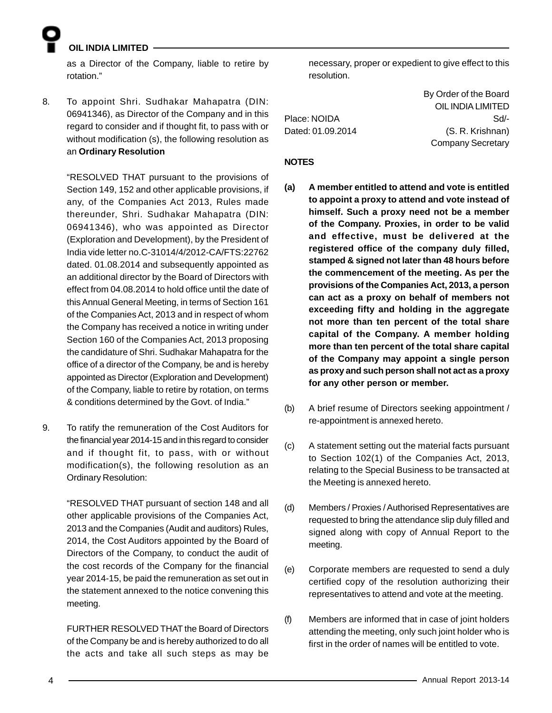as a Director of the Company, liable to retire by rotation."

8. To appoint Shri. Sudhakar Mahapatra (DIN: 06941346), as Director of the Company and in this regard to consider and if thought fit, to pass with or without modification (s), the following resolution as an **Ordinary Resolution**

> "RESOLVED THAT pursuant to the provisions of Section 149, 152 and other applicable provisions, if any, of the Companies Act 2013, Rules made thereunder, Shri. Sudhakar Mahapatra (DIN: 06941346), who was appointed as Director (Exploration and Development), by the President of India vide letter no.C-31014/4/2012-CA/FTS:22762 dated. 01.08.2014 and subsequently appointed as an additional director by the Board of Directors with effect from 04.08.2014 to hold office until the date of this Annual General Meeting, in terms of Section 161 of the Companies Act, 2013 and in respect of whom the Company has received a notice in writing under Section 160 of the Companies Act, 2013 proposing the candidature of Shri. Sudhakar Mahapatra for the office of a director of the Company, be and is hereby appointed as Director (Exploration and Development) of the Company, liable to retire by rotation, on terms & conditions determined by the Govt. of India."

9. To ratify the remuneration of the Cost Auditors for the financial year 2014-15 and in this regard to consider and if thought fit, to pass, with or without modification(s), the following resolution as an Ordinary Resolution:

> "RESOLVED THAT pursuant of section 148 and all other applicable provisions of the Companies Act, 2013 and the Companies (Audit and auditors) Rules, 2014, the Cost Auditors appointed by the Board of Directors of the Company, to conduct the audit of the cost records of the Company for the financial year 2014-15, be paid the remuneration as set out in the statement annexed to the notice convening this meeting.

> FURTHER RESOLVED THAT the Board of Directors of the Company be and is hereby authorized to do all the acts and take all such steps as may be

necessary, proper or expedient to give effect to this resolution.

|                   | By Order of the Board    |
|-------------------|--------------------------|
|                   | OIL INDIA LIMITED        |
| Place: NOIDA      | Sd                       |
| Dated: 01.09.2014 | (S. R. Krishnan)         |
|                   | <b>Company Secretary</b> |

# **NOTES**

- **(a) A member entitled to attend and vote is entitled to appoint a proxy to attend and vote instead of himself. Such a proxy need not be a member of the Company. Proxies, in order to be valid and effective, must be delivered at the registered office of the company duly filled, stamped & signed not later than 48 hours before the commencement of the meeting. As per the provisions of the Companies Act, 2013, a person can act as a proxy on behalf of members not exceeding fifty and holding in the aggregate not more than ten percent of the total share capital of the Company. A member holding more than ten percent of the total share capital of the Company may appoint a single person as proxy and such person shall not act as a proxy for any other person or member.**
- (b) A brief resume of Directors seeking appointment / re-appointment is annexed hereto.
- (c) A statement setting out the material facts pursuant to Section 102(1) of the Companies Act, 2013, relating to the Special Business to be transacted at the Meeting is annexed hereto.
- (d) Members / Proxies / Authorised Representatives are requested to bring the attendance slip duly filled and signed along with copy of Annual Report to the meeting.
- (e) Corporate members are requested to send a duly certified copy of the resolution authorizing their representatives to attend and vote at the meeting.
- (f) Members are informed that in case of joint holders attending the meeting, only such joint holder who is first in the order of names will be entitled to vote.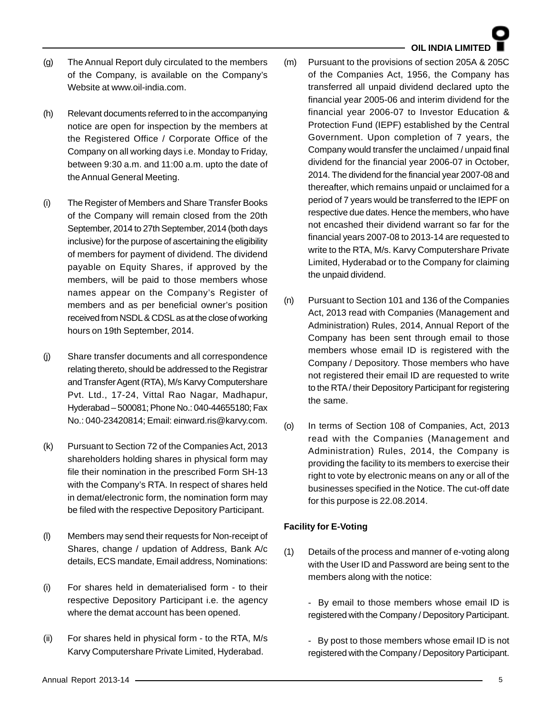- (g) The Annual Report duly circulated to the members of the Company, is available on the Company's Website at www.oil-india.com.
- (h) Relevant documents referred to in the accompanying notice are open for inspection by the members at the Registered Office / Corporate Office of the Company on all working days i.e. Monday to Friday, between 9:30 a.m. and 11:00 a.m. upto the date of the Annual General Meeting.
- (i) The Register of Members and Share Transfer Books of the Company will remain closed from the 20th September, 2014 to 27th September, 2014 (both days inclusive) for the purpose of ascertaining the eligibility of members for payment of dividend. The dividend payable on Equity Shares, if approved by the members, will be paid to those members whose names appear on the Company's Register of members and as per beneficial owner's position received from NSDL & CDSL as at the close of working hours on 19th September, 2014.
- (j) Share transfer documents and all correspondence relating thereto, should be addressed to the Registrar and Transfer Agent (RTA), M/s Karvy Computershare Pvt. Ltd., 17-24, Vittal Rao Nagar, Madhapur, Hyderabad – 500081; Phone No.: 040-44655180; Fax No.: 040-23420814; Email: einward.ris@karvy.com.
- (k) Pursuant to Section 72 of the Companies Act, 2013 shareholders holding shares in physical form may file their nomination in the prescribed Form SH-13 with the Company's RTA. In respect of shares held in demat/electronic form, the nomination form may be filed with the respective Depository Participant.
- (l) Members may send their requests for Non-receipt of Shares, change / updation of Address, Bank A/c details, ECS mandate, Email address, Nominations:
- (i) For shares held in dematerialised form to their respective Depository Participant i.e. the agency where the demat account has been opened.
- (ii) For shares held in physical form to the RTA, M/s Karvy Computershare Private Limited, Hyderabad.
- (m) Pursuant to the provisions of section 205A & 205C of the Companies Act, 1956, the Company has transferred all unpaid dividend declared upto the financial year 2005-06 and interim dividend for the financial year 2006-07 to Investor Education & Protection Fund (IEPF) established by the Central Government. Upon completion of 7 years, the Company would transfer the unclaimed / unpaid final dividend for the financial year 2006-07 in October, 2014. The dividend for the financial year 2007-08 and thereafter, which remains unpaid or unclaimed for a period of 7 years would be transferred to the IEPF on respective due dates. Hence the members, who have not encashed their dividend warrant so far for the financial years 2007-08 to 2013-14 are requested to write to the RTA, M/s. Karvy Computershare Private Limited, Hyderabad or to the Company for claiming the unpaid dividend.
- (n) Pursuant to Section 101 and 136 of the Companies Act, 2013 read with Companies (Management and Administration) Rules, 2014, Annual Report of the Company has been sent through email to those members whose email ID is registered with the Company / Depository. Those members who have not registered their email ID are requested to write to the RTA / their Depository Participant for registering the same.
- (o) In terms of Section 108 of Companies, Act, 2013 read with the Companies (Management and Administration) Rules, 2014, the Company is providing the facility to its members to exercise their right to vote by electronic means on any or all of the businesses specified in the Notice. The cut-off date for this purpose is 22.08.2014.

# **Facility for E-Voting**

- (1) Details of the process and manner of e-voting along with the User ID and Password are being sent to the members along with the notice:
	- By email to those members whose email ID is registered with the Company / Depository Participant.
	- By post to those members whose email ID is not registered with the Company / Depository Participant.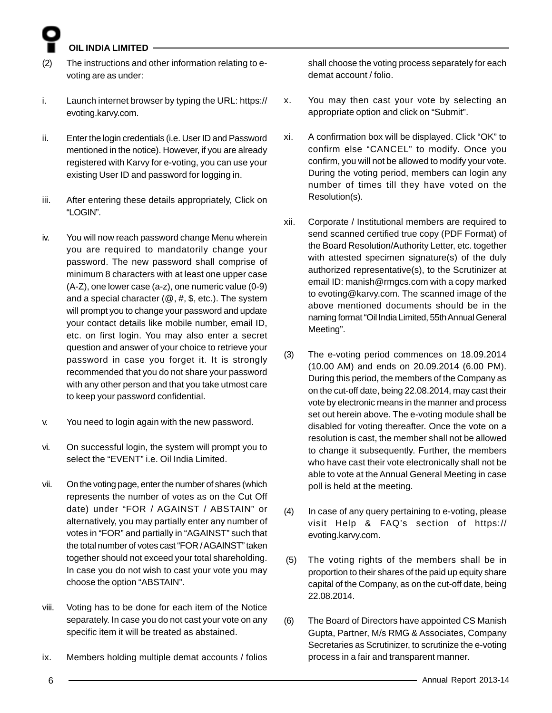- (2) The instructions and other information relating to evoting are as under:
- i. Launch internet browser by typing the URL: https:// evoting.karvy.com.
- ii. Enter the login credentials (i.e. User ID and Password mentioned in the notice). However, if you are already registered with Karvy for e-voting, you can use your existing User ID and password for logging in.
- iii. After entering these details appropriately, Click on "LOGIN".
- iv. You will now reach password change Menu wherein you are required to mandatorily change your password. The new password shall comprise of minimum 8 characters with at least one upper case (A-Z), one lower case (a-z), one numeric value (0-9) and a special character  $(@, #, \$, etc.).$  The system will prompt you to change your password and update your contact details like mobile number, email ID, etc. on first login. You may also enter a secret question and answer of your choice to retrieve your password in case you forget it. It is strongly recommended that you do not share your password with any other person and that you take utmost care to keep your password confidential.
- v. You need to login again with the new password.
- vi. On successful login, the system will prompt you to select the "EVENT" i.e. Oil India Limited.
- vii. On the voting page, enter the number of shares (which represents the number of votes as on the Cut Off date) under "FOR / AGAINST / ABSTAIN" or alternatively, you may partially enter any number of votes in "FOR" and partially in "AGAINST" such that the total number of votes cast "FOR / AGAINST" taken together should not exceed your total shareholding. In case you do not wish to cast your vote you may choose the option "ABSTAIN".
- viii. Voting has to be done for each item of the Notice separately. In case you do not cast your vote on any specific item it will be treated as abstained.
- ix. Members holding multiple demat accounts / folios

shall choose the voting process separately for each demat account / folio.

- x. You may then cast your vote by selecting an appropriate option and click on "Submit".
- xi. A confirmation box will be displayed. Click "OK" to confirm else "CANCEL" to modify. Once you confirm, you will not be allowed to modify your vote. During the voting period, members can login any number of times till they have voted on the Resolution(s).
- xii. Corporate / Institutional members are required to send scanned certified true copy (PDF Format) of the Board Resolution/Authority Letter, etc. together with attested specimen signature(s) of the duly authorized representative(s), to the Scrutinizer at email ID: manish@rmgcs.com with a copy marked to evoting@karvy.com. The scanned image of the above mentioned documents should be in the naming format "Oil India Limited, 55th Annual General Meeting".
- (3) The e-voting period commences on 18.09.2014 (10.00 AM) and ends on 20.09.2014 (6.00 PM). During this period, the members of the Company as on the cut-off date, being 22.08.2014, may cast their vote by electronic means in the manner and process set out herein above. The e-voting module shall be disabled for voting thereafter. Once the vote on a resolution is cast, the member shall not be allowed to change it subsequently. Further, the members who have cast their vote electronically shall not be able to vote at the Annual General Meeting in case poll is held at the meeting.
- (4) In case of any query pertaining to e-voting, please visit Help & FAQ's section of https:// evoting.karvy.com.
- (5) The voting rights of the members shall be in proportion to their shares of the paid up equity share capital of the Company, as on the cut-off date, being 22.08.2014.
- (6) The Board of Directors have appointed CS Manish Gupta, Partner, M/s RMG & Associates, Company Secretaries as Scrutinizer, to scrutinize the e-voting process in a fair and transparent manner.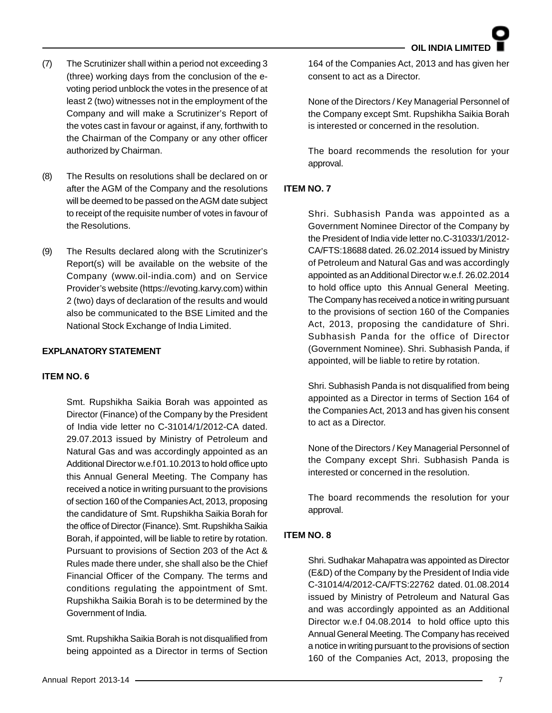- (7) The Scrutinizer shall within a period not exceeding 3 (three) working days from the conclusion of the evoting period unblock the votes in the presence of at least 2 (two) witnesses not in the employment of the Company and will make a Scrutinizer's Report of the votes cast in favour or against, if any, forthwith to the Chairman of the Company or any other officer authorized by Chairman.
- (8) The Results on resolutions shall be declared on or after the AGM of the Company and the resolutions will be deemed to be passed on the AGM date subject to receipt of the requisite number of votes in favour of the Resolutions.
- (9) The Results declared along with the Scrutinizer's Report(s) will be available on the website of the Company (www.oil-india.com) and on Service Provider's website (https://evoting.karvy.com) within 2 (two) days of declaration of the results and would also be communicated to the BSE Limited and the National Stock Exchange of India Limited.

# **EXPLANATORY STATEMENT**

#### **ITEM NO. 6**

Smt. Rupshikha Saikia Borah was appointed as Director (Finance) of the Company by the President of India vide letter no C-31014/1/2012-CA dated. 29.07.2013 issued by Ministry of Petroleum and Natural Gas and was accordingly appointed as an Additional Director w.e.f 01.10.2013 to hold office upto this Annual General Meeting. The Company has received a notice in writing pursuant to the provisions of section 160 of the Companies Act, 2013, proposing the candidature of Smt. Rupshikha Saikia Borah for the office of Director (Finance). Smt. Rupshikha Saikia Borah, if appointed, will be liable to retire by rotation. Pursuant to provisions of Section 203 of the Act & Rules made there under, she shall also be the Chief Financial Officer of the Company. The terms and conditions regulating the appointment of Smt. Rupshikha Saikia Borah is to be determined by the Government of India.

Smt. Rupshikha Saikia Borah is not disqualified from being appointed as a Director in terms of Section

164 of the Companies Act, 2013 and has given her consent to act as a Director.

None of the Directors / Key Managerial Personnel of the Company except Smt. Rupshikha Saikia Borah is interested or concerned in the resolution.

The board recommends the resolution for your approval.

# **ITEM NO. 7**

Shri. Subhasish Panda was appointed as a Government Nominee Director of the Company by the President of India vide letter no.C-31033/1/2012- CA/FTS:18688 dated. 26.02.2014 issued by Ministry of Petroleum and Natural Gas and was accordingly appointed as an Additional Director w.e.f. 26.02.2014 to hold office upto this Annual General Meeting. The Company has received a notice in writing pursuant to the provisions of section 160 of the Companies Act, 2013, proposing the candidature of Shri. Subhasish Panda for the office of Director (Government Nominee). Shri. Subhasish Panda, if appointed, will be liable to retire by rotation.

Shri. Subhasish Panda is not disqualified from being appointed as a Director in terms of Section 164 of the Companies Act, 2013 and has given his consent to act as a Director.

None of the Directors / Key Managerial Personnel of the Company except Shri. Subhasish Panda is interested or concerned in the resolution.

The board recommends the resolution for your approval.

#### **ITEM NO. 8**

Shri. Sudhakar Mahapatra was appointed as Director (E&D) of the Company by the President of India vide C-31014/4/2012-CA/FTS:22762 dated. 01.08.2014 issued by Ministry of Petroleum and Natural Gas and was accordingly appointed as an Additional Director w.e.f 04.08.2014 to hold office upto this Annual General Meeting. The Company has received a notice in writing pursuant to the provisions of section 160 of the Companies Act, 2013, proposing the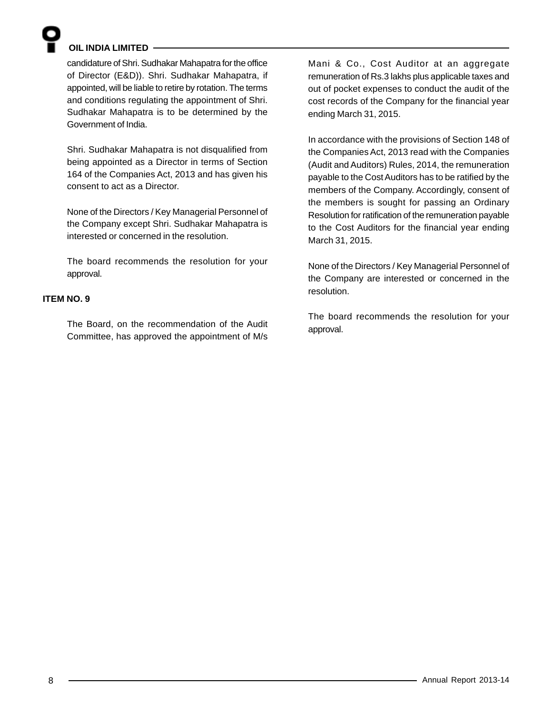candidature of Shri. Sudhakar Mahapatra for the office of Director (E&D)). Shri. Sudhakar Mahapatra, if appointed, will be liable to retire by rotation. The terms and conditions regulating the appointment of Shri. Sudhakar Mahapatra is to be determined by the Government of India.

Shri. Sudhakar Mahapatra is not disqualified from being appointed as a Director in terms of Section 164 of the Companies Act, 2013 and has given his consent to act as a Director.

None of the Directors / Key Managerial Personnel of the Company except Shri. Sudhakar Mahapatra is interested or concerned in the resolution.

The board recommends the resolution for your approval.

#### **ITEM NO. 9**

The Board, on the recommendation of the Audit Committee, has approved the appointment of M/s

Mani & Co., Cost Auditor at an aggregate remuneration of Rs.3 lakhs plus applicable taxes and out of pocket expenses to conduct the audit of the cost records of the Company for the financial year ending March 31, 2015.

In accordance with the provisions of Section 148 of the Companies Act, 2013 read with the Companies (Audit and Auditors) Rules, 2014, the remuneration payable to the Cost Auditors has to be ratified by the members of the Company. Accordingly, consent of the members is sought for passing an Ordinary Resolution for ratification of the remuneration payable to the Cost Auditors for the financial year ending March 31, 2015.

None of the Directors / Key Managerial Personnel of the Company are interested or concerned in the resolution.

The board recommends the resolution for your approval.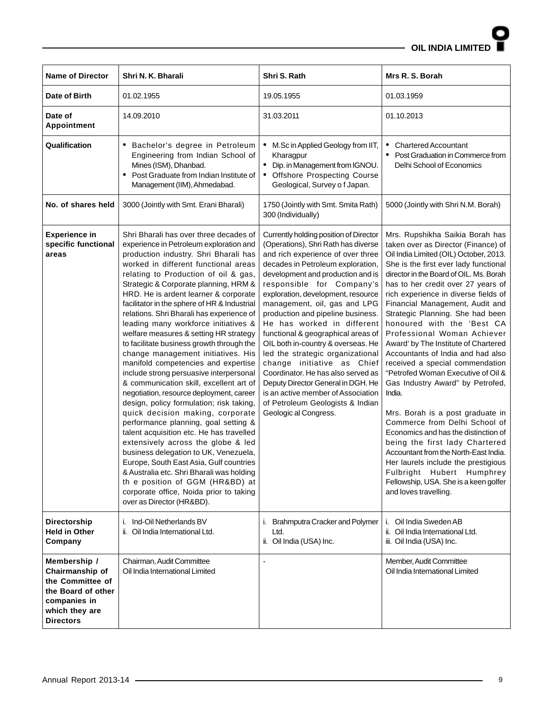| <b>Name of Director</b>                                                                                                         | Shri N. K. Bharali                                                                                                                                                                                                                                                                                                                                                                                                                                                                                                                                                                                                                                                                                                                                                                                                                                                                                                                                                                                                                                                                                                                                                                            | Shri S. Rath                                                                                                                                                                                                                                                                                                                                                                                                                                                                                                                                                                                                                                                                                    | Mrs R. S. Borah                                                                                                                                                                                                                                                                                                                                                                                                                                                                                                                                                                                                                                                                                                                                                                                                                                                                                                                                          |  |
|---------------------------------------------------------------------------------------------------------------------------------|-----------------------------------------------------------------------------------------------------------------------------------------------------------------------------------------------------------------------------------------------------------------------------------------------------------------------------------------------------------------------------------------------------------------------------------------------------------------------------------------------------------------------------------------------------------------------------------------------------------------------------------------------------------------------------------------------------------------------------------------------------------------------------------------------------------------------------------------------------------------------------------------------------------------------------------------------------------------------------------------------------------------------------------------------------------------------------------------------------------------------------------------------------------------------------------------------|-------------------------------------------------------------------------------------------------------------------------------------------------------------------------------------------------------------------------------------------------------------------------------------------------------------------------------------------------------------------------------------------------------------------------------------------------------------------------------------------------------------------------------------------------------------------------------------------------------------------------------------------------------------------------------------------------|----------------------------------------------------------------------------------------------------------------------------------------------------------------------------------------------------------------------------------------------------------------------------------------------------------------------------------------------------------------------------------------------------------------------------------------------------------------------------------------------------------------------------------------------------------------------------------------------------------------------------------------------------------------------------------------------------------------------------------------------------------------------------------------------------------------------------------------------------------------------------------------------------------------------------------------------------------|--|
| Date of Birth                                                                                                                   | 01.02.1955                                                                                                                                                                                                                                                                                                                                                                                                                                                                                                                                                                                                                                                                                                                                                                                                                                                                                                                                                                                                                                                                                                                                                                                    | 19.05.1955                                                                                                                                                                                                                                                                                                                                                                                                                                                                                                                                                                                                                                                                                      | 01.03.1959                                                                                                                                                                                                                                                                                                                                                                                                                                                                                                                                                                                                                                                                                                                                                                                                                                                                                                                                               |  |
| Date of<br>Appointment                                                                                                          | 14.09.2010                                                                                                                                                                                                                                                                                                                                                                                                                                                                                                                                                                                                                                                                                                                                                                                                                                                                                                                                                                                                                                                                                                                                                                                    | 31.03.2011                                                                                                                                                                                                                                                                                                                                                                                                                                                                                                                                                                                                                                                                                      | 01.10.2013                                                                                                                                                                                                                                                                                                                                                                                                                                                                                                                                                                                                                                                                                                                                                                                                                                                                                                                                               |  |
| Qualification                                                                                                                   | Bachelor's degree in Petroleum<br>٠<br>Engineering from Indian School of<br>Mines (ISM), Dhanbad.<br>Post Graduate from Indian Institute of<br>$\bullet$<br>Management (IIM), Ahmedabad.                                                                                                                                                                                                                                                                                                                                                                                                                                                                                                                                                                                                                                                                                                                                                                                                                                                                                                                                                                                                      | M.Sc in Applied Geology from IIT,<br>٠<br>Kharagpur<br>Dip. in Management from IGNOU.<br><b>Offshore Prospecting Course</b><br>Geological, Survey of Japan.                                                                                                                                                                                                                                                                                                                                                                                                                                                                                                                                     | <b>Chartered Accountant</b><br>٠<br>Post Graduation in Commerce from<br>Delhi School of Economics                                                                                                                                                                                                                                                                                                                                                                                                                                                                                                                                                                                                                                                                                                                                                                                                                                                        |  |
| No. of shares held                                                                                                              | 3000 (Jointly with Smt. Erani Bharali)                                                                                                                                                                                                                                                                                                                                                                                                                                                                                                                                                                                                                                                                                                                                                                                                                                                                                                                                                                                                                                                                                                                                                        | 1750 (Jointly with Smt. Smita Rath)<br>300 (Individually)                                                                                                                                                                                                                                                                                                                                                                                                                                                                                                                                                                                                                                       | 5000 (Jointly with Shri N.M. Borah)                                                                                                                                                                                                                                                                                                                                                                                                                                                                                                                                                                                                                                                                                                                                                                                                                                                                                                                      |  |
| <b>Experience in</b><br>specific functional<br>areas                                                                            | Shri Bharali has over three decades of<br>experience in Petroleum exploration and<br>production industry. Shri Bharali has<br>worked in different functional areas<br>relating to Production of oil & gas,<br>Strategic & Corporate planning, HRM &<br>HRD. He is ardent learner & corporate<br>facilitator in the sphere of HR & Industrial<br>relations. Shri Bharali has experience of<br>leading many workforce initiatives &<br>welfare measures & setting HR strategy<br>to facilitate business growth through the<br>change management initiatives. His<br>manifold competencies and expertise<br>include strong persuasive interpersonal<br>& communication skill, excellent art of<br>negotiation, resource deployment, career<br>design, policy formulation; risk taking,<br>quick decision making, corporate<br>performance planning, goal setting &<br>talent acquisition etc. He has travelled<br>extensively across the globe & led<br>business delegation to UK, Venezuela,<br>Europe, South East Asia, Gulf countries<br>& Australia etc. Shri Bharali was holding<br>th e position of GGM (HR&BD) at<br>corporate office, Noida prior to taking<br>over as Director (HR&BD). | Currently holding position of Director<br>(Operations), Shri Rath has diverse<br>and rich experience of over three<br>decades in Petroleum exploration,<br>development and production and is<br>responsible for Company's<br>exploration, development, resource<br>management, oil, gas and LPG<br>production and pipeline business.<br>He has worked in different<br>functional & geographical areas of<br>OIL both in-country & overseas. He<br>led the strategic organizational<br>change initiative as Chief<br>Coordinator. He has also served as<br>Deputy Director General in DGH. He<br>is an active member of Association<br>of Petroleum Geologists & Indian<br>Geologic al Congress. | Mrs. Rupshikha Saikia Borah has<br>taken over as Director (Finance) of<br>Oil India Limited (OIL) October, 2013.<br>She is the first ever lady functional<br>director in the Board of OIL. Ms. Borah<br>has to her credit over 27 years of<br>rich experience in diverse fields of<br>Financial Management, Audit and<br>Strategic Planning. She had been<br>honoured with the 'Best CA<br>Professional Woman Achiever<br>Award' by The Institute of Chartered<br>Accountants of India and had also<br>received a special commendation<br>"Petrofed Woman Executive of Oil &<br>Gas Industry Award" by Petrofed,<br>India.<br>Mrs. Borah is a post graduate in<br>Commerce from Delhi School of<br>Economics and has the distinction of<br>being the first lady Chartered<br>Accountant from the North-East India.<br>Her laurels include the prestigious<br>Fulbright Hubert Humphrey<br>Fellowship, USA. She is a keen golfer<br>and loves travelling. |  |
| <b>Directorship</b><br><b>Held in Other</b><br>Company                                                                          | i. Ind-Oil Netherlands BV<br>ii. Oil India International Ltd.                                                                                                                                                                                                                                                                                                                                                                                                                                                                                                                                                                                                                                                                                                                                                                                                                                                                                                                                                                                                                                                                                                                                 | <b>Brahmputra Cracker and Polymer</b><br>Ltd.<br>ii. Oil India (USA) Inc.                                                                                                                                                                                                                                                                                                                                                                                                                                                                                                                                                                                                                       | Oil India Sweden AB<br>i.<br>ii. Oil India International Ltd.<br>iii. Oil India (USA) Inc.                                                                                                                                                                                                                                                                                                                                                                                                                                                                                                                                                                                                                                                                                                                                                                                                                                                               |  |
| Membership /<br>Chairmanship of<br>the Committee of<br>the Board of other<br>companies in<br>which they are<br><b>Directors</b> | Chairman, Audit Committee<br>Oil India International Limited                                                                                                                                                                                                                                                                                                                                                                                                                                                                                                                                                                                                                                                                                                                                                                                                                                                                                                                                                                                                                                                                                                                                  | $\overline{a}$                                                                                                                                                                                                                                                                                                                                                                                                                                                                                                                                                                                                                                                                                  | Member, Audit Committee<br>Oil India International Limited                                                                                                                                                                                                                                                                                                                                                                                                                                                                                                                                                                                                                                                                                                                                                                                                                                                                                               |  |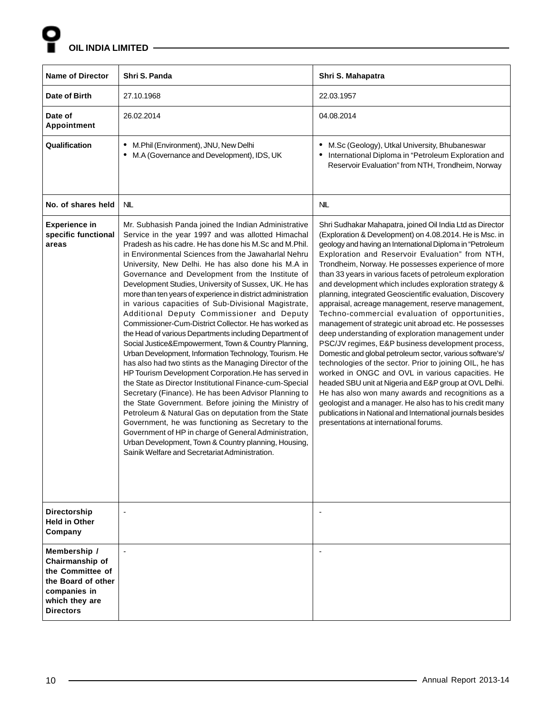| <b>Name of Director</b>                                                                                                         | Shri S. Panda                                                                                                                                                                                                                                                                                                                                                                                                                                                                                                                                                                                                                                                                                                                                                                                                                                                                                                                                                                                                                                                                                                                                                                                                                                                                                                                                                                           | Shri S. Mahapatra                                                                                                                                                                                                                                                                                                                                                                                                                                                                                                                                                                                                                                                                                                                                                                                                                                                                                                                                                                                                                                                                                                                                                                                                       |  |
|---------------------------------------------------------------------------------------------------------------------------------|-----------------------------------------------------------------------------------------------------------------------------------------------------------------------------------------------------------------------------------------------------------------------------------------------------------------------------------------------------------------------------------------------------------------------------------------------------------------------------------------------------------------------------------------------------------------------------------------------------------------------------------------------------------------------------------------------------------------------------------------------------------------------------------------------------------------------------------------------------------------------------------------------------------------------------------------------------------------------------------------------------------------------------------------------------------------------------------------------------------------------------------------------------------------------------------------------------------------------------------------------------------------------------------------------------------------------------------------------------------------------------------------|-------------------------------------------------------------------------------------------------------------------------------------------------------------------------------------------------------------------------------------------------------------------------------------------------------------------------------------------------------------------------------------------------------------------------------------------------------------------------------------------------------------------------------------------------------------------------------------------------------------------------------------------------------------------------------------------------------------------------------------------------------------------------------------------------------------------------------------------------------------------------------------------------------------------------------------------------------------------------------------------------------------------------------------------------------------------------------------------------------------------------------------------------------------------------------------------------------------------------|--|
| Date of Birth                                                                                                                   | 27.10.1968                                                                                                                                                                                                                                                                                                                                                                                                                                                                                                                                                                                                                                                                                                                                                                                                                                                                                                                                                                                                                                                                                                                                                                                                                                                                                                                                                                              | 22.03.1957                                                                                                                                                                                                                                                                                                                                                                                                                                                                                                                                                                                                                                                                                                                                                                                                                                                                                                                                                                                                                                                                                                                                                                                                              |  |
| Date of<br>Appointment                                                                                                          | 26.02.2014                                                                                                                                                                                                                                                                                                                                                                                                                                                                                                                                                                                                                                                                                                                                                                                                                                                                                                                                                                                                                                                                                                                                                                                                                                                                                                                                                                              | 04.08.2014                                                                                                                                                                                                                                                                                                                                                                                                                                                                                                                                                                                                                                                                                                                                                                                                                                                                                                                                                                                                                                                                                                                                                                                                              |  |
| Qualification                                                                                                                   | M.Phil (Environment), JNU, New Delhi<br>$\bullet$<br>• M.A (Governance and Development), IDS, UK                                                                                                                                                                                                                                                                                                                                                                                                                                                                                                                                                                                                                                                                                                                                                                                                                                                                                                                                                                                                                                                                                                                                                                                                                                                                                        | M.Sc (Geology), Utkal University, Bhubaneswar<br>International Diploma in "Petroleum Exploration and<br>Reservoir Evaluation" from NTH, Trondheim, Norway                                                                                                                                                                                                                                                                                                                                                                                                                                                                                                                                                                                                                                                                                                                                                                                                                                                                                                                                                                                                                                                               |  |
| No. of shares held                                                                                                              | <b>NIL</b>                                                                                                                                                                                                                                                                                                                                                                                                                                                                                                                                                                                                                                                                                                                                                                                                                                                                                                                                                                                                                                                                                                                                                                                                                                                                                                                                                                              | NIL                                                                                                                                                                                                                                                                                                                                                                                                                                                                                                                                                                                                                                                                                                                                                                                                                                                                                                                                                                                                                                                                                                                                                                                                                     |  |
| <b>Experience in</b><br>specific functional<br>areas                                                                            | Mr. Subhasish Panda joined the Indian Administrative<br>Service in the year 1997 and was allotted Himachal<br>Pradesh as his cadre. He has done his M.Sc and M.Phil.<br>in Environmental Sciences from the Jawaharlal Nehru<br>University, New Delhi. He has also done his M.A in<br>Governance and Development from the Institute of<br>Development Studies, University of Sussex, UK. He has<br>more than ten years of experience in district administration<br>in various capacities of Sub-Divisional Magistrate,<br>Additional Deputy Commissioner and Deputy<br>Commissioner-Cum-District Collector. He has worked as<br>the Head of various Departments including Department of<br>Social Justice&Empowerment, Town & Country Planning,<br>Urban Development, Information Technology, Tourism. He<br>has also had two stints as the Managing Director of the<br>HP Tourism Development Corporation. He has served in<br>the State as Director Institutional Finance-cum-Special<br>Secretary (Finance). He has been Advisor Planning to<br>the State Government. Before joining the Ministry of<br>Petroleum & Natural Gas on deputation from the State<br>Government, he was functioning as Secretary to the<br>Government of HP in charge of General Administration,<br>Urban Development, Town & Country planning, Housing,<br>Sainik Welfare and Secretariat Administration. | Shri Sudhakar Mahapatra, joined Oil India Ltd as Director<br>(Exploration & Development) on 4.08.2014. He is Msc. in<br>geology and having an International Diploma in "Petroleum<br>Exploration and Reservoir Evaluation" from NTH,<br>Trondheim, Norway. He possesses experience of more<br>than 33 years in various facets of petroleum exploration<br>and development which includes exploration strategy &<br>planning, integrated Geoscientific evaluation, Discovery<br>appraisal, acreage management, reserve management,<br>Techno-commercial evaluation of opportunities,<br>management of strategic unit abroad etc. He possesses<br>deep understanding of exploration management under<br>PSC/JV regimes, E&P business development process,<br>Domestic and global petroleum sector, various software's/<br>technologies of the sector. Prior to joining OIL, he has<br>worked in ONGC and OVL in various capacities. He<br>headed SBU unit at Nigeria and E&P group at OVL Delhi.<br>He has also won many awards and recognitions as a<br>geologist and a manager. He also has to his credit many<br>publications in National and International journals besides<br>presentations at international forums. |  |
| Directorship<br><b>Held in Other</b><br>Company                                                                                 | $\overline{\phantom{a}}$                                                                                                                                                                                                                                                                                                                                                                                                                                                                                                                                                                                                                                                                                                                                                                                                                                                                                                                                                                                                                                                                                                                                                                                                                                                                                                                                                                | $\overline{\phantom{a}}$                                                                                                                                                                                                                                                                                                                                                                                                                                                                                                                                                                                                                                                                                                                                                                                                                                                                                                                                                                                                                                                                                                                                                                                                |  |
| Membership /<br>Chairmanship of<br>the Committee of<br>the Board of other<br>companies in<br>which they are<br><b>Directors</b> | $\overline{\phantom{a}}$                                                                                                                                                                                                                                                                                                                                                                                                                                                                                                                                                                                                                                                                                                                                                                                                                                                                                                                                                                                                                                                                                                                                                                                                                                                                                                                                                                | $\overline{\phantom{a}}$                                                                                                                                                                                                                                                                                                                                                                                                                                                                                                                                                                                                                                                                                                                                                                                                                                                                                                                                                                                                                                                                                                                                                                                                |  |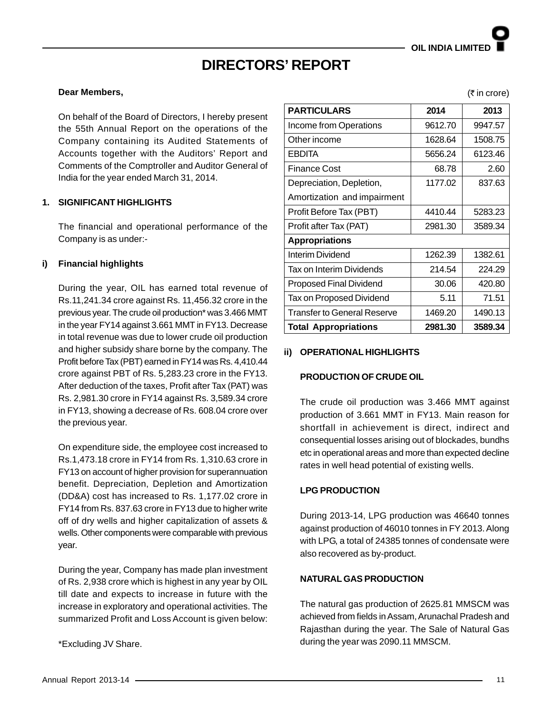$(5$  in crore)

# **DIRECTORS' REPORT**

#### **Dear Members,**

On behalf of the Board of Directors, I hereby present the 55th Annual Report on the operations of the Company containing its Audited Statements of Accounts together with the Auditors' Report and Comments of the Comptroller and Auditor General of India for the year ended March 31, 2014.

#### **1. SIGNIFICANT HIGHLIGHTS**

The financial and operational performance of the Company is as under:-

## **i) Financial highlights**

During the year, OIL has earned total revenue of Rs.11,241.34 crore against Rs. 11,456.32 crore in the previous year. The crude oil production\* was 3.466 MMT in the year FY14 against 3.661 MMT in FY13. Decrease in total revenue was due to lower crude oil production and higher subsidy share borne by the company. The Profit before Tax (PBT) earned in FY14 was Rs. 4,410.44 crore against PBT of Rs. 5,283.23 crore in the FY13. After deduction of the taxes, Profit after Tax (PAT) was Rs. 2,981.30 crore in FY14 against Rs. 3,589.34 crore in FY13, showing a decrease of Rs. 608.04 crore over the previous year.

On expenditure side, the employee cost increased to Rs.1,473.18 crore in FY14 from Rs. 1,310.63 crore in FY13 on account of higher provision for superannuation benefit. Depreciation, Depletion and Amortization (DD&A) cost has increased to Rs. 1,177.02 crore in FY14 from Rs. 837.63 crore in FY13 due to higher write off of dry wells and higher capitalization of assets & wells. Other components were comparable with previous year.

During the year, Company has made plan investment of Rs. 2,938 crore which is highest in any year by OIL till date and expects to increase in future with the increase in exploratory and operational activities. The summarized Profit and Loss Account is given below:

\*Excluding JV Share.

| <b>PARTICULARS</b>                 | 2014    | 2013    |
|------------------------------------|---------|---------|
| Income from Operations             | 9612.70 | 9947.57 |
| Other income                       | 1628.64 | 1508.75 |
| EBDITA                             | 5656.24 | 6123.46 |
| Finance Cost                       | 68.78   | 2.60    |
| Depreciation, Depletion,           | 1177.02 | 837.63  |
| Amortization and impairment        |         |         |
| Profit Before Tax (PBT)            | 4410.44 | 5283.23 |
| Profit after Tax (PAT)             | 2981.30 | 3589.34 |
| <b>Appropriations</b>              |         |         |
| Interim Dividend                   | 1262.39 | 1382.61 |
| Tax on Interim Dividends           | 214.54  | 224.29  |
| Proposed Final Dividend            | 30.06   | 420.80  |
| Tax on Proposed Dividend           | 5.11    | 71.51   |
| <b>Transfer to General Reserve</b> | 1469.20 | 1490.13 |
| <b>Total Appropriations</b>        | 2981.30 | 3589.34 |

# **ii) OPERATIONAL HIGHLIGHTS**

# **PRODUCTION OF CRUDE OIL**

The crude oil production was 3.466 MMT against production of 3.661 MMT in FY13. Main reason for shortfall in achievement is direct, indirect and consequential losses arising out of blockades, bundhs etc in operational areas and more than expected decline rates in well head potential of existing wells.

# **LPG PRODUCTION**

During 2013-14, LPG production was 46640 tonnes against production of 46010 tonnes in FY 2013. Along with LPG, a total of 24385 tonnes of condensate were also recovered as by-product.

### **NATURAL GAS PRODUCTION**

The natural gas production of 2625.81 MMSCM was achieved from fields in Assam, Arunachal Pradesh and Rajasthan during the year. The Sale of Natural Gas during the year was 2090.11 MMSCM.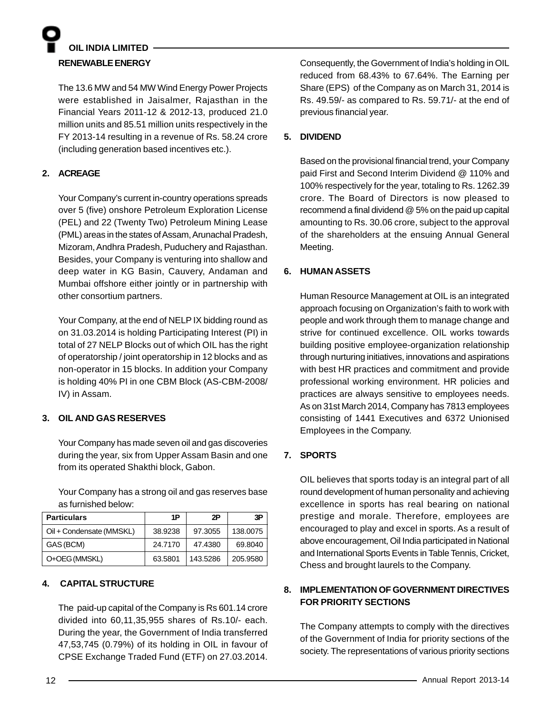# **OIL INDIA LIMITED RENEWABLE ENERGY**

The 13.6 MW and 54 MW Wind Energy Power Projects were established in Jaisalmer, Rajasthan in the Financial Years 2011-12 & 2012-13, produced 21.0 million units and 85.51 million units respectively in the FY 2013-14 resulting in a revenue of Rs. 58.24 crore (including generation based incentives etc.).

# **2. ACREAGE**

Your Company's current in-country operations spreads over 5 (five) onshore Petroleum Exploration License (PEL) and 22 (Twenty Two) Petroleum Mining Lease (PML) areas in the states of Assam, Arunachal Pradesh, Mizoram, Andhra Pradesh, Puduchery and Rajasthan. Besides, your Company is venturing into shallow and deep water in KG Basin, Cauvery, Andaman and Mumbai offshore either jointly or in partnership with other consortium partners.

Your Company, at the end of NELP IX bidding round as on 31.03.2014 is holding Participating Interest (PI) in total of 27 NELP Blocks out of which OIL has the right of operatorship / joint operatorship in 12 blocks and as non-operator in 15 blocks. In addition your Company is holding 40% PI in one CBM Block (AS-CBM-2008/ IV) in Assam.

# **3. OIL AND GAS RESERVES**

Your Company has made seven oil and gas discoveries during the year, six from Upper Assam Basin and one from its operated Shakthi block, Gabon.

Your Company has a strong oil and gas reserves base as furnished below:

| <b>Particulars</b>       | 1P      | 2P       | 3P       |
|--------------------------|---------|----------|----------|
| Oil + Condensate (MMSKL) | 38.9238 | 97.3055  | 138,0075 |
| GAS (BCM)                | 24.7170 | 47.4380  | 69.8040  |
| O+OEG (MMSKL)            | 63.5801 | 143.5286 | 205.9580 |

# **4. CAPITAL STRUCTURE**

The paid-up capital of the Company is Rs 601.14 crore divided into 60,11,35,955 shares of Rs.10/- each. During the year, the Government of India transferred 47,53,745 (0.79%) of its holding in OIL in favour of CPSE Exchange Traded Fund (ETF) on 27.03.2014.

Consequently, the Government of India's holding in OIL reduced from 68.43% to 67.64%. The Earning per Share (EPS) of the Company as on March 31, 2014 is Rs. 49.59/- as compared to Rs. 59.71/- at the end of previous financial year.

# **5. DIVIDEND**

Based on the provisional financial trend, your Company paid First and Second Interim Dividend @ 110% and 100% respectively for the year, totaling to Rs. 1262.39 crore. The Board of Directors is now pleased to recommend a final dividend @ 5% on the paid up capital amounting to Rs. 30.06 crore, subject to the approval of the shareholders at the ensuing Annual General Meeting.

# **6. HUMAN ASSETS**

Human Resource Management at OIL is an integrated approach focusing on Organization's faith to work with people and work through them to manage change and strive for continued excellence. OIL works towards building positive employee-organization relationship through nurturing initiatives, innovations and aspirations with best HR practices and commitment and provide professional working environment. HR policies and practices are always sensitive to employees needs. As on 31st March 2014, Company has 7813 employees consisting of 1441 Executives and 6372 Unionised Employees in the Company.

# **7. SPORTS**

OIL believes that sports today is an integral part of all round development of human personality and achieving excellence in sports has real bearing on national prestige and morale. Therefore, employees are encouraged to play and excel in sports. As a result of above encouragement, Oil India participated in National and International Sports Events in Table Tennis, Cricket, Chess and brought laurels to the Company.

# **8. IMPLEMENTATION OF GOVERNMENT DIRECTIVES FOR PRIORITY SECTIONS**

The Company attempts to comply with the directives of the Government of India for priority sections of the society. The representations of various priority sections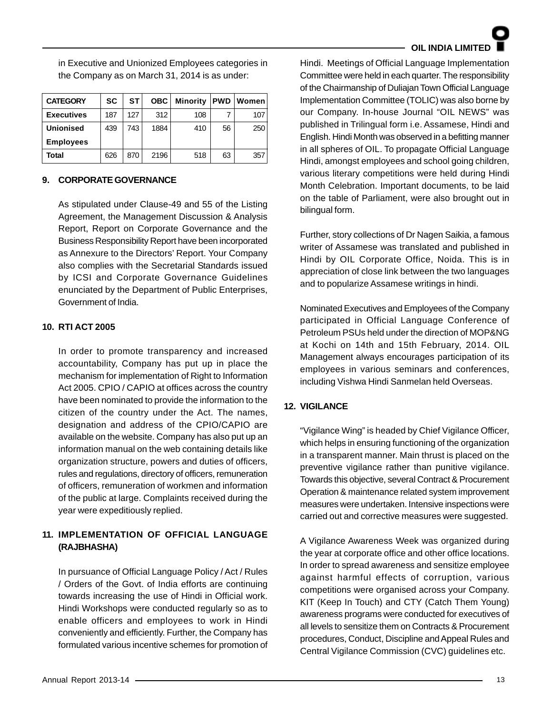in Executive and Unionized Employees categories in the Company as on March 31, 2014 is as under:

| <b>CATEGORY</b>   | <b>SC</b> | SТ  | <b>OBC</b> | <b>Minority</b> | <b>PWD</b> | Women <sup>'</sup> |
|-------------------|-----------|-----|------------|-----------------|------------|--------------------|
| <b>Executives</b> | 187       | 127 | 312        | 108             |            | 107                |
| <b>Unionised</b>  | 439       | 743 | 1884       | 410             | 56         | 250                |
| <b>Employees</b>  |           |     |            |                 |            |                    |
| Total             | 626       | 870 | 2196       | 518             | 63         | 357                |

# **9. CORPORATE GOVERNANCE**

As stipulated under Clause-49 and 55 of the Listing Agreement, the Management Discussion & Analysis Report, Report on Corporate Governance and the Business Responsibility Report have been incorporated as Annexure to the Directors' Report. Your Company also complies with the Secretarial Standards issued by ICSI and Corporate Governance Guidelines enunciated by the Department of Public Enterprises, Government of India.

# **10. RTI ACT 2005**

In order to promote transparency and increased accountability, Company has put up in place the mechanism for implementation of Right to Information Act 2005. CPIO / CAPIO at offices across the country have been nominated to provide the information to the citizen of the country under the Act. The names, designation and address of the CPIO/CAPIO are available on the website. Company has also put up an information manual on the web containing details like organization structure, powers and duties of officers, rules and regulations, directory of officers, remuneration of officers, remuneration of workmen and information of the public at large. Complaints received during the year were expeditiously replied.

# **11. IMPLEMENTATION OF OFFICIAL LANGUAGE (RAJBHASHA)**

In pursuance of Official Language Policy / Act / Rules / Orders of the Govt. of India efforts are continuing towards increasing the use of Hindi in Official work. Hindi Workshops were conducted regularly so as to enable officers and employees to work in Hindi conveniently and efficiently. Further, the Company has formulated various incentive schemes for promotion of

Hindi. Meetings of Official Language Implementation Committee were held in each quarter. The responsibility of the Chairmanship of Duliajan Town Official Language Implementation Committee (TOLIC) was also borne by our Company. In-house Journal "OIL NEWS" was published in Trilingual form i.e. Assamese, Hindi and English. Hindi Month was observed in a befitting manner in all spheres of OIL. To propagate Official Language Hindi, amongst employees and school going children, various literary competitions were held during Hindi Month Celebration. Important documents, to be laid on the table of Parliament, were also brought out in bilingual form.

Further, story collections of Dr Nagen Saikia, a famous writer of Assamese was translated and published in Hindi by OIL Corporate Office, Noida. This is in appreciation of close link between the two languages and to popularize Assamese writings in hindi.

Nominated Executives and Employees of the Company participated in Official Language Conference of Petroleum PSUs held under the direction of MOP&NG at Kochi on 14th and 15th February, 2014. OIL Management always encourages participation of its employees in various seminars and conferences, including Vishwa Hindi Sanmelan held Overseas.

# **12. VIGILANCE**

"Vigilance Wing" is headed by Chief Vigilance Officer, which helps in ensuring functioning of the organization in a transparent manner. Main thrust is placed on the preventive vigilance rather than punitive vigilance. Towards this objective, several Contract & Procurement Operation & maintenance related system improvement measures were undertaken. Intensive inspections were carried out and corrective measures were suggested.

A Vigilance Awareness Week was organized during the year at corporate office and other office locations. In order to spread awareness and sensitize employee against harmful effects of corruption, various competitions were organised across your Company. KIT (Keep In Touch) and CTY (Catch Them Young) awareness programs were conducted for executives of all levels to sensitize them on Contracts & Procurement procedures, Conduct, Discipline and Appeal Rules and Central Vigilance Commission (CVC) guidelines etc.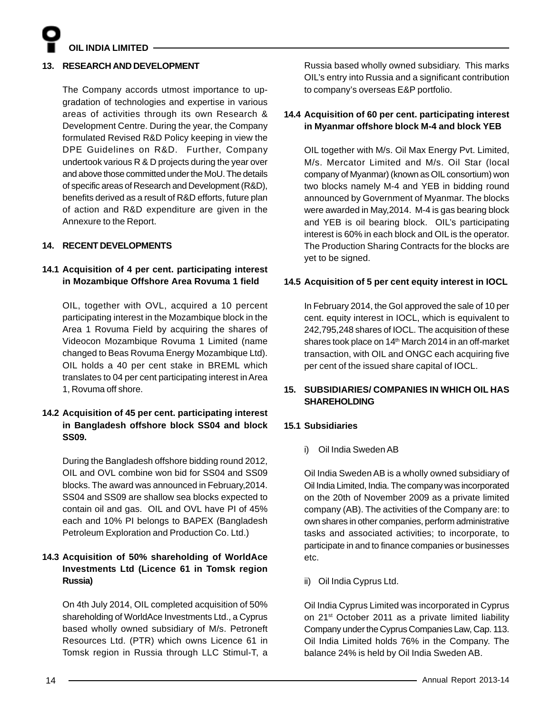# **13. RESEARCH AND DEVELOPMENT**

The Company accords utmost importance to upgradation of technologies and expertise in various areas of activities through its own Research & Development Centre. During the year, the Company formulated Revised R&D Policy keeping in view the DPE Guidelines on R&D. Further, Company undertook various R & D projects during the year over and above those committed under the MoU. The details of specific areas of Research and Development (R&D), benefits derived as a result of R&D efforts, future plan of action and R&D expenditure are given in the Annexure to the Report.

# **14. RECENT DEVELOPMENTS**

# **14.1 Acquisition of 4 per cent. participating interest in Mozambique Offshore Area Rovuma 1 field**

OIL, together with OVL, acquired a 10 percent participating interest in the Mozambique block in the Area 1 Rovuma Field by acquiring the shares of Videocon Mozambique Rovuma 1 Limited (name changed to Beas Rovuma Energy Mozambique Ltd). OIL holds a 40 per cent stake in BREML which translates to 04 per cent participating interest in Area 1, Rovuma off shore.

# **14.2 Acquisition of 45 per cent. participating interest in Bangladesh offshore block SS04 and block SS09.**

During the Bangladesh offshore bidding round 2012, OIL and OVL combine won bid for SS04 and SS09 blocks. The award was announced in February,2014. SS04 and SS09 are shallow sea blocks expected to contain oil and gas. OIL and OVL have PI of 45% each and 10% PI belongs to BAPEX (Bangladesh Petroleum Exploration and Production Co. Ltd.)

# **14.3 Acquisition of 50% shareholding of WorldAce Investments Ltd (Licence 61 in Tomsk region Russia)**

On 4th July 2014, OIL completed acquisition of 50% shareholding of WorldAce Investments Ltd., a Cyprus based wholly owned subsidiary of M/s. Petroneft Resources Ltd. (PTR) which owns Licence 61 in Tomsk region in Russia through LLC Stimul-T, a

Russia based wholly owned subsidiary. This marks OIL's entry into Russia and a significant contribution to company's overseas E&P portfolio.

## **14.4 Acquisition of 60 per cent. participating interest in Myanmar offshore block M-4 and block YEB**

OIL together with M/s. Oil Max Energy Pvt. Limited, M/s. Mercator Limited and M/s. Oil Star (local company of Myanmar) (known as OIL consortium) won two blocks namely M-4 and YEB in bidding round announced by Government of Myanmar. The blocks were awarded in May,2014. M-4 is gas bearing block and YEB is oil bearing block. OIL's participating interest is 60% in each block and OIL is the operator. The Production Sharing Contracts for the blocks are yet to be signed.

## **14.5 Acquisition of 5 per cent equity interest in IOCL**

In February 2014, the GoI approved the sale of 10 per cent. equity interest in IOCL, which is equivalent to 242,795,248 shares of IOCL. The acquisition of these shares took place on 14<sup>th</sup> March 2014 in an off-market transaction, with OIL and ONGC each acquiring five per cent of the issued share capital of IOCL.

# **15. SUBSIDIARIES/ COMPANIES IN WHICH OIL HAS SHAREHOLDING**

# **15.1 Subsidiaries**

i) Oil India Sweden AB

Oil India Sweden AB is a wholly owned subsidiary of Oil India Limited, India. The company was incorporated on the 20th of November 2009 as a private limited company (AB). The activities of the Company are: to own shares in other companies, perform administrative tasks and associated activities; to incorporate, to participate in and to finance companies or businesses etc.

ii) Oil India Cyprus Ltd.

Oil India Cyprus Limited was incorporated in Cyprus on 21<sup>st</sup> October 2011 as a private limited liability Company under the Cyprus Companies Law, Cap. 113. Oil India Limited holds 76% in the Company. The balance 24% is held by Oil India Sweden AB.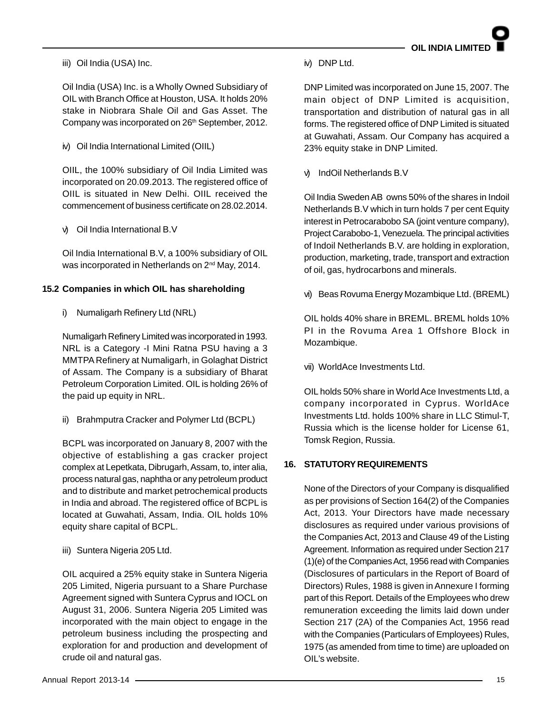iii) Oil India (USA) Inc.

Oil India (USA) Inc. is a Wholly Owned Subsidiary of OIL with Branch Office at Houston, USA. It holds 20% stake in Niobrara Shale Oil and Gas Asset. The Company was incorporated on 26<sup>th</sup> September, 2012.

iv) Oil India International Limited (OIIL)

OIIL, the 100% subsidiary of Oil India Limited was incorporated on 20.09.2013. The registered office of OIIL is situated in New Delhi. OIIL received the commencement of business certificate on 28.02.2014.

v) Oil India International B.V

Oil India International B.V, a 100% subsidiary of OIL was incorporated in Netherlands on 2<sup>nd</sup> May, 2014.

## **15.2 Companies in which OIL has shareholding**

i) Numaligarh Refinery Ltd (NRL)

Numaligarh Refinery Limited was incorporated in 1993. NRL is a Category -I Mini Ratna PSU having a 3 MMTPA Refinery at Numaligarh, in Golaghat District of Assam. The Company is a subsidiary of Bharat Petroleum Corporation Limited. OIL is holding 26% of the paid up equity in NRL.

ii) Brahmputra Cracker and Polymer Ltd (BCPL)

BCPL was incorporated on January 8, 2007 with the objective of establishing a gas cracker project complex at Lepetkata, Dibrugarh, Assam, to, inter alia, process natural gas, naphtha or any petroleum product and to distribute and market petrochemical products in India and abroad. The registered office of BCPL is located at Guwahati, Assam, India. OIL holds 10% equity share capital of BCPL.

iii) Suntera Nigeria 205 Ltd.

OIL acquired a 25% equity stake in Suntera Nigeria 205 Limited, Nigeria pursuant to a Share Purchase Agreement signed with Suntera Cyprus and IOCL on August 31, 2006. Suntera Nigeria 205 Limited was incorporated with the main object to engage in the petroleum business including the prospecting and exploration for and production and development of crude oil and natural gas.

DNP Limited was incorporated on June 15, 2007. The main object of DNP Limited is acquisition, transportation and distribution of natural gas in all forms. The registered office of DNP Limited is situated at Guwahati, Assam. Our Company has acquired a 23% equity stake in DNP Limited.

v) IndOil Netherlands B.V

Oil India Sweden AB owns 50% of the shares in Indoil Netherlands B.V which in turn holds 7 per cent Equity interest in Petrocarabobo SA (joint venture company), Project Carabobo-1, Venezuela. The principal activities of Indoil Netherlands B.V. are holding in exploration, production, marketing, trade, transport and extraction of oil, gas, hydrocarbons and minerals.

vi) Beas Rovuma Energy Mozambique Ltd. (BREML)

OIL holds 40% share in BREML. BREML holds 10% PI in the Rovuma Area 1 Offshore Block in Mozambique.

vii) WorldAce Investments Ltd.

OIL holds 50% share in World Ace Investments Ltd, a company incorporated in Cyprus. WorldAce Investments Ltd. holds 100% share in LLC Stimul-T, Russia which is the license holder for License 61, Tomsk Region, Russia.

#### **16. STATUTORY REQUIREMENTS**

None of the Directors of your Company is disqualified as per provisions of Section 164(2) of the Companies Act, 2013. Your Directors have made necessary disclosures as required under various provisions of the Companies Act, 2013 and Clause 49 of the Listing Agreement. Information as required under Section 217 (1)(e) of the Companies Act, 1956 read with Companies (Disclosures of particulars in the Report of Board of Directors) Rules, 1988 is given in Annexure I forming part of this Report. Details of the Employees who drew remuneration exceeding the limits laid down under Section 217 (2A) of the Companies Act, 1956 read with the Companies (Particulars of Employees) Rules, 1975 (as amended from time to time) are uploaded on OIL's website.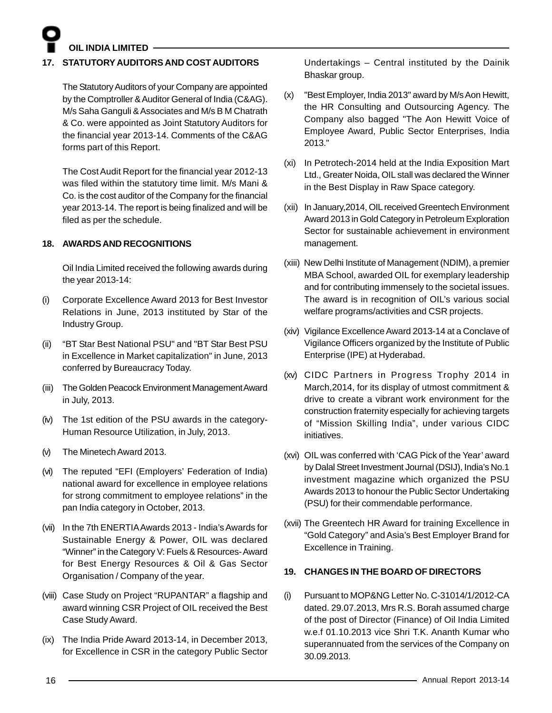# **17. STATUTORY AUDITORS AND COST AUDITORS**

The Statutory Auditors of your Company are appointed by the Comptroller & Auditor General of India (C&AG). M/s Saha Ganguli & Associates and M/s B M Chatrath & Co. were appointed as Joint Statutory Auditors for the financial year 2013-14. Comments of the C&AG forms part of this Report.

The Cost Audit Report for the financial year 2012-13 was filed within the statutory time limit. M/s Mani & Co. is the cost auditor of the Company for the financial year 2013-14. The report is being finalized and will be filed as per the schedule.

# **18. AWARDS AND RECOGNITIONS**

Oil India Limited received the following awards during the year 2013-14:

- (i) Corporate Excellence Award 2013 for Best Investor Relations in June, 2013 instituted by Star of the Industry Group.
- (ii) "BT Star Best National PSU" and "BT Star Best PSU in Excellence in Market capitalization" in June, 2013 conferred by Bureaucracy Today.
- (iii) The Golden Peacock Environment Management Award in July, 2013.
- (iv) The 1st edition of the PSU awards in the category-Human Resource Utilization, in July, 2013.
- (v) The Minetech Award 2013.
- (vi) The reputed "EFI (Employers' Federation of India) national award for excellence in employee relations for strong commitment to employee relations" in the pan India category in October, 2013.
- (vii) In the 7th ENERTIA Awards 2013 India's Awards for Sustainable Energy & Power, OIL was declared "Winner" in the Category V: Fuels & Resources- Award for Best Energy Resources & Oil & Gas Sector Organisation / Company of the year.
- (viii) Case Study on Project "RUPANTAR" a flagship and award winning CSR Project of OIL received the Best Case Study Award.
- (ix) The India Pride Award 2013-14, in December 2013, for Excellence in CSR in the category Public Sector

Undertakings – Central instituted by the Dainik Bhaskar group.

- (x) "Best Employer, India 2013" award by M/s Aon Hewitt, the HR Consulting and Outsourcing Agency. The Company also bagged "The Aon Hewitt Voice of Employee Award, Public Sector Enterprises, India 2013."
- (xi) In Petrotech-2014 held at the India Exposition Mart Ltd., Greater Noida, OIL stall was declared the Winner in the Best Display in Raw Space category.
- (xii) In January,2014, OIL received Greentech Environment Award 2013 in Gold Category in Petroleum Exploration Sector for sustainable achievement in environment management.
- (xiii) New Delhi Institute of Management (NDIM), a premier MBA School, awarded OIL for exemplary leadership and for contributing immensely to the societal issues. The award is in recognition of OIL's various social welfare programs/activities and CSR projects.
- (xiv) Vigilance Excellence Award 2013-14 at a Conclave of Vigilance Officers organized by the Institute of Public Enterprise (IPE) at Hyderabad.
- (xv) CIDC Partners in Progress Trophy 2014 in March,2014, for its display of utmost commitment & drive to create a vibrant work environment for the construction fraternity especially for achieving targets of "Mission Skilling India", under various CIDC initiatives.
- (xvi) OIL was conferred with 'CAG Pick of the Year' award by Dalal Street Investment Journal (DSIJ), India's No.1 investment magazine which organized the PSU Awards 2013 to honour the Public Sector Undertaking (PSU) for their commendable performance.
- (xvii) The Greentech HR Award for training Excellence in "Gold Category" and Asia's Best Employer Brand for Excellence in Training.

# **19. CHANGES IN THE BOARD OF DIRECTORS**

(i) Pursuant to MOP&NG Letter No. C-31014/1/2012-CA dated. 29.07.2013, Mrs R.S. Borah assumed charge of the post of Director (Finance) of Oil India Limited w.e.f 01.10.2013 vice Shri T.K. Ananth Kumar who superannuated from the services of the Company on 30.09.2013.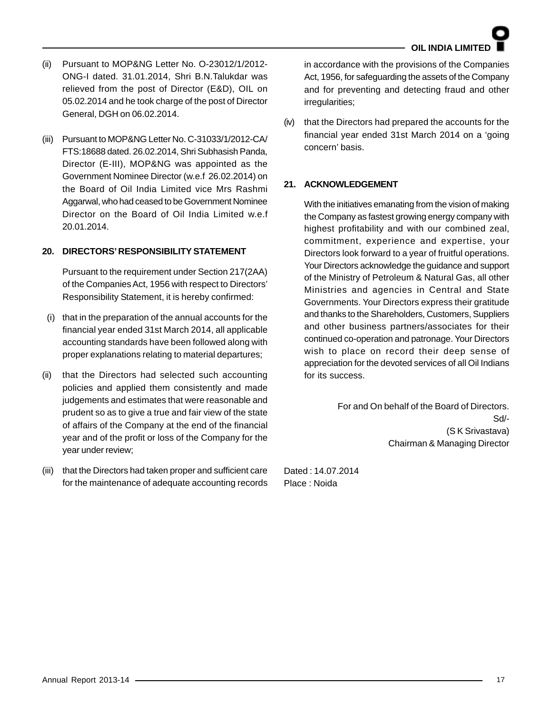- (ii) Pursuant to MOP&NG Letter No. O-23012/1/2012- ONG-I dated. 31.01.2014, Shri B.N.Talukdar was relieved from the post of Director (E&D), OIL on 05.02.2014 and he took charge of the post of Director General, DGH on 06.02.2014.
- (iii) Pursuant to MOP&NG Letter No. C-31033/1/2012-CA/ FTS:18688 dated. 26.02.2014, Shri Subhasish Panda, Director (E-III), MOP&NG was appointed as the Government Nominee Director (w.e.f 26.02.2014) on the Board of Oil India Limited vice Mrs Rashmi Aggarwal, who had ceased to be Government Nominee Director on the Board of Oil India Limited w.e.f 20.01.2014.

## **20. DIRECTORS' RESPONSIBILITY STATEMENT**

Pursuant to the requirement under Section 217(2AA) of the Companies Act, 1956 with respect to Directors' Responsibility Statement, it is hereby confirmed:

- (i) that in the preparation of the annual accounts for the financial year ended 31st March 2014, all applicable accounting standards have been followed along with proper explanations relating to material departures;
- (ii) that the Directors had selected such accounting policies and applied them consistently and made judgements and estimates that were reasonable and prudent so as to give a true and fair view of the state of affairs of the Company at the end of the financial year and of the profit or loss of the Company for the year under review;
- (iii) that the Directors had taken proper and sufficient care for the maintenance of adequate accounting records

in accordance with the provisions of the Companies Act, 1956, for safeguarding the assets of the Company and for preventing and detecting fraud and other irregularities;

(iv) that the Directors had prepared the accounts for the financial year ended 31st March 2014 on a 'going concern' basis.

# **21. ACKNOWLEDGEMENT**

With the initiatives emanating from the vision of making the Company as fastest growing energy company with highest profitability and with our combined zeal, commitment, experience and expertise, your Directors look forward to a year of fruitful operations. Your Directors acknowledge the guidance and support of the Ministry of Petroleum & Natural Gas, all other Ministries and agencies in Central and State Governments. Your Directors express their gratitude and thanks to the Shareholders, Customers, Suppliers and other business partners/associates for their continued co-operation and patronage. Your Directors wish to place on record their deep sense of appreciation for the devoted services of all Oil Indians for its success.

> For and On behalf of the Board of Directors. Sd/- (S K Srivastava) Chairman & Managing Director

Dated : 14.07.2014 Place : Noida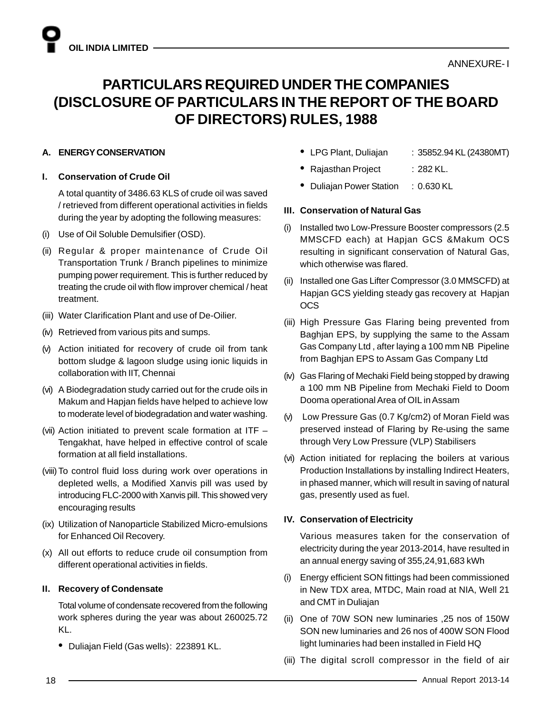# **PARTICULARS REQUIRED UNDER THE COMPANIES (DISCLOSURE OF PARTICULARS IN THE REPORT OF THE BOARD OF DIRECTORS) RULES, 1988**

# **A. ENERGY CONSERVATION**

# **I. Conservation of Crude Oil**

A total quantity of 3486.63 KLS of crude oil was saved / retrieved from different operational activities in fields during the year by adopting the following measures:

- (i) Use of Oil Soluble Demulsifier (OSD).
- (ii) Regular & proper maintenance of Crude Oil Transportation Trunk / Branch pipelines to minimize pumping power requirement. This is further reduced by treating the crude oil with flow improver chemical / heat treatment.
- (iii) Water Clarification Plant and use of De-Oilier.
- (iv) Retrieved from various pits and sumps.
- (v) Action initiated for recovery of crude oil from tank bottom sludge & lagoon sludge using ionic liquids in collaboration with IIT, Chennai
- (vi) A Biodegradation study carried out for the crude oils in Makum and Hapjan fields have helped to achieve low to moderate level of biodegradation and water washing.
- (vii) Action initiated to prevent scale formation at ITF Tengakhat, have helped in effective control of scale formation at all field installations.
- (viii) To control fluid loss during work over operations in depleted wells, a Modified Xanvis pill was used by introducing FLC-2000 with Xanvis pill. This showed very encouraging results
- (ix) Utilization of Nanoparticle Stabilized Micro-emulsions for Enhanced Oil Recovery.
- (x) All out efforts to reduce crude oil consumption from different operational activities in fields.

# **II. Recovery of Condensate**

Total volume of condensate recovered from the following work spheres during the year was about 260025.72 KL.

• Duliajan Field (Gas wells): 223891 KL.

- LPG Plant, Duliajan : 35852.94 KL (24380MT)
- Rajasthan Project : 282 KL.
- Duliajan Power Station : 0.630 KL

## **III. Conservation of Natural Gas**

- (i) Installed two Low-Pressure Booster compressors (2.5 MMSCFD each) at Hapjan GCS &Makum OCS resulting in significant conservation of Natural Gas, which otherwise was flared.
- (ii) Installed one Gas Lifter Compressor (3.0 MMSCFD) at Hapjan GCS yielding steady gas recovery at Hapjan OCS
- (iii) High Pressure Gas Flaring being prevented from Baghjan EPS, by supplying the same to the Assam Gas Company Ltd , after laying a 100 mm NB Pipeline from Baghjan EPS to Assam Gas Company Ltd
- (iv) Gas Flaring of Mechaki Field being stopped by drawing a 100 mm NB Pipeline from Mechaki Field to Doom Dooma operational Area of OIL in Assam
- (v) Low Pressure Gas (0.7 Kg/cm2) of Moran Field was preserved instead of Flaring by Re-using the same through Very Low Pressure (VLP) Stabilisers
- (vi) Action initiated for replacing the boilers at various Production Installations by installing Indirect Heaters, in phased manner, which will result in saving of natural gas, presently used as fuel.

# **IV. Conservation of Electricity**

Various measures taken for the conservation of electricity during the year 2013-2014, have resulted in an annual energy saving of 355,24,91,683 kWh

- (i) Energy efficient SON fittings had been commissioned in New TDX area, MTDC, Main road at NIA, Well 21 and CMT in Duliajan
- (ii) One of 70W SON new luminaries ,25 nos of 150W SON new luminaries and 26 nos of 400W SON Flood light luminaries had been installed in Field HQ
- (iii) The digital scroll compressor in the field of air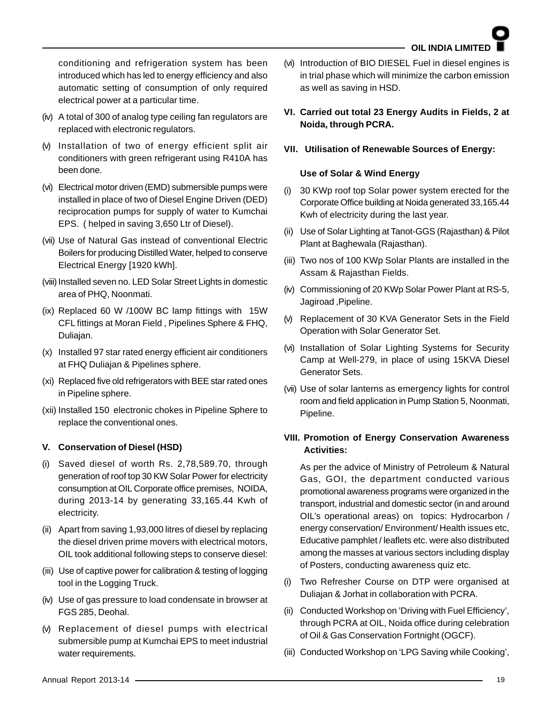conditioning and refrigeration system has been introduced which has led to energy efficiency and also automatic setting of consumption of only required electrical power at a particular time.

- (iv) A total of 300 of analog type ceiling fan regulators are replaced with electronic regulators.
- (v) Installation of two of energy efficient split air conditioners with green refrigerant using R410A has been done.
- (vi) Electrical motor driven (EMD) submersible pumps were installed in place of two of Diesel Engine Driven (DED) reciprocation pumps for supply of water to Kumchai EPS. ( helped in saving 3,650 Ltr of Diesel).
- (vii) Use of Natural Gas instead of conventional Electric Boilers for producing Distilled Water, helped to conserve Electrical Energy [1920 kWh].
- (viii) Installed seven no. LED Solar Street Lights in domestic area of PHQ, Noonmati.
- (ix) Replaced 60 W /100W BC lamp fittings with 15W CFL fittings at Moran Field , Pipelines Sphere & FHQ, Duliajan.
- (x) Installed 97 star rated energy efficient air conditioners at FHQ Duliajan & Pipelines sphere.
- (xi) Replaced five old refrigerators with BEE star rated ones in Pipeline sphere.
- (xii) Installed 150 electronic chokes in Pipeline Sphere to replace the conventional ones.

#### **V. Conservation of Diesel (HSD)**

- (i) Saved diesel of worth Rs. 2,78,589.70, through generation of roof top 30 KW Solar Power for electricity consumption at OIL Corporate office premises, NOIDA, during 2013-14 by generating 33,165.44 Kwh of electricity.
- (ii) Apart from saving 1,93,000 litres of diesel by replacing the diesel driven prime movers with electrical motors, OIL took additional following steps to conserve diesel:
- (iii) Use of captive power for calibration & testing of logging tool in the Logging Truck.
- (iv) Use of gas pressure to load condensate in browser at FGS 285, Deohal.
- (v) Replacement of diesel pumps with electrical submersible pump at Kumchai EPS to meet industrial water requirements.
- (vi) Introduction of BIO DIESEL Fuel in diesel engines is in trial phase which will minimize the carbon emission as well as saving in HSD.
- **VI. Carried out total 23 Energy Audits in Fields, 2 at Noida, through PCRA.**
- **VII. Utilisation of Renewable Sources of Energy:**

#### **Use of Solar & Wind Energy**

- (i) 30 KWp roof top Solar power system erected for the Corporate Office building at Noida generated 33,165.44 Kwh of electricity during the last year.
- (ii) Use of Solar Lighting at Tanot-GGS (Rajasthan) & Pilot Plant at Baghewala (Rajasthan).
- (iii) Two nos of 100 KWp Solar Plants are installed in the Assam & Rajasthan Fields.
- (iv) Commissioning of 20 KWp Solar Power Plant at RS-5, Jagiroad ,Pipeline.
- (v) Replacement of 30 KVA Generator Sets in the Field Operation with Solar Generator Set.
- (vi) Installation of Solar Lighting Systems for Security Camp at Well-279, in place of using 15KVA Diesel Generator Sets.
- (vii) Use of solar lanterns as emergency lights for control room and field application in Pump Station 5, Noonmati, Pipeline.

# **VIII. Promotion of Energy Conservation Awareness Activities:**

As per the advice of Ministry of Petroleum & Natural Gas, GOI, the department conducted various promotional awareness programs were organized in the transport, industrial and domestic sector (in and around OIL's operational areas) on topics: Hydrocarbon / energy conservation/ Environment/ Health issues etc, Educative pamphlet / leaflets etc. were also distributed among the masses at various sectors including display of Posters, conducting awareness quiz etc.

- (i) Two Refresher Course on DTP were organised at Duliajan & Jorhat in collaboration with PCRA.
- (ii) Conducted Workshop on 'Driving with Fuel Efficiency', through PCRA at OIL, Noida office during celebration of Oil & Gas Conservation Fortnight (OGCF).
- (iii) Conducted Workshop on 'LPG Saving while Cooking',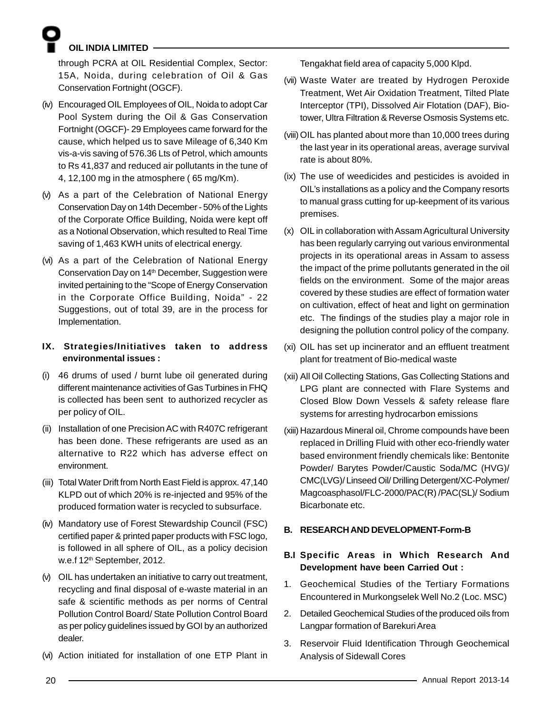through PCRA at OIL Residential Complex, Sector: 15A, Noida, during celebration of Oil & Gas Conservation Fortnight (OGCF).

- (iv) Encouraged OIL Employees of OIL, Noida to adopt Car Pool System during the Oil & Gas Conservation Fortnight (OGCF)- 29 Employees came forward for the cause, which helped us to save Mileage of 6,340 Km vis-a-vis saving of 576.36 Lts of Petrol, which amounts to Rs 41,837 and reduced air pollutants in the tune of 4, 12,100 mg in the atmosphere ( 65 mg/Km).
- (v) As a part of the Celebration of National Energy Conservation Day on 14th December - 50% of the Lights of the Corporate Office Building, Noida were kept off as a Notional Observation, which resulted to Real Time saving of 1,463 KWH units of electrical energy.
- (vi) As a part of the Celebration of National Energy Conservation Day on 14<sup>th</sup> December, Suggestion were invited pertaining to the "Scope of Energy Conservation in the Corporate Office Building, Noida" - 22 Suggestions, out of total 39, are in the process for Implementation.

# **IX. Strategies/Initiatives taken to address environmental issues :**

- (i) 46 drums of used / burnt lube oil generated during different maintenance activities of Gas Turbines in FHQ is collected has been sent to authorized recycler as per policy of OIL.
- (ii) Installation of one Precision AC with R407C refrigerant has been done. These refrigerants are used as an alternative to R22 which has adverse effect on environment.
- (iii) Total Water Drift from North East Field is approx. 47,140 KLPD out of which 20% is re-injected and 95% of the produced formation water is recycled to subsurface.
- (iv) Mandatory use of Forest Stewardship Council (FSC) certified paper & printed paper products with FSC logo, is followed in all sphere of OIL, as a policy decision w.e.f 12<sup>th</sup> September, 2012.
- (v) OIL has undertaken an initiative to carry out treatment, recycling and final disposal of e-waste material in an safe & scientific methods as per norms of Central Pollution Control Board/ State Pollution Control Board as per policy guidelines issued by GOI by an authorized dealer.
- (vi) Action initiated for installation of one ETP Plant in

Tengakhat field area of capacity 5,000 Klpd.

- (vii) Waste Water are treated by Hydrogen Peroxide Treatment, Wet Air Oxidation Treatment, Tilted Plate Interceptor (TPI), Dissolved Air Flotation (DAF), Biotower, Ultra Filtration & Reverse Osmosis Systems etc.
- (viii) OIL has planted about more than 10,000 trees during the last year in its operational areas, average survival rate is about 80%.
- (ix) The use of weedicides and pesticides is avoided in OIL's installations as a policy and the Company resorts to manual grass cutting for up-keepment of its various premises.
- (x) OIL in collaboration with Assam Agricultural University has been regularly carrying out various environmental projects in its operational areas in Assam to assess the impact of the prime pollutants generated in the oil fields on the environment. Some of the major areas covered by these studies are effect of formation water on cultivation, effect of heat and light on germination etc. The findings of the studies play a major role in designing the pollution control policy of the company.
- (xi) OIL has set up incinerator and an effluent treatment plant for treatment of Bio-medical waste
- (xii) All Oil Collecting Stations, Gas Collecting Stations and LPG plant are connected with Flare Systems and Closed Blow Down Vessels & safety release flare systems for arresting hydrocarbon emissions
- (xiii) Hazardous Mineral oil, Chrome compounds have been replaced in Drilling Fluid with other eco-friendly water based environment friendly chemicals like: Bentonite Powder/ Barytes Powder/Caustic Soda/MC (HVG)/ CMC(LVG)/ Linseed Oil/ Drilling Detergent/XC-Polymer/ Magcoasphasol/FLC-2000/PAC(R) /PAC(SL)/ Sodium Bicarbonate etc.

# **B. RESEARCH AND DEVELOPMENT-Form-B**

# **B.I Specific Areas in Which Research And Development have been Carried Out :**

- 1. Geochemical Studies of the Tertiary Formations Encountered in Murkongselek Well No.2 (Loc. MSC)
- 2. Detailed Geochemical Studies of the produced oils from Langpar formation of Barekuri Area
- 3. Reservoir Fluid Identification Through Geochemical Analysis of Sidewall Cores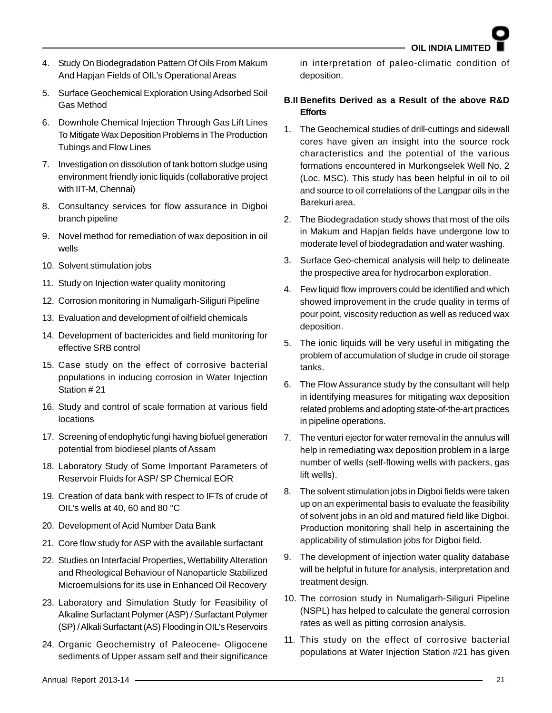- 4. Study On Biodegradation Pattern Of Oils From Makum And Hapjan Fields of OIL's Operational Areas
- 5. Surface Geochemical Exploration Using Adsorbed Soil Gas Method
- 6. Downhole Chemical Injection Through Gas Lift Lines To Mitigate Wax Deposition Problems in The Production Tubings and Flow Lines
- 7. Investigation on dissolution of tank bottom sludge using environment friendly ionic liquids (collaborative project with IIT-M, Chennai)
- 8. Consultancy services for flow assurance in Digboi branch pipeline
- 9. Novel method for remediation of wax deposition in oil wells
- 10. Solvent stimulation jobs
- 11. Study on Injection water quality monitoring
- 12. Corrosion monitoring in Numaligarh-Siliguri Pipeline
- 13. Evaluation and development of oilfield chemicals
- 14. Development of bactericides and field monitoring for effective SRB control
- 15. Case study on the effect of corrosive bacterial populations in inducing corrosion in Water Injection Station # 21
- 16. Study and control of scale formation at various field locations
- 17. Screening of endophytic fungi having biofuel generation potential from biodiesel plants of Assam
- 18. Laboratory Study of Some Important Parameters of Reservoir Fluids for ASP/ SP Chemical EOR
- 19. Creation of data bank with respect to IFTs of crude of OIL's wells at 40, 60 and 80 °C
- 20. Development of Acid Number Data Bank
- 21. Core flow study for ASP with the available surfactant
- 22. Studies on Interfacial Properties, Wettability Alteration and Rheological Behaviour of Nanoparticle Stabilized Microemulsions for its use in Enhanced Oil Recovery
- 23. Laboratory and Simulation Study for Feasibility of Alkaline Surfactant Polymer (ASP) / Surfactant Polymer (SP) / Alkali Surfactant (AS) Flooding in OIL's Reservoirs
- 24. Organic Geochemistry of Paleocene- Oligocene sediments of Upper assam self and their significance

in interpretation of paleo-climatic condition of deposition.

## **B.II Benefits Derived as a Result of the above R&D Efforts**

- 1. The Geochemical studies of drill-cuttings and sidewall cores have given an insight into the source rock characteristics and the potential of the various formations encountered in Murkongselek Well No. 2 (Loc. MSC). This study has been helpful in oil to oil and source to oil correlations of the Langpar oils in the Barekuri area.
- 2. The Biodegradation study shows that most of the oils in Makum and Hapjan fields have undergone low to moderate level of biodegradation and water washing.
- 3. Surface Geo-chemical analysis will help to delineate the prospective area for hydrocarbon exploration.
- 4. Few liquid flow improvers could be identified and which showed improvement in the crude quality in terms of pour point, viscosity reduction as well as reduced wax deposition.
- 5. The ionic liquids will be very useful in mitigating the problem of accumulation of sludge in crude oil storage tanks.
- 6. The Flow Assurance study by the consultant will help in identifying measures for mitigating wax deposition related problems and adopting state-of-the-art practices in pipeline operations.
- 7. The venturi ejector for water removal in the annulus will help in remediating wax deposition problem in a large number of wells (self-flowing wells with packers, gas lift wells).
- 8. The solvent stimulation jobs in Digboi fields were taken up on an experimental basis to evaluate the feasibility of solvent jobs in an old and matured field like Digboi. Production monitoring shall help in ascertaining the applicability of stimulation jobs for Digboi field.
- 9. The development of injection water quality database will be helpful in future for analysis, interpretation and treatment design.
- 10. The corrosion study in Numaligarh-Siliguri Pipeline (NSPL) has helped to calculate the general corrosion rates as well as pitting corrosion analysis.
- 11. This study on the effect of corrosive bacterial populations at Water Injection Station #21 has given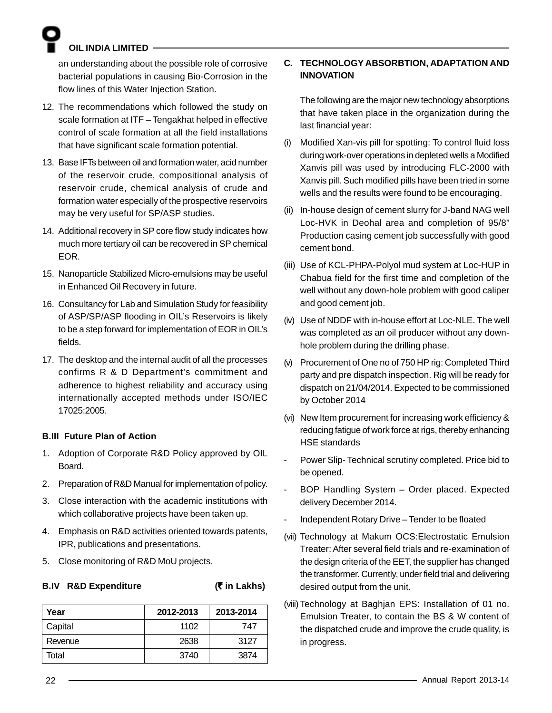an understanding about the possible role of corrosive bacterial populations in causing Bio-Corrosion in the flow lines of this Water Injection Station.

- 12. The recommendations which followed the study on scale formation at ITF – Tengakhat helped in effective control of scale formation at all the field installations that have significant scale formation potential.
- 13. Base IFTs between oil and formation water, acid number of the reservoir crude, compositional analysis of reservoir crude, chemical analysis of crude and formation water especially of the prospective reservoirs may be very useful for SP/ASP studies.
- 14. Additional recovery in SP core flow study indicates how much more tertiary oil can be recovered in SP chemical EOR.
- 15. Nanoparticle Stabilized Micro-emulsions may be useful in Enhanced Oil Recovery in future.
- 16. Consultancy for Lab and Simulation Study for feasibility of ASP/SP/ASP flooding in OIL's Reservoirs is likely to be a step forward for implementation of EOR in OIL's fields.
- 17. The desktop and the internal audit of all the processes confirms R & D Department's commitment and adherence to highest reliability and accuracy using internationally accepted methods under ISO/IEC 17025:2005.

# **B.III Future Plan of Action**

- 1. Adoption of Corporate R&D Policy approved by OIL Board.
- 2. Preparation of R&D Manual for implementation of policy.
- 3. Close interaction with the academic institutions with which collaborative projects have been taken up.
- 4. Emphasis on R&D activities oriented towards patents, IPR, publications and presentations.
- 5. Close monitoring of R&D MoU projects.

#### **B.IV R&D Expenditure (**` **in Lakhs)**

| Year    | 2012-2013 | 2013-2014 |
|---------|-----------|-----------|
| Capital | 1102      | 747       |
| Revenue | 2638      | 3127      |
| Total   | 3740      | 3874      |

# **C. TECHNOLOGY ABSORBTION, ADAPTATION AND INNOVATION**

The following are the major new technology absorptions that have taken place in the organization during the last financial year:

- (i) Modified Xan-vis pill for spotting: To control fluid loss during work-over operations in depleted wells a Modified Xanvis pill was used by introducing FLC-2000 with Xanvis pill. Such modified pills have been tried in some wells and the results were found to be encouraging.
- (ii) In-house design of cement slurry for J-band NAG well Loc-HVK in Deohal area and completion of 95/8" Production casing cement job successfully with good cement bond.
- (iii) Use of KCL-PHPA-Polyol mud system at Loc-HUP in Chabua field for the first time and completion of the well without any down-hole problem with good caliper and good cement job.
- (iv) Use of NDDF with in-house effort at Loc-NLE. The well was completed as an oil producer without any downhole problem during the drilling phase.
- (v) Procurement of One no of 750 HP rig: Completed Third party and pre dispatch inspection. Rig will be ready for dispatch on 21/04/2014. Expected to be commissioned by October 2014
- (vi) New Item procurement for increasing work efficiency & reducing fatigue of work force at rigs, thereby enhancing HSE standards
- Power Slip- Technical scrutiny completed. Price bid to be opened.
- BOP Handling System Order placed. Expected delivery December 2014.
- Independent Rotary Drive Tender to be floated
- (vii) Technology at Makum OCS:Electrostatic Emulsion Treater: After several field trials and re-examination of the design criteria of the EET, the supplier has changed the transformer. Currently, under field trial and delivering desired output from the unit.
- (viii) Technology at Baghjan EPS: Installation of 01 no. Emulsion Treater, to contain the BS & W content of the dispatched crude and improve the crude quality, is in progress.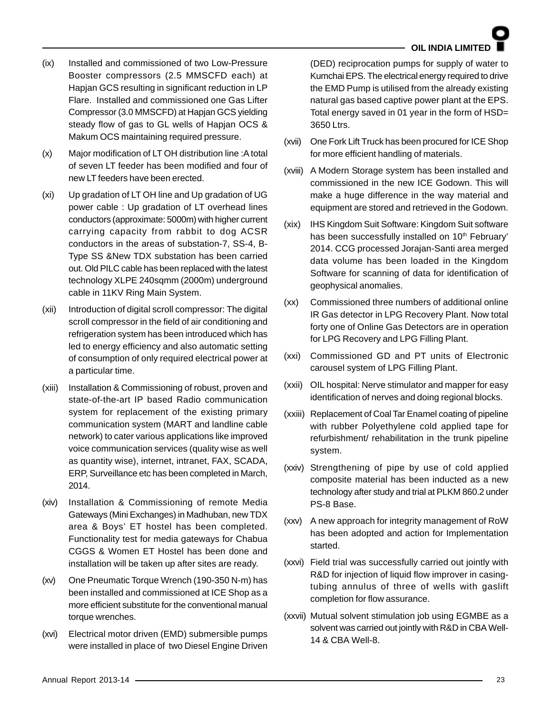- (ix) Installed and commissioned of two Low-Pressure Booster compressors (2.5 MMSCFD each) at Hapjan GCS resulting in significant reduction in LP Flare. Installed and commissioned one Gas Lifter Compressor (3.0 MMSCFD) at Hapjan GCS yielding steady flow of gas to GL wells of Hapjan OCS & Makum OCS maintaining required pressure.
- (x) Major modification of LT OH distribution line :A total of seven LT feeder has been modified and four of new LT feeders have been erected.
- (xi) Up gradation of LT OH line and Up gradation of UG power cable : Up gradation of LT overhead lines conductors (approximate: 5000m) with higher current carrying capacity from rabbit to dog ACSR conductors in the areas of substation-7, SS-4, B-Type SS &New TDX substation has been carried out. Old PILC cable has been replaced with the latest technology XLPE 240sqmm (2000m) underground cable in 11KV Ring Main System.
- (xii) Introduction of digital scroll compressor: The digital scroll compressor in the field of air conditioning and refrigeration system has been introduced which has led to energy efficiency and also automatic setting of consumption of only required electrical power at a particular time.
- (xiii) Installation & Commissioning of robust, proven and state-of-the-art IP based Radio communication system for replacement of the existing primary communication system (MART and landline cable network) to cater various applications like improved voice communication services (quality wise as well as quantity wise), internet, intranet, FAX, SCADA, ERP, Surveillance etc has been completed in March, 2014.
- (xiv) Installation & Commissioning of remote Media Gateways (Mini Exchanges) in Madhuban, new TDX area & Boys' ET hostel has been completed. Functionality test for media gateways for Chabua CGGS & Women ET Hostel has been done and installation will be taken up after sites are ready.
- (xv) One Pneumatic Torque Wrench (190-350 N-m) has been installed and commissioned at ICE Shop as a more efficient substitute for the conventional manual torque wrenches.
- (xvi) Electrical motor driven (EMD) submersible pumps were installed in place of two Diesel Engine Driven

(DED) reciprocation pumps for supply of water to Kumchai EPS. The electrical energy required to drive the EMD Pump is utilised from the already existing natural gas based captive power plant at the EPS. Total energy saved in 01 year in the form of HSD= 3650 Ltrs.

- (xvii) One Fork Lift Truck has been procured for ICE Shop for more efficient handling of materials.
- (xviii) A Modern Storage system has been installed and commissioned in the new ICE Godown. This will make a huge difference in the way material and equipment are stored and retrieved in the Godown.
- (xix) IHS Kingdom Suit Software: Kingdom Suit software has been successfully installed on 10<sup>th</sup> February' 2014. CCG processed Jorajan-Santi area merged data volume has been loaded in the Kingdom Software for scanning of data for identification of geophysical anomalies.
- (xx) Commissioned three numbers of additional online IR Gas detector in LPG Recovery Plant. Now total forty one of Online Gas Detectors are in operation for LPG Recovery and LPG Filling Plant.
- (xxi) Commissioned GD and PT units of Electronic carousel system of LPG Filling Plant.
- (xxii) OIL hospital: Nerve stimulator and mapper for easy identification of nerves and doing regional blocks.
- (xxiii) Replacement of Coal Tar Enamel coating of pipeline with rubber Polyethylene cold applied tape for refurbishment/ rehabilitation in the trunk pipeline system.
- (xxiv) Strengthening of pipe by use of cold applied composite material has been inducted as a new technology after study and trial at PLKM 860.2 under PS-8 Base.
- (xxv) A new approach for integrity management of RoW has been adopted and action for Implementation started.
- (xxvi) Field trial was successfully carried out jointly with R&D for injection of liquid flow improver in casingtubing annulus of three of wells with gaslift completion for flow assurance.
- (xxvii) Mutual solvent stimulation job using EGMBE as a solvent was carried out jointly with R&D in CBA Well-14 & CBA Well-8.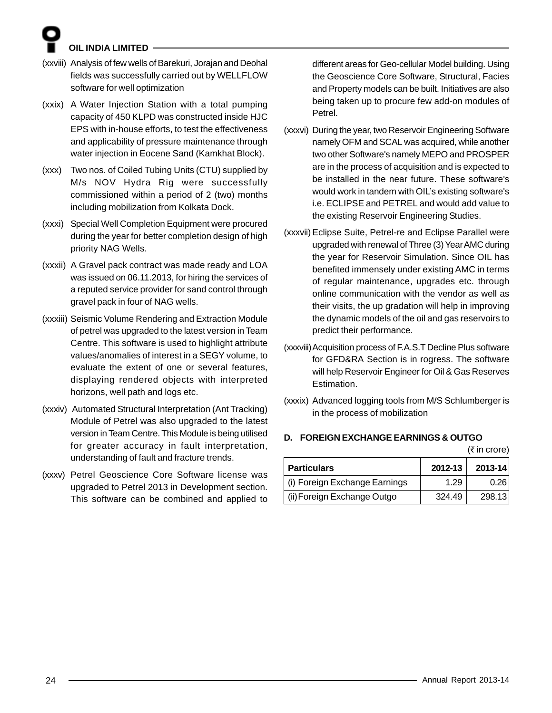- (xxviii) Analysis of few wells of Barekuri, Jorajan and Deohal fields was successfully carried out by WELLFLOW software for well optimization
- (xxix) A Water Injection Station with a total pumping capacity of 450 KLPD was constructed inside HJC EPS with in-house efforts, to test the effectiveness and applicability of pressure maintenance through water injection in Eocene Sand (Kamkhat Block).
- (xxx) Two nos. of Coiled Tubing Units (CTU) supplied by M/s NOV Hydra Rig were successfully commissioned within a period of 2 (two) months including mobilization from Kolkata Dock.
- (xxxi) Special Well Completion Equipment were procured during the year for better completion design of high priority NAG Wells.
- (xxxii) A Gravel pack contract was made ready and LOA was issued on 06.11.2013, for hiring the services of a reputed service provider for sand control through gravel pack in four of NAG wells.
- (xxxiii) Seismic Volume Rendering and Extraction Module of petrel was upgraded to the latest version in Team Centre. This software is used to highlight attribute values/anomalies of interest in a SEGY volume, to evaluate the extent of one or several features, displaying rendered objects with interpreted horizons, well path and logs etc.
- (xxxiv) Automated Structural Interpretation (Ant Tracking) Module of Petrel was also upgraded to the latest version in Team Centre. This Module is being utilised for greater accuracy in fault interpretation, understanding of fault and fracture trends.
- (xxxv) Petrel Geoscience Core Software license was upgraded to Petrel 2013 in Development section. This software can be combined and applied to

different areas for Geo-cellular Model building. Using the Geoscience Core Software, Structural, Facies and Property models can be built. Initiatives are also being taken up to procure few add-on modules of Petrel.

- (xxxvi) During the year, two Reservoir Engineering Software namely OFM and SCAL was acquired, while another two other Software's namely MEPO and PROSPER are in the process of acquisition and is expected to be installed in the near future. These software's would work in tandem with OIL's existing software's i.e. ECLIPSE and PETREL and would add value to the existing Reservoir Engineering Studies.
- (xxxvii)Eclipse Suite, Petrel-re and Eclipse Parallel were upgraded with renewal of Three (3) Year AMC during the year for Reservoir Simulation. Since OIL has benefited immensely under existing AMC in terms of regular maintenance, upgrades etc. through online communication with the vendor as well as their visits, the up gradation will help in improving the dynamic models of the oil and gas reservoirs to predict their performance.
- (xxxviii)Acquisition process of F.A.S.T Decline Plus software for GFD&RA Section is in rogress. The software will help Reservoir Engineer for Oil & Gas Reserves **Estimation**
- (xxxix) Advanced logging tools from M/S Schlumberger is in the process of mobilization

# $($ ₹ in crore) **Particulars 2012-13 2013-14** (i) Foreign Exchange Earnings  $\vert$  1.29  $\vert$  0.26 (ii) Foreign Exchange Outgo  $\vert$  324.49  $\vert$  298.13

# **D. FOREIGN EXCHANGE EARNINGS & OUTGO**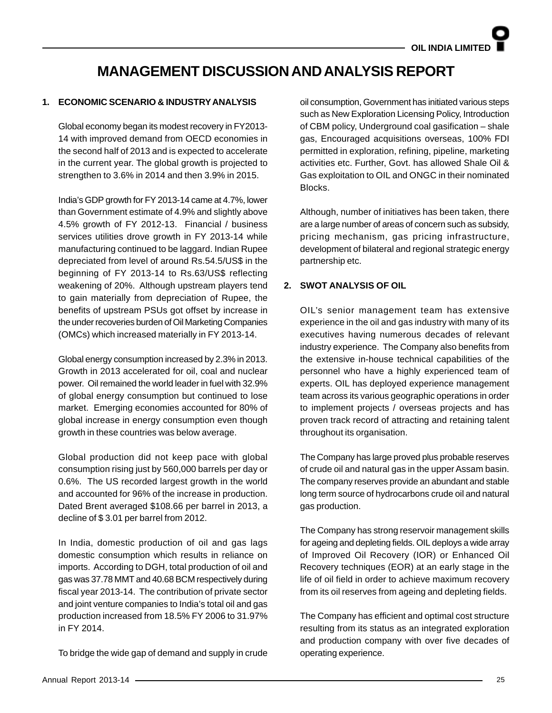# **MANAGEMENT DISCUSSION AND ANALYSIS REPORT**

# **1. ECONOMIC SCENARIO & INDUSTRY ANALYSIS**

Global economy began its modest recovery in FY2013- 14 with improved demand from OECD economies in the second half of 2013 and is expected to accelerate in the current year. The global growth is projected to strengthen to 3.6% in 2014 and then 3.9% in 2015.

India's GDP growth for FY 2013-14 came at 4.7%, lower than Government estimate of 4.9% and slightly above 4.5% growth of FY 2012-13. Financial / business services utilities drove growth in FY 2013-14 while manufacturing continued to be laggard. Indian Rupee depreciated from level of around Rs.54.5/US\$ in the beginning of FY 2013-14 to Rs.63/US\$ reflecting weakening of 20%. Although upstream players tend to gain materially from depreciation of Rupee, the benefits of upstream PSUs got offset by increase in the under recoveries burden of Oil Marketing Companies (OMCs) which increased materially in FY 2013-14.

Global energy consumption increased by 2.3% in 2013. Growth in 2013 accelerated for oil, coal and nuclear power. Oil remained the world leader in fuel with 32.9% of global energy consumption but continued to lose market. Emerging economies accounted for 80% of global increase in energy consumption even though growth in these countries was below average.

Global production did not keep pace with global consumption rising just by 560,000 barrels per day or 0.6%. The US recorded largest growth in the world and accounted for 96% of the increase in production. Dated Brent averaged \$108.66 per barrel in 2013, a decline of \$ 3.01 per barrel from 2012.

In India, domestic production of oil and gas lags domestic consumption which results in reliance on imports. According to DGH, total production of oil and gas was 37.78 MMT and 40.68 BCM respectively during fiscal year 2013-14. The contribution of private sector and joint venture companies to India's total oil and gas production increased from 18.5% FY 2006 to 31.97% in FY 2014.

To bridge the wide gap of demand and supply in crude

oil consumption, Government has initiated various steps such as New Exploration Licensing Policy, Introduction of CBM policy, Underground coal gasification – shale gas, Encouraged acquisitions overseas, 100% FDI permitted in exploration, refining, pipeline, marketing activities etc. Further, Govt. has allowed Shale Oil & Gas exploitation to OIL and ONGC in their nominated Blocks.

Although, number of initiatives has been taken, there are a large number of areas of concern such as subsidy, pricing mechanism, gas pricing infrastructure, development of bilateral and regional strategic energy partnership etc.

#### **2. SWOT ANALYSIS OF OIL**

OIL's senior management team has extensive experience in the oil and gas industry with many of its executives having numerous decades of relevant industry experience. The Company also benefits from the extensive in-house technical capabilities of the personnel who have a highly experienced team of experts. OIL has deployed experience management team across its various geographic operations in order to implement projects / overseas projects and has proven track record of attracting and retaining talent throughout its organisation.

The Company has large proved plus probable reserves of crude oil and natural gas in the upper Assam basin. The company reserves provide an abundant and stable long term source of hydrocarbons crude oil and natural gas production.

The Company has strong reservoir management skills for ageing and depleting fields. OIL deploys a wide array of Improved Oil Recovery (IOR) or Enhanced Oil Recovery techniques (EOR) at an early stage in the life of oil field in order to achieve maximum recovery from its oil reserves from ageing and depleting fields.

The Company has efficient and optimal cost structure resulting from its status as an integrated exploration and production company with over five decades of operating experience.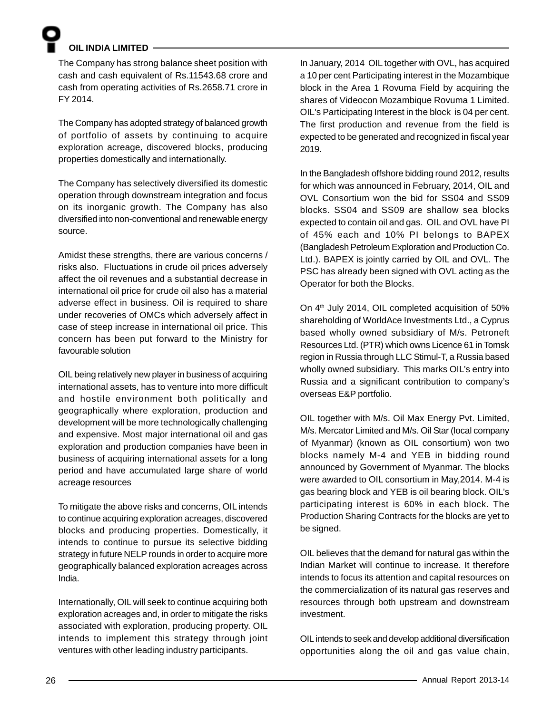The Company has strong balance sheet position with cash and cash equivalent of Rs.11543.68 crore and cash from operating activities of Rs.2658.71 crore in FY 2014.

The Company has adopted strategy of balanced growth of portfolio of assets by continuing to acquire exploration acreage, discovered blocks, producing properties domestically and internationally.

The Company has selectively diversified its domestic operation through downstream integration and focus on its inorganic growth. The Company has also diversified into non-conventional and renewable energy source.

Amidst these strengths, there are various concerns / risks also. Fluctuations in crude oil prices adversely affect the oil revenues and a substantial decrease in international oil price for crude oil also has a material adverse effect in business. Oil is required to share under recoveries of OMCs which adversely affect in case of steep increase in international oil price. This concern has been put forward to the Ministry for favourable solution

OIL being relatively new player in business of acquiring international assets, has to venture into more difficult and hostile environment both politically and geographically where exploration, production and development will be more technologically challenging and expensive. Most major international oil and gas exploration and production companies have been in business of acquiring international assets for a long period and have accumulated large share of world acreage resources

To mitigate the above risks and concerns, OIL intends to continue acquiring exploration acreages, discovered blocks and producing properties. Domestically, it intends to continue to pursue its selective bidding strategy in future NELP rounds in order to acquire more geographically balanced exploration acreages across India.

Internationally, OIL will seek to continue acquiring both exploration acreages and, in order to mitigate the risks associated with exploration, producing property. OIL intends to implement this strategy through joint ventures with other leading industry participants.

In January, 2014 OIL together with OVL, has acquired a 10 per cent Participating interest in the Mozambique block in the Area 1 Rovuma Field by acquiring the shares of Videocon Mozambique Rovuma 1 Limited. OIL's Participating Interest in the block is 04 per cent. The first production and revenue from the field is expected to be generated and recognized in fiscal year 2019.

In the Bangladesh offshore bidding round 2012, results for which was announced in February, 2014, OIL and OVL Consortium won the bid for SS04 and SS09 blocks. SS04 and SS09 are shallow sea blocks expected to contain oil and gas. OIL and OVL have PI of 45% each and 10% PI belongs to BAPEX (Bangladesh Petroleum Exploration and Production Co. Ltd.). BAPEX is jointly carried by OIL and OVL. The PSC has already been signed with OVL acting as the Operator for both the Blocks.

On 4<sup>th</sup> July 2014, OIL completed acquisition of 50% shareholding of WorldAce Investments Ltd., a Cyprus based wholly owned subsidiary of M/s. Petroneft Resources Ltd. (PTR) which owns Licence 61 in Tomsk region in Russia through LLC Stimul-T, a Russia based wholly owned subsidiary. This marks OIL's entry into Russia and a significant contribution to company's overseas E&P portfolio.

OIL together with M/s. Oil Max Energy Pvt. Limited, M/s. Mercator Limited and M/s. Oil Star (local company of Myanmar) (known as OIL consortium) won two blocks namely M-4 and YEB in bidding round announced by Government of Myanmar. The blocks were awarded to OIL consortium in May,2014. M-4 is gas bearing block and YEB is oil bearing block. OIL's participating interest is 60% in each block. The Production Sharing Contracts for the blocks are yet to be signed.

OIL believes that the demand for natural gas within the Indian Market will continue to increase. It therefore intends to focus its attention and capital resources on the commercialization of its natural gas reserves and resources through both upstream and downstream investment.

OIL intends to seek and develop additional diversification opportunities along the oil and gas value chain,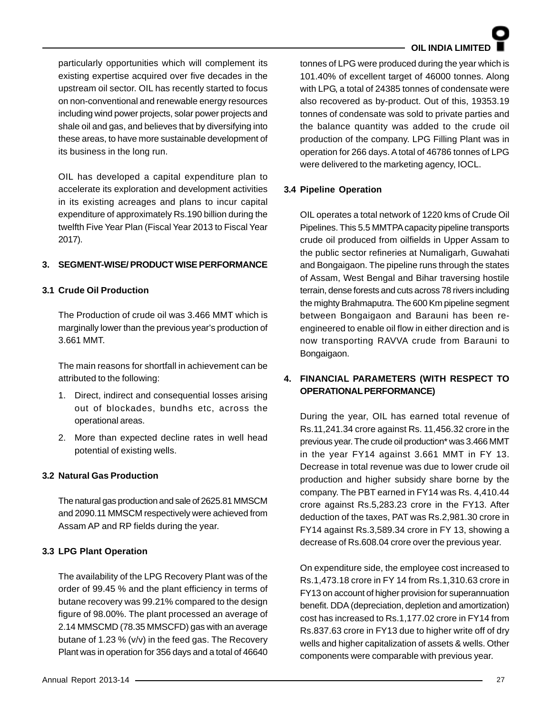particularly opportunities which will complement its existing expertise acquired over five decades in the upstream oil sector. OIL has recently started to focus on non-conventional and renewable energy resources including wind power projects, solar power projects and shale oil and gas, and believes that by diversifying into these areas, to have more sustainable development of its business in the long run.

OIL has developed a capital expenditure plan to accelerate its exploration and development activities in its existing acreages and plans to incur capital expenditure of approximately Rs.190 billion during the twelfth Five Year Plan (Fiscal Year 2013 to Fiscal Year 2017).

# **3. SEGMENT-WISE/ PRODUCT WISE PERFORMANCE**

## **3.1 Crude Oil Production**

The Production of crude oil was 3.466 MMT which is marginally lower than the previous year's production of 3.661 MMT.

The main reasons for shortfall in achievement can be attributed to the following:

- 1. Direct, indirect and consequential losses arising out of blockades, bundhs etc, across the operational areas.
- 2. More than expected decline rates in well head potential of existing wells.

#### **3.2 Natural Gas Production**

The natural gas production and sale of 2625.81 MMSCM and 2090.11 MMSCM respectively were achieved from Assam AP and RP fields during the year.

#### **3.3 LPG Plant Operation**

The availability of the LPG Recovery Plant was of the order of 99.45 % and the plant efficiency in terms of butane recovery was 99.21% compared to the design figure of 98.00%. The plant processed an average of 2.14 MMSCMD (78.35 MMSCFD) gas with an average butane of 1.23 % (v/v) in the feed gas. The Recovery Plant was in operation for 356 days and a total of 46640

tonnes of LPG were produced during the year which is 101.40% of excellent target of 46000 tonnes. Along with LPG, a total of 24385 tonnes of condensate were also recovered as by-product. Out of this, 19353.19 tonnes of condensate was sold to private parties and the balance quantity was added to the crude oil production of the company. LPG Filling Plant was in operation for 266 days. A total of 46786 tonnes of LPG were delivered to the marketing agency, IOCL.

## **3.4 Pipeline Operation**

OIL operates a total network of 1220 kms of Crude Oil Pipelines. This 5.5 MMTPA capacity pipeline transports crude oil produced from oilfields in Upper Assam to the public sector refineries at Numaligarh, Guwahati and Bongaigaon. The pipeline runs through the states of Assam, West Bengal and Bihar traversing hostile terrain, dense forests and cuts across 78 rivers including the mighty Brahmaputra. The 600 Km pipeline segment between Bongaigaon and Barauni has been reengineered to enable oil flow in either direction and is now transporting RAVVA crude from Barauni to Bongaigaon.

# **4. FINANCIAL PARAMETERS (WITH RESPECT TO OPERATIONAL PERFORMANCE)**

During the year, OIL has earned total revenue of Rs.11,241.34 crore against Rs. 11,456.32 crore in the previous year. The crude oil production\* was 3.466 MMT in the year FY14 against 3.661 MMT in FY 13. Decrease in total revenue was due to lower crude oil production and higher subsidy share borne by the company. The PBT earned in FY14 was Rs. 4,410.44 crore against Rs.5,283.23 crore in the FY13. After deduction of the taxes, PAT was Rs.2,981.30 crore in FY14 against Rs.3,589.34 crore in FY 13, showing a decrease of Rs.608.04 crore over the previous year.

On expenditure side, the employee cost increased to Rs.1,473.18 crore in FY 14 from Rs.1,310.63 crore in FY13 on account of higher provision for superannuation benefit. DDA (depreciation, depletion and amortization) cost has increased to Rs.1,177.02 crore in FY14 from Rs.837.63 crore in FY13 due to higher write off of dry wells and higher capitalization of assets & wells. Other components were comparable with previous year.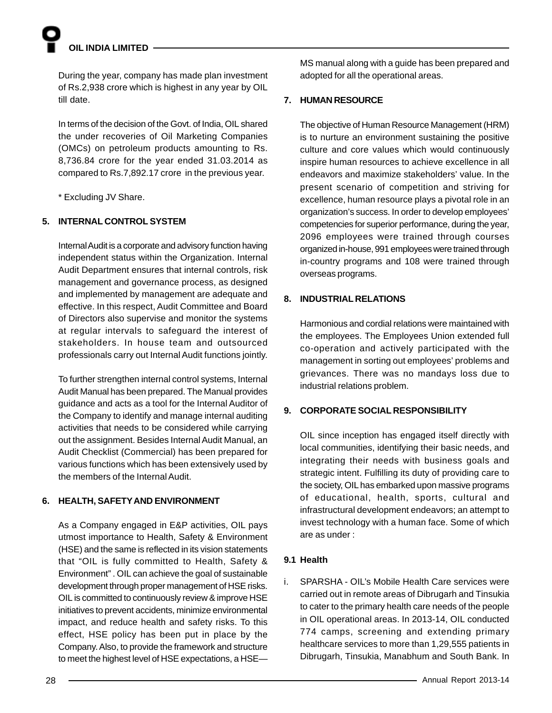During the year, company has made plan investment of Rs.2,938 crore which is highest in any year by OIL till date.

In terms of the decision of the Govt. of India, OIL shared the under recoveries of Oil Marketing Companies (OMCs) on petroleum products amounting to Rs. 8,736.84 crore for the year ended 31.03.2014 as compared to Rs.7,892.17 crore in the previous year.

\* Excluding JV Share.

# **5. INTERNAL CONTROL SYSTEM**

Internal Audit is a corporate and advisory function having independent status within the Organization. Internal Audit Department ensures that internal controls, risk management and governance process, as designed and implemented by management are adequate and effective. In this respect, Audit Committee and Board of Directors also supervise and monitor the systems at regular intervals to safeguard the interest of stakeholders. In house team and outsourced professionals carry out Internal Audit functions jointly.

To further strengthen internal control systems, Internal Audit Manual has been prepared. The Manual provides guidance and acts as a tool for the Internal Auditor of the Company to identify and manage internal auditing activities that needs to be considered while carrying out the assignment. Besides Internal Audit Manual, an Audit Checklist (Commercial) has been prepared for various functions which has been extensively used by the members of the Internal Audit.

# **6. HEALTH, SAFETY AND ENVIRONMENT**

As a Company engaged in E&P activities, OIL pays utmost importance to Health, Safety & Environment (HSE) and the same is reflected in its vision statements that "OIL is fully committed to Health, Safety & Environment" . OIL can achieve the goal of sustainable development through proper management of HSE risks. OIL is committed to continuously review & improve HSE initiatives to prevent accidents, minimize environmental impact, and reduce health and safety risks. To this effect, HSE policy has been put in place by the Company. Also, to provide the framework and structure to meet the highest level of HSE expectations, a HSE—

MS manual along with a guide has been prepared and adopted for all the operational areas.

# **7. HUMAN RESOURCE**

The objective of Human Resource Management (HRM) is to nurture an environment sustaining the positive culture and core values which would continuously inspire human resources to achieve excellence in all endeavors and maximize stakeholders' value. In the present scenario of competition and striving for excellence, human resource plays a pivotal role in an organization's success. In order to develop employees' competencies for superior performance, during the year, 2096 employees were trained through courses organized in-house, 991 employees were trained through in-country programs and 108 were trained through overseas programs.

# **8. INDUSTRIAL RELATIONS**

Harmonious and cordial relations were maintained with the employees. The Employees Union extended full co-operation and actively participated with the management in sorting out employees' problems and grievances. There was no mandays loss due to industrial relations problem.

# **9. CORPORATE SOCIAL RESPONSIBILITY**

OIL since inception has engaged itself directly with local communities, identifying their basic needs, and integrating their needs with business goals and strategic intent. Fulfilling its duty of providing care to the society, OIL has embarked upon massive programs of educational, health, sports, cultural and infrastructural development endeavors; an attempt to invest technology with a human face. Some of which are as under :

# **9.1 Health**

i. SPARSHA - OIL's Mobile Health Care services were carried out in remote areas of Dibrugarh and Tinsukia to cater to the primary health care needs of the people in OIL operational areas. In 2013-14, OIL conducted 774 camps, screening and extending primary healthcare services to more than 1,29,555 patients in Dibrugarh, Tinsukia, Manabhum and South Bank. In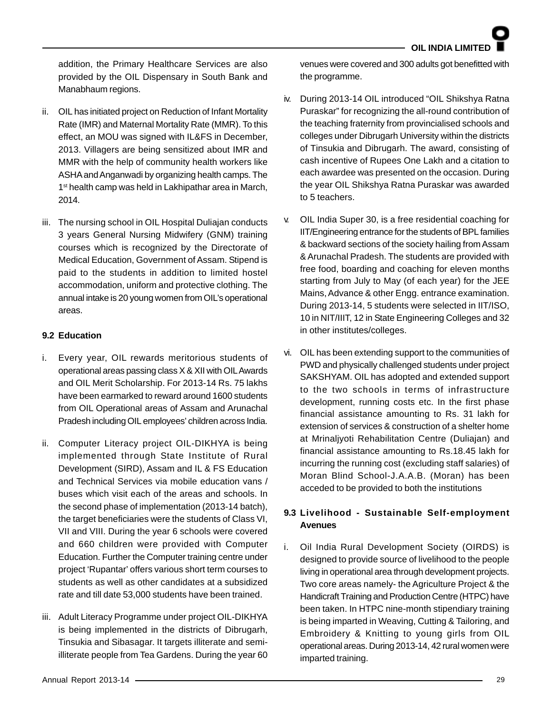addition, the Primary Healthcare Services are also provided by the OIL Dispensary in South Bank and Manabhaum regions.

- ii. OIL has initiated project on Reduction of Infant Mortality Rate (IMR) and Maternal Mortality Rate (MMR). To this effect, an MOU was signed with IL&FS in December, 2013. Villagers are being sensitized about IMR and MMR with the help of community health workers like ASHA and Anganwadi by organizing health camps. The 1<sup>st</sup> health camp was held in Lakhipathar area in March, 2014.
- iii. The nursing school in OIL Hospital Duliajan conducts 3 years General Nursing Midwifery (GNM) training courses which is recognized by the Directorate of Medical Education, Government of Assam. Stipend is paid to the students in addition to limited hostel accommodation, uniform and protective clothing. The annual intake is 20 young women from OIL's operational areas.

# **9.2 Education**

- i. Every year, OIL rewards meritorious students of operational areas passing class X & XII with OIL Awards and OIL Merit Scholarship. For 2013-14 Rs. 75 lakhs have been earmarked to reward around 1600 students from OIL Operational areas of Assam and Arunachal Pradesh including OIL employees' children across India.
- ii. Computer Literacy project OIL-DIKHYA is being implemented through State Institute of Rural Development (SIRD), Assam and IL & FS Education and Technical Services via mobile education vans / buses which visit each of the areas and schools. In the second phase of implementation (2013-14 batch), the target beneficiaries were the students of Class VI, VII and VIII. During the year 6 schools were covered and 660 children were provided with Computer Education. Further the Computer training centre under project 'Rupantar' offers various short term courses to students as well as other candidates at a subsidized rate and till date 53,000 students have been trained.
- iii. Adult Literacy Programme under project OIL-DIKHYA is being implemented in the districts of Dibrugarh, Tinsukia and Sibasagar. It targets illiterate and semiilliterate people from Tea Gardens. During the year 60

venues were covered and 300 adults got benefitted with the programme.

- iv. During 2013-14 OIL introduced "OIL Shikshya Ratna Puraskar" for recognizing the all-round contribution of the teaching fraternity from provincialised schools and colleges under Dibrugarh University within the districts of Tinsukia and Dibrugarh. The award, consisting of cash incentive of Rupees One Lakh and a citation to each awardee was presented on the occasion. During the year OIL Shikshya Ratna Puraskar was awarded to 5 teachers.
- v. OIL India Super 30, is a free residential coaching for IIT/Engineering entrance for the students of BPL families & backward sections of the society hailing from Assam & Arunachal Pradesh. The students are provided with free food, boarding and coaching for eleven months starting from July to May (of each year) for the JEE Mains, Advance & other Engg. entrance examination. During 2013-14, 5 students were selected in IIT/ISO, 10 in NIT/IIIT, 12 in State Engineering Colleges and 32 in other institutes/colleges.
- vi. OIL has been extending support to the communities of PWD and physically challenged students under project SAKSHYAM. OIL has adopted and extended support to the two schools in terms of infrastructure development, running costs etc. In the first phase financial assistance amounting to Rs. 31 lakh for extension of services & construction of a shelter home at Mrinaljyoti Rehabilitation Centre (Duliajan) and financial assistance amounting to Rs.18.45 lakh for incurring the running cost (excluding staff salaries) of Moran Blind School-J.A.A.B. (Moran) has been acceded to be provided to both the institutions

# **9.3 Livelihood - Sustainable Self-employment Avenues**

i. Oil India Rural Development Society (OIRDS) is designed to provide source of livelihood to the people living in operational area through development projects. Two core areas namely- the Agriculture Project & the Handicraft Training and Production Centre (HTPC) have been taken. In HTPC nine-month stipendiary training is being imparted in Weaving, Cutting & Tailoring, and Embroidery & Knitting to young girls from OIL operational areas. During 2013-14, 42 rural women were imparted training.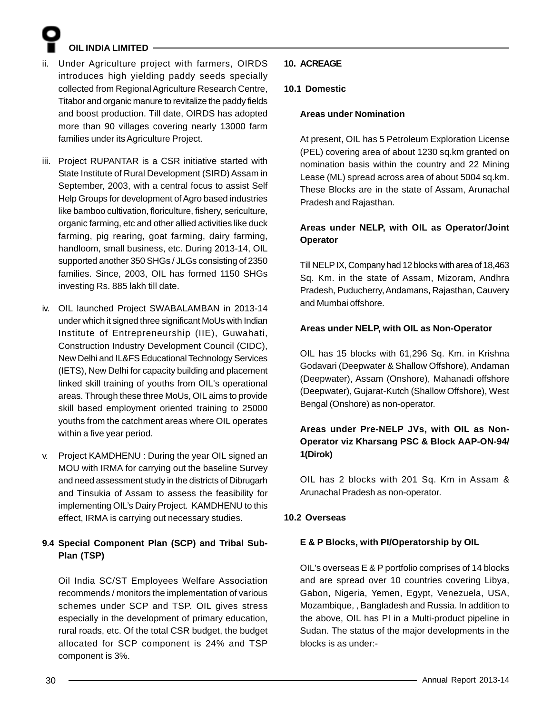- ii. Under Agriculture project with farmers, OIRDS introduces high yielding paddy seeds specially collected from Regional Agriculture Research Centre, Titabor and organic manure to revitalize the paddy fields and boost production. Till date, OIRDS has adopted more than 90 villages covering nearly 13000 farm families under its Agriculture Project.
- iii. Project RUPANTAR is a CSR initiative started with State Institute of Rural Development (SIRD) Assam in September, 2003, with a central focus to assist Self Help Groups for development of Agro based industries like bamboo cultivation, floriculture, fishery, sericulture, organic farming, etc and other allied activities like duck farming, pig rearing, goat farming, dairy farming, handloom, small business, etc. During 2013-14, OIL supported another 350 SHGs / JLGs consisting of 2350 families. Since, 2003, OIL has formed 1150 SHGs investing Rs. 885 lakh till date.
- iv. OIL launched Project SWABALAMBAN in 2013-14 under which it signed three significant MoUs with Indian Institute of Entrepreneurship (IIE), Guwahati, Construction Industry Development Council (CIDC), New Delhi and IL&FS Educational Technology Services (IETS), New Delhi for capacity building and placement linked skill training of youths from OIL's operational areas. Through these three MoUs, OIL aims to provide skill based employment oriented training to 25000 youths from the catchment areas where OIL operates within a five year period.
- v. Project KAMDHENU : During the year OIL signed an MOU with IRMA for carrying out the baseline Survey and need assessment study in the districts of Dibrugarh and Tinsukia of Assam to assess the feasibility for implementing OIL's Dairy Project. KAMDHENU to this effect, IRMA is carrying out necessary studies.

# **9.4 Special Component Plan (SCP) and Tribal Sub-Plan (TSP)**

Oil India SC/ST Employees Welfare Association recommends / monitors the implementation of various schemes under SCP and TSP. OIL gives stress especially in the development of primary education, rural roads, etc. Of the total CSR budget, the budget allocated for SCP component is 24% and TSP component is 3%.

# **10. ACREAGE**

# **10.1 Domestic**

# **Areas under Nomination**

At present, OIL has 5 Petroleum Exploration License (PEL) covering area of about 1230 sq.km granted on nomination basis within the country and 22 Mining Lease (ML) spread across area of about 5004 sq.km. These Blocks are in the state of Assam, Arunachal Pradesh and Rajasthan.

# **Areas under NELP, with OIL as Operator/Joint Operator**

Till NELP IX, Company had 12 blocks with area of 18,463 Sq. Km. in the state of Assam, Mizoram, Andhra Pradesh, Puducherry, Andamans, Rajasthan, Cauvery and Mumbai offshore.

# **Areas under NELP, with OIL as Non-Operator**

OIL has 15 blocks with 61,296 Sq. Km. in Krishna Godavari (Deepwater & Shallow Offshore), Andaman (Deepwater), Assam (Onshore), Mahanadi offshore (Deepwater), Gujarat-Kutch (Shallow Offshore), West Bengal (Onshore) as non-operator.

# **Areas under Pre-NELP JVs, with OIL as Non-Operator viz Kharsang PSC & Block AAP-ON-94/ 1(Dirok)**

OIL has 2 blocks with 201 Sq. Km in Assam & Arunachal Pradesh as non-operator.

# **10.2 Overseas**

# **E & P Blocks, with PI/Operatorship by OIL**

OIL's overseas E & P portfolio comprises of 14 blocks and are spread over 10 countries covering Libya, Gabon, Nigeria, Yemen, Egypt, Venezuela, USA, Mozambique, , Bangladesh and Russia. In addition to the above, OIL has PI in a Multi-product pipeline in Sudan. The status of the major developments in the blocks is as under:-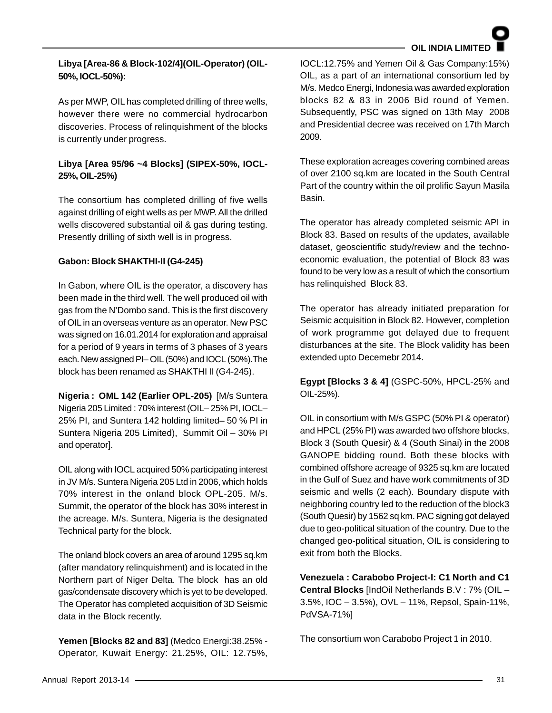# **Libya [Area-86 & Block-102/4](OIL-Operator) (OIL-50%, IOCL-50%):**

As per MWP, OIL has completed drilling of three wells, however there were no commercial hydrocarbon discoveries. Process of relinquishment of the blocks is currently under progress.

# **Libya [Area 95/96 ~4 Blocks] (SIPEX-50%, IOCL-25%, OIL-25%)**

The consortium has completed drilling of five wells against drilling of eight wells as per MWP. All the drilled wells discovered substantial oil & gas during testing. Presently drilling of sixth well is in progress.

# **Gabon: Block SHAKTHI-II (G4-245)**

In Gabon, where OIL is the operator, a discovery has been made in the third well. The well produced oil with gas from the N'Dombo sand. This is the first discovery of OIL in an overseas venture as an operator. New PSC was signed on 16.01.2014 for exploration and appraisal for a period of 9 years in terms of 3 phases of 3 years each. New assigned PI– OIL (50%) and IOCL (50%).The block has been renamed as SHAKTHI II (G4-245).

**Nigeria : OML 142 (Earlier OPL-205)** [M/s Suntera Nigeria 205 Limited : 70% interest (OIL– 25% PI, IOCL– 25% PI, and Suntera 142 holding limited– 50 % PI in Suntera Nigeria 205 Limited), Summit Oil – 30% PI and operator].

OIL along with IOCL acquired 50% participating interest in JV M/s. Suntera Nigeria 205 Ltd in 2006, which holds 70% interest in the onland block OPL-205. M/s. Summit, the operator of the block has 30% interest in the acreage. M/s. Suntera, Nigeria is the designated Technical party for the block.

The onland block covers an area of around 1295 sq.km (after mandatory relinquishment) and is located in the Northern part of Niger Delta. The block has an old gas/condensate discovery which is yet to be developed. The Operator has completed acquisition of 3D Seismic data in the Block recently.

**Yemen [Blocks 82 and 83]** (Medco Energi:38.25% - Operator, Kuwait Energy: 21.25%, OIL: 12.75%, IOCL:12.75% and Yemen Oil & Gas Company:15%) OIL, as a part of an international consortium led by M/s. Medco Energi, Indonesia was awarded exploration blocks 82 & 83 in 2006 Bid round of Yemen. Subsequently, PSC was signed on 13th May 2008 and Presidential decree was received on 17th March 2009.

These exploration acreages covering combined areas of over 2100 sq.km are located in the South Central Part of the country within the oil prolific Sayun Masila Basin.

The operator has already completed seismic API in Block 83. Based on results of the updates, available dataset, geoscientific study/review and the technoeconomic evaluation, the potential of Block 83 was found to be very low as a result of which the consortium has relinquished Block 83.

The operator has already initiated preparation for Seismic acquisition in Block 82. However, completion of work programme got delayed due to frequent disturbances at the site. The Block validity has been extended upto Decemebr 2014.

**Egypt [Blocks 3 & 4]** (GSPC-50%, HPCL-25% and OIL-25%).

OIL in consortium with M/s GSPC (50% PI & operator) and HPCL (25% PI) was awarded two offshore blocks, Block 3 (South Quesir) & 4 (South Sinai) in the 2008 GANOPE bidding round. Both these blocks with combined offshore acreage of 9325 sq.km are located in the Gulf of Suez and have work commitments of 3D seismic and wells (2 each). Boundary dispute with neighboring country led to the reduction of the block3 (South Quesir) by 1562 sq km. PAC signing got delayed due to geo-political situation of the country. Due to the changed geo-political situation, OIL is considering to exit from both the Blocks.

**Venezuela : Carabobo Project-I: C1 North and C1 Central Blocks** [IndOil Netherlands B.V : 7% (OIL – 3.5%, IOC – 3.5%), OVL – 11%, Repsol, Spain-11%, PdVSA-71%]

The consortium won Carabobo Project 1 in 2010.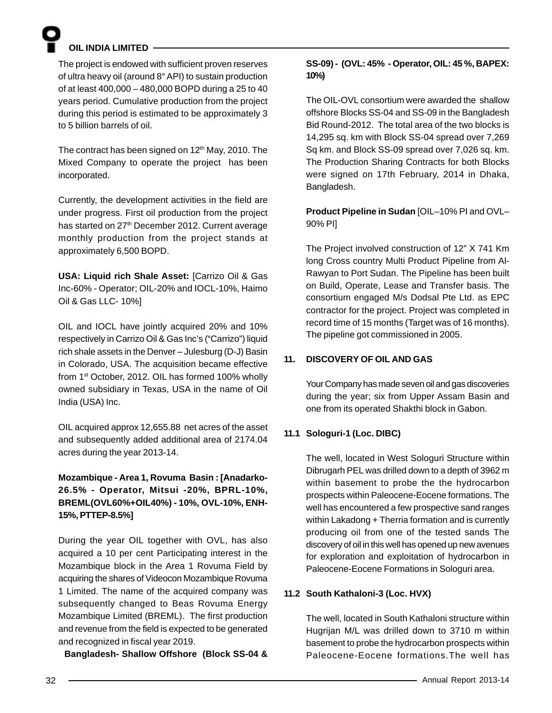The project is endowed with sufficient proven reserves of ultra heavy oil (around 8° API) to sustain production of at least 400,000 – 480,000 BOPD during a 25 to 40 years period. Cumulative production from the project during this period is estimated to be approximately 3 to 5 billion barrels of oil.

The contract has been signed on  $12<sup>th</sup>$  May, 2010. The Mixed Company to operate the project has been incorporated.

Currently, the development activities in the field are under progress. First oil production from the project has started on 27<sup>th</sup> December 2012. Current average monthly production from the project stands at approximately 6,500 BOPD.

**USA: Liquid rich Shale Asset:** [Carrizo Oil & Gas Inc-60% - Operator; OIL-20% and IOCL-10%, Haimo Oil & Gas LLC- 10%]

OIL and IOCL have jointly acquired 20% and 10% respectively in Carrizo Oil & Gas Inc's ("Carrizo") liquid rich shale assets in the Denver – Julesburg (D-J) Basin in Colorado, USA. The acquisition became effective from 1st October, 2012. OIL has formed 100% wholly owned subsidiary in Texas, USA in the name of Oil India (USA) Inc.

OIL acquired approx 12,655.88 net acres of the asset and subsequently added additional area of 2174.04 acres during the year 2013-14.

**Mozambique - Area 1, Rovuma Basin : [Anadarko-26.5% - Operator, Mitsui -20%, BPRL-10%, BREML(OVL60%+OIL40%) - 10%, OVL-10%, ENH-15%, PTTEP-8.5%]**

During the year OIL together with OVL, has also acquired a 10 per cent Participating interest in the Mozambique block in the Area 1 Rovuma Field by acquiring the shares of Videocon Mozambique Rovuma 1 Limited. The name of the acquired company was subsequently changed to Beas Rovuma Energy Mozambique Limited (BREML). The first production and revenue from the field is expected to be generated and recognized in fiscal year 2019.

**Bangladesh- Shallow Offshore (Block SS-04 &**

# **SS-09) - (OVL: 45% - Operator, OIL: 45 %, BAPEX: 10%)**

The OIL-OVL consortium were awarded the shallow offshore Blocks SS-04 and SS-09 in the Bangladesh Bid Round-2012. The total area of the two blocks is 14,295 sq. km with Block SS-04 spread over 7,269 Sq km. and Block SS-09 spread over 7,026 sq. km. The Production Sharing Contracts for both Blocks were signed on 17th February, 2014 in Dhaka, Bangladesh.

**Product Pipeline in Sudan** [OIL–10% PI and OVL– 90% PI]

The Project involved construction of 12" X 741 Km long Cross country Multi Product Pipeline from Al-Rawyan to Port Sudan. The Pipeline has been built on Build, Operate, Lease and Transfer basis. The consortium engaged M/s Dodsal Pte Ltd. as EPC contractor for the project. Project was completed in record time of 15 months (Target was of 16 months). The pipeline got commissioned in 2005.

# **11. DISCOVERY OF OIL AND GAS**

Your Company has made seven oil and gas discoveries during the year; six from Upper Assam Basin and one from its operated Shakthi block in Gabon.

# **11.1 Sologuri-1 (Loc. DIBC)**

The well, located in West Sologuri Structure within Dibrugarh PEL was drilled down to a depth of 3962 m within basement to probe the the hydrocarbon prospects within Paleocene-Eocene formations. The well has encountered a few prospective sand ranges within Lakadong + Therria formation and is currently producing oil from one of the tested sands The discovery of oil in this well has opened up new avenues for exploration and exploitation of hydrocarbon in Paleocene-Eocene Formations in Sologuri area.

# **11.2 South Kathaloni-3 (Loc. HVX)**

The well, located in South Kathaloni structure within Hugrijan M/L was drilled down to 3710 m within basement to probe the hydrocarbon prospects within Paleocene-Eocene formations.The well has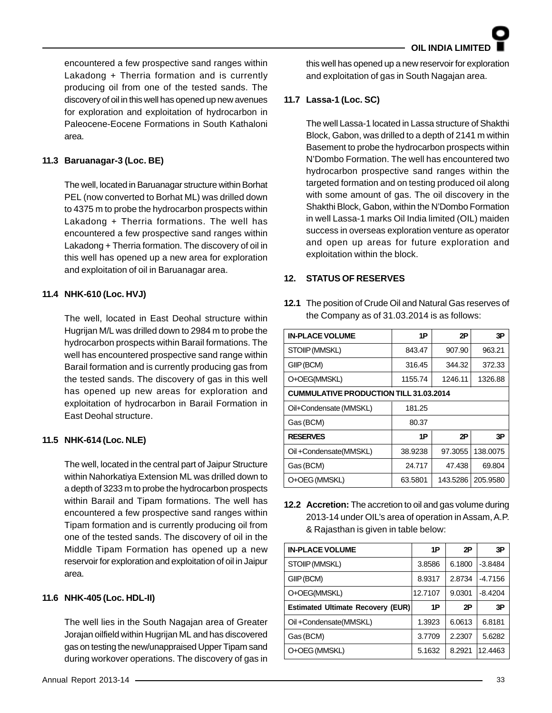encountered a few prospective sand ranges within Lakadong + Therria formation and is currently producing oil from one of the tested sands. The discovery of oil in this well has opened up new avenues for exploration and exploitation of hydrocarbon in Paleocene-Eocene Formations in South Kathaloni area.

# **11.3 Baruanagar-3 (Loc. BE)**

The well, located in Baruanagar structure within Borhat PEL (now converted to Borhat ML) was drilled down to 4375 m to probe the hydrocarbon prospects within Lakadong + Therria formations. The well has encountered a few prospective sand ranges within Lakadong + Therria formation. The discovery of oil in this well has opened up a new area for exploration and exploitation of oil in Baruanagar area.

# **11.4 NHK-610 (Loc. HVJ)**

The well, located in East Deohal structure within Hugrijan M/L was drilled down to 2984 m to probe the hydrocarbon prospects within Barail formations. The well has encountered prospective sand range within Barail formation and is currently producing gas from the tested sands. The discovery of gas in this well has opened up new areas for exploration and exploitation of hydrocarbon in Barail Formation in East Deohal structure.

# **11.5 NHK-614 (Loc. NLE)**

The well, located in the central part of Jaipur Structure within Nahorkatiya Extension ML was drilled down to a depth of 3233 m to probe the hydrocarbon prospects within Barail and Tipam formations. The well has encountered a few prospective sand ranges within Tipam formation and is currently producing oil from one of the tested sands. The discovery of oil in the Middle Tipam Formation has opened up a new reservoir for exploration and exploitation of oil in Jaipur area.

# **11.6 NHK-405 (Loc. HDL-II)**

The well lies in the South Nagajan area of Greater Jorajan oilfield within Hugrijan ML and has discovered gas on testing the new/unappraised Upper Tipam sand during workover operations. The discovery of gas in

this well has opened up a new reservoir for exploration and exploitation of gas in South Nagajan area.

# **11.7 Lassa-1 (Loc. SC)**

The well Lassa-1 located in Lassa structure of Shakthi Block, Gabon, was drilled to a depth of 2141 m within Basement to probe the hydrocarbon prospects within N'Dombo Formation. The well has encountered two hydrocarbon prospective sand ranges within the targeted formation and on testing produced oil along with some amount of gas. The oil discovery in the Shakthi Block, Gabon, within the N'Dombo Formation in well Lassa-1 marks Oil India limited (OIL) maiden success in overseas exploration venture as operator and open up areas for future exploration and exploitation within the block.

## **12. STATUS OF RESERVES**

**12.1** The position of Crude Oil and Natural Gas reserves of the Company as of 31.03.2014 is as follows:

| <b>IN-PLACE VOLUME</b>                        | 1P      | 2P       | 3P       |  |  |  |
|-----------------------------------------------|---------|----------|----------|--|--|--|
| STOIIP (MMSKL)                                | 843.47  | 907.90   | 963.21   |  |  |  |
| GIIP (BCM)                                    | 316.45  | 344.32   | 372.33   |  |  |  |
| O+OEG(MMSKL)                                  | 1155.74 | 1246.11  | 1326.88  |  |  |  |
| <b>CUMMULATIVE PRODUCTION TILL 31.03.2014</b> |         |          |          |  |  |  |
| Oil+Condensate (MMSKL)                        | 181.25  |          |          |  |  |  |
| Gas (BCM)                                     | 80.37   |          |          |  |  |  |
| <b>RESERVES</b>                               | 1P      | 2P       | 3P       |  |  |  |
| Oil+Condensate(MMSKL)                         | 38.9238 | 97.3055  | 138.0075 |  |  |  |
| Gas (BCM)                                     | 24.717  | 47.438   | 69.804   |  |  |  |
| O+OEG (MMSKL)                                 | 63.5801 | 143.5286 | 205.9580 |  |  |  |

**12.2 Accretion:** The accretion to oil and gas volume during 2013-14 under OIL's area of operation in Assam, A.P. & Rajasthan is given in table below:

| <b>IN-PLACE VOLUME</b>                   | 1P      | 2P     | 3Р        |
|------------------------------------------|---------|--------|-----------|
| STOIIP (MMSKL)                           | 3.8586  | 6.1800 | $-3.8484$ |
| GIIP (BCM)                               | 8.9317  | 2.8734 | $-4.7156$ |
| O+OEG(MMSKL)                             | 12.7107 | 9.0301 | $-8.4204$ |
| <b>Estimated Ultimate Recovery (EUR)</b> | 1Р      | 2P     | 3P        |
| Oil+Condensate(MMSKL)                    | 1.3923  | 6.0613 | 6.8181    |
| Gas (BCM)                                | 3.7709  | 2.2307 | 5.6282    |
| O+OEG (MMSKL)                            | 5.1632  | 8.2921 | 12.4463   |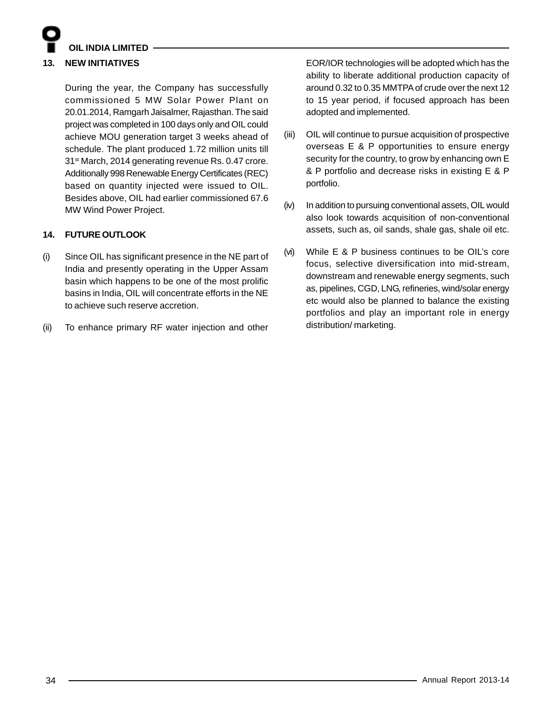

# **13. NEW INITIATIVES**

During the year, the Company has successfully commissioned 5 MW Solar Power Plant on 20.01.2014, Ramgarh Jaisalmer, Rajasthan. The said project was completed in 100 days only and OIL could achieve MOU generation target 3 weeks ahead of schedule. The plant produced 1.72 million units till 31<sup>st</sup> March, 2014 generating revenue Rs. 0.47 crore. Additionally 998 Renewable Energy Certificates (REC) based on quantity injected were issued to OIL. Besides above, OIL had earlier commissioned 67.6 MW Wind Power Project.

## **14. FUTURE OUTLOOK**

- (i) Since OIL has significant presence in the NE part of India and presently operating in the Upper Assam basin which happens to be one of the most prolific basins in India, OIL will concentrate efforts in the NE to achieve such reserve accretion.
- (ii) To enhance primary RF water injection and other

EOR/IOR technologies will be adopted which has the ability to liberate additional production capacity of around 0.32 to 0.35 MMTPA of crude over the next 12 to 15 year period, if focused approach has been adopted and implemented.

- (iii) OIL will continue to pursue acquisition of prospective overseas E & P opportunities to ensure energy security for the country, to grow by enhancing own E & P portfolio and decrease risks in existing E & P portfolio.
- (iv) In addition to pursuing conventional assets, OIL would also look towards acquisition of non-conventional assets, such as, oil sands, shale gas, shale oil etc.
- (vi) While E & P business continues to be OIL's core focus, selective diversification into mid-stream, downstream and renewable energy segments, such as, pipelines, CGD, LNG, refineries, wind/solar energy etc would also be planned to balance the existing portfolios and play an important role in energy distribution/ marketing.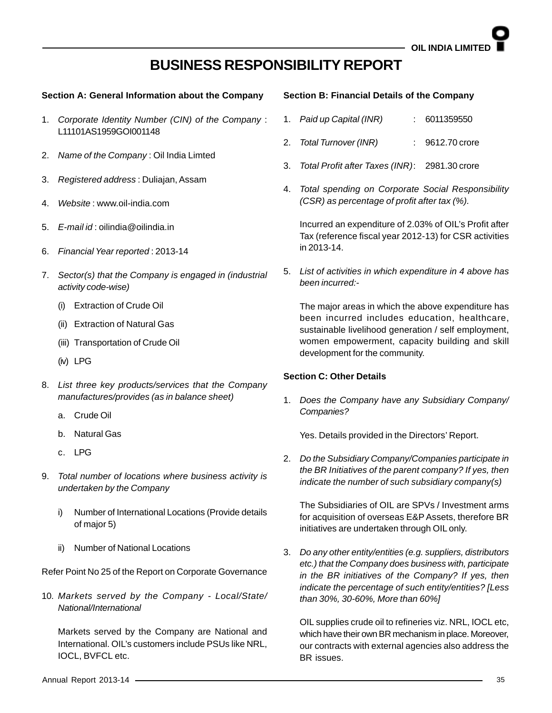# **BUSINESS RESPONSIBILITY REPORT**

#### **Section A: General Information about the Company**

- 1. *Corporate Identity Number (CIN) of the Company* : L11101AS1959GOI001148
- 2. *Name of the Company* : Oil India Limted
- 3. *Registered address* : Duliajan, Assam
- 4. *Website* : www.oil-india.com
- 5. *E-mail id* : oilindia@oilindia.in
- 6. *Financial Year reported* : 2013-14
- 7. *Sector(s) that the Company is engaged in (industrial activity code-wise)*
	- (i) Extraction of Crude Oil
	- (ii) Extraction of Natural Gas
	- (iii) Transportation of Crude Oil
	- (iv) LPG
- 8. *List three key products/services that the Company manufactures/provides (as in balance sheet)*
	- a. Crude Oil
	- b. Natural Gas
	- c. LPG
- 9. *Total number of locations where business activity is undertaken by the Company*
	- i) Number of International Locations (Provide details of major 5)
	- ii) Number of National Locations

Refer Point No 25 of the Report on Corporate Governance

10. *Markets served by the Company - Local/State/ National/International*

Markets served by the Company are National and International. OIL's customers include PSUs like NRL, IOCL, BVFCL etc.

#### **Section B: Financial Details of the Company**

- 1. *Paid up Capital (INR)* : 6011359550
- 2. *Total Turnover (INR)* : 9612.70 crore
- 3. *Total Profit after Taxes (INR)*: 2981.30 crore
- 4. *Total spending on Corporate Social Responsibility (CSR) as percentage of profit after tax (%).*

Incurred an expenditure of 2.03% of OIL's Profit after Tax (reference fiscal year 2012-13) for CSR activities in 2013-14.

5. *List of activities in which expenditure in 4 above has been incurred:-*

The major areas in which the above expenditure has been incurred includes education, healthcare, sustainable livelihood generation / self employment, women empowerment, capacity building and skill development for the community.

### **Section C: Other Details**

1. *Does the Company have any Subsidiary Company/ Companies?*

Yes. Details provided in the Directors' Report.

2. *Do the Subsidiary Company/Companies participate in the BR Initiatives of the parent company? If yes, then indicate the number of such subsidiary company(s)*

The Subsidiaries of OIL are SPVs / Investment arms for acquisition of overseas E&P Assets, therefore BR initiatives are undertaken through OIL only.

3. *Do any other entity/entities (e.g. suppliers, distributors etc.) that the Company does business with, participate in the BR initiatives of the Company? If yes, then indicate the percentage of such entity/entities? [Less than 30%, 30-60%, More than 60%]*

OIL supplies crude oil to refineries viz. NRL, IOCL etc, which have their own BR mechanism in place. Moreover, our contracts with external agencies also address the BR issues.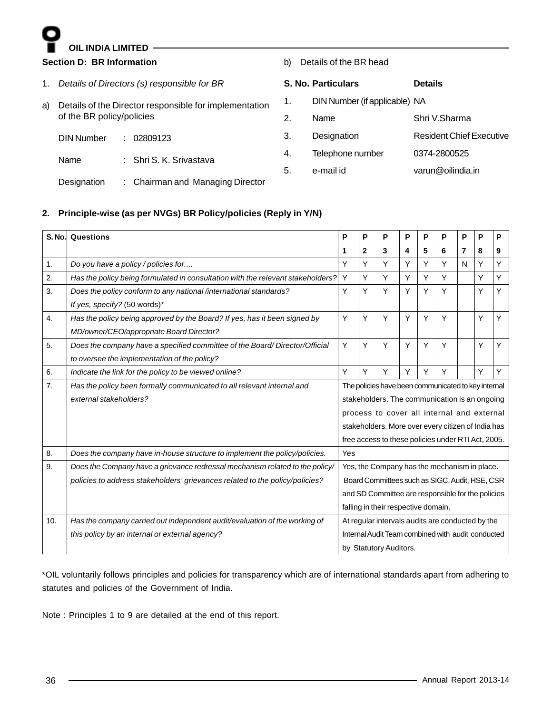**OIL INDIA LIMITED Section D: BR Information**

| 1. | Details of Directors (s) responsible for BR                                         |  |                                  |  |  |  |  |  |
|----|-------------------------------------------------------------------------------------|--|----------------------------------|--|--|--|--|--|
| a) | Details of the Director responsible for implementation<br>of the BR policy/policies |  |                                  |  |  |  |  |  |
|    | DIN Number                                                                          |  | : 02809123                       |  |  |  |  |  |
|    | <b>Name</b>                                                                         |  | : Shri S. K. Srivastava          |  |  |  |  |  |
|    | Designation                                                                         |  | : Chairman and Managing Director |  |  |  |  |  |

b) Details of the BR head

| <b>S. No. Particulars</b>     | <b>Details</b>                  |
|-------------------------------|---------------------------------|
| DIN Number (if applicable) NA |                                 |
| Name                          | Shri V.Sharma                   |
| Designation                   | <b>Resident Chief Executive</b> |
| Telephone number              | 0374-2800525                    |
| e-mail id                     | varun@oilindia.in               |
|                               |                                 |

### **2. Principle-wise (as per NVGs) BR Policy/policies (Reply in Y/N)**

| S. No. | Questions                                                                       | P                                                 | Р            | Р                                                   | P | Р | Р | Р | Ρ | Р |
|--------|---------------------------------------------------------------------------------|---------------------------------------------------|--------------|-----------------------------------------------------|---|---|---|---|---|---|
|        |                                                                                 | 1                                                 | $\mathbf{2}$ | 3                                                   | 4 | 5 | 6 | 7 | 8 | 9 |
| 1.     | Do you have a policy / policies for                                             | Y                                                 | Υ            | Y                                                   | Υ | Υ | Υ | N | Υ | Y |
| 2.     | Has the policy being formulated in consultation with the relevant stakeholders? | Y                                                 | Y            | Y                                                   | Υ | Υ | Υ |   | Y | Y |
| 3.     | Does the policy conform to any national /international standards?               | Y                                                 | Υ            | Y                                                   | Υ | Υ | Υ |   | Υ | Y |
|        | If yes, specify? (50 words)*                                                    |                                                   |              |                                                     |   |   |   |   |   |   |
| 4.     | Has the policy being approved by the Board? If yes, has it been signed by       | Υ                                                 | Y            | Υ                                                   | Y | Υ | Y |   | Y | Υ |
|        | MD/owner/CEO/appropriate Board Director?                                        |                                                   |              |                                                     |   |   |   |   |   |   |
| 5.     | Does the company have a specified committee of the Board/Director/Official      | Y                                                 | Υ            | Y                                                   | Υ | Υ | Υ |   | Υ | Υ |
|        | to oversee the implementation of the policy?                                    |                                                   |              |                                                     |   |   |   |   |   |   |
| 6.     | Indicate the link for the policy to be viewed online?                           | Υ<br>Y<br>Y<br>Y<br>Y<br>Y<br>Y                   |              |                                                     |   |   |   | Υ |   |   |
| 7.     | Has the policy been formally communicated to all relevant internal and          |                                                   |              | The policies have been communicated to key internal |   |   |   |   |   |   |
|        | external stakeholders?                                                          | stakeholders. The communication is an ongoing     |              |                                                     |   |   |   |   |   |   |
|        |                                                                                 |                                                   |              | process to cover all internal and external          |   |   |   |   |   |   |
|        |                                                                                 |                                                   |              | stakeholders. More over every citizen of India has  |   |   |   |   |   |   |
|        |                                                                                 |                                                   |              | free access to these policies under RTI Act, 2005.  |   |   |   |   |   |   |
| 8.     | Does the company have in-house structure to implement the policy/policies.      | Yes                                               |              |                                                     |   |   |   |   |   |   |
| 9.     | Does the Company have a grievance redressal mechanism related to the policy/    |                                                   |              | Yes, the Company has the mechanism in place.        |   |   |   |   |   |   |
|        | policies to address stakeholders' grievances related to the policy/policies?    |                                                   |              | Board Committees such as SIGC, Audit, HSE, CSR      |   |   |   |   |   |   |
|        |                                                                                 | and SD Committee are responsible for the policies |              |                                                     |   |   |   |   |   |   |
|        |                                                                                 | falling in their respective domain.               |              |                                                     |   |   |   |   |   |   |
| 10.    | Has the company carried out independent audit/evaluation of the working of      |                                                   |              | At regular intervals audits are conducted by the    |   |   |   |   |   |   |
|        | this policy by an internal or external agency?                                  |                                                   |              | Internal Audit Team combined with audit conducted   |   |   |   |   |   |   |
|        |                                                                                 |                                                   |              | by Statutory Auditors.                              |   |   |   |   |   |   |

\*OIL voluntarily follows principles and policies for transparency which are of international standards apart from adhering to statutes and policies of the Government of India.

Note : Principles 1 to 9 are detailed at the end of this report.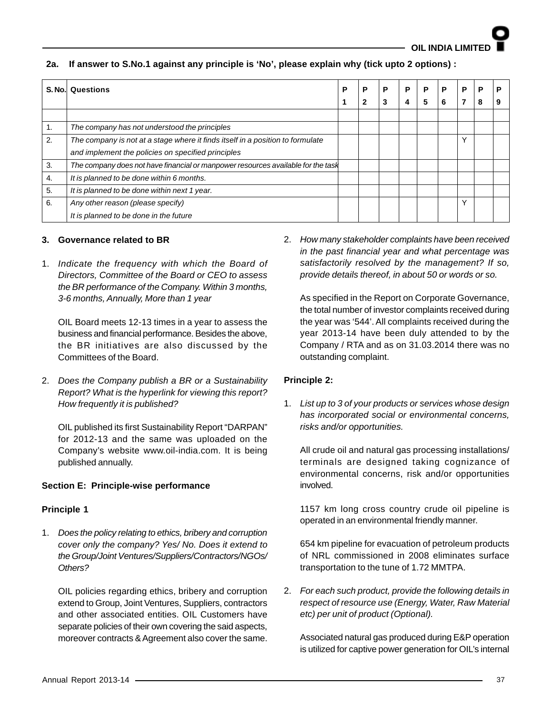|    | <b>S. No.</b> Questions                                                          | P | P           | P | Р | Р | Р | P            | P | Р |
|----|----------------------------------------------------------------------------------|---|-------------|---|---|---|---|--------------|---|---|
|    |                                                                                  |   | $\mathbf 2$ |   |   |   | 6 |              | 8 |   |
|    |                                                                                  |   |             |   |   |   |   |              |   |   |
| 1. | The company has not understood the principles                                    |   |             |   |   |   |   |              |   |   |
| 2. | The company is not at a stage where it finds itself in a position to formulate   |   |             |   |   |   |   | $\checkmark$ |   |   |
|    | and implement the policies on specified principles                               |   |             |   |   |   |   |              |   |   |
| 3. | The company does not have financial or manpower resources available for the task |   |             |   |   |   |   |              |   |   |
| 4. | It is planned to be done within 6 months.                                        |   |             |   |   |   |   |              |   |   |
| 5. | It is planned to be done within next 1 year.                                     |   |             |   |   |   |   |              |   |   |
| 6. | Any other reason (please specify)                                                |   |             |   |   |   |   | $\checkmark$ |   |   |
|    | It is planned to be done in the future                                           |   |             |   |   |   |   |              |   |   |

#### **2a. If answer to S.No.1 against any principle is 'No', please explain why (tick upto 2 options) :**

#### **3. Governance related to BR**

1. *Indicate the frequency with which the Board of Directors, Committee of the Board or CEO to assess the BR performance of the Company. Within 3 months, 3-6 months, Annually, More than 1 year*

OIL Board meets 12-13 times in a year to assess the business and financial performance. Besides the above, the BR initiatives are also discussed by the Committees of the Board.

2. *Does the Company publish a BR or a Sustainability Report? What is the hyperlink for viewing this report? How frequently it is published?*

OIL published its first Sustainability Report "DARPAN" for 2012-13 and the same was uploaded on the Company's website www.oil-india.com. It is being published annually.

#### **Section E: Principle-wise performance**

#### **Principle 1**

1. *Does the policy relating to ethics, bribery and corruption cover only the company? Yes/ No. Does it extend to the Group/Joint Ventures/Suppliers/Contractors/NGOs/ Others?*

OIL policies regarding ethics, bribery and corruption extend to Group, Joint Ventures, Suppliers, contractors and other associated entities. OIL Customers have separate policies of their own covering the said aspects, moreover contracts & Agreement also cover the same.

2. *How many stakeholder complaints have been received in the past financial year and what percentage was satisfactorily resolved by the management? If so, provide details thereof, in about 50 or words or so.*

As specified in the Report on Corporate Governance, the total number of investor complaints received during the year was '544'. All complaints received during the year 2013-14 have been duly attended to by the Company / RTA and as on 31.03.2014 there was no outstanding complaint.

# **Principle 2:**

1. *List up to 3 of your products or services whose design has incorporated social or environmental concerns, risks and/or opportunities.*

All crude oil and natural gas processing installations/ terminals are designed taking cognizance of environmental concerns, risk and/or opportunities involved.

1157 km long cross country crude oil pipeline is operated in an environmental friendly manner.

654 km pipeline for evacuation of petroleum products of NRL commissioned in 2008 eliminates surface transportation to the tune of 1.72 MMTPA.

2. *For each such product, provide the following details in respect of resource use (Energy, Water, Raw Material etc) per unit of product (Optional).*

Associated natural gas produced during E&P operation is utilized for captive power generation for OIL's internal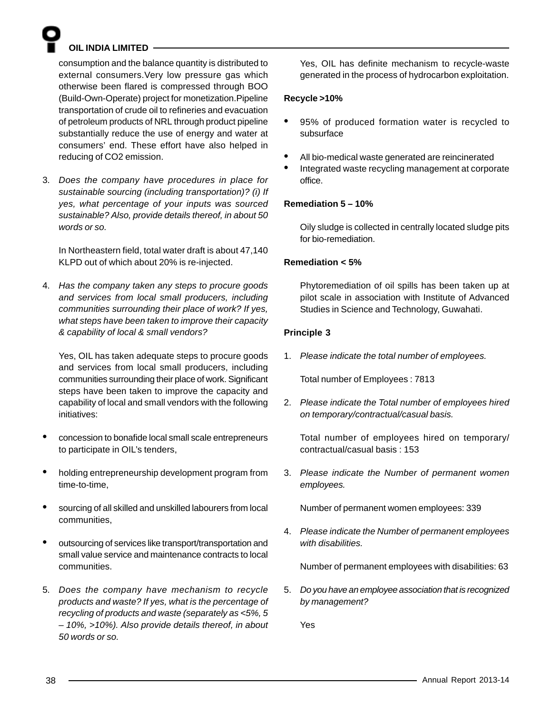consumption and the balance quantity is distributed to external consumers.Very low pressure gas which otherwise been flared is compressed through BOO (Build-Own-Operate) project for monetization.Pipeline transportation of crude oil to refineries and evacuation of petroleum products of NRL through product pipeline substantially reduce the use of energy and water at consumers' end. These effort have also helped in reducing of CO2 emission.

3. *Does the company have procedures in place for sustainable sourcing (including transportation)? (i) If yes, what percentage of your inputs was sourced sustainable? Also, provide details thereof, in about 50 words or so.*

In Northeastern field, total water draft is about 47,140 KLPD out of which about 20% is re-injected.

4. *Has the company taken any steps to procure goods and services from local small producers, including communities surrounding their place of work? If yes, what steps have been taken to improve their capacity & capability of local & small vendors?*

Yes, OIL has taken adequate steps to procure goods and services from local small producers, including communities surrounding their place of work. Significant steps have been taken to improve the capacity and capability of local and small vendors with the following initiatives:

- concession to bonafide local small scale entrepreneurs to participate in OIL's tenders,
- holding entrepreneurship development program from time-to-time,
- sourcing of all skilled and unskilled labourers from local communities,
- outsourcing of services like transport/transportation and small value service and maintenance contracts to local communities.
- 5. *Does the company have mechanism to recycle products and waste? If yes, what is the percentage of recycling of products and waste (separately as <5%, 5 – 10%, >10%). Also provide details thereof, in about 50 words or so.*

Yes, OIL has definite mechanism to recycle-waste generated in the process of hydrocarbon exploitation.

# **Recycle >10%**

- 95% of produced formation water is recycled to subsurface
- All bio-medical waste generated are reincinerated
- Integrated waste recycling management at corporate office.

# **Remediation 5 – 10%**

Oily sludge is collected in centrally located sludge pits for bio-remediation.

# **Remediation < 5%**

Phytoremediation of oil spills has been taken up at pilot scale in association with Institute of Advanced Studies in Science and Technology, Guwahati.

#### **Principle 3**

1. *Please indicate the total number of employees.*

Total number of Employees : 7813

2. *Please indicate the Total number of employees hired on temporary/contractual/casual basis.*

Total number of employees hired on temporary/ contractual/casual basis : 153

3. *Please indicate the Number of permanent women employees.*

Number of permanent women employees: 339

4. *Please indicate the Number of permanent employees with disabilities.*

Number of permanent employees with disabilities: 63

5. *Do you have an employee association that is recognized by management?*

Yes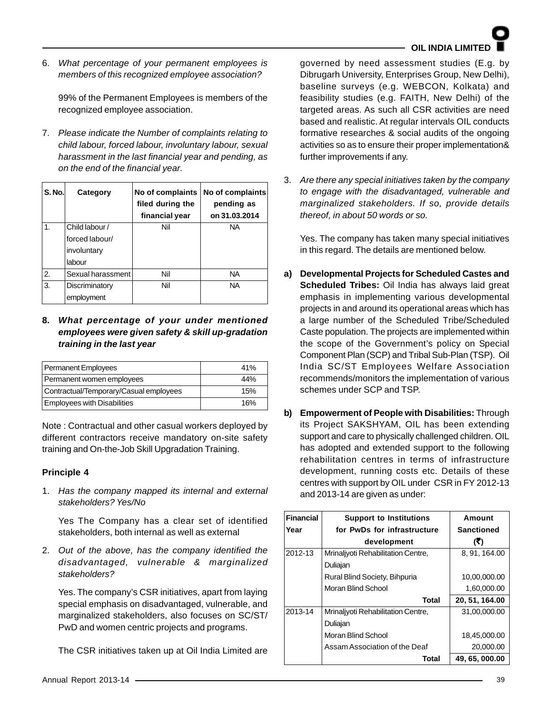6. *What percentage of your permanent employees is members of this recognized employee association?*

99% of the Permanent Employees is members of the recognized employee association.

7. *Please indicate the Number of complaints relating to child labour, forced labour, involuntary labour, sexual harassment in the last financial year and pending, as on the end of the financial year.*

| S.No. | Category          | No of complaints<br>filed during the<br>financial year | No of complaints<br>pending as<br>on 31.03.2014 |
|-------|-------------------|--------------------------------------------------------|-------------------------------------------------|
| 1.    | Child labour /    | Nil                                                    | NA.                                             |
|       | forced labour/    |                                                        |                                                 |
|       | involuntary       |                                                        |                                                 |
|       | labour            |                                                        |                                                 |
| 2.    | Sexual harassment | Nil                                                    | <b>NA</b>                                       |
| 3.    | Discriminatory    | Nil                                                    | <b>NA</b>                                       |
|       | employment        |                                                        |                                                 |

**8.** *What percentage of your under mentioned employees were given safety & skill up-gradation training in the last year*

| Permanent Employees                    | 41% |
|----------------------------------------|-----|
| Permanent women employees              | 44% |
| Contractual/Temporary/Casual employees | 15% |
| <b>Employees with Disabilities</b>     | 16% |

Note : Contractual and other casual workers deployed by different contractors receive mandatory on-site safety training and On-the-Job Skill Upgradation Training.

#### **Principle 4**

1. *Has the company mapped its internal and external stakeholders? Yes/No*

Yes The Company has a clear set of identified stakeholders, both internal as well as external

2. *Out of the above, has the company identified the disadvantaged, vulnerable & marginalized stakeholders?*

Yes. The company's CSR initiatives, apart from laying special emphasis on disadvantaged, vulnerable, and marginalized stakeholders, also focuses on SC/ST/ PwD and women centric projects and programs.

The CSR initiatives taken up at Oil India Limited are

governed by need assessment studies (E.g. by Dibrugarh University, Enterprises Group, New Delhi), baseline surveys (e.g. WEBCON, Kolkata) and feasibility studies (e.g. FAITH, New Delhi) of the targeted areas. As such all CSR activities are need based and realistic. At regular intervals OIL conducts formative researches & social audits of the ongoing activities so as to ensure their proper implementation& further improvements if any.

3. *Are there any special initiatives taken by the company to engage with the disadvantaged, vulnerable and marginalized stakeholders. If so, provide details thereof, in about 50 words or so.*

Yes. The company has taken many special initiatives in this regard. The details are mentioned below.

- **a) Developmental Projects for Scheduled Castes and Scheduled Tribes:** Oil India has always laid great emphasis in implementing various developmental projects in and around its operational areas which has a large number of the Scheduled Tribe/Scheduled Caste population. The projects are implemented within the scope of the Government's policy on Special Component Plan (SCP) and Tribal Sub-Plan (TSP). Oil India SC/ST Employees Welfare Association recommends/monitors the implementation of various schemes under SCP and TSP.
- **b) Empowerment of People with Disabilities:** Through its Project SAKSHYAM, OIL has been extending support and care to physically challenged children. OIL has adopted and extended support to the following rehabilitation centres in terms of infrastructure development, running costs etc. Details of these centres with support by OIL under CSR in FY 2012-13 and 2013-14 are given as under:

| <b>Financial</b> | <b>Support to Institutions</b>     | Amount            |
|------------------|------------------------------------|-------------------|
| Year             | for PwDs for infrastructure        | <b>Sanctioned</b> |
|                  | development                        | (₹)               |
| 2012-13          | Mrinaliyoti Rehabilitation Centre, | 8, 91, 164.00     |
|                  | Duliajan                           |                   |
|                  | Rural Blind Society, Bihpuria      | 10,00,000.00      |
|                  | Moran Blind School                 | 1,60,000.00       |
|                  | <b>Total</b>                       | 20, 51, 164.00    |
| 2013-14          | Mrinaliyoti Rehabilitation Centre, | 31,00,000.00      |
|                  | Duliajan                           |                   |
|                  | Moran Blind School                 | 18,45,000.00      |
|                  | Assam Association of the Deaf      | 20,000.00         |
|                  | Total                              | 49, 65, 000.00    |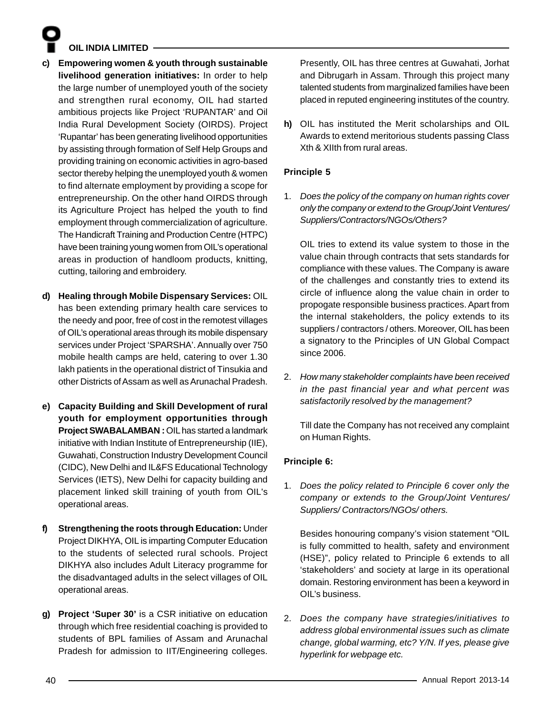- **c) Empowering women & youth through sustainable livelihood generation initiatives:** In order to help the large number of unemployed youth of the society and strengthen rural economy, OIL had started ambitious projects like Project 'RUPANTAR' and Oil India Rural Development Society (OIRDS). Project 'Rupantar' has been generating livelihood opportunities by assisting through formation of Self Help Groups and providing training on economic activities in agro-based sector thereby helping the unemployed youth & women to find alternate employment by providing a scope for entrepreneurship. On the other hand OIRDS through its Agriculture Project has helped the youth to find employment through commercialization of agriculture. The Handicraft Training and Production Centre (HTPC) have been training young women from OIL's operational areas in production of handloom products, knitting, cutting, tailoring and embroidery.
- **d) Healing through Mobile Dispensary Services:** OIL has been extending primary health care services to the needy and poor, free of cost in the remotest villages of OIL's operational areas through its mobile dispensary services under Project 'SPARSHA'. Annually over 750 mobile health camps are held, catering to over 1.30 lakh patients in the operational district of Tinsukia and other Districts of Assam as well as Arunachal Pradesh.
- **e) Capacity Building and Skill Development of rural youth for employment opportunities through Project SWABALAMBAN :** OIL has started a landmark initiative with Indian Institute of Entrepreneurship (IIE), Guwahati, Construction Industry Development Council (CIDC), New Delhi and IL&FS Educational Technology Services (IETS), New Delhi for capacity building and placement linked skill training of youth from OIL's operational areas.
- **f) Strengthening the roots through Education:** Under Project DIKHYA, OIL is imparting Computer Education to the students of selected rural schools. Project DIKHYA also includes Adult Literacy programme for the disadvantaged adults in the select villages of OIL operational areas.
- **g) Project 'Super 30'** is a CSR initiative on education through which free residential coaching is provided to students of BPL families of Assam and Arunachal Pradesh for admission to IIT/Engineering colleges.

Presently, OIL has three centres at Guwahati, Jorhat and Dibrugarh in Assam. Through this project many talented students from marginalized families have been placed in reputed engineering institutes of the country.

**h)** OIL has instituted the Merit scholarships and OIL Awards to extend meritorious students passing Class Xth & XIIth from rural areas.

# **Principle 5**

1. *Does the policy of the company on human rights cover only the company or extend to the Group/Joint Ventures/ Suppliers/Contractors/NGOs/Others?*

OIL tries to extend its value system to those in the value chain through contracts that sets standards for compliance with these values. The Company is aware of the challenges and constantly tries to extend its circle of influence along the value chain in order to propogate responsible business practices. Apart from the internal stakeholders, the policy extends to its suppliers / contractors / others. Moreover, OIL has been a signatory to the Principles of UN Global Compact since 2006.

2. *How many stakeholder complaints have been received in the past financial year and what percent was satisfactorily resolved by the management?*

Till date the Company has not received any complaint on Human Rights.

# **Principle 6:**

1. *Does the policy related to Principle 6 cover only the company or extends to the Group/Joint Ventures/ Suppliers/ Contractors/NGOs/ others.*

Besides honouring company's vision statement "OIL is fully committed to health, safety and environment (HSE)", policy related to Principle 6 extends to all 'stakeholders' and society at large in its operational domain. Restoring environment has been a keyword in OIL's business.

2. *Does the company have strategies/initiatives to address global environmental issues such as climate change, global warming, etc? Y/N. If yes, please give hyperlink for webpage etc.*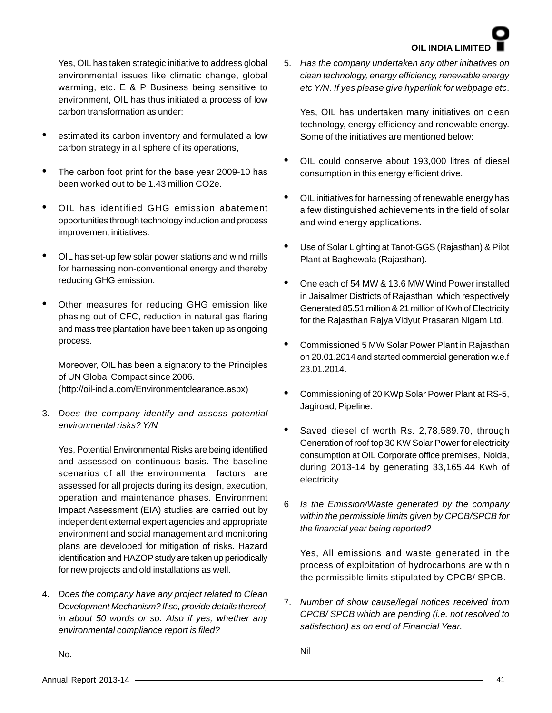Yes, OIL has taken strategic initiative to address global environmental issues like climatic change, global warming, etc. E & P Business being sensitive to environment, OIL has thus initiated a process of low carbon transformation as under:

- estimated its carbon inventory and formulated a low carbon strategy in all sphere of its operations,
- The carbon foot print for the base year 2009-10 has been worked out to be 1.43 million CO2e.
- OIL has identified GHG emission abatement opportunities through technology induction and process improvement initiatives.
- OIL has set-up few solar power stations and wind mills for harnessing non-conventional energy and thereby reducing GHG emission.
- Other measures for reducing GHG emission like phasing out of CFC, reduction in natural gas flaring and mass tree plantation have been taken up as ongoing process.

Moreover, OIL has been a signatory to the Principles of UN Global Compact since 2006. (http://oil-india.com/Environmentclearance.aspx)

3. *Does the company identify and assess potential environmental risks? Y/N*

Yes, Potential Environmental Risks are being identified and assessed on continuous basis. The baseline scenarios of all the environmental factors are assessed for all projects during its design, execution, operation and maintenance phases. Environment Impact Assessment (EIA) studies are carried out by independent external expert agencies and appropriate environment and social management and monitoring plans are developed for mitigation of risks. Hazard identification and HAZOP study are taken up periodically for new projects and old installations as well.

4. *Does the company have any project related to Clean Development Mechanism? If so, provide details thereof, in about 50 words or so. Also if yes, whether any environmental compliance report is filed?*

5. *Has the company undertaken any other initiatives on clean technology, energy efficiency, renewable energy etc Y/N. If yes please give hyperlink for webpage etc*.

Yes, OIL has undertaken many initiatives on clean technology, energy efficiency and renewable energy. Some of the initiatives are mentioned below:

- OIL could conserve about 193,000 litres of diesel consumption in this energy efficient drive.
- OIL initiatives for harnessing of renewable energy has a few distinguished achievements in the field of solar and wind energy applications.
- Use of Solar Lighting at Tanot-GGS (Rajasthan) & Pilot Plant at Baghewala (Rajasthan).
- One each of 54 MW & 13.6 MW Wind Power installed in Jaisalmer Districts of Rajasthan, which respectively Generated 85.51 million & 21 million of Kwh of Electricity for the Rajasthan Rajya Vidyut Prasaran Nigam Ltd.
- Commissioned 5 MW Solar Power Plant in Rajasthan on 20.01.2014 and started commercial generation w.e.f 23.01.2014.
- Commissioning of 20 KWp Solar Power Plant at RS-5, Jagiroad, Pipeline.
- Saved diesel of worth Rs. 2,78,589.70, through Generation of roof top 30 KW Solar Power for electricity consumption at OIL Corporate office premises, Noida, during 2013-14 by generating 33,165.44 Kwh of electricity.
- 6 *Is the Emission/Waste generated by the company within the permissible limits given by CPCB/SPCB for the financial year being reported?*

Yes, All emissions and waste generated in the process of exploitation of hydrocarbons are within the permissible limits stipulated by CPCB/ SPCB.

7. *Number of show cause/legal notices received from CPCB/ SPCB which are pending (i.e. not resolved to satisfaction) as on end of Financial Year.*

No.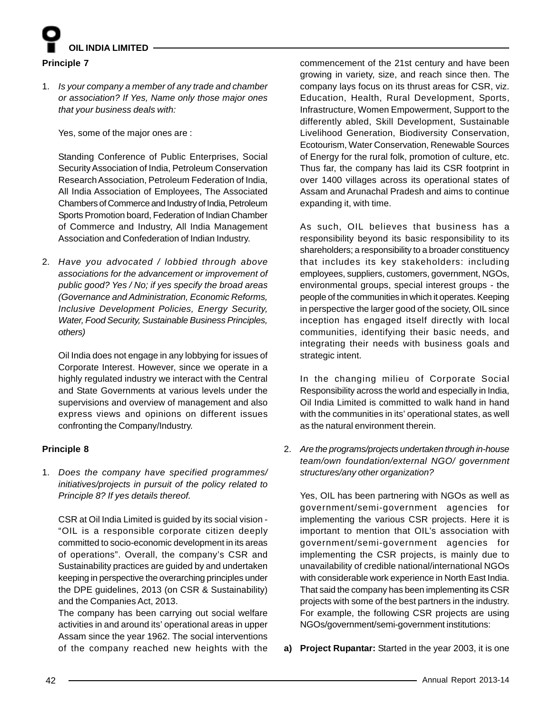# **OIL INDIA LIMITED Principle 7**

1. *Is your company a member of any trade and chamber or association? If Yes, Name only those major ones that your business deals with:*

Yes, some of the major ones are :

Standing Conference of Public Enterprises, Social Security Association of India, Petroleum Conservation Research Association, Petroleum Federation of India, All India Association of Employees, The Associated Chambers of Commerce and Industry of India, Petroleum Sports Promotion board, Federation of Indian Chamber of Commerce and Industry, All India Management Association and Confederation of Indian Industry.

2. *Have you advocated / lobbied through above associations for the advancement or improvement of public good? Yes / No; if yes specify the broad areas (Governance and Administration, Economic Reforms, Inclusive Development Policies, Energy Security, Water, Food Security, Sustainable Business Principles, others)*

Oil India does not engage in any lobbying for issues of Corporate Interest. However, since we operate in a highly regulated industry we interact with the Central and State Governments at various levels under the supervisions and overview of management and also express views and opinions on different issues confronting the Company/Industry.

# **Principle 8**

1. *Does the company have specified programmes/ initiatives/projects in pursuit of the policy related to Principle 8? If yes details thereof.*

CSR at Oil India Limited is guided by its social vision - "OIL is a responsible corporate citizen deeply committed to socio-economic development in its areas of operations". Overall, the company's CSR and Sustainability practices are guided by and undertaken keeping in perspective the overarching principles under the DPE guidelines, 2013 (on CSR & Sustainability) and the Companies Act, 2013.

The company has been carrying out social welfare activities in and around its' operational areas in upper Assam since the year 1962. The social interventions of the company reached new heights with the

commencement of the 21st century and have been growing in variety, size, and reach since then. The company lays focus on its thrust areas for CSR, viz. Education, Health, Rural Development, Sports, Infrastructure, Women Empowerment, Support to the differently abled, Skill Development, Sustainable Livelihood Generation, Biodiversity Conservation, Ecotourism, Water Conservation, Renewable Sources of Energy for the rural folk, promotion of culture, etc. Thus far, the company has laid its CSR footprint in over 1400 villages across its operational states of Assam and Arunachal Pradesh and aims to continue expanding it, with time.

As such, OIL believes that business has a responsibility beyond its basic responsibility to its shareholders; a responsibility to a broader constituency that includes its key stakeholders: including employees, suppliers, customers, government, NGOs, environmental groups, special interest groups - the people of the communities in which it operates. Keeping in perspective the larger good of the society, OIL since inception has engaged itself directly with local communities, identifying their basic needs, and integrating their needs with business goals and strategic intent.

In the changing milieu of Corporate Social Responsibility across the world and especially in India, Oil India Limited is committed to walk hand in hand with the communities in its' operational states, as well as the natural environment therein.

2. *Are the programs/projects undertaken through in-house team/own foundation/external NGO/ government structures/any other organization?*

Yes, OIL has been partnering with NGOs as well as government/semi-government agencies for implementing the various CSR projects. Here it is important to mention that OIL's association with government/semi-government agencies for implementing the CSR projects, is mainly due to unavailability of credible national/international NGOs with considerable work experience in North East India. That said the company has been implementing its CSR projects with some of the best partners in the industry. For example, the following CSR projects are using NGOs/government/semi-government institutions:

**a) Project Rupantar:** Started in the year 2003, it is one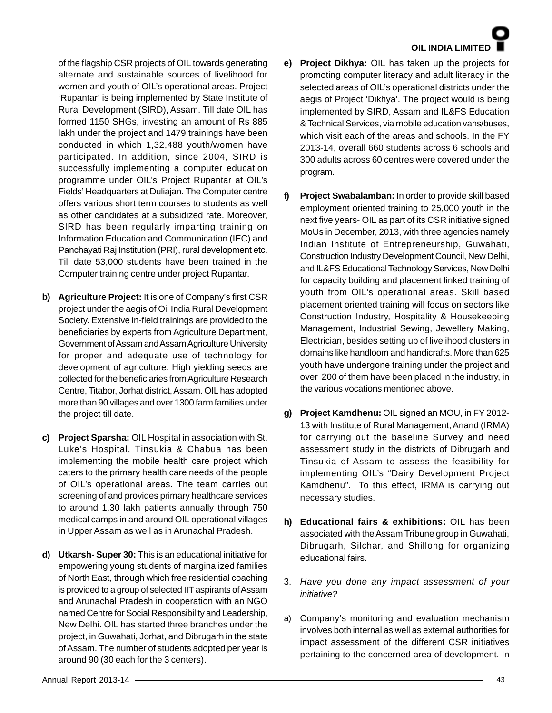of the flagship CSR projects of OIL towards generating alternate and sustainable sources of livelihood for women and youth of OIL's operational areas. Project 'Rupantar' is being implemented by State Institute of Rural Development (SIRD), Assam. Till date OIL has formed 1150 SHGs, investing an amount of Rs 885 lakh under the project and 1479 trainings have been conducted in which 1,32,488 youth/women have participated. In addition, since 2004, SIRD is successfully implementing a computer education programme under OIL's Project Rupantar at OIL's Fields' Headquarters at Duliajan. The Computer centre offers various short term courses to students as well as other candidates at a subsidized rate. Moreover, SIRD has been regularly imparting training on Information Education and Communication (IEC) and Panchayati Raj Institution (PRI), rural development etc. Till date 53,000 students have been trained in the Computer training centre under project Rupantar.

- **b) Agriculture Project:** It is one of Company's first CSR project under the aegis of Oil India Rural Development Society. Extensive in-field trainings are provided to the beneficiaries by experts from Agriculture Department, Government of Assam and Assam Agriculture University for proper and adequate use of technology for development of agriculture. High yielding seeds are collected for the beneficiaries from Agriculture Research Centre, Titabor, Jorhat district, Assam. OIL has adopted more than 90 villages and over 1300 farm families under the project till date.
- **c) Project Sparsha:** OIL Hospital in association with St. Luke's Hospital, Tinsukia & Chabua has been implementing the mobile health care project which caters to the primary health care needs of the people of OIL's operational areas. The team carries out screening of and provides primary healthcare services to around 1.30 lakh patients annually through 750 medical camps in and around OIL operational villages in Upper Assam as well as in Arunachal Pradesh.
- **d) Utkarsh- Super 30:** This is an educational initiative for empowering young students of marginalized families of North East, through which free residential coaching is provided to a group of selected IIT aspirants of Assam and Arunachal Pradesh in cooperation with an NGO named Centre for Social Responsibility and Leadership, New Delhi. OIL has started three branches under the project, in Guwahati, Jorhat, and Dibrugarh in the state of Assam. The number of students adopted per year is around 90 (30 each for the 3 centers).
- **e) Project Dikhya:** OIL has taken up the projects for promoting computer literacy and adult literacy in the selected areas of OIL's operational districts under the aegis of Project 'Dikhya'. The project would is being implemented by SIRD, Assam and IL&FS Education & Technical Services, via mobile education vans/buses, which visit each of the areas and schools. In the FY 2013-14, overall 660 students across 6 schools and 300 adults across 60 centres were covered under the program.
- **f) Project Swabalamban:** In order to provide skill based employment oriented training to 25,000 youth in the next five years- OIL as part of its CSR initiative signed MoUs in December, 2013, with three agencies namely Indian Institute of Entrepreneurship, Guwahati, Construction Industry Development Council, New Delhi, and IL&FS Educational Technology Services, New Delhi for capacity building and placement linked training of youth from OIL's operational areas. Skill based placement oriented training will focus on sectors like Construction Industry, Hospitality & Housekeeping Management, Industrial Sewing, Jewellery Making, Electrician, besides setting up of livelihood clusters in domains like handloom and handicrafts. More than 625 youth have undergone training under the project and over 200 of them have been placed in the industry, in the various vocations mentioned above.
- **g) Project Kamdhenu:** OIL signed an MOU, in FY 2012- 13 with Institute of Rural Management, Anand (IRMA) for carrying out the baseline Survey and need assessment study in the districts of Dibrugarh and Tinsukia of Assam to assess the feasibility for implementing OIL's "Dairy Development Project Kamdhenu". To this effect, IRMA is carrying out necessary studies.
- **h) Educational fairs & exhibitions:** OIL has been associated with the Assam Tribune group in Guwahati, Dibrugarh, Silchar, and Shillong for organizing educational fairs.
- 3. *Have you done any impact assessment of your initiative?*
- a) Company's monitoring and evaluation mechanism involves both internal as well as external authorities for impact assessment of the different CSR initiatives pertaining to the concerned area of development. In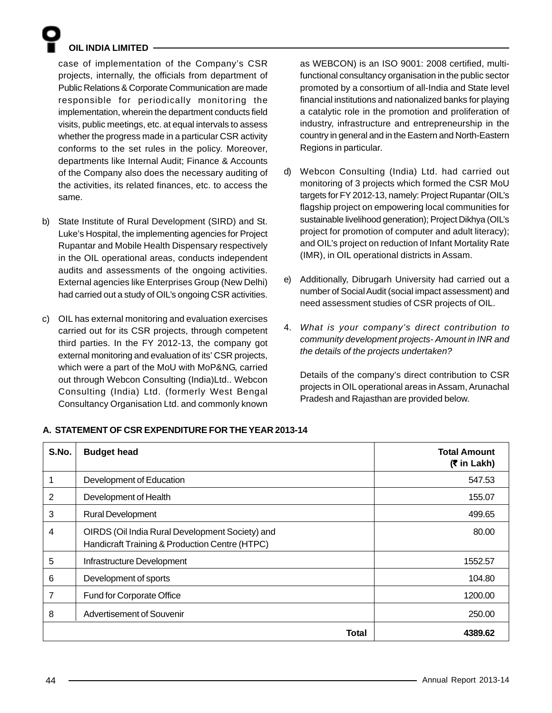case of implementation of the Company's CSR projects, internally, the officials from department of Public Relations & Corporate Communication are made responsible for periodically monitoring the implementation, wherein the department conducts field visits, public meetings, etc. at equal intervals to assess whether the progress made in a particular CSR activity conforms to the set rules in the policy. Moreover, departments like Internal Audit; Finance & Accounts of the Company also does the necessary auditing of the activities, its related finances, etc. to access the same.

- b) State Institute of Rural Development (SIRD) and St. Luke's Hospital, the implementing agencies for Project Rupantar and Mobile Health Dispensary respectively in the OIL operational areas, conducts independent audits and assessments of the ongoing activities. External agencies like Enterprises Group (New Delhi) had carried out a study of OIL's ongoing CSR activities.
- c) OIL has external monitoring and evaluation exercises carried out for its CSR projects, through competent third parties. In the FY 2012-13, the company got external monitoring and evaluation of its' CSR projects, which were a part of the MoU with MoP&NG, carried out through Webcon Consulting (India)Ltd.. Webcon Consulting (India) Ltd. (formerly West Bengal Consultancy Organisation Ltd. and commonly known

as WEBCON) is an ISO 9001: 2008 certified, multifunctional consultancy organisation in the public sector promoted by a consortium of all-India and State level financial institutions and nationalized banks for playing a catalytic role in the promotion and proliferation of industry, infrastructure and entrepreneurship in the country in general and in the Eastern and North-Eastern Regions in particular.

- d) Webcon Consulting (India) Ltd. had carried out monitoring of 3 projects which formed the CSR MoU targets for FY 2012-13, namely: Project Rupantar (OIL's flagship project on empowering local communities for sustainable livelihood generation); Project Dikhya (OIL's project for promotion of computer and adult literacy); and OIL's project on reduction of Infant Mortality Rate (IMR), in OIL operational districts in Assam.
- e) Additionally, Dibrugarh University had carried out a number of Social Audit (social impact assessment) and need assessment studies of CSR projects of OIL.
- 4. *What is your company's direct contribution to community development projects- Amount in INR and the details of the projects undertaken?*

Details of the company's direct contribution to CSR projects in OIL operational areas in Assam, Arunachal Pradesh and Rajasthan are provided below.

| S.No. | <b>Budget head</b>                                                                                | <b>Total Amount</b><br>(₹ in Lakh) |
|-------|---------------------------------------------------------------------------------------------------|------------------------------------|
|       | Development of Education                                                                          | 547.53                             |
| 2     | Development of Health                                                                             | 155.07                             |
| 3     | <b>Rural Development</b>                                                                          | 499.65                             |
| 4     | OIRDS (Oil India Rural Development Society) and<br>Handicraft Training & Production Centre (HTPC) | 80.00                              |
| 5     | Infrastructure Development                                                                        | 1552.57                            |
| 6     | Development of sports                                                                             | 104.80                             |
| 7     | Fund for Corporate Office                                                                         | 1200.00                            |
| 8     | Advertisement of Souvenir                                                                         | 250.00                             |
|       | Total                                                                                             | 4389.62                            |

# **A. STATEMENT OF CSR EXPENDITURE FOR THE YEAR 2013-14**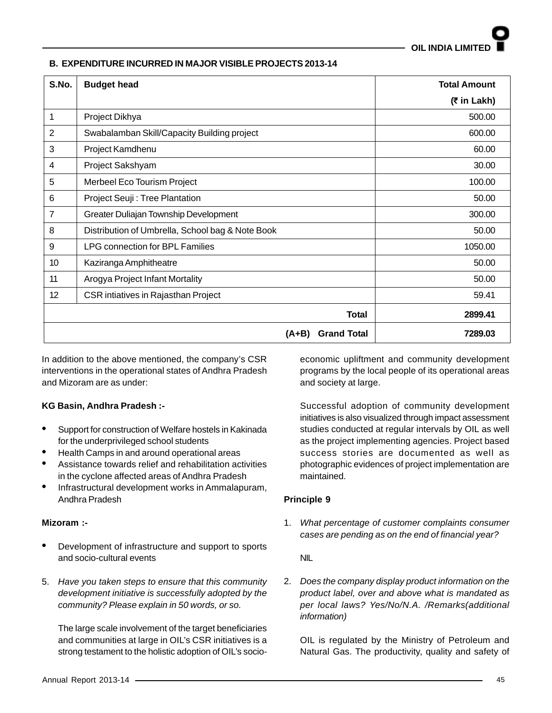#### **B. EXPENDITURE INCURRED IN MAJOR VISIBLE PROJECTS 2013-14**

| S.No.          | <b>Budget head</b>                               | <b>Total Amount</b>     |
|----------------|--------------------------------------------------|-------------------------|
|                |                                                  | $(5 \in \mathsf{Lakh})$ |
| 1              | Project Dikhya                                   | 500.00                  |
| $\overline{2}$ | Swabalamban Skill/Capacity Building project      | 600.00                  |
| 3              | Project Kamdhenu                                 | 60.00                   |
| 4              | Project Sakshyam                                 | 30.00                   |
| 5              | Merbeel Eco Tourism Project                      | 100.00                  |
| 6              | Project Seuji: Tree Plantation                   | 50.00                   |
| 7              | Greater Duliajan Township Development            | 300.00                  |
| 8              | Distribution of Umbrella, School bag & Note Book | 50.00                   |
| 9              | <b>LPG connection for BPL Families</b>           | 1050.00                 |
| 10             | Kaziranga Amphitheatre                           | 50.00                   |
| 11             | Arogya Project Infant Mortality                  | 50.00                   |
| 12             | CSR intiatives in Rajasthan Project              | 59.41                   |
|                | <b>Total</b>                                     | 2899.41                 |
|                | <b>Grand Total</b><br>$(A+B)$                    | 7289.03                 |

In addition to the above mentioned, the company's CSR interventions in the operational states of Andhra Pradesh and Mizoram are as under:

# **KG Basin, Andhra Pradesh :-**

- Support for construction of Welfare hostels in Kakinada for the underprivileged school students
- Health Camps in and around operational areas
- Assistance towards relief and rehabilitation activities in the cyclone affected areas of Andhra Pradesh
- Infrastructural development works in Ammalapuram, Andhra Pradesh

#### **Mizoram :-**

- Development of infrastructure and support to sports and socio-cultural events
- 5. *Have you taken steps to ensure that this community development initiative is successfully adopted by the community? Please explain in 50 words, or so.*

The large scale involvement of the target beneficiaries and communities at large in OIL's CSR initiatives is a strong testament to the holistic adoption of OIL's socioeconomic upliftment and community development programs by the local people of its operational areas and society at large.

Successful adoption of community development initiatives is also visualized through impact assessment studies conducted at regular intervals by OIL as well as the project implementing agencies. Project based success stories are documented as well as photographic evidences of project implementation are maintained.

#### **Principle 9**

1. *What percentage of customer complaints consumer cases are pending as on the end of financial year?*

NIL

2. *Does the company display product information on the product label, over and above what is mandated as per local laws? Yes/No/N.A. /Remarks(additional information)*

OIL is regulated by the Ministry of Petroleum and Natural Gas. The productivity, quality and safety of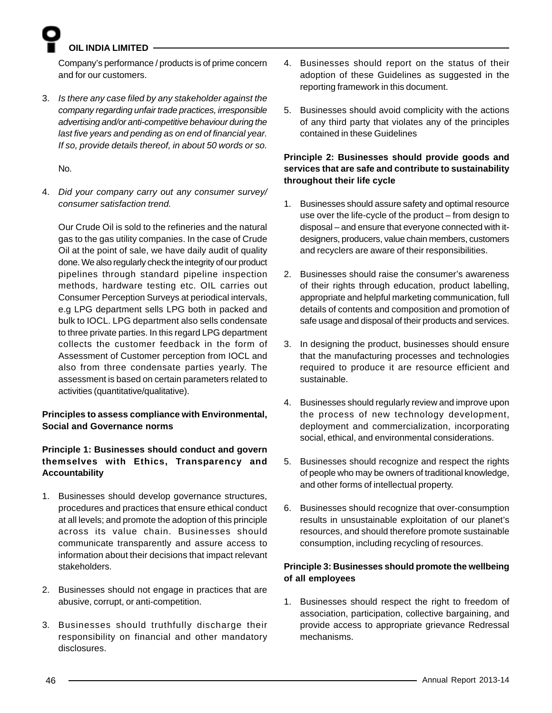Company's performance / products is of prime concern and for our customers.

3. *Is there any case filed by any stakeholder against the company regarding unfair trade practices, irresponsible advertising and/or anti-competitive behaviour during the last five years and pending as on end of financial year. If so, provide details thereof, in about 50 words or so.*

No.

4. *Did your company carry out any consumer survey/ consumer satisfaction trend.*

Our Crude Oil is sold to the refineries and the natural gas to the gas utility companies. In the case of Crude Oil at the point of sale, we have daily audit of quality done. We also regularly check the integrity of our product pipelines through standard pipeline inspection methods, hardware testing etc. OIL carries out Consumer Perception Surveys at periodical intervals, e.g LPG department sells LPG both in packed and bulk to IOCL. LPG department also sells condensate to three private parties. In this regard LPG department collects the customer feedback in the form of Assessment of Customer perception from IOCL and also from three condensate parties yearly. The assessment is based on certain parameters related to activities (quantitative/qualitative).

# **Principles to assess compliance with Environmental, Social and Governance norms**

# **Principle 1: Businesses should conduct and govern themselves with Ethics, Transparency and Accountability**

- 1. Businesses should develop governance structures, procedures and practices that ensure ethical conduct at all levels; and promote the adoption of this principle across its value chain. Businesses should communicate transparently and assure access to information about their decisions that impact relevant stakeholders.
- 2. Businesses should not engage in practices that are abusive, corrupt, or anti-competition.
- 3. Businesses should truthfully discharge their responsibility on financial and other mandatory disclosures.
- 4. Businesses should report on the status of their adoption of these Guidelines as suggested in the reporting framework in this document.
- 5. Businesses should avoid complicity with the actions of any third party that violates any of the principles contained in these Guidelines

# **Principle 2: Businesses should provide goods and services that are safe and contribute to sustainability throughout their life cycle**

- 1. Businesses should assure safety and optimal resource use over the life-cycle of the product – from design to disposal – and ensure that everyone connected with itdesigners, producers, value chain members, customers and recyclers are aware of their responsibilities.
- 2. Businesses should raise the consumer's awareness of their rights through education, product labelling, appropriate and helpful marketing communication, full details of contents and composition and promotion of safe usage and disposal of their products and services.
- 3. In designing the product, businesses should ensure that the manufacturing processes and technologies required to produce it are resource efficient and sustainable.
- 4. Businesses should regularly review and improve upon the process of new technology development, deployment and commercialization, incorporating social, ethical, and environmental considerations.
- 5. Businesses should recognize and respect the rights of people who may be owners of traditional knowledge, and other forms of intellectual property.
- 6. Businesses should recognize that over-consumption results in unsustainable exploitation of our planet's resources, and should therefore promote sustainable consumption, including recycling of resources.

# **Principle 3: Businesses should promote the wellbeing of all employees**

1. Businesses should respect the right to freedom of association, participation, collective bargaining, and provide access to appropriate grievance Redressal mechanisms.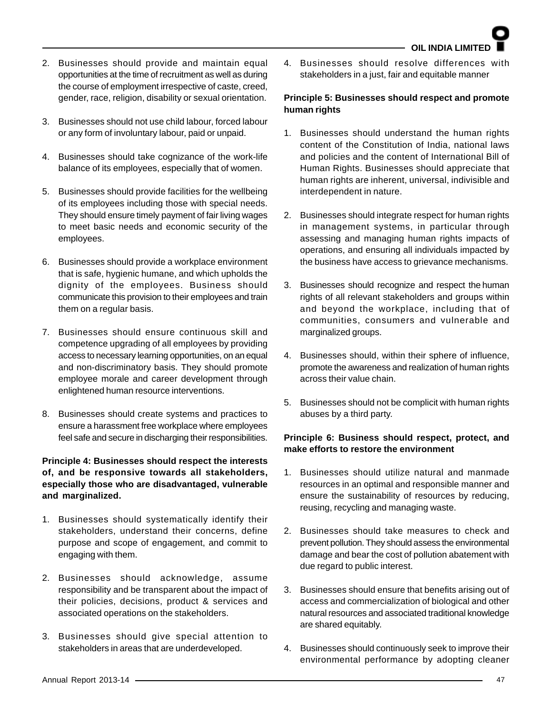- 2. Businesses should provide and maintain equal opportunities at the time of recruitment as well as during the course of employment irrespective of caste, creed, gender, race, religion, disability or sexual orientation.
- 3. Businesses should not use child labour, forced labour or any form of involuntary labour, paid or unpaid.
- 4. Businesses should take cognizance of the work-life balance of its employees, especially that of women.
- 5. Businesses should provide facilities for the wellbeing of its employees including those with special needs. They should ensure timely payment of fair living wages to meet basic needs and economic security of the employees.
- 6. Businesses should provide a workplace environment that is safe, hygienic humane, and which upholds the dignity of the employees. Business should communicate this provision to their employees and train them on a regular basis.
- 7. Businesses should ensure continuous skill and competence upgrading of all employees by providing access to necessary learning opportunities, on an equal and non-discriminatory basis. They should promote employee morale and career development through enlightened human resource interventions.
- 8. Businesses should create systems and practices to ensure a harassment free workplace where employees feel safe and secure in discharging their responsibilities.

#### **Principle 4: Businesses should respect the interests of, and be responsive towards all stakeholders, especially those who are disadvantaged, vulnerable and marginalized.**

- 1. Businesses should systematically identify their stakeholders, understand their concerns, define purpose and scope of engagement, and commit to engaging with them.
- 2. Businesses should acknowledge, assume responsibility and be transparent about the impact of their policies, decisions, product & services and associated operations on the stakeholders.
- 3. Businesses should give special attention to stakeholders in areas that are underdeveloped.

4. Businesses should resolve differences with stakeholders in a just, fair and equitable manner

#### **Principle 5: Businesses should respect and promote human rights**

- 1. Businesses should understand the human rights content of the Constitution of India, national laws and policies and the content of International Bill of Human Rights. Businesses should appreciate that human rights are inherent, universal, indivisible and interdependent in nature.
- 2. Businesses should integrate respect for human rights in management systems, in particular through assessing and managing human rights impacts of operations, and ensuring all individuals impacted by the business have access to grievance mechanisms.
- 3. Businesses should recognize and respect the human rights of all relevant stakeholders and groups within and beyond the workplace, including that of communities, consumers and vulnerable and marginalized groups.
- 4. Businesses should, within their sphere of influence, promote the awareness and realization of human rights across their value chain.
- 5. Businesses should not be complicit with human rights abuses by a third party.

# **Principle 6: Business should respect, protect, and make efforts to restore the environment**

- 1. Businesses should utilize natural and manmade resources in an optimal and responsible manner and ensure the sustainability of resources by reducing, reusing, recycling and managing waste.
- 2. Businesses should take measures to check and prevent pollution. They should assess the environmental damage and bear the cost of pollution abatement with due regard to public interest.
- 3. Businesses should ensure that benefits arising out of access and commercialization of biological and other natural resources and associated traditional knowledge are shared equitably.
- 4. Businesses should continuously seek to improve their environmental performance by adopting cleaner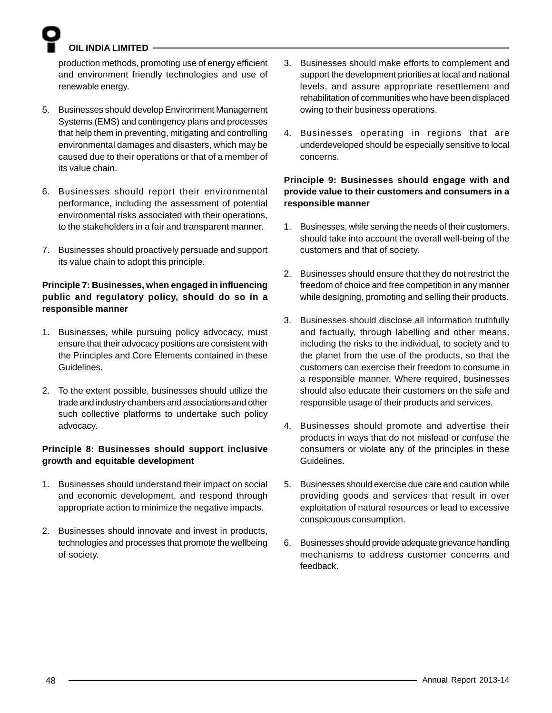production methods, promoting use of energy efficient and environment friendly technologies and use of renewable energy.

- 5. Businesses should develop Environment Management Systems (EMS) and contingency plans and processes that help them in preventing, mitigating and controlling environmental damages and disasters, which may be caused due to their operations or that of a member of its value chain.
- 6. Businesses should report their environmental performance, including the assessment of potential environmental risks associated with their operations, to the stakeholders in a fair and transparent manner.
- 7. Businesses should proactively persuade and support its value chain to adopt this principle.

# **Principle 7: Businesses, when engaged in influencing public and regulatory policy, should do so in a responsible manner**

- 1. Businesses, while pursuing policy advocacy, must ensure that their advocacy positions are consistent with the Principles and Core Elements contained in these Guidelines.
- 2. To the extent possible, businesses should utilize the trade and industry chambers and associations and other such collective platforms to undertake such policy advocacy.

# **Principle 8: Businesses should support inclusive growth and equitable development**

- 1. Businesses should understand their impact on social and economic development, and respond through appropriate action to minimize the negative impacts.
- 2. Businesses should innovate and invest in products, technologies and processes that promote the wellbeing of society.
- 3. Businesses should make efforts to complement and support the development priorities at local and national levels, and assure appropriate resettlement and rehabilitation of communities who have been displaced owing to their business operations.
- 4. Businesses operating in regions that are underdeveloped should be especially sensitive to local concerns.

# **Principle 9: Businesses should engage with and provide value to their customers and consumers in a responsible manner**

- 1. Businesses, while serving the needs of their customers, should take into account the overall well-being of the customers and that of society.
- 2. Businesses should ensure that they do not restrict the freedom of choice and free competition in any manner while designing, promoting and selling their products.
- 3. Businesses should disclose all information truthfully and factually, through labelling and other means, including the risks to the individual, to society and to the planet from the use of the products, so that the customers can exercise their freedom to consume in a responsible manner. Where required, businesses should also educate their customers on the safe and responsible usage of their products and services.
- 4. Businesses should promote and advertise their products in ways that do not mislead or confuse the consumers or violate any of the principles in these Guidelines.
- 5. Businesses should exercise due care and caution while providing goods and services that result in over exploitation of natural resources or lead to excessive conspicuous consumption.
- 6. Businesses should provide adequate grievance handling mechanisms to address customer concerns and feedback.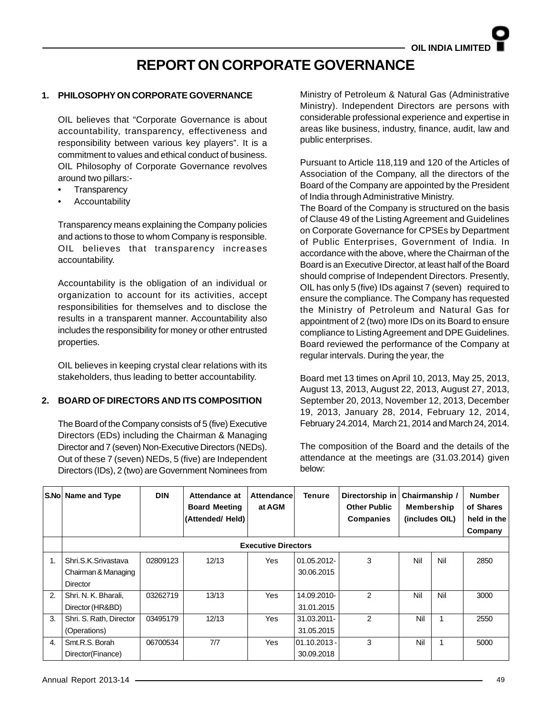# **REPORT ON CORPORATE GOVERNANCE**

#### **1. PHILOSOPHY ON CORPORATE GOVERNANCE**

OIL believes that "Corporate Governance is about accountability, transparency, effectiveness and responsibility between various key players". It is a commitment to values and ethical conduct of business. OIL Philosophy of Corporate Governance revolves around two pillars:-

- **Transparency**
- Accountability

Transparency means explaining the Company policies and actions to those to whom Company is responsible. OIL believes that transparency increases accountability.

Accountability is the obligation of an individual or organization to account for its activities, accept responsibilities for themselves and to disclose the results in a transparent manner. Accountability also includes the responsibility for money or other entrusted properties.

OIL believes in keeping crystal clear relations with its stakeholders, thus leading to better accountability.

#### **2. BOARD OF DIRECTORS AND ITS COMPOSITION**

The Board of the Company consists of 5 (five) Executive Directors (EDs) including the Chairman & Managing Director and 7 (seven) Non-Executive Directors (NEDs). Out of these 7 (seven) NEDs, 5 (five) are Independent Directors (IDs), 2 (two) are Government Nominees from

Ministry of Petroleum & Natural Gas (Administrative Ministry). Independent Directors are persons with considerable professional experience and expertise in areas like business, industry, finance, audit, law and public enterprises.

Pursuant to Article 118,119 and 120 of the Articles of Association of the Company, all the directors of the Board of the Company are appointed by the President of India through Administrative Ministry.

The Board of the Company is structured on the basis of Clause 49 of the Listing Agreement and Guidelines on Corporate Governance for CPSEs by Department of Public Enterprises, Government of India. In accordance with the above, where the Chairman of the Board is an Executive Director, at least half of the Board should comprise of Independent Directors. Presently, OIL has only 5 (five) IDs against 7 (seven) required to ensure the compliance. The Company has requested the Ministry of Petroleum and Natural Gas for appointment of 2 (two) more IDs on its Board to ensure compliance to Listing Agreement and DPE Guidelines. Board reviewed the performance of the Company at regular intervals. During the year, the

Board met 13 times on April 10, 2013, May 25, 2013, August 13, 2013, August 22, 2013, August 27, 2013, September 20, 2013, November 12, 2013, December 19, 2013, January 28, 2014, February 12, 2014, February 24.2014, March 21, 2014 and March 24, 2014.

The composition of the Board and the details of the attendance at the meetings are (31.03.2014) given below:

|    | <b>S.No Name and Type</b>  | <b>DIN</b> | Attendance at<br><b>Board Meeting</b><br>(Attended/Held) | <b>Attendance</b><br>at AGM | <b>Tenure</b> | Directorship in<br><b>Other Public</b><br><b>Companies</b> | Chairmanship /<br>Membership<br>(includes OIL) |     |      |  | <b>Number</b><br>of Shares<br>held in the<br>Company |
|----|----------------------------|------------|----------------------------------------------------------|-----------------------------|---------------|------------------------------------------------------------|------------------------------------------------|-----|------|--|------------------------------------------------------|
|    | <b>Executive Directors</b> |            |                                                          |                             |               |                                                            |                                                |     |      |  |                                                      |
| 1. | Shri.S.K.Srivastava        | 02809123   | 12/13                                                    | <b>Yes</b>                  | 01.05.2012-   | 3                                                          | Nil                                            | Nil | 2850 |  |                                                      |
|    | Chairman & Managing        |            |                                                          |                             | 30.06.2015    |                                                            |                                                |     |      |  |                                                      |
|    | <b>Director</b>            |            |                                                          |                             |               |                                                            |                                                |     |      |  |                                                      |
| 2. | Shri. N. K. Bharali,       | 03262719   | 13/13                                                    | <b>Yes</b>                  | 14.09.2010-   | 2                                                          | Nil                                            | Nil | 3000 |  |                                                      |
|    | Director (HR&BD)           |            |                                                          |                             | 31.01.2015    |                                                            |                                                |     |      |  |                                                      |
| 3. | Shri. S. Rath, Director    | 03495179   | 12/13                                                    | <b>Yes</b>                  | 31.03.2011-   | $\overline{2}$                                             | Nil                                            |     | 2550 |  |                                                      |
|    | (Operations)               |            |                                                          |                             | 31.05.2015    |                                                            |                                                |     |      |  |                                                      |
| 4. | Smt.R.S. Borah             | 06700534   | 7/7                                                      | Yes                         | 01.10.2013 -  | 3                                                          | Nil                                            |     | 5000 |  |                                                      |
|    | Director(Finance)          |            |                                                          |                             | 30.09.2018    |                                                            |                                                |     |      |  |                                                      |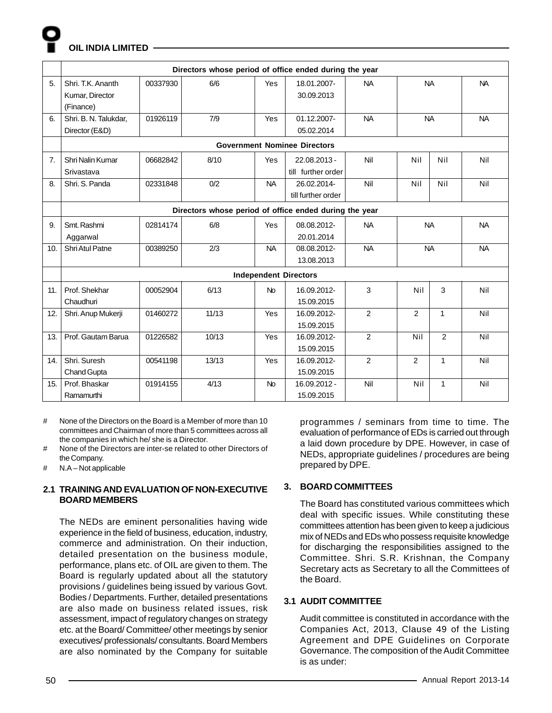|     |                                                        |          | Directors whose period of office ended during the year |           |                                     |                |                |                |           |  |
|-----|--------------------------------------------------------|----------|--------------------------------------------------------|-----------|-------------------------------------|----------------|----------------|----------------|-----------|--|
| 5.  | Shri, T.K. Ananth<br>Kumar, Director<br>(Finance)      | 00337930 | 6/6                                                    | Yes       | 18.01.2007-<br>30.09.2013           | <b>NA</b>      |                | <b>NA</b>      | <b>NA</b> |  |
| 6.  | Shri. B. N. Talukdar,<br>Director (E&D)                | 01926119 | 7/9                                                    | Yes       | 01.12.2007-<br>05.02.2014           | <b>NA</b>      |                | <b>NA</b>      | <b>NA</b> |  |
|     |                                                        |          |                                                        |           | <b>Government Nominee Directors</b> |                |                |                |           |  |
| 7.  | Shri Nalin Kumar<br>Srivastava                         | 06682842 | 8/10                                                   | Yes       | 22.08.2013 -<br>till further order  | Nil            | Nil            | Nil            | Nil       |  |
| 8.  | Shri, S. Panda                                         | 02331848 | 0/2                                                    | <b>NA</b> | 26.02.2014-<br>till further order   | Nil            | Nil            | Nil            | Nil       |  |
|     | Directors whose period of office ended during the year |          |                                                        |           |                                     |                |                |                |           |  |
| 9.  | Smt. Rashmi<br>Aggarwal                                | 02814174 | 6/8                                                    | Yes       | 08.08.2012-<br>20.01.2014           | <b>NA</b>      | <b>NA</b>      |                | <b>NA</b> |  |
| 10. | Shri Atul Patne                                        | 00389250 | 2/3                                                    | <b>NA</b> | 08.08.2012-<br>13.08.2013           | <b>NA</b>      |                | <b>NA</b>      | <b>NA</b> |  |
|     |                                                        |          |                                                        |           | <b>Independent Directors</b>        |                |                |                |           |  |
| 11. | Prof. Shekhar<br>Chaudhuri                             | 00052904 | 6/13                                                   | <b>No</b> | 16.09.2012-<br>15.09.2015           | 3              | Nil            | 3              | Nil       |  |
| 12. | Shri. Anup Mukerji                                     | 01460272 | 11/13                                                  | Yes       | 16.09.2012-<br>15.09.2015           | $\mathcal{P}$  | $\overline{2}$ | $\mathbf{1}$   | Nil       |  |
| 13. | Prof. Gautam Barua                                     | 01226582 | 10/13                                                  | Yes       | 16.09.2012-<br>15.09.2015           | $\overline{2}$ | Nil            | $\overline{2}$ | Nil       |  |
| 14. | Shri. Suresh<br>Chand Gupta                            | 00541198 | 13/13                                                  | Yes       | 16.09.2012-<br>15.09.2015           | 2              | $\overline{2}$ | $\mathbf{1}$   | Nil       |  |
| 15. | Prof. Bhaskar<br>Ramamurthi                            | 01914155 | 4/13                                                   | No        | 16.09.2012 -<br>15.09.2015          | Nil            | Nil            | $\mathbf{1}$   | Nil       |  |

# None of the Directors on the Board is a Member of more than 10 committees and Chairman of more than 5 committees across all the companies in which he/ she is a Director.

# None of the Directors are inter-se related to other Directors of the Company.

# N.A – Not applicable

#### **2.1 TRAINING AND EVALUATION OF NON-EXECUTIVE BOARD MEMBERS**

The NEDs are eminent personalities having wide experience in the field of business, education, industry, commerce and administration. On their induction, detailed presentation on the business module, performance, plans etc. of OIL are given to them. The Board is regularly updated about all the statutory provisions / guidelines being issued by various Govt. Bodies / Departments. Further, detailed presentations are also made on business related issues, risk assessment, impact of regulatory changes on strategy etc. at the Board/ Committee/ other meetings by senior executives/ professionals/ consultants. Board Members are also nominated by the Company for suitable

programmes / seminars from time to time. The evaluation of performance of EDs is carried out through a laid down procedure by DPE. However, in case of NEDs, appropriate guidelines / procedures are being prepared by DPE.

# **3. BOARD COMMITTEES**

The Board has constituted various committees which deal with specific issues. While constituting these committees attention has been given to keep a judicious mix of NEDs and EDs who possess requisite knowledge for discharging the responsibilities assigned to the Committee. Shri. S.R. Krishnan, the Company Secretary acts as Secretary to all the Committees of the Board.

# **3.1 AUDIT COMMITTEE**

Audit committee is constituted in accordance with the Companies Act, 2013, Clause 49 of the Listing Agreement and DPE Guidelines on Corporate Governance. The composition of the Audit Committee is as under: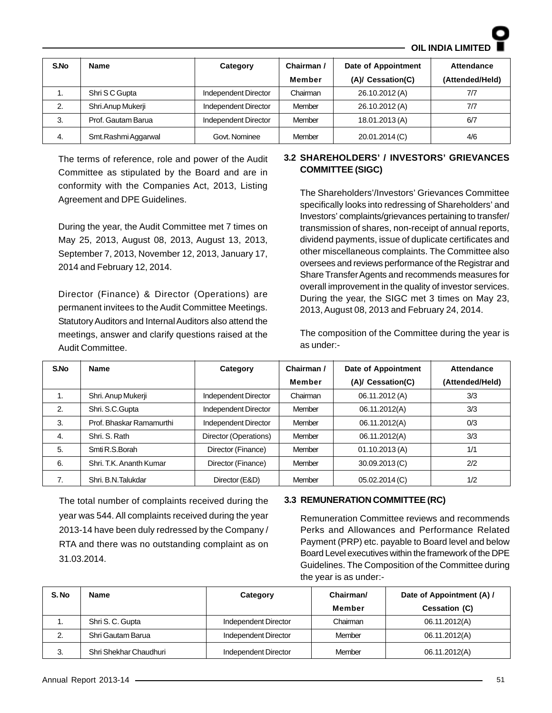| S.No | <b>Name</b>         | Category             | Chairman / | Date of Appointment | Attendance      |  |
|------|---------------------|----------------------|------------|---------------------|-----------------|--|
|      |                     |                      | Member     | (A)/ Cessation(C)   | (Attended/Held) |  |
|      | Shri S C Gupta      | Independent Director | Chairman   | 26.10.2012 (A)      | 7/7             |  |
| 2.   | Shri.Anup Mukerji   | Independent Director | Member     | 26.10.2012 (A)      | 7/7             |  |
| 3.   | Prof. Gautam Barua  | Independent Director | Member     | 18.01.2013 (A)      | 6/7             |  |
| -4.  | Smt.Rashmi Aggarwal | Govt. Nominee        | Member     | 20.01.2014 (C)      | 4/6             |  |

The terms of reference, role and power of the Audit Committee as stipulated by the Board and are in conformity with the Companies Act, 2013, Listing Agreement and DPE Guidelines.

During the year, the Audit Committee met 7 times on May 25, 2013, August 08, 2013, August 13, 2013, September 7, 2013, November 12, 2013, January 17, 2014 and February 12, 2014.

Director (Finance) & Director (Operations) are permanent invitees to the Audit Committee Meetings. Statutory Auditors and Internal Auditors also attend the meetings, answer and clarify questions raised at the Audit Committee.

#### **3.2 SHAREHOLDERS' / INVESTORS' GRIEVANCES COMMITTEE (SIGC)**

The Shareholders'/Investors' Grievances Committee specifically looks into redressing of Shareholders' and Investors' complaints/grievances pertaining to transfer/ transmission of shares, non-receipt of annual reports, dividend payments, issue of duplicate certificates and other miscellaneous complaints. The Committee also oversees and reviews performance of the Registrar and Share Transfer Agents and recommends measures for overall improvement in the quality of investor services. During the year, the SIGC met 3 times on May 23, 2013, August 08, 2013 and February 24, 2014.

The composition of the Committee during the year is as under:-

| S.No | <b>Name</b>              | Category              | Chairman / | Date of Appointment | Attendance      |
|------|--------------------------|-----------------------|------------|---------------------|-----------------|
|      |                          |                       | Member     | (A)/ Cessation(C)   | (Attended/Held) |
| 1.   | Shri. Anup Mukerji       | Independent Director  | Chairman   | 06.11.2012(A)       | 3/3             |
| 2.   | Shri. S.C. Gupta         | Independent Director  | Member     | 06.11.2012(A)       | 3/3             |
| 3.   | Prof. Bhaskar Ramamurthi | Independent Director  | Member     | 06.11.2012(A)       | 0/3             |
| 4.   | Shri, S. Rath            | Director (Operations) | Member     | 06.11.2012(A)       | 3/3             |
| 5.   | Smti R.S.Borah           | Director (Finance)    | Member     | 01.10.2013(A)       | 1/1             |
| 6.   | Shri, T.K. Ananth Kumar  | Director (Finance)    | Member     | 30.09.2013(C)       | 2/2             |
| 7.   | Shri, B.N.Talukdar       | Director (E&D)        | Member     | 05.02.2014 (C)      | 1/2             |

The total number of complaints received during the year was 544. All complaints received during the year 2013-14 have been duly redressed by the Company / RTA and there was no outstanding complaint as on 31.03.2014.

#### **3.3 REMUNERATION COMMITTEE (RC)**

Remuneration Committee reviews and recommends Perks and Allowances and Performance Related Payment (PRP) etc. payable to Board level and below Board Level executives within the framework of the DPE Guidelines. The Composition of the Committee during the year is as under:-

| S. No   | Name                   | Category             | Chairman/ | Date of Appointment (A) / |
|---------|------------------------|----------------------|-----------|---------------------------|
|         |                        |                      | Member    | Cessation (C)             |
|         | Shri S. C. Gupta       | Independent Director | Chairman  | 06.11.2012(A)             |
| C<br>z. | Shri Gautam Barua      | Independent Director | Member    | 06.11.2012(A)             |
| 3.      | Shri Shekhar Chaudhuri | Independent Director | Member    | 06.11.2012(A)             |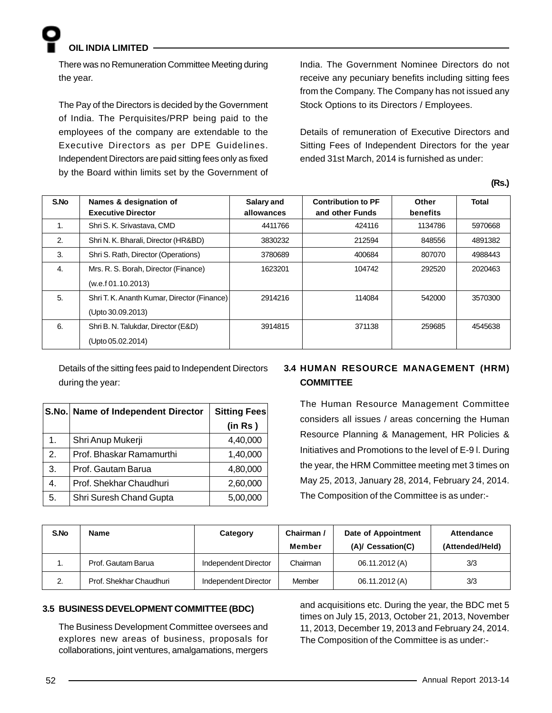There was no Remuneration Committee Meeting during the year.

The Pay of the Directors is decided by the Government of India. The Perquisites/PRP being paid to the employees of the company are extendable to the Executive Directors as per DPE Guidelines. Independent Directors are paid sitting fees only as fixed by the Board within limits set by the Government of

India. The Government Nominee Directors do not receive any pecuniary benefits including sitting fees from the Company. The Company has not issued any Stock Options to its Directors / Employees.

Details of remuneration of Executive Directors and Sitting Fees of Independent Directors for the year ended 31st March, 2014 is furnished as under:

**(Rs.)**

| S.No           | Names & designation of<br><b>Executive Director</b> | Salary and<br>allowances | <b>Contribution to PF</b><br>and other Funds | Other<br>benefits | <b>Total</b> |
|----------------|-----------------------------------------------------|--------------------------|----------------------------------------------|-------------------|--------------|
| $\mathbf{1}$ . | Shri S. K. Srivastava, CMD                          | 4411766                  | 424116                                       | 1134786           | 5970668      |
| 2.             | Shri N. K. Bharali, Director (HR&BD)                | 3830232                  | 212594                                       | 848556            | 4891382      |
| 3.             | Shri S. Rath, Director (Operations)                 | 3780689                  | 400684                                       | 807070            | 4988443      |
| 4.             | Mrs. R. S. Borah, Director (Finance)                | 1623201                  | 104742                                       | 292520            | 2020463      |
|                | (w.e.f 01.10.2013)                                  |                          |                                              |                   |              |
| 5.             | Shri T. K. Ananth Kumar, Director (Finance)         | 2914216                  | 114084                                       | 542000            | 3570300      |
|                | (Upto 30.09.2013)                                   |                          |                                              |                   |              |
| 6.             | Shri B. N. Talukdar, Director (E&D)                 | 3914815                  | 371138                                       | 259685            | 4545638      |
|                | (Upto 05.02.2014)                                   |                          |                                              |                   |              |

Details of the sitting fees paid to Independent Directors during the year:

|                | S.No. Name of Independent Director | <b>Sitting Fees</b> |
|----------------|------------------------------------|---------------------|
|                |                                    | (in Rs)             |
| $\mathbf{1}$ . | Shri Anup Mukerji                  | 4,40,000            |
| 2 <sub>1</sub> | Prof. Bhaskar Ramamurthi           | 1,40,000            |
| 3.             | Prof. Gautam Barua                 | 4,80,000            |
| 4.             | Prof. Shekhar Chaudhuri            | 2,60,000            |
| 5.             | Shri Suresh Chand Gupta            | 5,00,000            |

# **3.4 HUMAN RESOURCE MANAGEMENT (HRM) COMMITTEE**

The Human Resource Management Committee considers all issues / areas concerning the Human Resource Planning & Management, HR Policies & Initiatives and Promotions to the level of E-9 l. During the year, the HRM Committee meeting met 3 times on May 25, 2013, January 28, 2014, February 24, 2014. The Composition of the Committee is as under:-

| S.No | Name                    | Category             | Chairman /<br>Member | Date of Appointment<br>(A)/ Cessation(C) | <b>Attendance</b><br>(Attended/Held) |
|------|-------------------------|----------------------|----------------------|------------------------------------------|--------------------------------------|
|      | Prof. Gautam Barua      | Independent Director | Chairman             | 06.11.2012 (A)                           | 3/3                                  |
| 2.   | Prof. Shekhar Chaudhuri | Independent Director | Member               | 06.11.2012 (A)                           | 3/3                                  |

# **3.5 BUSINESS DEVELOPMENT COMMITTEE (BDC)**

The Business Development Committee oversees and explores new areas of business, proposals for collaborations, joint ventures, amalgamations, mergers

and acquisitions etc. During the year, the BDC met 5 times on July 15, 2013, October 21, 2013, November 11, 2013, December 19, 2013 and February 24, 2014. The Composition of the Committee is as under:-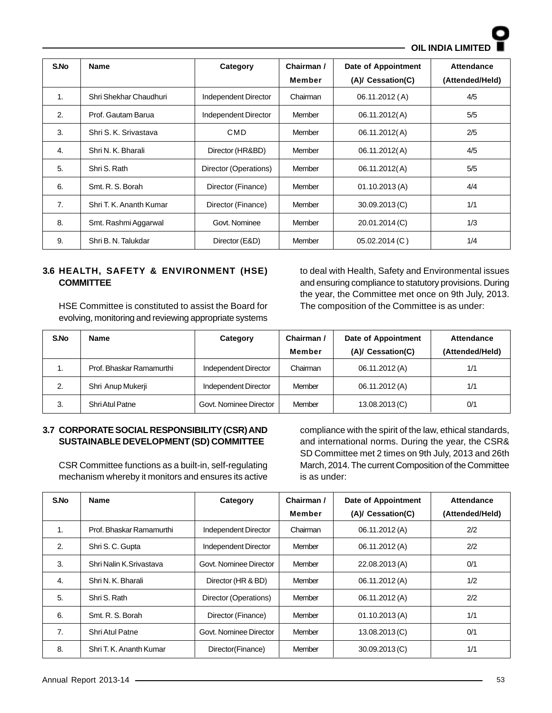| S.No           | <b>Name</b>             | Category              | Chairman / | Date of Appointment | Attendance      |
|----------------|-------------------------|-----------------------|------------|---------------------|-----------------|
|                |                         |                       | Member     | (A)/ Cessation(C)   | (Attended/Held) |
| $\mathbf{1}$ . | Shri Shekhar Chaudhuri  | Independent Director  | Chairman   | 06.11.2012 (A)      | 4/5             |
| 2.             | Prof. Gautam Barua      | Independent Director  | Member     | 06.11.2012(A)       | 5/5             |
| 3.             | Shri S. K. Srivastava   | CMD                   | Member     | 06.11.2012(A)       | 2/5             |
| 4.             | Shri N. K. Bharali      | Director (HR&BD)      | Member     | 06.11.2012(A)       | 4/5             |
| 5.             | Shri S. Rath            | Director (Operations) | Member     | 06.11.2012(A)       | 5/5             |
| 6.             | Smt. R. S. Borah        | Director (Finance)    | Member     | 01.10.2013(A)       | 4/4             |
| 7 <sub>1</sub> | Shri T. K. Ananth Kumar | Director (Finance)    | Member     | 30.09.2013 (C)      | 1/1             |
| 8.             | Smt. Rashmi Aggarwal    | Govt. Nominee         | Member     | 20.01.2014 (C)      | 1/3             |
| 9.             | Shri B. N. Talukdar     | Director (E&D)        | Member     | 05.02.2014 (C)      | 1/4             |

#### **3.6 HEALTH, SAFETY & ENVIRONMENT (HSE) COMMITTEE**

HSE Committee is constituted to assist the Board for evolving, monitoring and reviewing appropriate systems to deal with Health, Safety and Environmental issues and ensuring compliance to statutory provisions. During the year, the Committee met once on 9th July, 2013. The composition of the Committee is as under:

| S.No | <b>Name</b>              | Category               | Chairman / | Date of Appointment | Attendance      |
|------|--------------------------|------------------------|------------|---------------------|-----------------|
|      |                          |                        | Member     | (A)/ Cessation(C)   | (Attended/Held) |
|      | Prof. Bhaskar Ramamurthi | Independent Director   | Chairman   | 06.11.2012 (A)      | 1/1             |
| 2.   | Shri Anup Mukerji        | Independent Director   | Member     | 06.11.2012(A)       | 1/1             |
| 3.   | Shri Atul Patne          | Govt. Nominee Director | Member     | 13.08.2013(C)       | O/1             |

#### **3.7 CORPORATE SOCIAL RESPONSIBILITY (CSR) AND SUSTAINABLE DEVELOPMENT (SD) COMMITTEE**

CSR Committee functions as a built-in, self-regulating mechanism whereby it monitors and ensures its active compliance with the spirit of the law, ethical standards, and international norms. During the year, the CSR& SD Committee met 2 times on 9th July, 2013 and 26th March, 2014. The current Composition of the Committee is as under:

| S.No           | <b>Name</b>              | Category                        | Chairman / | Date of Appointment | <b>Attendance</b> |
|----------------|--------------------------|---------------------------------|------------|---------------------|-------------------|
|                |                          |                                 | Member     | (A)/ Cessation(C)   | (Attended/Held)   |
| $\mathbf{1}$ . | Prof. Bhaskar Ramamurthi | Independent Director            | Chairman   | 06.11.2012 (A)      | 2/2               |
| 2.             | Shri S. C. Gupta         | Independent Director            | Member     |                     | 2/2               |
| 3.             | Shri Nalin K.Srivastava  | Govt. Nominee Director          | Member     | 22.08.2013 (A)      | 0/1               |
| 4.             | Shri N. K. Bharali       | Director (HR & BD)              | Member     | 06.11.2012 (A)      | 1/2               |
| 5.             | Shri S. Rath             | Director (Operations)<br>Member |            | 06.11.2012 (A)      | 2/2               |
| 6.             | Smt. R. S. Borah         | Director (Finance)              | Member     | 01.10.2013(A)       | 1/1               |
| 7.             | Shri Atul Patne          | Govt. Nominee Director          | Member     | 13.08.2013(C)       | 0/1               |
| 8.             | Shri T. K. Ananth Kumar  | Director(Finance)               | Member     | 30.09.2013(C)       | 1/1               |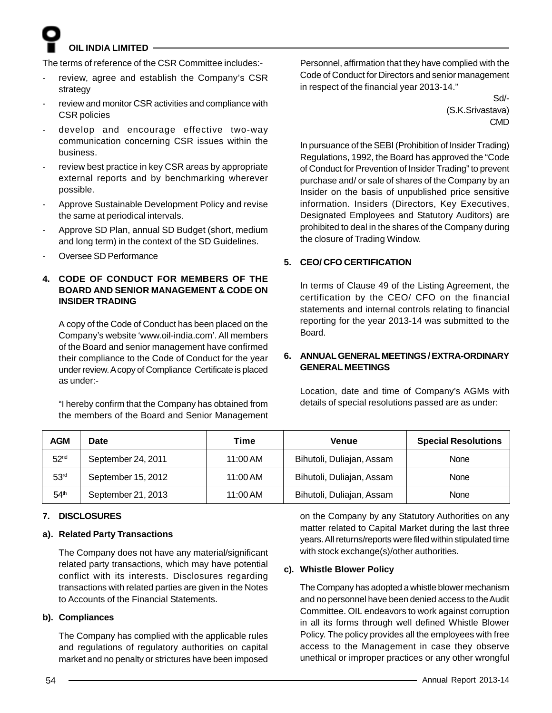The terms of reference of the CSR Committee includes:-

- review, agree and establish the Company's CSR strategy
- review and monitor CSR activities and compliance with CSR policies
- develop and encourage effective two-way communication concerning CSR issues within the business.
- review best practice in key CSR areas by appropriate external reports and by benchmarking wherever possible.
- Approve Sustainable Development Policy and revise the same at periodical intervals.
- Approve SD Plan, annual SD Budget (short, medium and long term) in the context of the SD Guidelines.
- Oversee SD Performance

#### **4. CODE OF CONDUCT FOR MEMBERS OF THE BOARD AND SENIOR MANAGEMENT & CODE ON INSIDER TRADING**

A copy of the Code of Conduct has been placed on the Company's website 'www.oil-india.com'. All members of the Board and senior management have confirmed their compliance to the Code of Conduct for the year under review. A copy of Compliance Certificate is placed as under:-

"I hereby confirm that the Company has obtained from the members of the Board and Senior Management

Personnel, affirmation that they have complied with the Code of Conduct for Directors and senior management in respect of the financial year 2013-14."

> Sd/- (S.K.Srivastava) CMD

In pursuance of the SEBI (Prohibition of Insider Trading) Regulations, 1992, the Board has approved the "Code of Conduct for Prevention of Insider Trading" to prevent purchase and/ or sale of shares of the Company by an Insider on the basis of unpublished price sensitive information. Insiders (Directors, Key Executives, Designated Employees and Statutory Auditors) are prohibited to deal in the shares of the Company during the closure of Trading Window.

#### **5. CEO/ CFO CERTIFICATION**

In terms of Clause 49 of the Listing Agreement, the certification by the CEO/ CFO on the financial statements and internal controls relating to financial reporting for the year 2013-14 was submitted to the Board.

#### **6. ANNUAL GENERAL MEETINGS / EXTRA-ORDINARY GENERAL MEETINGS**

Location, date and time of Company's AGMs with details of special resolutions passed are as under:

| <b>AGM</b>       | <b>Date</b>        | Time       | Venue                     | <b>Special Resolutions</b> |
|------------------|--------------------|------------|---------------------------|----------------------------|
| 52 <sup>nd</sup> | September 24, 2011 | $11:00$ AM | Bihutoli, Duliajan, Assam | <b>None</b>                |
| 53 <sup>rd</sup> | September 15, 2012 | 11:00 AM   | Bihutoli, Duliajan, Assam | <b>None</b>                |
| 54 <sup>th</sup> | September 21, 2013 | 11:00 AM   | Bihutoli, Duliajan, Assam | <b>None</b>                |

#### **7. DISCLOSURES**

#### **a). Related Party Transactions**

The Company does not have any material/significant related party transactions, which may have potential conflict with its interests. Disclosures regarding transactions with related parties are given in the Notes to Accounts of the Financial Statements.

#### **b). Compliances**

The Company has complied with the applicable rules and regulations of regulatory authorities on capital market and no penalty or strictures have been imposed on the Company by any Statutory Authorities on any matter related to Capital Market during the last three years. All returns/reports were filed within stipulated time with stock exchange(s)/other authorities.

# **c). Whistle Blower Policy**

The Company has adopted a whistle blower mechanism and no personnel have been denied access to the Audit Committee. OIL endeavors to work against corruption in all its forms through well defined Whistle Blower Policy. The policy provides all the employees with free access to the Management in case they observe unethical or improper practices or any other wrongful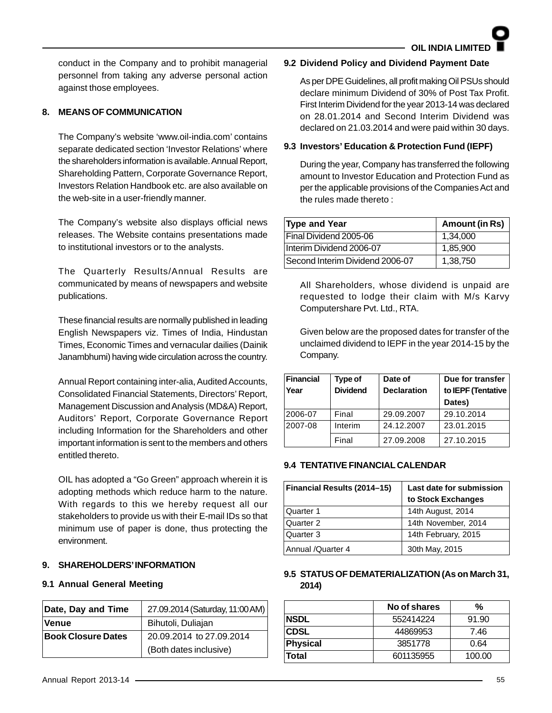conduct in the Company and to prohibit managerial personnel from taking any adverse personal action against those employees.

#### **8. MEANS OF COMMUNICATION**

The Company's website 'www.oil-india.com' contains separate dedicated section 'Investor Relations' where the shareholders information is available. Annual Report, Shareholding Pattern, Corporate Governance Report, Investors Relation Handbook etc. are also available on the web-site in a user-friendly manner.

The Company's website also displays official news releases. The Website contains presentations made to institutional investors or to the analysts.

The Quarterly Results/Annual Results are communicated by means of newspapers and website publications.

These financial results are normally published in leading English Newspapers viz. Times of India, Hindustan Times, Economic Times and vernacular dailies (Dainik Janambhumi) having wide circulation across the country.

Annual Report containing inter-alia, Audited Accounts, Consolidated Financial Statements, Directors' Report, Management Discussion and Analysis (MD&A) Report, Auditors' Report, Corporate Governance Report including Information for the Shareholders and other important information is sent to the members and others entitled thereto.

OIL has adopted a "Go Green" approach wherein it is adopting methods which reduce harm to the nature. With regards to this we hereby request all our stakeholders to provide us with their E-mail IDs so that minimum use of paper is done, thus protecting the environment.

#### **9. SHAREHOLDERS' INFORMATION**

#### **9.1 Annual General Meeting**

| Date, Day and Time        | 27.09.2014 (Saturday, 11:00 AM) |
|---------------------------|---------------------------------|
| <u> Venue</u>             | Bihutoli, Duliajan              |
| <b>Book Closure Dates</b> | 20.09.2014 to 27.09.2014        |
|                           | (Both dates inclusive)          |

# Annual Report 2013-14 55

# **9.2 Dividend Policy and Dividend Payment Date**

As per DPE Guidelines, all profit making Oil PSUs should declare minimum Dividend of 30% of Post Tax Profit. First Interim Dividend for the year 2013-14 was declared on 28.01.2014 and Second Interim Dividend was declared on 21.03.2014 and were paid within 30 days.

# **9.3 Investors' Education & Protection Fund (IEPF)**

During the year, Company has transferred the following amount to Investor Education and Protection Fund as per the applicable provisions of the Companies Act and the rules made thereto :

| Type and Year                   | Amount (in Rs) |
|---------------------------------|----------------|
| Final Dividend 2005-06          | 1.34.000       |
| Interim Dividend 2006-07        | 1,85,900       |
| Second Interim Dividend 2006-07 | 1,38,750       |

All Shareholders, whose dividend is unpaid are requested to lodge their claim with M/s Karvy Computershare Pvt. Ltd., RTA.

Given below are the proposed dates for transfer of the unclaimed dividend to IEPF in the year 2014-15 by the Company.

| Financial<br>Year | Type of<br><b>Dividend</b> | Date of<br><b>Declaration</b> | Due for transfer<br>to IEPF (Tentative |
|-------------------|----------------------------|-------------------------------|----------------------------------------|
|                   |                            |                               | Dates)                                 |
| 2006-07           | Final                      | 29.09.2007                    | 29.10.2014                             |
| 2007-08           | Interim                    | 24.12.2007                    | 23.01.2015                             |
|                   | Final                      | 27.09.2008                    | 27.10.2015                             |

#### **9.4 TENTATIVE FINANCIAL CALENDAR**

| Financial Results (2014–15) | Last date for submission |  |  |
|-----------------------------|--------------------------|--|--|
|                             | to Stock Exchanges       |  |  |
| Quarter 1                   | 14th August, 2014        |  |  |
| Quarter 2                   | 14th November, 2014      |  |  |
| Quarter 3                   | 14th February, 2015      |  |  |
| Annual /Quarter 4           | 30th May, 2015           |  |  |

#### **9.5 STATUS OF DEMATERIALIZATION (As on March 31, 2014)**

|              | No of shares | %      |
|--------------|--------------|--------|
| <b>NSDL</b>  | 552414224    | 91.90  |
| <b>CDSL</b>  | 44869953     | 7.46   |
| Physical     | 3851778      | 0.64   |
| <b>Total</b> | 601135955    | 100.00 |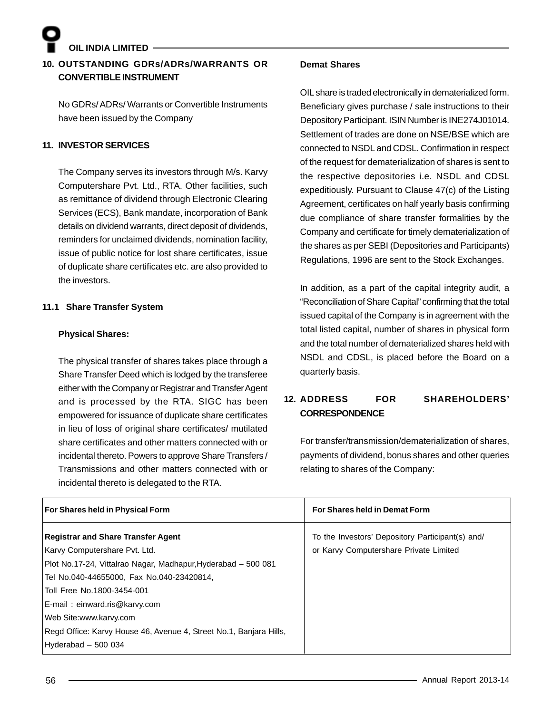# **10. OUTSTANDING GDRs/ADRs/WARRANTS OR CONVERTIBLE INSTRUMENT**

No GDRs/ ADRs/ Warrants or Convertible Instruments have been issued by the Company

### **11. INVESTOR SERVICES**

The Company serves its investors through M/s. Karvy Computershare Pvt. Ltd., RTA. Other facilities, such as remittance of dividend through Electronic Clearing Services (ECS), Bank mandate, incorporation of Bank details on dividend warrants, direct deposit of dividends, reminders for unclaimed dividends, nomination facility, issue of public notice for lost share certificates, issue of duplicate share certificates etc. are also provided to the investors.

#### **11.1 Share Transfer System**

#### **Physical Shares:**

The physical transfer of shares takes place through a Share Transfer Deed which is lodged by the transferee either with the Company or Registrar and Transfer Agent and is processed by the RTA. SIGC has been empowered for issuance of duplicate share certificates in lieu of loss of original share certificates/ mutilated share certificates and other matters connected with or incidental thereto. Powers to approve Share Transfers / Transmissions and other matters connected with or incidental thereto is delegated to the RTA.

### **Demat Shares**

OIL share is traded electronically in dematerialized form. Beneficiary gives purchase / sale instructions to their Depository Participant. ISIN Number is INE274J01014. Settlement of trades are done on NSE/BSE which are connected to NSDL and CDSL. Confirmation in respect of the request for dematerialization of shares is sent to the respective depositories i.e. NSDL and CDSL expeditiously. Pursuant to Clause 47(c) of the Listing Agreement, certificates on half yearly basis confirming due compliance of share transfer formalities by the Company and certificate for timely dematerialization of the shares as per SEBI (Depositories and Participants) Regulations, 1996 are sent to the Stock Exchanges.

In addition, as a part of the capital integrity audit, a "Reconciliation of Share Capital" confirming that the total issued capital of the Company is in agreement with the total listed capital, number of shares in physical form and the total number of dematerialized shares held with NSDL and CDSL, is placed before the Board on a quarterly basis.

# **12. ADDRESS FOR SHAREHOLDERS' CORRESPONDENCE**

For transfer/transmission/dematerialization of shares, payments of dividend, bonus shares and other queries relating to shares of the Company:

| For Shares held in Physical Form                                                                                                                                                                                                                                                  | For Shares held in Demat Form                                                              |
|-----------------------------------------------------------------------------------------------------------------------------------------------------------------------------------------------------------------------------------------------------------------------------------|--------------------------------------------------------------------------------------------|
| <b>Registrar and Share Transfer Agent</b><br>Karvy Computershare Pvt. Ltd.<br>Plot No.17-24, Vittalrao Nagar, Madhapur, Hyderabad - 500 081<br>Tel No.040-44655000, Fax No.040-23420814,<br>Toll Free No.1800-3454-001<br>E-mail: einward.ris@karvy.com<br>Web Site:www.karvy.com | To the Investors' Depository Participant(s) and/<br>or Karvy Computershare Private Limited |
| Regd Office: Karvy House 46, Avenue 4, Street No.1, Banjara Hills,<br>Hyderabad $-500034$                                                                                                                                                                                         |                                                                                            |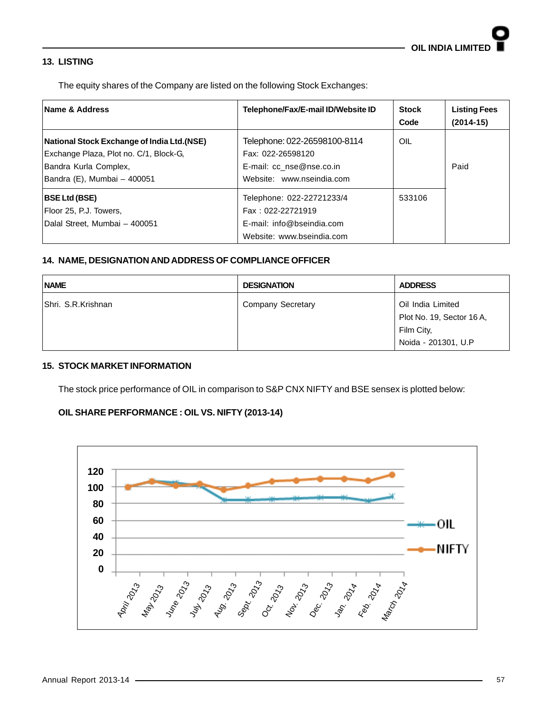# **13. LISTING**

The equity shares of the Company are listed on the following Stock Exchanges:

| <b>Name &amp; Address</b>                                                                                                                            | Telephone/Fax/E-mail ID/Website ID                                                                         | <b>Stock</b><br>Code | <b>Listing Fees</b><br>(2014-15) |
|------------------------------------------------------------------------------------------------------------------------------------------------------|------------------------------------------------------------------------------------------------------------|----------------------|----------------------------------|
| <b>National Stock Exchange of India Ltd.(NSE)</b><br>Exchange Plaza, Plot no. C/1, Block-G,<br>Bandra Kurla Complex,<br> Bandra (E), Mumbai - 400051 | Telephone: 022-26598100-8114<br>Fax: 022-26598120<br>E-mail: cc_nse@nse.co.in<br>Website: www.nseindia.com | OIL                  | Paid                             |
| BSE Ltd (BSE)<br>Floor 25, P.J. Towers,<br>Dalal Street, Mumbai - 400051                                                                             | Telephone: 022-22721233/4<br>Fax: 022-22721919<br>E-mail: info@bseindia.com<br>Website: www.bseindia.com   | 533106               |                                  |

#### **14. NAME, DESIGNATION AND ADDRESS OF COMPLIANCE OFFICER**

| <b>NAME</b>         | <b>DESIGNATION</b>       | <b>ADDRESS</b>            |
|---------------------|--------------------------|---------------------------|
| IShri, S.R.Krishnan | <b>Company Secretary</b> | Oil India Limited         |
|                     |                          | Plot No. 19, Sector 16 A, |
|                     |                          | Film City,                |
|                     |                          | Noida - 201301, U.P       |

#### **15. STOCK MARKET INFORMATION**

The stock price performance of OIL in comparison to S&P CNX NIFTY and BSE sensex is plotted below:

# **OIL SHARE PERFORMANCE : OIL VS. NIFTY (2013-14)**

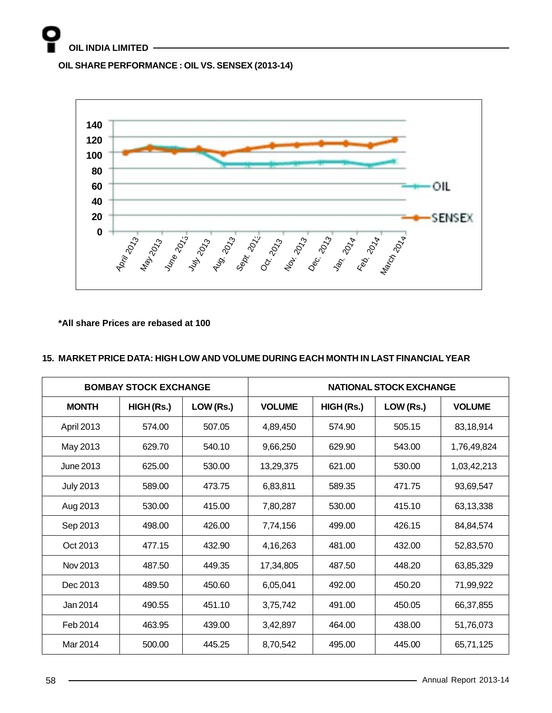**OIL SHARE PERFORMANCE : OIL VS. SENSEX (2013-14)**



# **\*All share Prices are rebased at 100**

### **15. MARKET PRICE DATA: HIGH LOW AND VOLUME DURING EACH MONTH IN LAST FINANCIAL YEAR**

|                  | <b>BOMBAY STOCK EXCHANGE</b><br><b>NATIONAL STOCK EXCHANGE</b> |           |               |            |           |               |
|------------------|----------------------------------------------------------------|-----------|---------------|------------|-----------|---------------|
| <b>MONTH</b>     | HIGH (Rs.)                                                     | LOW (Rs.) | <b>VOLUME</b> | HIGH (Rs.) | LOW (Rs.) | <b>VOLUME</b> |
| April 2013       | 574.00                                                         | 507.05    | 4,89,450      | 574.90     | 505.15    | 83,18,914     |
| May 2013         | 629.70                                                         | 540.10    | 9,66,250      | 629.90     | 543.00    | 1,76,49,824   |
| June 2013        | 625.00                                                         | 530.00    | 13,29,375     | 621.00     | 530.00    | 1,03,42,213   |
| <b>July 2013</b> | 589.00                                                         | 473.75    | 6,83,811      | 589.35     | 471.75    | 93,69,547     |
| Aug 2013         | 530.00                                                         | 415.00    | 7,80,287      | 530.00     | 415.10    | 63,13,338     |
| Sep 2013         | 498.00                                                         | 426.00    | 7,74,156      | 499.00     | 426.15    | 84,84,574     |
| Oct 2013         | 477.15                                                         | 432.90    | 4,16,263      | 481.00     | 432.00    | 52,83,570     |
| Nov 2013         | 487.50                                                         | 449.35    | 17,34,805     | 487.50     | 448.20    | 63,85,329     |
| Dec 2013         | 489.50                                                         | 450.60    | 6,05,041      | 492.00     | 450.20    | 71,99,922     |
| Jan 2014         | 490.55                                                         | 451.10    | 3,75,742      | 491.00     | 450.05    | 66,37,855     |
| Feb 2014         | 463.95                                                         | 439.00    | 3,42,897      | 464.00     | 438.00    | 51,76,073     |
| Mar 2014         | 500.00                                                         | 445.25    | 8,70,542      | 495.00     | 445.00    | 65,71,125     |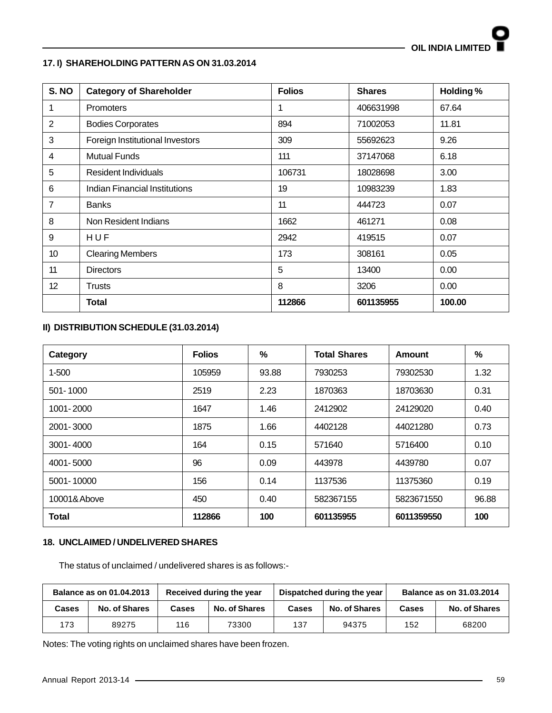#### **17. I) SHAREHOLDING PATTERN AS ON 31.03.2014**

| S. NO | <b>Category of Shareholder</b>       | <b>Folios</b> | <b>Shares</b> | Holding % |
|-------|--------------------------------------|---------------|---------------|-----------|
| 1     | Promoters                            | 1             | 406631998     | 67.64     |
| 2     | <b>Bodies Corporates</b>             | 894           | 71002053      | 11.81     |
| 3     | Foreign Institutional Investors      | 309           | 55692623      | 9.26      |
| 4     | <b>Mutual Funds</b>                  | 111           | 37147068      | 6.18      |
| 5     | Resident Individuals                 | 106731        | 18028698      | 3.00      |
| 6     | <b>Indian Financial Institutions</b> | 19            | 10983239      | 1.83      |
| 7     | <b>Banks</b>                         | 11            | 444723        | 0.07      |
| 8     | Non Resident Indians                 | 1662          | 461271        | 0.08      |
| 9     | HUF                                  | 2942          | 419515        | 0.07      |
| 10    | <b>Clearing Members</b>              | 173           | 308161        | 0.05      |
| 11    | <b>Directors</b>                     | 5             | 13400         | 0.00      |
| 12    | Trusts                               | 8             | 3206          | 0.00      |
|       | <b>Total</b>                         | 112866        | 601135955     | 100.00    |

# **II) DISTRIBUTION SCHEDULE (31.03.2014)**

| Category     | <b>Folios</b> | %     | <b>Total Shares</b> | Amount     | $\frac{9}{6}$ |
|--------------|---------------|-------|---------------------|------------|---------------|
| 1-500        | 105959        | 93.88 | 7930253             | 79302530   | 1.32          |
| 501-1000     | 2519          | 2.23  | 1870363             | 18703630   | 0.31          |
| 1001-2000    | 1647          | 1.46  | 2412902             | 24129020   | 0.40          |
| 2001-3000    | 1875          | 1.66  | 4402128             | 44021280   | 0.73          |
| 3001-4000    | 164           | 0.15  | 571640              | 5716400    | 0.10          |
| 4001-5000    | 96            | 0.09  | 443978              | 4439780    | 0.07          |
| 5001-10000   | 156           | 0.14  | 1137536             | 11375360   | 0.19          |
| 10001& Above | 450           | 0.40  | 582367155           | 5823671550 | 96.88         |
| <b>Total</b> | 112866        | 100   | 601135955           | 6011359550 | 100           |

#### **18. UNCLAIMED / UNDELIVERED SHARES**

The status of unclaimed / undelivered shares is as follows:-

| <b>Balance as on 01.04.2013</b> |               | Received during the year |               | Dispatched during the year |               |       | Balance as on 31.03.2014 |
|---------------------------------|---------------|--------------------------|---------------|----------------------------|---------------|-------|--------------------------|
| Cases                           | No. of Shares | Cases                    | No. of Shares | Cases                      | No. of Shares | Cases | No. of Shares            |
| 173                             | 89275         | 116                      | 73300         | 137                        | 94375         | 152   | 68200                    |

Notes: The voting rights on unclaimed shares have been frozen.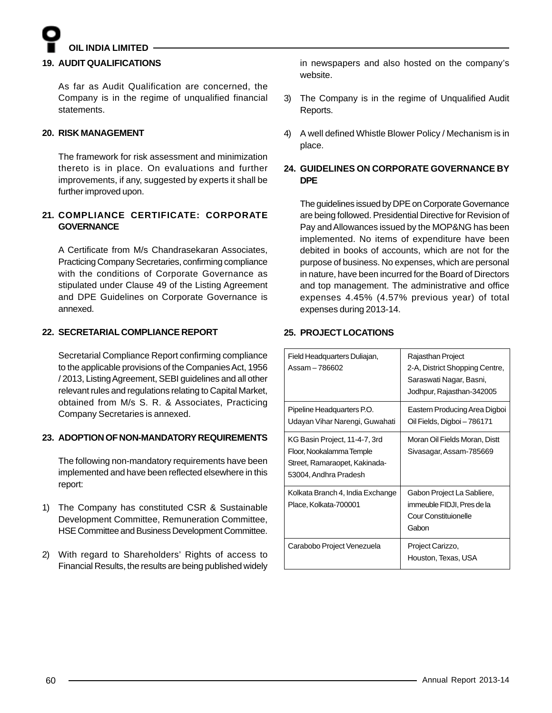#### **19. AUDIT QUALIFICATIONS**

As far as Audit Qualification are concerned, the Company is in the regime of unqualified financial statements.

#### **20. RISK MANAGEMENT**

The framework for risk assessment and minimization thereto is in place. On evaluations and further improvements, if any, suggested by experts it shall be further improved upon.

#### **21. COMPLIANCE CERTIFICATE: CORPORATE GOVERNANCE**

A Certificate from M/s Chandrasekaran Associates, Practicing Company Secretaries, confirming compliance with the conditions of Corporate Governance as stipulated under Clause 49 of the Listing Agreement and DPE Guidelines on Corporate Governance is annexed.

#### **22. SECRETARIAL COMPLIANCE REPORT**

Secretarial Compliance Report confirming compliance to the applicable provisions of the Companies Act, 1956 / 2013, Listing Agreement, SEBI guidelines and all other relevant rules and regulations relating to Capital Market, obtained from M/s S. R. & Associates, Practicing Company Secretaries is annexed.

#### **23. ADOPTION OF NON-MANDATORY REQUIREMENTS**

The following non-mandatory requirements have been implemented and have been reflected elsewhere in this report:

- 1) The Company has constituted CSR & Sustainable Development Committee, Remuneration Committee, HSE Committee and Business Development Committee.
- 2) With regard to Shareholders' Rights of access to Financial Results, the results are being published widely

in newspapers and also hosted on the company's website.

- 3) The Company is in the regime of Unqualified Audit Reports.
- 4) A well defined Whistle Blower Policy / Mechanism is in place.

#### **24. GUIDELINES ON CORPORATE GOVERNANCE BY DPE**

The guidelines issued by DPE on Corporate Governance are being followed. Presidential Directive for Revision of Pay and Allowances issued by the MOP&NG has been implemented. No items of expenditure have been debited in books of accounts, which are not for the purpose of business. No expenses, which are personal in nature, have been incurred for the Board of Directors and top management. The administrative and office expenses 4.45% (4.57% previous year) of total expenses during 2013-14.

#### **25. PROJECT LOCATIONS**

| Field Headquarters Duliajan,<br>Assam - 786602                                                                      | Rajasthan Project<br>2-A, District Shopping Centre,<br>Saraswati Nagar, Basni,<br>Jodhpur, Rajasthan-342005 |
|---------------------------------------------------------------------------------------------------------------------|-------------------------------------------------------------------------------------------------------------|
| Pipeline Headquarters P.O.<br>Udayan Vihar Narengi, Guwahati                                                        | Eastern Producing Area Digboi<br>Oil Fields, Digboi - 786171                                                |
| KG Basin Project, 11-4-7, 3rd<br>Floor, Nookalamma Temple<br>Street, Ramaraopet, Kakinada-<br>53004, Andhra Pradesh | Moran Oil Fields Moran, Distt<br>Sivasagar, Assam-785669                                                    |
| Kolkata Branch 4, India Exchange<br>Place, Kolkata-700001                                                           | Gabon Project La Sabliere,<br>immeuble FIDJI, Pres de la<br>Cour Constituionelle<br>Gabon                   |
| Carabobo Project Venezuela                                                                                          | Project Carizzo,<br>Houston, Texas, USA                                                                     |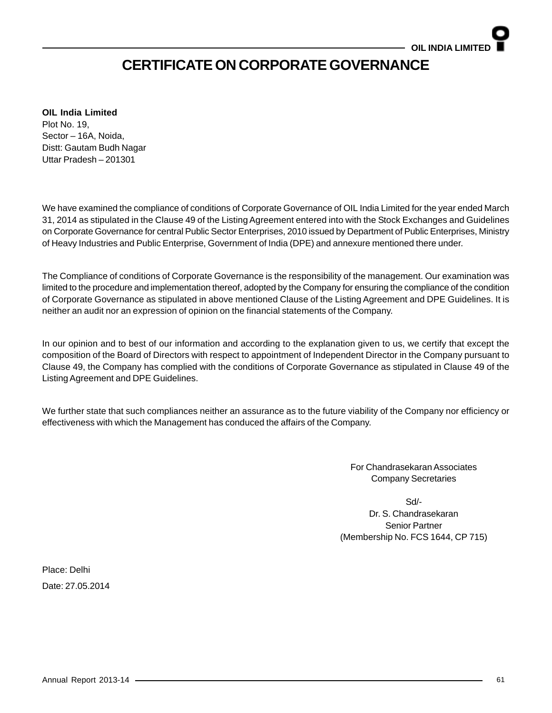# **CERTIFICATE ON CORPORATE GOVERNANCE**

#### **OIL India Limited**

Plot No. 19, Sector – 16A, Noida, Distt: Gautam Budh Nagar Uttar Pradesh – 201301

We have examined the compliance of conditions of Corporate Governance of OIL India Limited for the year ended March 31, 2014 as stipulated in the Clause 49 of the Listing Agreement entered into with the Stock Exchanges and Guidelines on Corporate Governance for central Public Sector Enterprises, 2010 issued by Department of Public Enterprises, Ministry of Heavy Industries and Public Enterprise, Government of India (DPE) and annexure mentioned there under.

The Compliance of conditions of Corporate Governance is the responsibility of the management. Our examination was limited to the procedure and implementation thereof, adopted by the Company for ensuring the compliance of the condition of Corporate Governance as stipulated in above mentioned Clause of the Listing Agreement and DPE Guidelines. It is neither an audit nor an expression of opinion on the financial statements of the Company.

In our opinion and to best of our information and according to the explanation given to us, we certify that except the composition of the Board of Directors with respect to appointment of Independent Director in the Company pursuant to Clause 49, the Company has complied with the conditions of Corporate Governance as stipulated in Clause 49 of the Listing Agreement and DPE Guidelines.

We further state that such compliances neither an assurance as to the future viability of the Company nor efficiency or effectiveness with which the Management has conduced the affairs of the Company.

> For Chandrasekaran Associates Company Secretaries

Sd/- Dr. S. Chandrasekaran Senior Partner (Membership No. FCS 1644, CP 715)

Place: Delhi Date: 27.05.2014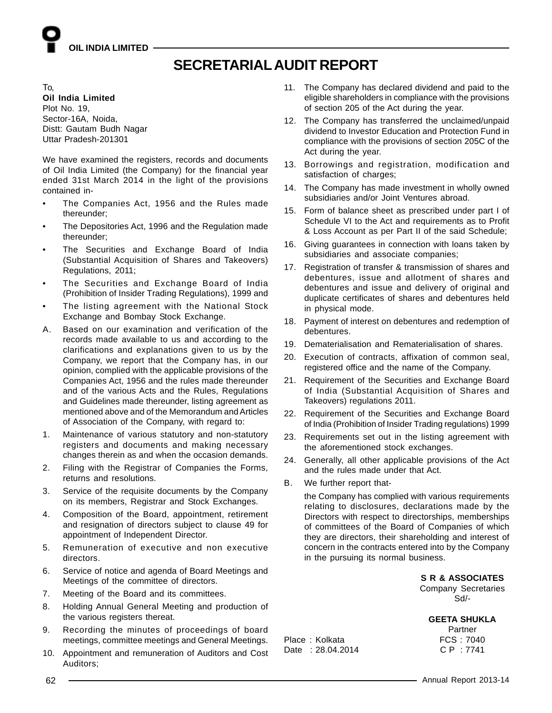

# **SECRETARIAL AUDIT REPORT**

#### To,

**Oil India Limited** Plot No. 19, Sector-16A, Noida, Distt: Gautam Budh Nagar Uttar Pradesh-201301

We have examined the registers, records and documents of Oil India Limited (the Company) for the financial year ended 31st March 2014 in the light of the provisions contained in-

- The Companies Act, 1956 and the Rules made thereunder;
- The Depositories Act, 1996 and the Regulation made thereunder;
- The Securities and Exchange Board of India (Substantial Acquisition of Shares and Takeovers) Regulations, 2011;
- The Securities and Exchange Board of India (Prohibition of Insider Trading Regulations), 1999 and
- The listing agreement with the National Stock Exchange and Bombay Stock Exchange.
- A. Based on our examination and verification of the records made available to us and according to the clarifications and explanations given to us by the Company, we report that the Company has, in our opinion, complied with the applicable provisions of the Companies Act, 1956 and the rules made thereunder and of the various Acts and the Rules, Regulations and Guidelines made thereunder, listing agreement as mentioned above and of the Memorandum and Articles of Association of the Company, with regard to:
- 1. Maintenance of various statutory and non-statutory registers and documents and making necessary changes therein as and when the occasion demands.
- 2. Filing with the Registrar of Companies the Forms, returns and resolutions.
- 3. Service of the requisite documents by the Company on its members, Registrar and Stock Exchanges.
- 4. Composition of the Board, appointment, retirement and resignation of directors subject to clause 49 for appointment of Independent Director.
- 5. Remuneration of executive and non executive directors.
- 6. Service of notice and agenda of Board Meetings and Meetings of the committee of directors.
- 7. Meeting of the Board and its committees.
- 8. Holding Annual General Meeting and production of the various registers thereat.
- 9. Recording the minutes of proceedings of board meetings, committee meetings and General Meetings.
- 10. Appointment and remuneration of Auditors and Cost Auditors;
- 11. The Company has declared dividend and paid to the eligible shareholders in compliance with the provisions of section 205 of the Act during the year.
- 12. The Company has transferred the unclaimed/unpaid dividend to Investor Education and Protection Fund in compliance with the provisions of section 205C of the Act during the year.
- 13. Borrowings and registration, modification and satisfaction of charges;
- 14. The Company has made investment in wholly owned subsidiaries and/or Joint Ventures abroad.
- 15. Form of balance sheet as prescribed under part I of Schedule VI to the Act and requirements as to Profit & Loss Account as per Part II of the said Schedule;
- 16. Giving guarantees in connection with loans taken by subsidiaries and associate companies;
- 17. Registration of transfer & transmission of shares and debentures, issue and allotment of shares and debentures and issue and delivery of original and duplicate certificates of shares and debentures held in physical mode.
- 18. Payment of interest on debentures and redemption of debentures.
- 19. Dematerialisation and Rematerialisation of shares.
- 20. Execution of contracts, affixation of common seal, registered office and the name of the Company.
- 21. Requirement of the Securities and Exchange Board of India (Substantial Acquisition of Shares and Takeovers) regulations 2011.
- 22. Requirement of the Securities and Exchange Board of India (Prohibition of Insider Trading regulations) 1999
- 23. Requirements set out in the listing agreement with the aforementioned stock exchanges.
- 24. Generally, all other applicable provisions of the Act and the rules made under that Act.
- B. We further report that-

the Company has complied with various requirements relating to disclosures, declarations made by the Directors with respect to directorships, memberships of committees of the Board of Companies of which they are directors, their shareholding and interest of concern in the contracts entered into by the Company in the pursuing its normal business.

#### **S R & ASSOCIATES** Company Secretaries

Sd/-

#### **GEETA SHUKLA**

Partner Place : Kolkata FCS : 7040

62 — **Annual Report 2013-14** Annual Report 2013-14

Date : 28.04.2014 C P : 7741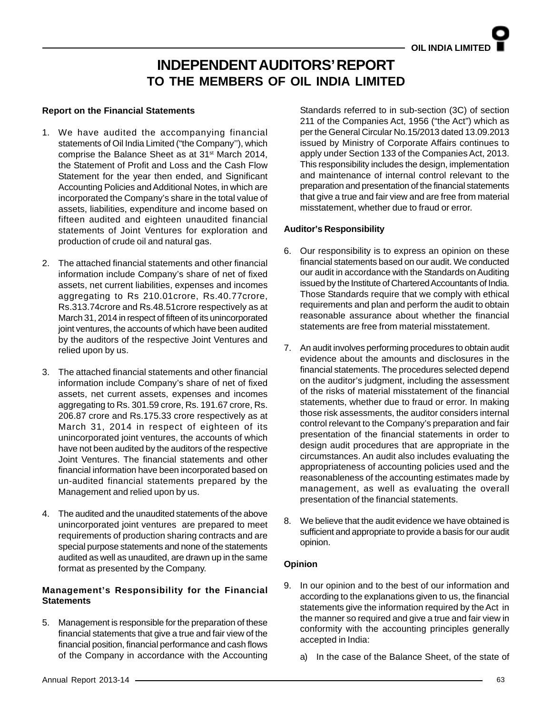# **INDEPENDENT AUDITORS' REPORT TO THE MEMBERS OF OIL INDIA LIMITED**

#### **Report on the Financial Statements**

- 1. We have audited the accompanying financial statements of Oil India Limited ("the Company''), which comprise the Balance Sheet as at 31<sup>st</sup> March 2014, the Statement of Profit and Loss and the Cash Flow Statement for the year then ended, and Significant Accounting Policies and Additional Notes, in which are incorporated the Company's share in the total value of assets, liabilities, expenditure and income based on fifteen audited and eighteen unaudited financial statements of Joint Ventures for exploration and production of crude oil and natural gas.
- 2. The attached financial statements and other financial information include Company's share of net of fixed assets, net current liabilities, expenses and incomes aggregating to Rs 210.01crore, Rs.40.77crore, Rs.313.74crore and Rs.48.51crore respectively as at March 31, 2014 in respect of fifteen of its unincorporated joint ventures, the accounts of which have been audited by the auditors of the respective Joint Ventures and relied upon by us.
- 3. The attached financial statements and other financial information include Company's share of net of fixed assets, net current assets, expenses and incomes aggregating to Rs. 301.59 crore, Rs. 191.67 crore, Rs. 206.87 crore and Rs.175.33 crore respectively as at March 31, 2014 in respect of eighteen of its unincorporated joint ventures, the accounts of which have not been audited by the auditors of the respective Joint Ventures. The financial statements and other financial information have been incorporated based on un-audited financial statements prepared by the Management and relied upon by us.
- 4. The audited and the unaudited statements of the above unincorporated joint ventures are prepared to meet requirements of production sharing contracts and are special purpose statements and none of the statements audited as well as unaudited, are drawn up in the same format as presented by the Company.

#### **Management's Responsibility for the Financial Statements**

5. Management is responsible for the preparation of these financial statements that give a true and fair view of the financial position, financial performance and cash flows of the Company in accordance with the Accounting

Standards referred to in sub-section (3C) of section 211 of the Companies Act, 1956 ("the Act") which as per the General Circular No.15/2013 dated 13.09.2013 issued by Ministry of Corporate Affairs continues to apply under Section 133 of the Companies Act, 2013. This responsibility includes the design, implementation and maintenance of internal control relevant to the preparation and presentation of the financial statements that give a true and fair view and are free from material misstatement, whether due to fraud or error.

#### **Auditor's Responsibility**

- 6. Our responsibility is to express an opinion on these financial statements based on our audit. We conducted our audit in accordance with the Standards on Auditing issued by the Institute of Chartered Accountants of India. Those Standards require that we comply with ethical requirements and plan and perform the audit to obtain reasonable assurance about whether the financial statements are free from material misstatement.
- 7. An audit involves performing procedures to obtain audit evidence about the amounts and disclosures in the financial statements. The procedures selected depend on the auditor's judgment, including the assessment of the risks of material misstatement of the financial statements, whether due to fraud or error. In making those risk assessments, the auditor considers internal control relevant to the Company's preparation and fair presentation of the financial statements in order to design audit procedures that are appropriate in the circumstances. An audit also includes evaluating the appropriateness of accounting policies used and the reasonableness of the accounting estimates made by management, as well as evaluating the overall presentation of the financial statements.
- 8. We believe that the audit evidence we have obtained is sufficient and appropriate to provide a basis for our audit opinion.

#### **Opinion**

- 9. In our opinion and to the best of our information and according to the explanations given to us, the financial statements give the information required by the Act in the manner so required and give a true and fair view in conformity with the accounting principles generally accepted in India:
	- a) In the case of the Balance Sheet, of the state of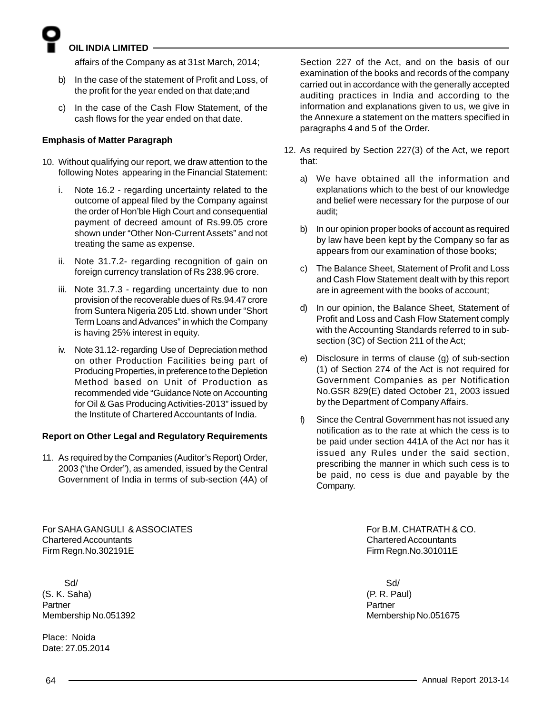affairs of the Company as at 31st March, 2014;

- b) In the case of the statement of Profit and Loss, of the profit for the year ended on that date;and
- c) In the case of the Cash Flow Statement, of the cash flows for the year ended on that date.

#### **Emphasis of Matter Paragraph**

- 10. Without qualifying our report, we draw attention to the following Notes appearing in the Financial Statement:
	- i. Note 16.2 regarding uncertainty related to the outcome of appeal filed by the Company against the order of Hon'ble High Court and consequential payment of decreed amount of Rs.99.05 crore shown under "Other Non-Current Assets" and not treating the same as expense.
	- ii. Note 31.7.2- regarding recognition of gain on foreign currency translation of Rs 238.96 crore.
	- iii. Note 31.7.3 regarding uncertainty due to non provision of the recoverable dues of Rs.94.47 crore from Suntera Nigeria 205 Ltd. shown under "Short Term Loans and Advances" in which the Company is having 25% interest in equity.
	- iv. Note 31.12- regarding Use of Depreciation method on other Production Facilities being part of Producing Properties, in preference to the Depletion Method based on Unit of Production as recommended vide "Guidance Note on Accounting for Oil & Gas Producing Activities-2013" issued by the Institute of Chartered Accountants of India.

#### **Report on Other Legal and Regulatory Requirements**

11. As required by the Companies (Auditor's Report) Order, 2003 ("the Order"), as amended, issued by the Central Government of India in terms of sub-section (4A) of

For SAHA GANGULI & ASSOCIATES FOR B.M. CHATRATH & CO. Chartered Accountants Chartered Accountants Firm Regn.No.302191E Firm Regn.No.301011E

Sd/ Sd/ (S. K. Saha) (P. R. Paul) Partner Partner Membership No.051392 Membership No.051675

Place: Noida Date: 27.05.2014 Section 227 of the Act, and on the basis of our examination of the books and records of the company carried out in accordance with the generally accepted auditing practices in India and according to the information and explanations given to us, we give in the Annexure a statement on the matters specified in paragraphs 4 and 5 of the Order.

- 12. As required by Section 227(3) of the Act, we report that:
	- a) We have obtained all the information and explanations which to the best of our knowledge and belief were necessary for the purpose of our audit;
	- b) In our opinion proper books of account as required by law have been kept by the Company so far as appears from our examination of those books;
	- c) The Balance Sheet, Statement of Profit and Loss and Cash Flow Statement dealt with by this report are in agreement with the books of account;
	- d) In our opinion, the Balance Sheet, Statement of Profit and Loss and Cash Flow Statement comply with the Accounting Standards referred to in subsection (3C) of Section 211 of the Act;
	- e) Disclosure in terms of clause (g) of sub-section (1) of Section 274 of the Act is not required for Government Companies as per Notification No.GSR 829(E) dated October 21, 2003 issued by the Department of Company Affairs.
	- f) Since the Central Government has not issued any notification as to the rate at which the cess is to be paid under section 441A of the Act nor has it issued any Rules under the said section, prescribing the manner in which such cess is to be paid, no cess is due and payable by the Company.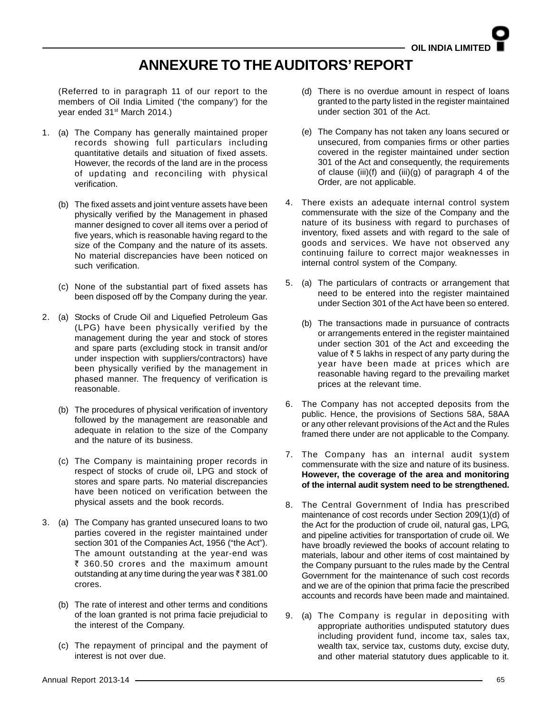# **ANNEXURE TO THE AUDITORS' REPORT**

(Referred to in paragraph 11 of our report to the members of Oil India Limited ('the company') for the year ended 31<sup>st</sup> March 2014.)

- 1. (a) The Company has generally maintained proper records showing full particulars including quantitative details and situation of fixed assets. However, the records of the land are in the process of updating and reconciling with physical verification.
	- (b) The fixed assets and joint venture assets have been physically verified by the Management in phased manner designed to cover all items over a period of five years, which is reasonable having regard to the size of the Company and the nature of its assets. No material discrepancies have been noticed on such verification.
	- (c) None of the substantial part of fixed assets has been disposed off by the Company during the year.
- 2. (a) Stocks of Crude Oil and Liquefied Petroleum Gas (LPG) have been physically verified by the management during the year and stock of stores and spare parts (excluding stock in transit and/or under inspection with suppliers/contractors) have been physically verified by the management in phased manner. The frequency of verification is reasonable.
	- (b) The procedures of physical verification of inventory followed by the management are reasonable and adequate in relation to the size of the Company and the nature of its business.
	- (c) The Company is maintaining proper records in respect of stocks of crude oil, LPG and stock of stores and spare parts. No material discrepancies have been noticed on verification between the physical assets and the book records.
- 3. (a) The Company has granted unsecured loans to two parties covered in the register maintained under section 301 of the Companies Act, 1956 ("the Act"). The amount outstanding at the year-end was ₹ 360.50 crores and the maximum amount outstanding at any time during the year was  $\bar{z}$  381.00 crores.
	- (b) The rate of interest and other terms and conditions of the loan granted is not prima facie prejudicial to the interest of the Company.
	- (c) The repayment of principal and the payment of interest is not over due.
- (d) There is no overdue amount in respect of loans granted to the party listed in the register maintained under section 301 of the Act.
- (e) The Company has not taken any loans secured or unsecured, from companies firms or other parties covered in the register maintained under section 301 of the Act and consequently, the requirements of clause (iii)(f) and (iii)(g) of paragraph 4 of the Order, are not applicable.
- 4. There exists an adequate internal control system commensurate with the size of the Company and the nature of its business with regard to purchases of inventory, fixed assets and with regard to the sale of goods and services. We have not observed any continuing failure to correct major weaknesses in internal control system of the Company.
- 5. (a) The particulars of contracts or arrangement that need to be entered into the register maintained under Section 301 of the Act have been so entered.
	- (b) The transactions made in pursuance of contracts or arrangements entered in the register maintained under section 301 of the Act and exceeding the value of  $\bar{\tau}$  5 lakhs in respect of any party during the year have been made at prices which are reasonable having regard to the prevailing market prices at the relevant time.
- 6. The Company has not accepted deposits from the public. Hence, the provisions of Sections 58A, 58AA or any other relevant provisions of the Act and the Rules framed there under are not applicable to the Company.
- 7. The Company has an internal audit system commensurate with the size and nature of its business. **However, the coverage of the area and monitoring of the internal audit system need to be strengthened.**
- 8. The Central Government of India has prescribed maintenance of cost records under Section 209(1)(d) of the Act for the production of crude oil, natural gas, LPG, and pipeline activities for transportation of crude oil. We have broadly reviewed the books of account relating to materials, labour and other items of cost maintained by the Company pursuant to the rules made by the Central Government for the maintenance of such cost records and we are of the opinion that prima facie the prescribed accounts and records have been made and maintained.
- 9. (a) The Company is regular in depositing with appropriate authorities undisputed statutory dues including provident fund, income tax, sales tax, wealth tax, service tax, customs duty, excise duty, and other material statutory dues applicable to it.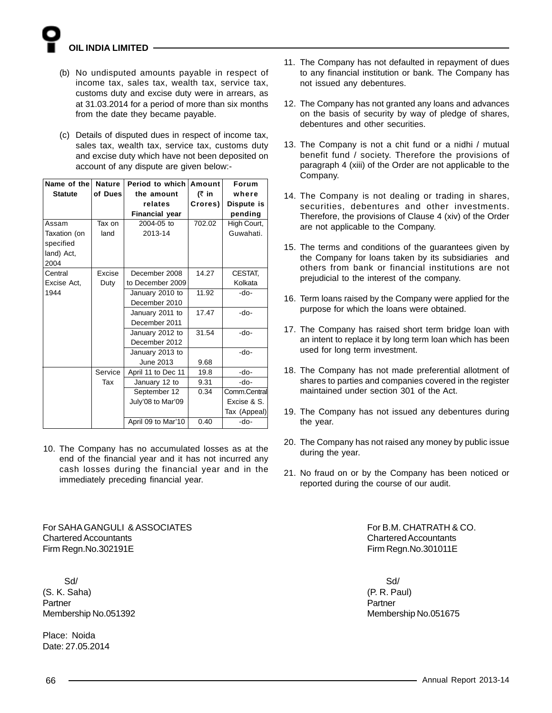- (b) No undisputed amounts payable in respect of income tax, sales tax, wealth tax, service tax, customs duty and excise duty were in arrears, as at 31.03.2014 for a period of more than six months from the date they became payable.
- (c) Details of disputed dues in respect of income tax, sales tax, wealth tax, service tax, customs duty and excise duty which have not been deposited on account of any dispute are given below:-

| Name of the    | <b>Nature</b> | Period to which       | Amount  | Forum        |
|----------------|---------------|-----------------------|---------|--------------|
| <b>Statute</b> | of Dues       | the amount            | (₹ in   | where        |
|                |               | relates               | Crores) | Dispute is   |
|                |               | <b>Financial year</b> |         | pending      |
| Assam          | Tax on        | 2004-05 to            | 702.02  | High Court,  |
| Taxation (on   | land          | 2013-14               |         | Guwahati.    |
| specified      |               |                       |         |              |
| land) Act,     |               |                       |         |              |
| 2004           |               |                       |         |              |
| Central        | Excise        | December 2008         | 14.27   | CESTAT,      |
| Excise Act,    | Duty          | to December 2009      |         | Kolkata      |
| 1944           |               | January 2010 to       | 11.92   | -do-         |
|                |               | December 2010         |         |              |
|                |               | January 2011 to       | 17.47   | -do-         |
|                |               | December 2011         |         |              |
|                |               | January 2012 to       | 31.54   | -do-         |
|                |               | December 2012         |         |              |
|                |               | January 2013 to       |         | $-do-$       |
|                |               | June 2013             | 9.68    |              |
|                | Service       | April 11 to Dec 11    | 19.8    | -do-         |
|                | Tax           | January 12 to         | 9.31    | -do-         |
|                |               | September 12          | 0.34    | Comm.Central |
|                |               | July'08 to Mar'09     |         | Excise & S.  |
|                |               |                       |         | Tax (Appeal) |
|                |               | April 09 to Mar'10    | 0.40    | -do-         |

10. The Company has no accumulated losses as at the end of the financial year and it has not incurred any cash losses during the financial year and in the immediately preceding financial year.

For SAHA GANGULI & ASSOCIATES For B.M. CHATRATH & CO. Chartered Accountants Chartered Accountants Firm Regn.No.302191E Firm Regn.No.301011E

Sd/ Sd/ (S. K. Saha) (P. R. Paul) Partner Partner Membership No.051392 Membership No.051675

Place: Noida Date: 27.05.2014

- 11. The Company has not defaulted in repayment of dues to any financial institution or bank. The Company has not issued any debentures.
- 12. The Company has not granted any loans and advances on the basis of security by way of pledge of shares, debentures and other securities.
- 13. The Company is not a chit fund or a nidhi / mutual benefit fund / society. Therefore the provisions of paragraph 4 (xiii) of the Order are not applicable to the Company.
- 14. The Company is not dealing or trading in shares, securities, debentures and other investments. Therefore, the provisions of Clause 4 (xiv) of the Order are not applicable to the Company.
- 15. The terms and conditions of the guarantees given by the Company for loans taken by its subsidiaries and others from bank or financial institutions are not prejudicial to the interest of the company.
- 16. Term loans raised by the Company were applied for the purpose for which the loans were obtained.
- 17. The Company has raised short term bridge loan with an intent to replace it by long term loan which has been used for long term investment.
- 18. The Company has not made preferential allotment of shares to parties and companies covered in the register maintained under section 301 of the Act.
- 19. The Company has not issued any debentures during the year.
- 20. The Company has not raised any money by public issue during the year.
- 21. No fraud on or by the Company has been noticed or reported during the course of our audit.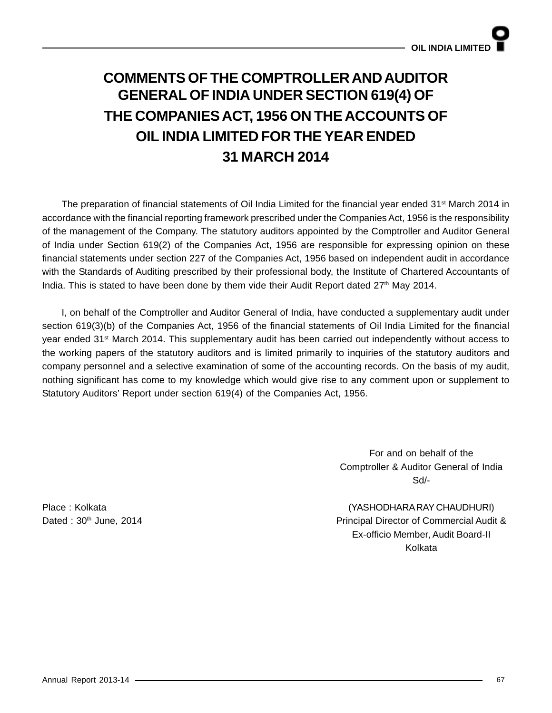# **COMMENTS OF THE COMPTROLLER AND AUDITOR GENERAL OF INDIA UNDER SECTION 619(4) OF THE COMPANIES ACT, 1956 ON THE ACCOUNTS OF OIL INDIA LIMITED FOR THE YEAR ENDED 31 MARCH 2014**

The preparation of financial statements of Oil India Limited for the financial year ended 31<sup>st</sup> March 2014 in accordance with the financial reporting framework prescribed under the Companies Act, 1956 is the responsibility of the management of the Company. The statutory auditors appointed by the Comptroller and Auditor General of India under Section 619(2) of the Companies Act, 1956 are responsible for expressing opinion on these financial statements under section 227 of the Companies Act, 1956 based on independent audit in accordance with the Standards of Auditing prescribed by their professional body, the Institute of Chartered Accountants of India. This is stated to have been done by them vide their Audit Report dated  $27<sup>th</sup>$  May 2014.

I, on behalf of the Comptroller and Auditor General of India, have conducted a supplementary audit under section 619(3)(b) of the Companies Act, 1956 of the financial statements of Oil India Limited for the financial year ended 31st March 2014. This supplementary audit has been carried out independently without access to the working papers of the statutory auditors and is limited primarily to inquiries of the statutory auditors and company personnel and a selective examination of some of the accounting records. On the basis of my audit, nothing significant has come to my knowledge which would give rise to any comment upon or supplement to Statutory Auditors' Report under section 619(4) of the Companies Act, 1956.

> For and on behalf of the Comptroller & Auditor General of India Sd/-

Place : Kolkata (YASHODHARA RAY CHAUDHURI) Dated : 30<sup>th</sup> June, 2014 **Principal Director of Commercial Audit &** Principal Director of Commercial Audit & Ex-officio Member, Audit Board-II Kolkata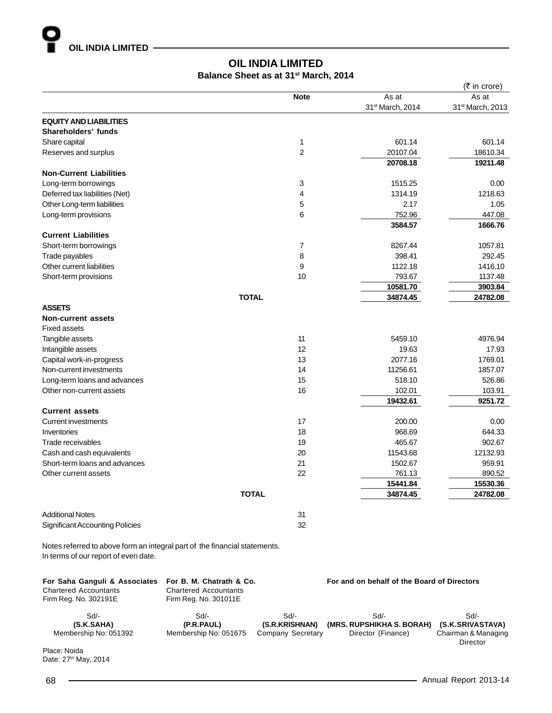**Balance Sheet as at 31st March, 2014**

|                                                                            |                                                          |                |                                             | (₹ in crore)     |
|----------------------------------------------------------------------------|----------------------------------------------------------|----------------|---------------------------------------------|------------------|
|                                                                            |                                                          | <b>Note</b>    | As at                                       | As at            |
|                                                                            |                                                          |                | 31 <sup>st</sup> March, 2014                | 31st March, 2013 |
| <b>EQUITY AND LIABILITIES</b>                                              |                                                          |                |                                             |                  |
| Shareholders' funds                                                        |                                                          |                |                                             |                  |
| Share capital                                                              |                                                          | $\mathbf 1$    | 601.14                                      | 601.14           |
| Reserves and surplus                                                       |                                                          | $\overline{c}$ | 20107.04                                    | 18610.34         |
|                                                                            |                                                          |                | 20708.18                                    | 19211.48         |
| <b>Non-Current Liabilities</b>                                             |                                                          |                |                                             |                  |
| Long-term borrowings                                                       |                                                          | 3              | 1515.25                                     | 0.00             |
| Deferred tax liabilities (Net)                                             |                                                          | 4              | 1314.19                                     | 1218.63          |
| Other Long-term liabilities                                                |                                                          | 5              | 2.17                                        | 1.05             |
| Long-term provisions                                                       |                                                          | 6              | 752.96                                      | 447.08           |
|                                                                            |                                                          |                | 3584.57                                     | 1666.76          |
| <b>Current Liabilities</b>                                                 |                                                          |                |                                             |                  |
| Short-term borrowings                                                      |                                                          | $\overline{7}$ | 8267.44                                     | 1057.81          |
| Trade payables                                                             |                                                          | 8              | 398.41                                      | 292.45           |
| Other current liabilities                                                  |                                                          | 9              | 1122.18                                     | 1416.10          |
| Short-term provisions                                                      |                                                          | 10             | 793.67                                      | 1137.48          |
|                                                                            |                                                          |                | 10581.70                                    | 3903.84          |
|                                                                            | <b>TOTAL</b>                                             |                | 34874.45                                    | 24782.08         |
| <b>ASSETS</b>                                                              |                                                          |                |                                             |                  |
| <b>Non-current assets</b>                                                  |                                                          |                |                                             |                  |
| <b>Fixed assets</b>                                                        |                                                          |                |                                             |                  |
| Tangible assets                                                            |                                                          | 11             | 5459.10                                     | 4976.94          |
| Intangible assets                                                          |                                                          | 12             | 19.63                                       | 17.93            |
| Capital work-in-progress                                                   |                                                          | 13             | 2077.16                                     | 1769.01          |
| Non-current investments                                                    |                                                          | 14             | 11256.61                                    | 1857.07          |
| Long-term loans and advances                                               |                                                          | 15             | 518.10                                      | 526.86           |
| Other non-current assets                                                   |                                                          | 16             | 102.01                                      | 103.91           |
|                                                                            |                                                          |                | 19432.61                                    | 9251.72          |
| <b>Current assets</b>                                                      |                                                          |                |                                             |                  |
| Current investments                                                        |                                                          | 17             | 200.00                                      | 0.00             |
| Inventories                                                                |                                                          | 18             | 968.69                                      | 644.33           |
| Trade receivables                                                          |                                                          | 19             | 465.67                                      | 902.67           |
| Cash and cash equivalents                                                  |                                                          | 20             | 11543.68                                    | 12132.93         |
| Short-term loans and advances                                              |                                                          | 21             | 1502.67                                     | 959.91           |
| Other current assets                                                       |                                                          | 22             | 761.13                                      | 890.52           |
|                                                                            |                                                          |                | 15441.84                                    | 15530.36         |
|                                                                            | <b>TOTAL</b>                                             |                | 34874.45                                    | 24782.08         |
| <b>Additional Notes</b>                                                    |                                                          | 31             |                                             |                  |
| <b>Significant Accounting Policies</b>                                     |                                                          | 32             |                                             |                  |
|                                                                            |                                                          |                |                                             |                  |
| Notes referred to above form an integral part of the financial statements. |                                                          |                |                                             |                  |
| In terms of our report of even date.                                       |                                                          |                |                                             |                  |
|                                                                            |                                                          |                |                                             |                  |
| For Saha Ganguli & Associates<br><b>Chartered Accountants</b>              | For B. M. Chatrath & Co.<br><b>Chartered Accountants</b> |                | For and on behalf of the Board of Directors |                  |
| Firm Reg. No. 302191E                                                      | Firm Reg. No. 301011E                                    |                |                                             |                  |
|                                                                            |                                                          |                |                                             |                  |
| Sd                                                                         | Sd                                                       | Sd             | Sd/-                                        | Sd/-             |

**(S.K.SAHA) (P.R.PAUL) (S.R.KRISHNAN) (MRS. RUPSHIKHA S. BORAH) (S.K.SRIVASTAVA)** Membership No: 051675 Company Secretary Director Place: Noida Date: 27<sup>th</sup> May, 2014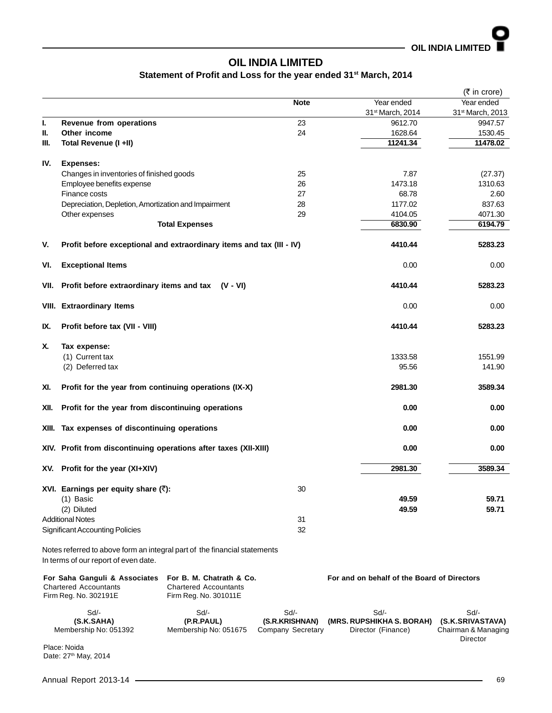# Statement of Profit and Loss for the year ended 31<sup>st</sup> March, 2014

|       |                                                                                                                   |                                                                                   |                                     |                                                 | $(5 \text{ in } \text{core})$                       |
|-------|-------------------------------------------------------------------------------------------------------------------|-----------------------------------------------------------------------------------|-------------------------------------|-------------------------------------------------|-----------------------------------------------------|
|       |                                                                                                                   |                                                                                   | Note                                | Year ended                                      | Year ended                                          |
|       |                                                                                                                   |                                                                                   |                                     | 31 <sup>st</sup> March, 2014                    | 31st March, 2013                                    |
| ı.    | Revenue from operations                                                                                           |                                                                                   | 23                                  | 9612.70                                         | 9947.57                                             |
| Ш.    | Other income                                                                                                      |                                                                                   | 24                                  | 1628.64                                         | 1530.45                                             |
| III.  | Total Revenue (I +II)                                                                                             |                                                                                   |                                     | 11241.34                                        | 11478.02                                            |
| IV.   | <b>Expenses:</b>                                                                                                  |                                                                                   |                                     |                                                 |                                                     |
|       | Changes in inventories of finished goods                                                                          |                                                                                   | 25                                  | 7.87                                            | (27.37)                                             |
|       | Employee benefits expense                                                                                         |                                                                                   | 26                                  | 1473.18                                         | 1310.63                                             |
|       | Finance costs                                                                                                     |                                                                                   | 27                                  | 68.78                                           | 2.60                                                |
|       | Depreciation, Depletion, Amortization and Impairment                                                              |                                                                                   | 28                                  | 1177.02                                         | 837.63                                              |
|       | Other expenses                                                                                                    |                                                                                   | 29                                  | 4104.05                                         | 4071.30                                             |
|       |                                                                                                                   | <b>Total Expenses</b>                                                             |                                     | 6830.90                                         | 6194.79                                             |
|       |                                                                                                                   |                                                                                   |                                     |                                                 |                                                     |
| v.    | Profit before exceptional and extraordinary items and tax (III - IV)                                              |                                                                                   |                                     | 4410.44                                         | 5283.23                                             |
| VI.   | <b>Exceptional Items</b>                                                                                          |                                                                                   |                                     | 0.00                                            | 0.00                                                |
| VII.  | Profit before extraordinary items and tax                                                                         | $(V - VI)$                                                                        |                                     | 4410.44                                         | 5283.23                                             |
|       | VIII. Extraordinary Items                                                                                         |                                                                                   |                                     | 0.00                                            | 0.00                                                |
| IX.   | Profit before tax (VII - VIII)                                                                                    |                                                                                   |                                     | 4410.44                                         | 5283.23                                             |
| Х.    | Tax expense:                                                                                                      |                                                                                   |                                     |                                                 |                                                     |
|       | (1) Current tax                                                                                                   |                                                                                   |                                     | 1333.58                                         | 1551.99                                             |
|       | (2) Deferred tax                                                                                                  |                                                                                   |                                     | 95.56                                           | 141.90                                              |
| XI.   | Profit for the year from continuing operations (IX-X)                                                             |                                                                                   |                                     | 2981.30                                         | 3589.34                                             |
| XII.  | Profit for the year from discontinuing operations                                                                 |                                                                                   |                                     | 0.00                                            | 0.00                                                |
| XIII. | Tax expenses of discontinuing operations                                                                          |                                                                                   |                                     | 0.00                                            | 0.00                                                |
|       | XIV. Profit from discontinuing operations after taxes (XII-XIII)                                                  |                                                                                   | 0.00                                | 0.00                                            |                                                     |
|       | XV. Profit for the year (XI+XIV)                                                                                  |                                                                                   |                                     | 2981.30                                         | 3589.34                                             |
|       | XVI. Earnings per equity share $(\bar{z})$ :                                                                      |                                                                                   | 30                                  |                                                 |                                                     |
|       | $(1)$ Basic                                                                                                       |                                                                                   |                                     | 49.59                                           | 59.71                                               |
|       | (2) Diluted                                                                                                       |                                                                                   |                                     | 49.59                                           | 59.71                                               |
|       | <b>Additional Notes</b>                                                                                           |                                                                                   | 31                                  |                                                 |                                                     |
|       | <b>Significant Accounting Policies</b>                                                                            |                                                                                   | 32                                  |                                                 |                                                     |
|       | Notes referred to above form an integral part of the financial statements<br>In terms of our report of even date. |                                                                                   |                                     |                                                 |                                                     |
|       | For Saha Ganguli & Associates<br><b>Chartered Accountants</b><br>Firm Reg. No. 302191E                            | For B. M. Chatrath & Co.<br><b>Chartered Accountants</b><br>Firm Reg. No. 301011E |                                     | For and on behalf of the Board of Directors     |                                                     |
|       | Sd/-                                                                                                              | Sd/-                                                                              | Sd/-                                | Sd/-                                            | Sd/-                                                |
|       | (S.K.SAHA)<br>Membership No: 051392                                                                               | (P.R.PAUL)<br>Membership No: 051675                                               | (S.R.KRISHNAN)<br>Company Secretary | (MRS. RUPSHIKHA S. BORAH)<br>Director (Finance) | (S.K.SRIVASTAVA)<br>Chairman & Managing<br>Director |
|       | Place: Noida<br>Date: 27th May, 2014                                                                              |                                                                                   |                                     |                                                 |                                                     |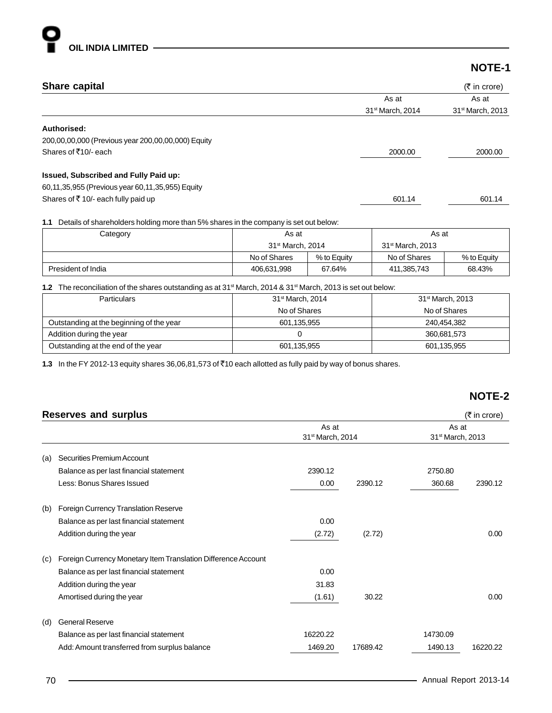# **NOTE-1**

| Share capital                                      |                              | $(5 \text{ in } \text{core})$ |
|----------------------------------------------------|------------------------------|-------------------------------|
|                                                    | As at                        | As at                         |
|                                                    | 31 <sup>st</sup> March, 2014 | 31 <sup>st</sup> March, 2013  |
| Authorised:                                        |                              |                               |
| 200,00,00,000 (Previous year 200,00,00,000) Equity |                              |                               |
| Shares of ₹10/- each                               | 2000.00                      | 2000.00                       |
| Issued, Subscribed and Fully Paid up:              |                              |                               |
| 60,11,35,955 (Previous year 60,11,35,955) Equity   |                              |                               |
| Shares of ₹10/- each fully paid up                 | 601.14                       | 601.14                        |

**1.1** Details of shareholders holding more than 5% shares in the company is set out below:

| Category           | As at              |             | As at              |             |  |
|--------------------|--------------------|-------------|--------------------|-------------|--|
|                    | $31st$ March, 2014 |             | $31st$ March, 2013 |             |  |
|                    | No of Shares       | % to Equity | No of Shares       | % to Equity |  |
| President of India | 406,631,998        | 67.64%      | 411,385,743        | 68.43%      |  |

**1.2** The reconciliation of the shares outstanding as at 31<sup>st</sup> March, 2014 & 31<sup>st</sup> March, 2013 is set out below:

| <b>Particulars</b>                       | 31 <sup>st</sup> March, 2014 | 31 <sup>st</sup> March, 2013 |  |
|------------------------------------------|------------------------------|------------------------------|--|
|                                          | No of Shares                 | No of Shares                 |  |
| Outstanding at the beginning of the year | 601,135,955                  | 240.454.382                  |  |
| Addition during the year                 |                              | 360,681,573                  |  |
| Outstanding at the end of the year       | 601,135,955                  | 601,135,955                  |  |

**1.3** In the FY 2012-13 equity shares 36,06,81,573 of ₹10 each allotted as fully paid by way of bonus shares.

# **NOTE-2**

|     | <b>Reserves and surplus</b>                                   |                              |          |                              | $(5 \text{ in } \text{core})$ |
|-----|---------------------------------------------------------------|------------------------------|----------|------------------------------|-------------------------------|
|     |                                                               | As at                        |          | As at                        |                               |
|     |                                                               | 31 <sup>st</sup> March, 2014 |          | 31 <sup>st</sup> March, 2013 |                               |
| (a) | Securities Premium Account                                    |                              |          |                              |                               |
|     | Balance as per last financial statement                       | 2390.12                      |          | 2750.80                      |                               |
|     | Less: Bonus Shares Issued                                     | 0.00                         | 2390.12  | 360.68                       | 2390.12                       |
| (b) | <b>Foreign Currency Translation Reserve</b>                   |                              |          |                              |                               |
|     | Balance as per last financial statement                       | 0.00                         |          |                              |                               |
|     | Addition during the year                                      | (2.72)                       | (2.72)   |                              | 0.00                          |
| (c) | Foreign Currency Monetary Item Translation Difference Account |                              |          |                              |                               |
|     | Balance as per last financial statement                       | 0.00                         |          |                              |                               |
|     | Addition during the year                                      | 31.83                        |          |                              |                               |
|     | Amortised during the year                                     | (1.61)                       | 30.22    |                              | 0.00                          |
| (d) | <b>General Reserve</b>                                        |                              |          |                              |                               |
|     | Balance as per last financial statement                       | 16220.22                     |          | 14730.09                     |                               |
|     | Add: Amount transferred from surplus balance                  | 1469.20                      | 17689.42 | 1490.13                      | 16220.22                      |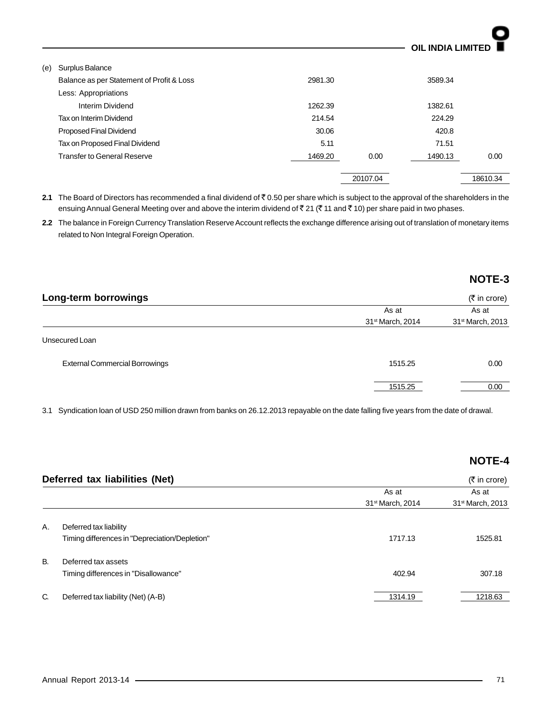| (e) | Surplus Balance                           |         |          |         |          |
|-----|-------------------------------------------|---------|----------|---------|----------|
|     | Balance as per Statement of Profit & Loss | 2981.30 |          | 3589.34 |          |
|     | Less: Appropriations                      |         |          |         |          |
|     | Interim Dividend                          | 1262.39 |          | 1382.61 |          |
|     | Tax on Interim Dividend                   | 214.54  |          | 224.29  |          |
|     | Proposed Final Dividend                   | 30.06   |          | 420.8   |          |
|     | Tax on Proposed Final Dividend            | 5.11    |          | 71.51   |          |
|     | <b>Transfer to General Reserve</b>        | 1469.20 | 0.00     | 1490.13 | 0.00     |
|     |                                           |         |          |         |          |
|     |                                           |         | 20107.04 |         | 18610.34 |

**2.1** The Board of Directors has recommended a final dividend of ₹0.50 per share which is subject to the approval of the shareholders in the ensuing Annual General Meeting over and above the interim dividend of  $\bar{z}$  21 ( $\bar{z}$  11 and  $\bar{z}$  10) per share paid in two phases.

**2.2** The balance in Foreign Currency Translation Reserve Account reflects the exchange difference arising out of translation of monetary items related to Non Integral Foreign Operation.

# **NOTE-3**

| <b>Long-term borrowings</b>           |                              | $(5 \text{ in } \text{core})$ |
|---------------------------------------|------------------------------|-------------------------------|
|                                       | As at                        | As at                         |
|                                       | 31 <sup>st</sup> March, 2014 | 31 <sup>st</sup> March, 2013  |
| Unsecured Loan                        |                              |                               |
| <b>External Commercial Borrowings</b> | 1515.25                      | 0.00                          |
|                                       | 1515.25                      | 0.00                          |

3.1 Syndication loan of USD 250 million drawn from banks on 26.12.2013 repayable on the date falling five years from the date of drawal.

# **NOTE-4**

| Deferred tax liabilities (Net)                 |                              | $($ ₹ in crore)              |
|------------------------------------------------|------------------------------|------------------------------|
|                                                | As at                        | As at                        |
|                                                | 31 <sup>st</sup> March, 2014 | 31 <sup>st</sup> March, 2013 |
| Deferred tax liability                         |                              |                              |
| Timing differences in "Depreciation/Depletion" | 1717.13                      | 1525.81                      |
| Deferred tax assets                            |                              |                              |
| Timing differences in "Disallowance"           | 402.94                       | 307.18                       |
| Deferred tax liability (Net) (A-B)             | 1314.19                      | 1218.63                      |
|                                                |                              |                              |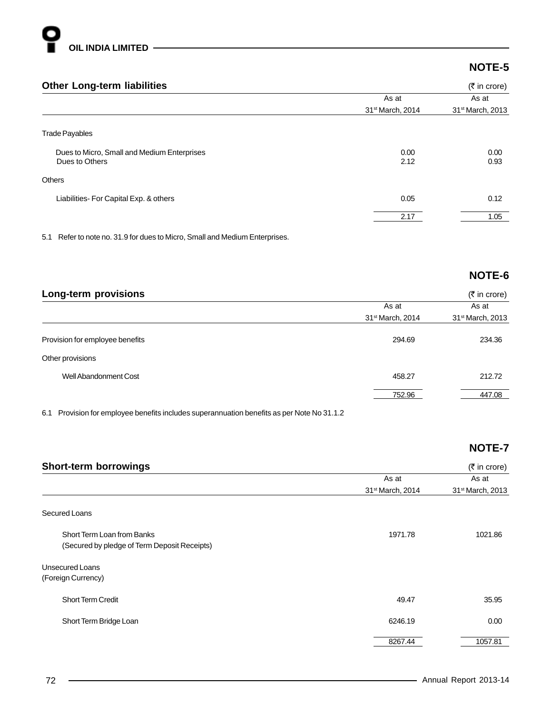

# **NOTE-5**

| <b>Other Long-term liabilities</b>                            |                              | (₹ in crore)                 |
|---------------------------------------------------------------|------------------------------|------------------------------|
|                                                               | As at                        | As at                        |
|                                                               | 31 <sup>st</sup> March, 2014 | 31 <sup>st</sup> March, 2013 |
| <b>Trade Payables</b>                                         |                              |                              |
| Dues to Micro, Small and Medium Enterprises<br>Dues to Others | 0.00<br>2.12                 | 0.00<br>0.93                 |
|                                                               |                              |                              |
| Others                                                        |                              |                              |
| Liabilities- For Capital Exp. & others                        | 0.05                         | 0.12                         |
|                                                               | 2.17                         | 1.05                         |

5.1 Refer to note no. 31.9 for dues to Micro, Small and Medium Enterprises.

## **NOTE-6**

| Long-term provisions            |                              | (₹ in crore)                 |
|---------------------------------|------------------------------|------------------------------|
|                                 | As at                        | As at                        |
|                                 | 31 <sup>st</sup> March, 2014 | 31 <sup>st</sup> March, 2013 |
| Provision for employee benefits | 294.69                       | 234.36                       |
| Other provisions                |                              |                              |
| Well Abandonment Cost           | 458.27                       | 212.72                       |
|                                 | 752.96                       | 447.08                       |

6.1 Provision for employee benefits includes superannuation benefits as per Note No 31.1.2

# **NOTE-7**

| <b>Short-term borrowings</b>                 |                              | (₹ in crore)                 |
|----------------------------------------------|------------------------------|------------------------------|
|                                              | As at                        | As at                        |
|                                              | 31 <sup>st</sup> March, 2014 | 31 <sup>st</sup> March, 2013 |
| Secured Loans                                |                              |                              |
| Short Term Loan from Banks                   | 1971.78                      | 1021.86                      |
| (Secured by pledge of Term Deposit Receipts) |                              |                              |
| <b>Unsecured Loans</b>                       |                              |                              |
| (Foreign Currency)                           |                              |                              |
| <b>Short Term Credit</b>                     | 49.47                        | 35.95                        |
| Short Term Bridge Loan                       | 6246.19                      | 0.00                         |
|                                              | 8267.44                      | 1057.81                      |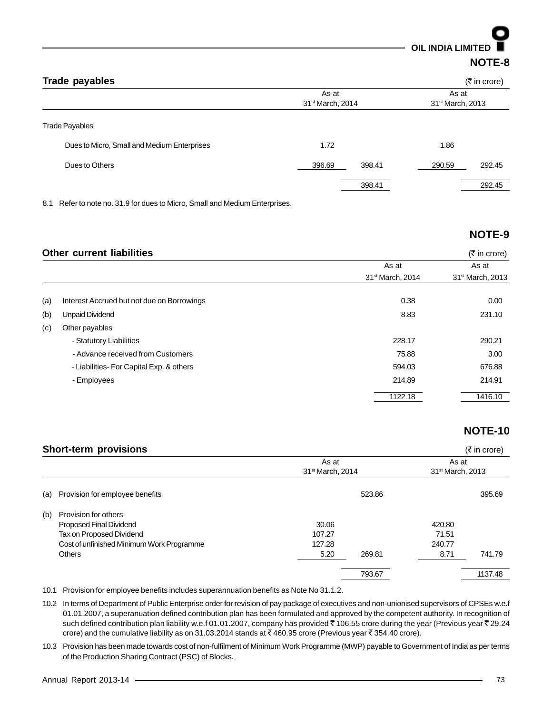| Trade payables                              |                                       |                                       |        | $(5 \text{ in } \text{core})$ |
|---------------------------------------------|---------------------------------------|---------------------------------------|--------|-------------------------------|
|                                             | As at<br>31 <sup>st</sup> March, 2014 | As at<br>31 <sup>st</sup> March, 2013 |        |                               |
| <b>Trade Payables</b>                       |                                       |                                       |        |                               |
| Dues to Micro, Small and Medium Enterprises | 1.72                                  |                                       | 1.86   |                               |
| Dues to Others                              | 396.69                                | 398.41                                | 290.59 | 292.45                        |
|                                             |                                       | 398.41                                |        | 292.45                        |

8.1 Refer to note no. 31.9 for dues to Micro, Small and Medium Enterprises.

# **NOTE-9**

|     | <b>Other current liabilities</b>           |                              | $(5 \text{ in } \text{core})$ |
|-----|--------------------------------------------|------------------------------|-------------------------------|
|     |                                            | As at                        | As at                         |
|     |                                            | 31 <sup>st</sup> March, 2014 | 31 <sup>st</sup> March, 2013  |
| (a) | Interest Accrued but not due on Borrowings | 0.38                         | 0.00                          |
| (b) | <b>Unpaid Dividend</b>                     | 8.83                         | 231.10                        |
| (c) | Other payables                             |                              |                               |
|     | - Statutory Liabilities                    | 228.17                       | 290.21                        |
|     | - Advance received from Customers          | 75.88                        | 3.00                          |
|     | - Liabilities- For Capital Exp. & others   | 594.03                       | 676.88                        |
|     | - Employees                                | 214.89                       | 214.91                        |
|     |                                            | 1122.18                      | 1416.10                       |

# **NOTE-10**

|                                           |        |        |                              | $(5 \text{ in } \text{core})$ |
|-------------------------------------------|--------|--------|------------------------------|-------------------------------|
|                                           | As at  | As at  |                              |                               |
|                                           |        |        |                              |                               |
| Provision for employee benefits           |        | 523.86 |                              | 395.69                        |
| Provision for others                      |        |        |                              |                               |
| Proposed Final Dividend                   | 30.06  |        | 420.80                       |                               |
| Tax on Proposed Dividend                  | 107.27 |        | 71.51                        |                               |
| Cost of unfinished Minimum Work Programme | 127.28 |        | 240.77                       |                               |
| <b>Others</b>                             | 5.20   | 269.81 | 8.71                         | 741.79                        |
|                                           |        | 793.67 |                              | 1137.48                       |
|                                           |        |        | 31 <sup>st</sup> March, 2014 | 31 <sup>st</sup> March, 2013  |

10.1 Provision for employee benefits includes superannuation benefits as Note No 31.1.2.

10.2 In terms of Department of Public Enterprise order for revision of pay package of executives and non-unionised supervisors of CPSEs w.e.f 01.01.2007, a superanuation defined contribution plan has been formulated and approved by the competent authority. In recognition of such defined contribution plan liability w.e.f 01.01.2007, company has provided ₹106.55 crore during the year (Previous year ₹29.24 crore) and the cumulative liability as on 31.03.2014 stands at  $\bar{t}$  460.95 crore (Previous year  $\bar{t}$  354.40 crore).

10.3 Provision has been made towards cost of non-fulfilment of Minimum Work Programme (MWP) payable to Government of India as per terms of the Production Sharing Contract (PSC) of Blocks.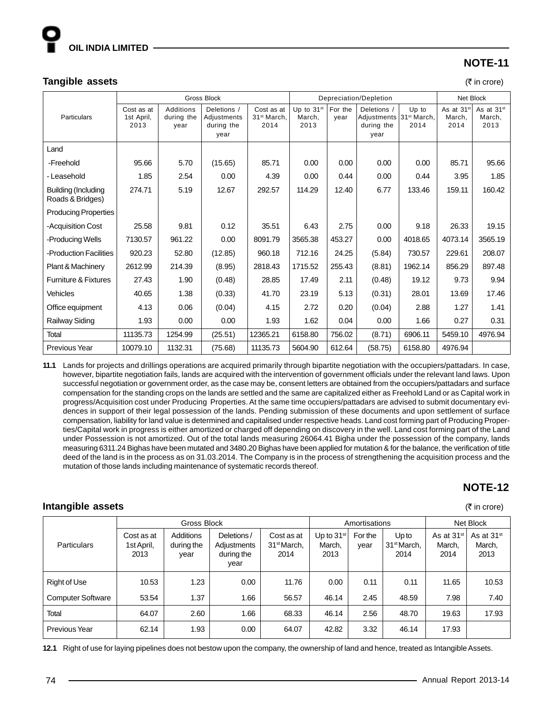# **Tangible assets** ( $\vec{\tau}$  in crore)

# **NOTE-11**

|                                         | Gross Block                      |                                 |                                                  |                                               | Depreciation/Depletion                   |                 |                                                                          |               | Net Block                                |                                          |
|-----------------------------------------|----------------------------------|---------------------------------|--------------------------------------------------|-----------------------------------------------|------------------------------------------|-----------------|--------------------------------------------------------------------------|---------------|------------------------------------------|------------------------------------------|
| Particulars                             | Cost as at<br>1st April,<br>2013 | Additions<br>during the<br>year | Deletions /<br>Adjustments<br>during the<br>year | Cost as at<br>31 <sup>st</sup> March.<br>2014 | Up to 31 <sup>st</sup><br>March,<br>2013 | For the<br>year | Deletions /<br>Adjustments 31 <sup>st</sup> March,<br>during the<br>year | Up to<br>2014 | As at 31 <sup>st</sup><br>March,<br>2014 | As at 31 <sup>st</sup><br>March.<br>2013 |
| Land                                    |                                  |                                 |                                                  |                                               |                                          |                 |                                                                          |               |                                          |                                          |
| -Freehold                               | 95.66                            | 5.70                            | (15.65)                                          | 85.71                                         | 0.00                                     | 0.00            | 0.00                                                                     | 0.00          | 85.71                                    | 95.66                                    |
| - Leasehold                             | 1.85                             | 2.54                            | 0.00                                             | 4.39                                          | 0.00                                     | 0.44            | 0.00                                                                     | 0.44          | 3.95                                     | 1.85                                     |
| Building (Including<br>Roads & Bridges) | 274.71                           | 5.19                            | 12.67                                            | 292.57                                        | 114.29                                   | 12.40           | 6.77                                                                     | 133.46        | 159.11                                   | 160.42                                   |
| <b>Producing Properties</b>             |                                  |                                 |                                                  |                                               |                                          |                 |                                                                          |               |                                          |                                          |
| -Acquisition Cost                       | 25.58                            | 9.81                            | 0.12                                             | 35.51                                         | 6.43                                     | 2.75            | 0.00                                                                     | 9.18          | 26.33                                    | 19.15                                    |
| -Producing Wells                        | 7130.57                          | 961.22                          | 0.00                                             | 8091.79                                       | 3565.38                                  | 453.27          | 0.00                                                                     | 4018.65       | 4073.14                                  | 3565.19                                  |
| -Production Facilities                  | 920.23                           | 52.80                           | (12.85)                                          | 960.18                                        | 712.16                                   | 24.25           | (5.84)                                                                   | 730.57        | 229.61                                   | 208.07                                   |
| Plant & Machinery                       | 2612.99                          | 214.39                          | (8.95)                                           | 2818.43                                       | 1715.52                                  | 255.43          | (8.81)                                                                   | 1962.14       | 856.29                                   | 897.48                                   |
| <b>Furniture &amp; Fixtures</b>         | 27.43                            | 1.90                            | (0.48)                                           | 28.85                                         | 17.49                                    | 2.11            | (0.48)                                                                   | 19.12         | 9.73                                     | 9.94                                     |
| <b>Vehicles</b>                         | 40.65                            | 1.38                            | (0.33)                                           | 41.70                                         | 23.19                                    | 5.13            | (0.31)                                                                   | 28.01         | 13.69                                    | 17.46                                    |
| Office equipment                        | 4.13                             | 0.06                            | (0.04)                                           | 4.15                                          | 2.72                                     | 0.20            | (0.04)                                                                   | 2.88          | 1.27                                     | 1.41                                     |
| Railway Siding                          | 1.93                             | 0.00                            | 0.00                                             | 1.93                                          | 1.62                                     | 0.04            | 0.00                                                                     | 1.66          | 0.27                                     | 0.31                                     |
| Total                                   | 11135.73                         | 1254.99                         | (25.51)                                          | 12365.21                                      | 6158.80                                  | 756.02          | (8.71)                                                                   | 6906.11       | 5459.10                                  | 4976.94                                  |
| Previous Year                           | 10079.10                         | 1132.31                         | (75.68)                                          | 11135.73                                      | 5604.90                                  | 612.64          | (58.75)                                                                  | 6158.80       | 4976.94                                  |                                          |

**11.1** Lands for projects and drillings operations are acquired primarily through bipartite negotiation with the occupiers/pattadars. In case, however, bipartite negotiation fails, lands are acquired with the intervention of government officials under the relevant land laws. Upon successful negotiation or government order, as the case may be, consent letters are obtained from the occupiers/pattadars and surface compensation for the standing crops on the lands are settled and the same are capitalized either as Freehold Land or as Capital work in progress/Acquisition cost under Producing Properties. At the same time occupiers/pattadars are advised to submit documentary evidences in support of their legal possession of the lands. Pending submission of these documents and upon settlement of surface compensation, liability for land value is determined and capitalised under respective heads. Land cost forming part of Producing Properties/Capital work in progress is either amortized or charged off depending on discovery in the well. Land cost forming part of the Land under Possession is not amortized. Out of the total lands measuring 26064.41 Bigha under the possession of the company, lands measuring 6311.24 Bighas have been mutated and 3480.20 Bighas have been applied for mutation & for the balance, the verification of title deed of the land is in the process as on 31.03.2014. The Company is in the process of strengthening the acquisition process and the mutation of those lands including maintenance of systematic records thereof.

# **NOTE-12**

**Intangible assets** ( $\vec{\tau}$  in crore)

|                          | Gross Block                      |                                 |                                                 |                                               |                                | Amortisations   | Net Block                                |                                          |                                          |
|--------------------------|----------------------------------|---------------------------------|-------------------------------------------------|-----------------------------------------------|--------------------------------|-----------------|------------------------------------------|------------------------------------------|------------------------------------------|
| <b>Particulars</b>       | Cost as at<br>1st April,<br>2013 | Additions<br>during the<br>year | Deletions/<br>Adjustments<br>during the<br>year | Cost as at<br>31 <sup>st</sup> March.<br>2014 | Up to $31st$<br>March,<br>2013 | For the<br>year | Up to<br>31 <sup>st</sup> March,<br>2014 | As at 31 <sup>st</sup><br>March,<br>2014 | As at 31 <sup>st</sup><br>March,<br>2013 |
| Right of Use             | 10.53                            | 1.23                            | 0.00                                            | 11.76                                         | 0.00                           | 0.11            | 0.11                                     | 11.65                                    | 10.53                                    |
| <b>Computer Software</b> | 53.54                            | 1.37                            | 1.66                                            | 56.57                                         | 46.14                          | 2.45            | 48.59                                    | 7.98                                     | 7.40                                     |
| Total                    | 64.07                            | 2.60                            | 1.66                                            | 68.33                                         | 46.14                          | 2.56            | 48.70                                    | 19.63                                    | 17.93                                    |
| Previous Year            | 62.14                            | 1.93                            | 0.00                                            | 64.07                                         | 42.82                          | 3.32            | 46.14                                    | 17.93                                    |                                          |

**12.1** Right of use for laying pipelines does not bestow upon the company, the ownership of land and hence, treated as Intangible Assets.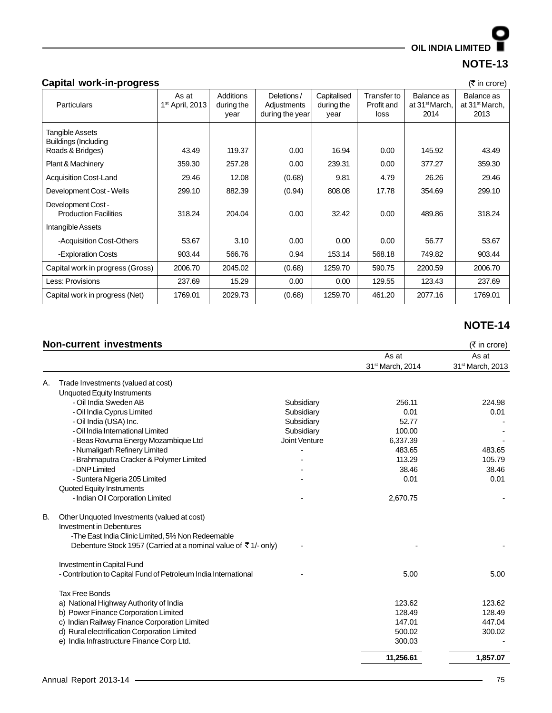### **Capital work-in-progress** (` in crore)

| Capital WOLK-III-progress                                   |                            |                                 |                                              |                                   |                                   |                                                  | $(1)$ $11$ $11$ $11$                             |
|-------------------------------------------------------------|----------------------------|---------------------------------|----------------------------------------------|-----------------------------------|-----------------------------------|--------------------------------------------------|--------------------------------------------------|
| <b>Particulars</b>                                          | As at<br>$1st$ April, 2013 | Additions<br>during the<br>year | Deletions/<br>Adjustments<br>during the year | Capitalised<br>during the<br>year | Transfer to<br>Profit and<br>loss | Balance as<br>at 31 <sup>st</sup> March.<br>2014 | Balance as<br>at 31 <sup>st</sup> March,<br>2013 |
| Tangible Assets<br>Buildings (Including<br>Roads & Bridges) | 43.49                      | 119.37                          | 0.00                                         | 16.94                             | 0.00                              | 145.92                                           | 43.49                                            |
| Plant & Machinery                                           | 359.30                     | 257.28                          | 0.00                                         | 239.31                            | 0.00                              | 377.27                                           | 359.30                                           |
| <b>Acquisition Cost-Land</b>                                | 29.46                      | 12.08                           | (0.68)                                       | 9.81                              | 4.79                              | 26.26                                            | 29.46                                            |
| Development Cost - Wells                                    | 299.10                     | 882.39                          | (0.94)                                       | 808.08                            | 17.78                             | 354.69                                           | 299.10                                           |
| Development Cost -<br><b>Production Facilities</b>          | 318.24                     | 204.04                          | 0.00                                         | 32.42                             | 0.00                              | 489.86                                           | 318.24                                           |
| Intangible Assets                                           |                            |                                 |                                              |                                   |                                   |                                                  |                                                  |
| -Acquisition Cost-Others                                    | 53.67                      | 3.10                            | 0.00                                         | 0.00                              | 0.00                              | 56.77                                            | 53.67                                            |
| -Exploration Costs                                          | 903.44                     | 566.76                          | 0.94                                         | 153.14                            | 568.18                            | 749.82                                           | 903.44                                           |
| Capital work in progress (Gross)                            | 2006.70                    | 2045.02                         | (0.68)                                       | 1259.70                           | 590.75                            | 2200.59                                          | 2006.70                                          |
| Less: Provisions                                            | 237.69                     | 15.29                           | 0.00                                         | 0.00                              | 129.55                            | 123.43                                           | 237.69                                           |
| Capital work in progress (Net)                              | 1769.01                    | 2029.73                         | (0.68)                                       | 1259.70                           | 461.20                            | 2077.16                                          | 1769.01                                          |
|                                                             |                            |                                 |                                              |                                   |                                   |                                                  |                                                  |

# **NOTE-14**

## **Non-current investments** ( $\vec{\tau}$  in crore) As at As at 31st March, 2014 31st March, 2013 A. Trade Investments (valued at cost) Unquoted Equity Instruments - Oil India Sweden AB **Subsidiary** 256.11 224.98 - Oil India Cyprus Limited **Cyprus Limited** Contact Contact Cubsidiary **Contact Contact Contact Contact Contact Contact Contact Contact Contact Contact Contact Contact Contact Contact Contact Contact Contact Contact Contac** - Oil India (USA) Inc. **Subsidiary 52.77** - Subsidiary 52.77 - Subsidiary 52.77 - Subsidiary 52.77 - Subsidiary 52.77 - Subsidiary 52.77 - Subsidiary 52.77 - Subsidiary 52.77 - Subsidiary 52.77 - Subsidiary 52.77 - Subsidi - Oil India International Limited Communication Communication Communication Communication Communication Communication Communication Communication Communication Communication Communication Communication Communication Commun - Beas Rovuma Energy Mozambique Ltd Joint Venture 1996 - 1997 - 1998 - 1998 - 1998 - 1998 - 1998 - 1998 - 199 - Numaligarh Refinery Limited and European Communication of the communication of the 483.65 483.65 483.65 483.65 483.65 483.65 483.65 483.65 483.65 483.65 483.65 483.65 483.65 483.65 483.65 483.65 483.65 483.65 483.79 483. - Brahmaputra Cracker & Polymer Limited **113.29** 113.29 - DNP Limited 38.46 38.46 - Suntera Nigeria 205 Limited - 0.01 0.01 Quoted Equity Instruments - Indian Oil Corporation Limited - 2,670.75 - B. Other Unquoted Investments (valued at cost) Investment in Debentures -The East India Clinic Limited, 5% Non Redeemable Debenture Stock 1957 (Carried at a nominal value of  $\bar{z}$  1/- only) Investment in Capital Fund - Contribution to Capital Fund of Petroleum India International **5.00** 5.00 5.00 5.00 Tax Free Bonds a) National Highway Authority of India 123.62 123.62 123.62 b) Power Finance Corporation Limited 28.49 128.49 128.49 c) Indian Railway Finance Corporation Limited 147.04 147.04 147.04 147.04 d) Rural electrification Corporation Limited 600.02 500.02 300.02 e) India Infrastructure Finance Corp Ltd. 300.03 - 300.03 - 300.03 **11,256.61 1,857.07**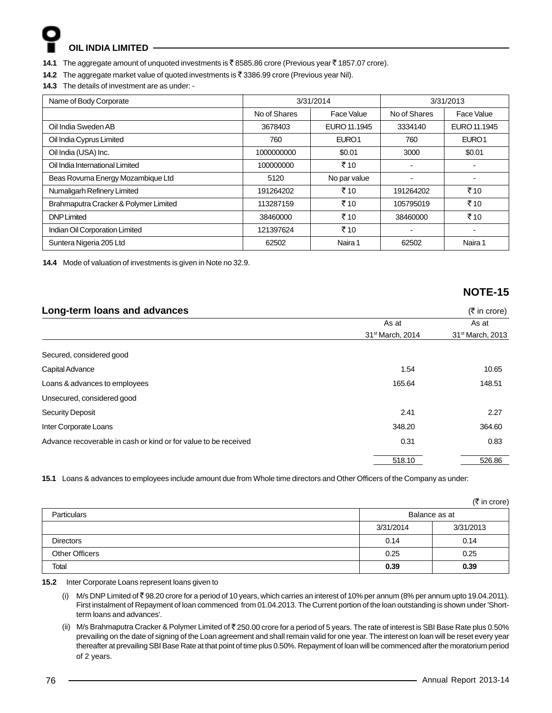- **14.1** The aggregate amount of unquoted investments is ₹8585.86 crore (Previous year ₹1857.07 crore).
- 14.2 The aggregate market value of quoted investments is ₹ 3386.99 crore (Previous year Nil).
- **14.3** The details of investment are as under: -

| Name of Body Corporate                |              | 3/31/2014<br>3/31/2013 |                          |                          |
|---------------------------------------|--------------|------------------------|--------------------------|--------------------------|
|                                       | No of Shares | Face Value             |                          | Face Value               |
| Oil India Sweden AB                   | 3678403      | EURO 11.1945           | 3334140                  | EURO 11.1945             |
| Oil India Cyprus Limited              | 760          | EURO <sub>1</sub>      | 760                      | EURO <sub>1</sub>        |
| Oil India (USA) Inc.                  | 1000000000   | \$0.01                 | 3000                     | \$0.01                   |
| Oil India International Limited       | 100000000    | ₹10                    |                          |                          |
| Beas Rovuma Energy Mozambique Ltd     | 5120         | No par value           | $\overline{\phantom{0}}$ | $\overline{\phantom{0}}$ |
| Numaligarh Refinery Limited           | 191264202    | ₹10                    | 191264202                | ₹10                      |
| Brahmaputra Cracker & Polymer Limited | 113287159    | ₹10                    | 105795019                | ₹10                      |
| <b>DNP Limited</b>                    | 38460000     | ₹10                    | 38460000                 | ₹10                      |
| Indian Oil Corporation Limited        | 121397624    | ₹10                    |                          |                          |
| Suntera Nigeria 205 Ltd               | 62502        | Naira 1                | 62502                    | Naira 1                  |

**14.4** Mode of valuation of investments is given in Note no 32.9.

# **NOTE-15**

| Long-term loans and advances                                    |                              | $(5 \text{ in } \text{core})$ |
|-----------------------------------------------------------------|------------------------------|-------------------------------|
|                                                                 | As at                        | As at                         |
|                                                                 | 31 <sup>st</sup> March, 2014 | 31 <sup>st</sup> March, 2013  |
| Secured, considered good                                        |                              |                               |
| Capital Advance                                                 | 1.54                         | 10.65                         |
| Loans & advances to employees                                   | 165.64                       | 148.51                        |
| Unsecured, considered good                                      |                              |                               |
| <b>Security Deposit</b>                                         | 2.41                         | 2.27                          |
| Inter Corporate Loans                                           | 348.20                       | 364.60                        |
| Advance recoverable in cash or kind or for value to be received | 0.31                         | 0.83                          |
|                                                                 | 518.10                       | 526.86                        |

**15.1** Loans & advances to employees include amount due from Whole time directors and Other Officers of the Company as under:

|                    |               | $($ ₹ in crore) |  |
|--------------------|---------------|-----------------|--|
| <b>Particulars</b> | Balance as at |                 |  |
|                    | 3/31/2014     | 3/31/2013       |  |
| <b>Directors</b>   | 0.14          | 0.14            |  |
| Other Officers     | 0.25          | 0.25            |  |
| Total              | 0.39          | 0.39            |  |

**15.2** Inter Corporate Loans represent loans given to

(i) M/s DNP Limited of  $\bar{\tau}$  98.20 crore for a period of 10 years, which carries an interest of 10% per annum (8% per annum upto 19.04.2011). First instalment of Repayment of loan commenced from 01.04.2013. The Current portion of the loan outstanding is shown under 'Shortterm loans and advances'.

(ii) M/s Brahmaputra Cracker & Polymer Limited of ₹ 250.00 crore for a period of 5 years. The rate of interest is SBI Base Rate plus 0.50% prevailing on the date of signing of the Loan agreement and shall remain valid for one year. The interest on loan will be reset every year thereafter at prevailing SBI Base Rate at that point of time plus 0.50%. Repayment of loan will be commenced after the moratorium period of 2 years.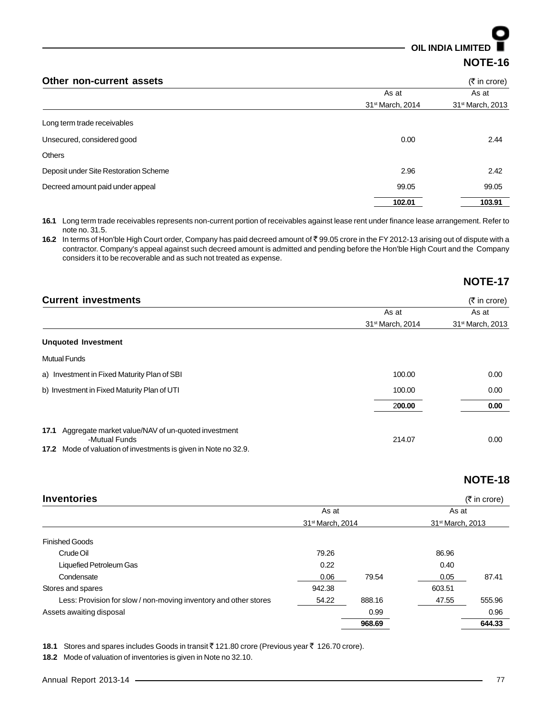# $\alpha$  or  $\alpha$  is constant assets ( $\alpha$  in cross or  $\alpha$  in  $\alpha$  in  $\alpha$  in  $\alpha$  in  $\alpha$  in  $\alpha$  in  $\alpha$  is  $\alpha$  in  $\alpha$  in  $\alpha$  in  $\alpha$  is  $\alpha$  in  $\alpha$  in  $\alpha$  in  $\alpha$  is  $\alpha$  in  $\alpha$  in  $\alpha$  in  $\alpha$  is  $\alpha$  in  $\alpha$  in  $\alpha$

|                              | (र in crore)                 |
|------------------------------|------------------------------|
| As at                        | As at                        |
| 31 <sup>st</sup> March, 2014 | 31 <sup>st</sup> March, 2013 |
|                              |                              |
| 0.00                         | 2.44                         |
|                              |                              |
| 2.96                         | 2.42                         |
| 99.05                        | 99.05                        |
| 102.01                       | 103.91                       |
|                              |                              |

**16.1** Long term trade receivables represents non-current portion of receivables against lease rent under finance lease arrangement. Refer to note no. 31.5.

**16.2** In terms of Hon'ble High Court order, Company has paid decreed amount of ₹ 99.05 crore in the FY 2012-13 arising out of dispute with a contractor. Company's appeal against such decreed amount is admitted and pending before the Hon'ble High Court and the Company considers it to be recoverable and as such not treated as expense.

# **NOTE-17**

| <b>Current investments</b>                                                                                                                     |                              | $($ ₹ in crore)              |
|------------------------------------------------------------------------------------------------------------------------------------------------|------------------------------|------------------------------|
|                                                                                                                                                | As at                        | As at                        |
|                                                                                                                                                | 31 <sup>st</sup> March, 2014 | 31 <sup>st</sup> March, 2013 |
| <b>Unquoted Investment</b>                                                                                                                     |                              |                              |
| <b>Mutual Funds</b>                                                                                                                            |                              |                              |
| a) Investment in Fixed Maturity Plan of SBI                                                                                                    | 100.00                       | 0.00                         |
| b) Investment in Fixed Maturity Plan of UTI                                                                                                    | 100.00                       | 0.00                         |
|                                                                                                                                                | 200.00                       | 0.00                         |
| Aggregate market value/NAV of un-quoted investment<br>17.1<br>-Mutual Funds<br>17.2 Mode of valuation of investments is given in Note no 32.9. | 214.07                       | 0.00                         |

# **NOTE-18**

| <b>Inventories</b>                                               |                              |        |                              | $(5 \text{ in } \text{core})$ |
|------------------------------------------------------------------|------------------------------|--------|------------------------------|-------------------------------|
| As at                                                            |                              | As at  |                              |                               |
|                                                                  | 31 <sup>st</sup> March, 2014 |        | 31 <sup>st</sup> March, 2013 |                               |
| <b>Finished Goods</b>                                            |                              |        |                              |                               |
| Crude Oil                                                        | 79.26                        |        | 86.96                        |                               |
| Liquefied Petroleum Gas                                          | 0.22                         |        | 0.40                         |                               |
| Condensate                                                       | 0.06                         | 79.54  | 0.05                         | 87.41                         |
| Stores and spares                                                | 942.38                       |        | 603.51                       |                               |
| Less: Provision for slow / non-moving inventory and other stores | 54.22                        | 888.16 | 47.55                        | 555.96                        |
| Assets awaiting disposal                                         |                              | 0.99   |                              | 0.96                          |
|                                                                  |                              | 968.69 |                              | 644.33                        |

18.1 Stores and spares includes Goods in transit ₹ 121.80 crore (Previous year ₹ 126.70 crore).

**18.2** Mode of valuation of inventories is given in Note no 32.10.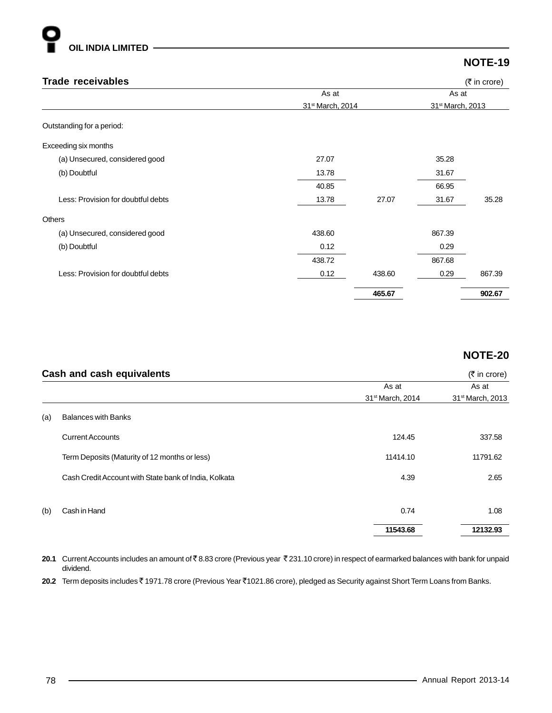# **NOTE-19**

| <b>Trade receivables</b>           |                              |        |                              | (₹ in crore) |
|------------------------------------|------------------------------|--------|------------------------------|--------------|
|                                    | As at                        |        | As at                        |              |
|                                    | 31 <sup>st</sup> March, 2014 |        | 31 <sup>st</sup> March, 2013 |              |
| Outstanding for a period:          |                              |        |                              |              |
| Exceeding six months               |                              |        |                              |              |
| (a) Unsecured, considered good     | 27.07                        |        | 35.28                        |              |
| (b) Doubtful                       | 13.78                        |        | 31.67                        |              |
|                                    | 40.85                        |        | 66.95                        |              |
| Less: Provision for doubtful debts | 13.78                        | 27.07  | 31.67                        | 35.28        |
| Others                             |                              |        |                              |              |
| (a) Unsecured, considered good     | 438.60                       |        | 867.39                       |              |
| (b) Doubtful                       | 0.12                         |        | 0.29                         |              |
|                                    | 438.72                       |        | 867.68                       |              |
| Less: Provision for doubtful debts | 0.12                         | 438.60 | 0.29                         | 867.39       |
|                                    |                              | 465.67 |                              | 902.67       |

# **NOTE-20**

| Cash and cash equivalents |                                                       |                              | $(5 \text{ in } \text{core})$ |
|---------------------------|-------------------------------------------------------|------------------------------|-------------------------------|
|                           |                                                       | As at                        | As at                         |
|                           |                                                       | 31 <sup>st</sup> March, 2014 | 31 <sup>st</sup> March, 2013  |
| (a)                       | <b>Balances with Banks</b>                            |                              |                               |
|                           | <b>Current Accounts</b>                               | 124.45                       | 337.58                        |
|                           | Term Deposits (Maturity of 12 months or less)         | 11414.10                     | 11791.62                      |
|                           | Cash Credit Account with State bank of India, Kolkata | 4.39                         | 2.65                          |
| (b)                       | Cash in Hand                                          | 0.74                         | 1.08                          |
|                           |                                                       | 11543.68                     | 12132.93                      |

**20.1** Current Accounts includes an amount of ₹8.83 crore (Previous year ₹231.10 crore) in respect of earmarked balances with bank for unpaid dividend.

**20.2** Term deposits includes ₹1971.78 crore (Previous Year ₹1021.86 crore), pledged as Security against Short Term Loans from Banks.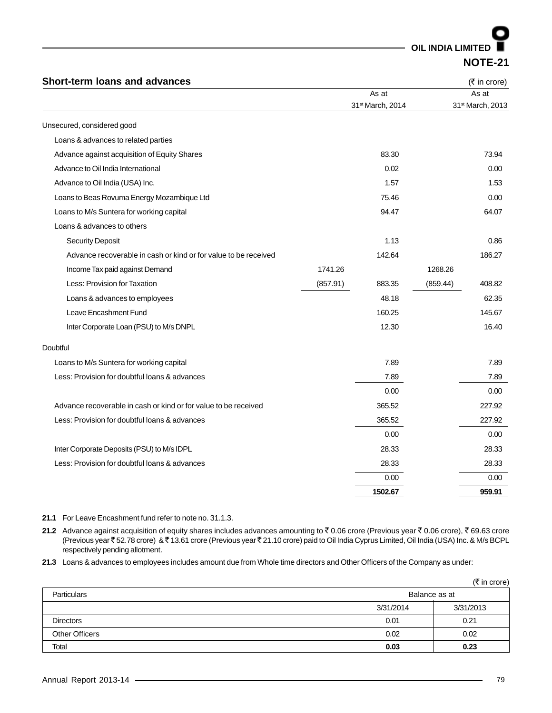**OIL INDIA LIMITED NOTE-21**

| <b>Short-term loans and advances</b>                            |          |                  |          | (₹ in crore)                 |
|-----------------------------------------------------------------|----------|------------------|----------|------------------------------|
|                                                                 |          | As at            |          | As at                        |
|                                                                 |          | 31st March, 2014 |          | 31 <sup>st</sup> March, 2013 |
| Unsecured, considered good                                      |          |                  |          |                              |
| Loans & advances to related parties                             |          |                  |          |                              |
| Advance against acquisition of Equity Shares                    |          | 83.30            |          | 73.94                        |
| Advance to Oil India International                              |          | 0.02             |          | 0.00                         |
| Advance to Oil India (USA) Inc.                                 |          | 1.57             |          | 1.53                         |
| Loans to Beas Rovuma Energy Mozambique Ltd                      |          | 75.46            |          | 0.00                         |
| Loans to M/s Suntera for working capital                        |          | 94.47            |          | 64.07                        |
| Loans & advances to others                                      |          |                  |          |                              |
| <b>Security Deposit</b>                                         |          | 1.13             |          | 0.86                         |
| Advance recoverable in cash or kind or for value to be received |          | 142.64           |          | 186.27                       |
| Income Tax paid against Demand                                  | 1741.26  |                  | 1268.26  |                              |
| Less: Provision for Taxation                                    | (857.91) | 883.35           | (859.44) | 408.82                       |
| Loans & advances to employees                                   |          | 48.18            |          | 62.35                        |
| Leave Encashment Fund                                           |          | 160.25           |          | 145.67                       |
| Inter Corporate Loan (PSU) to M/s DNPL                          |          | 12.30            |          | 16.40                        |
| Doubtful                                                        |          |                  |          |                              |
| Loans to M/s Suntera for working capital                        |          | 7.89             |          | 7.89                         |
| Less: Provision for doubtful loans & advances                   |          | 7.89             |          | 7.89                         |
|                                                                 |          | 0.00             |          | 0.00                         |
| Advance recoverable in cash or kind or for value to be received |          | 365.52           |          | 227.92                       |
| Less: Provision for doubtful loans & advances                   |          | 365.52           |          | 227.92                       |
|                                                                 |          | 0.00             |          | 0.00                         |
| Inter Corporate Deposits (PSU) to M/s IDPL                      |          | 28.33            |          | 28.33                        |
| Less: Provision for doubtful loans & advances                   |          | 28.33            |          | 28.33                        |
|                                                                 |          | 0.00             |          | 0.00                         |
|                                                                 |          | 1502.67          |          | 959.91                       |

#### **21.1** For Leave Encashment fund refer to note no. 31.1.3.

**21.2** Advance against acquisition of equity shares includes advances amounting to ₹0.06 crore (Previous year ₹0.06 crore), ₹69.63 crore (Previous year ₹52.78 crore) & ₹13.61 crore (Previous year ₹21.10 crore) paid to Oil India Cyprus Limited, Oil India (USA) Inc. & M/s BCPL respectively pending allotment.

**21.3** Loans & advances to employees includes amount due from Whole time directors and Other Officers of the Company as under:

|                  |               | $($ ₹ in crore) |  |
|------------------|---------------|-----------------|--|
| Particulars      | Balance as at |                 |  |
|                  | 3/31/2014     | 3/31/2013       |  |
| <b>Directors</b> | 0.01          | 0.21            |  |
| Other Officers   | 0.02          | 0.02            |  |
| Total            | 0.03          | 0.23            |  |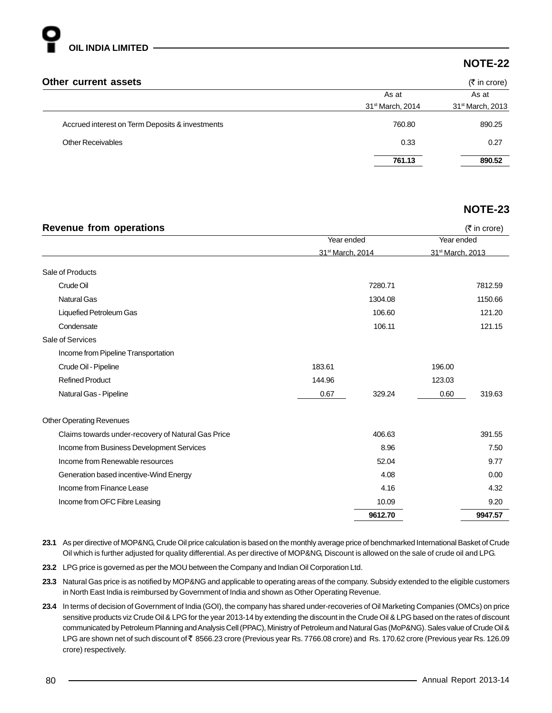# **NOTE-22**

| Other current assets                            |                              | $(5 \text{ in } \text{core})$ |
|-------------------------------------------------|------------------------------|-------------------------------|
|                                                 | As at                        | As at                         |
|                                                 | 31 <sup>st</sup> March, 2014 | 31 <sup>st</sup> March, 2013  |
| Accrued interest on Term Deposits & investments | 760.80                       | 890.25                        |
| <b>Other Receivables</b>                        | 0.33                         | 0.27                          |
|                                                 | 761.13                       | 890.52                        |

# **NOTE-23**

| <b>Revenue from operations</b>                     |                              |         |                              | $(5 \text{ in } \text{core})$ |
|----------------------------------------------------|------------------------------|---------|------------------------------|-------------------------------|
|                                                    | Year ended                   |         | Year ended                   |                               |
|                                                    | 31 <sup>st</sup> March, 2014 |         | 31 <sup>st</sup> March, 2013 |                               |
| Sale of Products                                   |                              |         |                              |                               |
| Crude Oil                                          |                              | 7280.71 |                              | 7812.59                       |
| <b>Natural Gas</b>                                 |                              | 1304.08 |                              | 1150.66                       |
| Liquefied Petroleum Gas                            |                              | 106.60  |                              | 121.20                        |
| Condensate                                         |                              | 106.11  |                              | 121.15                        |
| Sale of Services                                   |                              |         |                              |                               |
| Income from Pipeline Transportation                |                              |         |                              |                               |
| Crude Oil - Pipeline                               | 183.61                       |         | 196.00                       |                               |
| <b>Refined Product</b>                             | 144.96                       |         | 123.03                       |                               |
| Natural Gas - Pipeline                             | 0.67                         | 329.24  | 0.60                         | 319.63                        |
| <b>Other Operating Revenues</b>                    |                              |         |                              |                               |
| Claims towards under-recovery of Natural Gas Price |                              | 406.63  |                              | 391.55                        |
| Income from Business Development Services          |                              | 8.96    |                              | 7.50                          |
| Income from Renewable resources                    |                              | 52.04   |                              | 9.77                          |
| Generation based incentive-Wind Energy             |                              | 4.08    |                              | 0.00                          |
| Income from Finance Lease                          |                              | 4.16    |                              | 4.32                          |
| Income from OFC Fibre Leasing                      |                              | 10.09   |                              | 9.20                          |
|                                                    |                              | 9612.70 |                              | 9947.57                       |

- **23.1** As per directive of MOP&NG, Crude Oil price calculation is based on the monthly average price of benchmarked International Basket of Crude Oil which is further adjusted for quality differential. As per directive of MOP&NG, Discount is allowed on the sale of crude oil and LPG.
- **23.2** LPG price is governed as per the MOU between the Company and Indian Oil Corporation Ltd.
- **23.3** Natural Gas price is as notified by MOP&NG and applicable to operating areas of the company. Subsidy extended to the eligible customers in North East India is reimbursed by Government of India and shown as Other Operating Revenue.
- **23.4** In terms of decision of Government of India (GOI), the company has shared under-recoveries of Oil Marketing Companies (OMCs) on price sensitive products viz Crude Oil & LPG for the year 2013-14 by extending the discount in the Crude Oil & LPG based on the rates of discount communicated by Petroleum Planning and Analysis Cell (PPAC), Ministry of Petroleum and Natural Gas (MoP&NG). Sales value of Crude Oil & LPG are shown net of such discount of ₹8566.23 crore (Previous year Rs. 7766.08 crore) and Rs. 170.62 crore (Previous year Rs. 126.09 crore) respectively.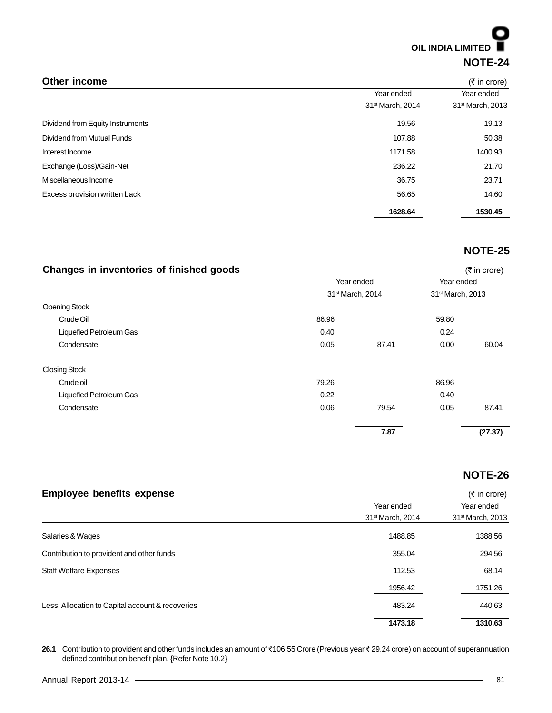# **OIL INDIA LIMITED NOTE-24**

| Other income                     |                              | (₹ in crore)                 |
|----------------------------------|------------------------------|------------------------------|
|                                  | Year ended                   | Year ended                   |
|                                  | 31 <sup>st</sup> March, 2014 | 31 <sup>st</sup> March, 2013 |
| Dividend from Equity Instruments | 19.56                        | 19.13                        |
| Dividend from Mutual Funds       | 107.88                       | 50.38                        |
| Interest Income                  | 1171.58                      | 1400.93                      |
| Exchange (Loss)/Gain-Net         | 236.22                       | 21.70                        |
| Miscellaneous Income             | 36.75                        | 23.71                        |
| Excess provision written back    | 56.65                        | 14.60                        |
|                                  | 1628.64                      | 1530.45                      |

# **NOTE-25**

| Changes in inventories of finished goods |       |                              |                              | $(5 \text{ in } \text{core})$ |
|------------------------------------------|-------|------------------------------|------------------------------|-------------------------------|
|                                          |       | Year ended                   | Year ended                   |                               |
|                                          |       | 31 <sup>st</sup> March, 2014 | 31 <sup>st</sup> March, 2013 |                               |
| <b>Opening Stock</b>                     |       |                              |                              |                               |
| Crude Oil                                | 86.96 |                              | 59.80                        |                               |
| Liquefied Petroleum Gas                  | 0.40  |                              | 0.24                         |                               |
| Condensate                               | 0.05  | 87.41                        | 0.00                         | 60.04                         |
| <b>Closing Stock</b>                     |       |                              |                              |                               |
| Crude oil                                | 79.26 |                              | 86.96                        |                               |
| Liquefied Petroleum Gas                  | 0.22  |                              | 0.40                         |                               |
| Condensate                               | 0.06  | 79.54                        | 0.05                         | 87.41                         |
|                                          |       | 7.87                         |                              | (27.37)                       |

# **NOTE-26**

| <b>Employee benefits expense</b>                 |                              | $(5$ in crore)               |
|--------------------------------------------------|------------------------------|------------------------------|
|                                                  | Year ended                   | Year ended                   |
|                                                  | 31 <sup>st</sup> March, 2014 | 31 <sup>st</sup> March, 2013 |
| Salaries & Wages                                 | 1488.85                      | 1388.56                      |
| Contribution to provident and other funds        | 355.04                       | 294.56                       |
| <b>Staff Welfare Expenses</b>                    | 112.53                       | 68.14                        |
|                                                  | 1956.42                      | 1751.26                      |
| Less: Allocation to Capital account & recoveries | 483.24                       | 440.63                       |
|                                                  | 1473.18                      | 1310.63                      |

**26.1** Contribution to provident and other funds includes an amount of ₹106.55 Crore (Previous year ₹ 29.24 crore) on account of superannuation defined contribution benefit plan. {Refer Note 10.2}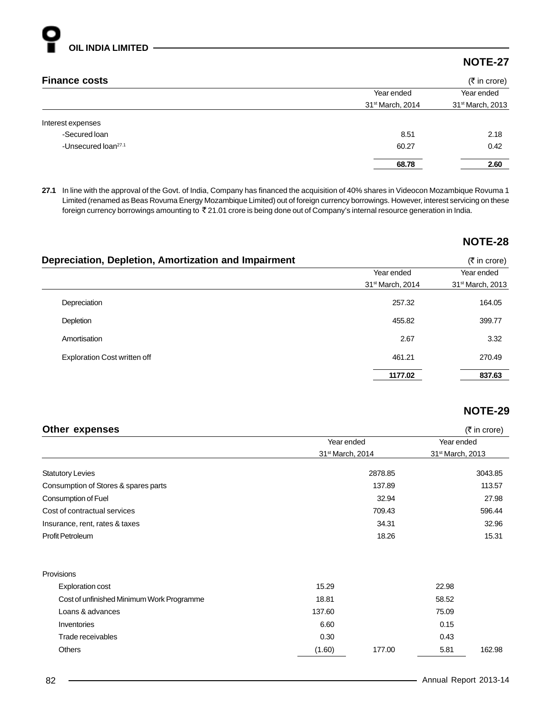# **NOTE-27**

| <b>Finance costs</b>            |                              | $(5$ in crore)               |
|---------------------------------|------------------------------|------------------------------|
|                                 | Year ended                   | Year ended                   |
|                                 | 31 <sup>st</sup> March, 2014 | 31 <sup>st</sup> March, 2013 |
| Interest expenses               |                              |                              |
| -Secured Ioan                   | 8.51                         | 2.18                         |
| -Unsecured loan <sup>27.1</sup> | 60.27                        | 0.42                         |
|                                 | 68.78                        | 2.60                         |

**27.1** In line with the approval of the Govt. of India, Company has financed the acquisition of 40% shares in Videocon Mozambique Rovuma 1 Limited (renamed as Beas Rovuma Energy Mozambique Limited) out of foreign currency borrowings. However, interest servicing on these foreign currency borrowings amounting to  $\bar{z}$  21.01 crore is being done out of Company's internal resource generation in India.

# **NOTE-28**

| Depreciation, Depletion, Amortization and Impairment |                              | $(5 \text{ in } \text{core})$ |
|------------------------------------------------------|------------------------------|-------------------------------|
|                                                      | Year ended                   | Year ended                    |
|                                                      | 31 <sup>st</sup> March, 2014 | 31 <sup>st</sup> March, 2013  |
| Depreciation                                         | 257.32                       | 164.05                        |
| Depletion                                            | 455.82                       | 399.77                        |
| Amortisation                                         | 2.67                         | 3.32                          |
| Exploration Cost written off                         | 461.21                       | 270.49                        |
|                                                      | 1177.02                      | 837.63                        |

# **NOTE-29**

| Other expenses                            |                              | (₹ in core)                  |
|-------------------------------------------|------------------------------|------------------------------|
|                                           | Year ended                   | Year ended                   |
|                                           | 31 <sup>st</sup> March, 2014 | 31 <sup>st</sup> March, 2013 |
| <b>Statutory Levies</b>                   | 2878.85                      | 3043.85                      |
| Consumption of Stores & spares parts      | 137.89                       | 113.57                       |
| Consumption of Fuel                       | 32.94                        | 27.98                        |
| Cost of contractual services              | 709.43                       | 596.44                       |
| Insurance, rent, rates & taxes            | 34.31                        | 32.96                        |
| Profit Petroleum                          | 18.26                        | 15.31                        |
| Provisions                                |                              |                              |
| <b>Exploration cost</b>                   | 15.29                        | 22.98                        |
| Cost of unfinished Minimum Work Programme | 18.81                        | 58.52                        |
| Loans & advances                          | 137.60                       | 75.09                        |
| Inventories                               | 6.60                         | 0.15                         |
| Trade receivables                         | 0.30                         | 0.43                         |
| <b>Others</b>                             | (1.60)<br>177.00             | 5.81<br>162.98               |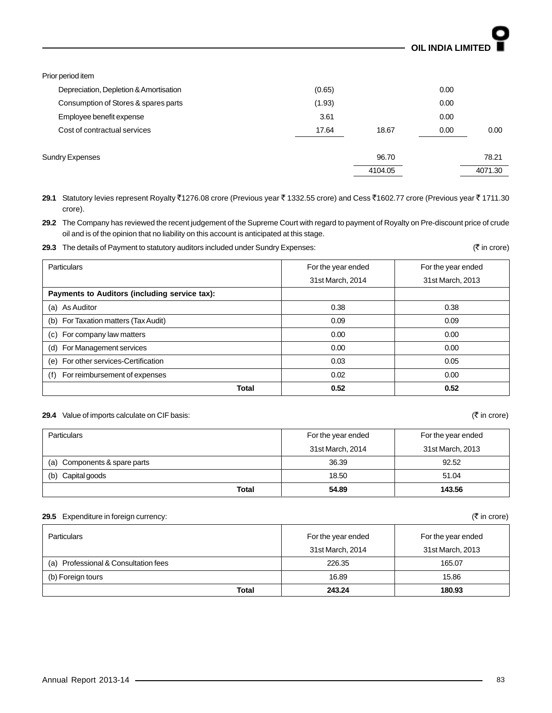Prior period item

| Depreciation, Depletion & Amortisation | (0.65) |         | 0.00 |         |
|----------------------------------------|--------|---------|------|---------|
| Consumption of Stores & spares parts   | (1.93) |         | 0.00 |         |
| Employee benefit expense               | 3.61   |         | 0.00 |         |
| Cost of contractual services           | 17.64  | 18.67   | 0.00 | 0.00    |
| Sundry Expenses                        |        | 96.70   |      | 78.21   |
|                                        |        | 4104.05 |      | 4071.30 |

29.1 Statutory levies represent Royalty ₹1276.08 crore (Previous year ₹ 1332.55 crore) and Cess ₹1602.77 crore (Previous year ₹ 1711.30 crore).

**29.2** The Company has reviewed the recent judgement of the Supreme Court with regard to payment of Royalty on Pre-discount price of crude oil and is of the opinion that no liability on this account is anticipated at this stage.

**29.3** The details of Payment to statutory auditors included under Sundry Expenses: (₹ in crore)

| Particulars                                   | For the year ended | For the year ended |
|-----------------------------------------------|--------------------|--------------------|
|                                               | 31st March, 2014   | 31st March, 2013   |
| Payments to Auditors (including service tax): |                    |                    |
| (a) As Auditor                                | 0.38               | 0.38               |
| (b) For Taxation matters (Tax Audit)          | 0.09               | 0.09               |
| (c) For company law matters                   | 0.00               | 0.00               |
| (d) For Management services                   | 0.00               | 0.00               |
| (e) For other services-Certification          | 0.03               | 0.05               |
| For reimbursement of expenses<br>(f)          | 0.02               | 0.00               |
| <b>Total</b>                                  | 0.52               | 0.52               |

#### **29.4** Value of imports calculate on CIF basis:  $(\bar{\tau}$  in crore)

| Particulars                  | For the year ended | For the year ended |
|------------------------------|--------------------|--------------------|
|                              | 31st March, 2014   | 31st March, 2013   |
| (a) Components & spare parts | 36.39              | 92.52              |
| (b)<br>Capital goods         | 18.50              | 51.04              |
| Total                        | 54.89              | 143.56             |

#### 29.5 Expenditure in foreign currency:  $(\bar{z})$  in crore)

| <b>Particulars</b>                   | For the year ended<br>31st March, 2014 | For the year ended<br>31st March, 2013 |
|--------------------------------------|----------------------------------------|----------------------------------------|
| (a) Professional & Consultation fees | 226.35                                 | 165.07                                 |
| (b) Foreign tours                    | 16.89                                  | 15.86                                  |
| Total                                | 243.24                                 | 180.93                                 |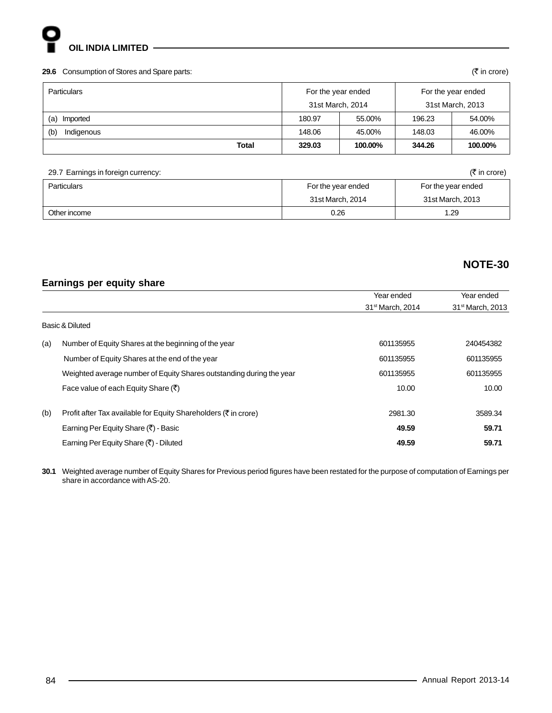## 29.6 Consumption of Stores and Spare parts:  $(\bar{z})$  in crore)

| <b>Particulars</b> | For the year ended |         | For the year ended |                  |
|--------------------|--------------------|---------|--------------------|------------------|
|                    | 31st March, 2014   |         |                    | 31st March, 2013 |
| Imported<br>(a)    | 180.97             | 55.00%  | 196.23             | 54.00%           |
| (b)<br>Indigenous  | 148.06             | 45.00%  | 148.03             | 46.00%           |
| Total              | 329.03             | 100.00% | 344.26             | 100.00%          |

#### 29.7 Earnings in foreign currency:  $(\bar{z})$  in crore)

| Particulars  | For the year ended<br>For the year ended |                  |  |
|--------------|------------------------------------------|------------------|--|
|              | 31st March, 2014                         | 31st March, 2013 |  |
| Other income | 0.26                                     | 1.29             |  |

# **NOTE-30**

# **Earnings per equity share**

|                 |                                                                             | Year ended                   | Year ended                   |
|-----------------|-----------------------------------------------------------------------------|------------------------------|------------------------------|
|                 |                                                                             | 31 <sup>st</sup> March, 2014 | 31 <sup>st</sup> March, 2013 |
| Basic & Diluted |                                                                             |                              |                              |
| (a)             | Number of Equity Shares at the beginning of the year                        | 601135955                    | 240454382                    |
|                 | Number of Equity Shares at the end of the year                              | 601135955                    | 601135955                    |
|                 | Weighted average number of Equity Shares outstanding during the year        | 601135955                    | 601135955                    |
|                 | Face value of each Equity Share $(\bar{\zeta})$                             | 10.00                        | 10.00                        |
| (b)             | Profit after Tax available for Equity Shareholders ( $\bar{\tau}$ in crore) | 2981.30                      | 3589.34                      |
|                 | Earning Per Equity Share $(\overline{\zeta})$ - Basic                       | 49.59                        | 59.71                        |
|                 | Earning Per Equity Share $(\overline{\zeta})$ - Diluted                     | 49.59                        | 59.71                        |

**30.1** Weighted average number of Equity Shares for Previous period figures have been restated for the purpose of computation of Earnings per share in accordance with AS-20.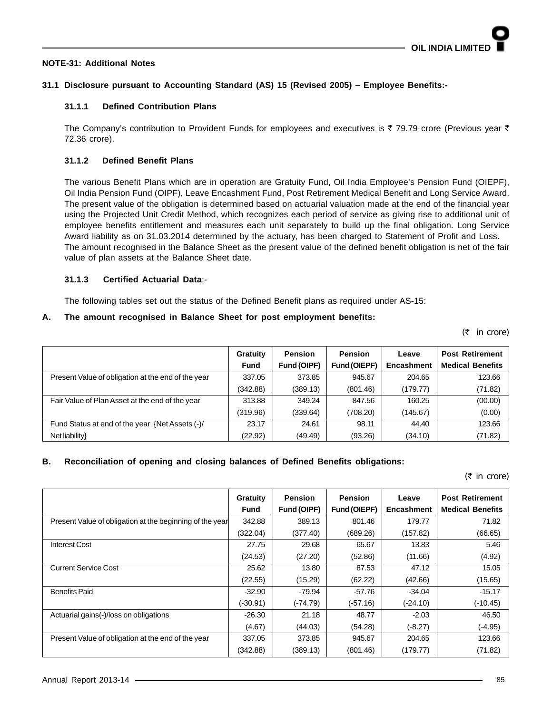#### **NOTE-31: Additional Notes**

#### **31.1 Disclosure pursuant to Accounting Standard (AS) 15 (Revised 2005) – Employee Benefits:-**

#### **31.1.1 Defined Contribution Plans**

The Company's contribution to Provident Funds for employees and executives is  $\bar{\tau}$  79.79 crore (Previous year  $\bar{\tau}$ 72.36 crore).

#### **31.1.2 Defined Benefit Plans**

The various Benefit Plans which are in operation are Gratuity Fund, Oil India Employee's Pension Fund (OIEPF), Oil India Pension Fund (OIPF), Leave Encashment Fund, Post Retirement Medical Benefit and Long Service Award. The present value of the obligation is determined based on actuarial valuation made at the end of the financial year using the Projected Unit Credit Method, which recognizes each period of service as giving rise to additional unit of employee benefits entitlement and measures each unit separately to build up the final obligation. Long Service Award liability as on 31.03.2014 determined by the actuary, has been charged to Statement of Profit and Loss. The amount recognised in the Balance Sheet as the present value of the defined benefit obligation is net of the fair value of plan assets at the Balance Sheet date.

#### **31.1.3 Certified Actuarial Data**:-

The following tables set out the status of the Defined Benefit plans as required under AS-15:

#### **A. The amount recognised in Balance Sheet for post employment benefits:**

 $(5$  in crore)

|                                                    | Gratuity    | <b>Pension</b> | <b>Pension</b> | Leave      | <b>Post Retirement</b>  |
|----------------------------------------------------|-------------|----------------|----------------|------------|-------------------------|
|                                                    | <b>Fund</b> | Fund (OIPF)    | Fund (OIEPF)   | Encashment | <b>Medical Benefits</b> |
| Present Value of obligation at the end of the year | 337.05      | 373.85         | 945.67         | 204.65     | 123.66                  |
|                                                    | (342.88)    | (389.13)       | (801.46)       | (179.77)   | (71.82)                 |
| Fair Value of Plan Asset at the end of the year    | 313.88      | 349.24         | 847.56         | 160.25     | (00.00)                 |
|                                                    | (319.96)    | (339.64)       | (708.20)       | (145.67)   | (0.00)                  |
| Fund Status at end of the year {Net Assets (-)/    | 23.17       | 24.61          | 98.11          | 44.40      | 123.66                  |
| Net liability }                                    | (22.92)     | (49.49)        | (93.26)        | (34.10)    | (71.82)                 |

#### **B. Reconciliation of opening and closing balances of Defined Benefits obligations:**

|                                                          | Gratuity    | <b>Pension</b> | <b>Pension</b> | Leave             | <b>Post Retirement</b>  |
|----------------------------------------------------------|-------------|----------------|----------------|-------------------|-------------------------|
|                                                          | <b>Fund</b> | Fund (OIPF)    | Fund (OIEPF)   | <b>Encashment</b> | <b>Medical Benefits</b> |
| Present Value of obligation at the beginning of the year | 342.88      | 389.13         | 801.46         | 179.77            | 71.82                   |
|                                                          | (322.04)    | (377.40)       | (689.26)       | (157.82)          | (66.65)                 |
| <b>Interest Cost</b>                                     | 27.75       | 29.68          | 65.67          | 13.83             | 5.46                    |
|                                                          | (24.53)     | (27.20)        | (52.86)        | (11.66)           | (4.92)                  |
| <b>Current Service Cost</b>                              | 25.62       | 13.80          | 87.53          | 47.12             | 15.05                   |
|                                                          | (22.55)     | (15.29)        | (62.22)        | (42.66)           | (15.65)                 |
| <b>Benefits Paid</b>                                     | $-32.90$    | $-79.94$       | $-57.76$       | $-34.04$          | $-15.17$                |
|                                                          | (-30.91)    | $(-74.79)$     | (-57.16)       | $(-24.10)$        | $(-10.45)$              |
| Actuarial gains (-)/loss on obligations                  | $-26.30$    | 21.18          | 48.77          | $-2.03$           | 46.50                   |
|                                                          | (4.67)      | (44.03)        | (54.28)        | $(-8.27)$         | $(-4.95)$               |
| Present Value of obligation at the end of the year       | 337.05      | 373.85         | 945.67         | 204.65            | 123.66                  |
|                                                          | (342.88)    | (389.13)       | (801.46)       | (179.77)          | (71.82)                 |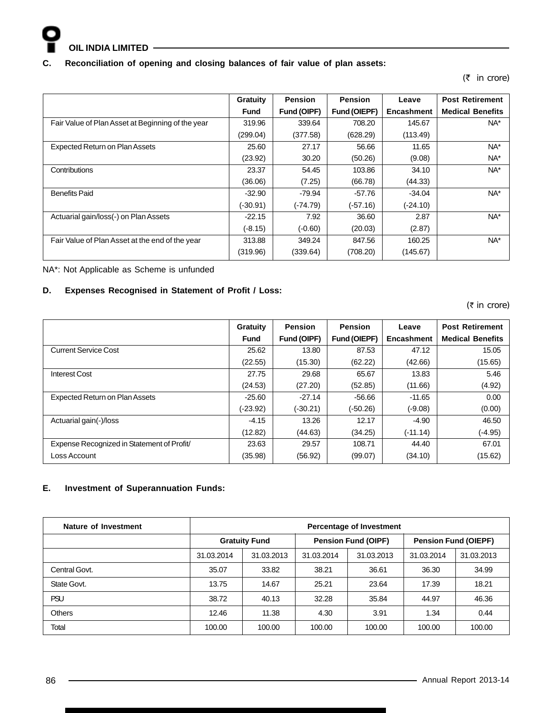### **C. Reconciliation of opening and closing balances of fair value of plan assets:**

#### $($ ₹ in crore)

|                                                   | Gratuity    | <b>Pension</b> | <b>Pension</b> | Leave      | <b>Post Retirement</b>  |
|---------------------------------------------------|-------------|----------------|----------------|------------|-------------------------|
|                                                   | <b>Fund</b> | Fund (OIPF)    | Fund (OIEPF)   | Encashment | <b>Medical Benefits</b> |
| Fair Value of Plan Asset at Beginning of the year | 319.96      | 339.64         | 708.20         | 145.67     | NA*                     |
|                                                   | (299.04)    | (377.58)       | (628.29)       | (113.49)   |                         |
| <b>Expected Return on Plan Assets</b>             | 25.60       | 27.17          | 56.66          | 11.65      | $NA^*$                  |
|                                                   | (23.92)     | 30.20          | (50.26)        | (9.08)     | NA*                     |
| Contributions                                     | 23.37       | 54.45          | 103.86         | 34.10      | $NA^*$                  |
|                                                   | (36.06)     | (7.25)         | (66.78)        | (44.33)    |                         |
| <b>Benefits Paid</b>                              | $-32.90$    | $-79.94$       | $-57.76$       | $-34.04$   | $NA^*$                  |
|                                                   | (-30.91)    | $(-74.79)$     | (-57.16)       | (-24.10)   |                         |
| Actuarial gain/loss(-) on Plan Assets             | $-22.15$    | 7.92           | 36.60          | 2.87       | $NA^*$                  |
|                                                   | $(-8.15)$   | $(-0.60)$      | (20.03)        | (2.87)     |                         |
| Fair Value of Plan Asset at the end of the year   | 313.88      | 349.24         | 847.56         | 160.25     | NA*                     |
|                                                   | (319.96)    | (339.64)       | (708.20)       | (145.67)   |                         |

NA\*: Not Applicable as Scheme is unfunded

#### **D. Expenses Recognised in Statement of Profit / Loss:**

 $($ ₹ in crore)

|                                            | Gratuity    | <b>Pension</b> | Pension      | Leave             | <b>Post Retirement</b>  |
|--------------------------------------------|-------------|----------------|--------------|-------------------|-------------------------|
|                                            | <b>Fund</b> | Fund (OIPF)    | Fund (OIEPF) | <b>Encashment</b> | <b>Medical Benefits</b> |
| <b>Current Service Cost</b>                | 25.62       | 13.80          | 87.53        | 47.12             | 15.05                   |
|                                            | (22.55)     | (15.30)        | (62.22)      | (42.66)           | (15.65)                 |
| <b>Interest Cost</b>                       | 27.75       | 29.68          | 65.67        | 13.83             | 5.46                    |
|                                            | (24.53)     | (27.20)        | (52.85)      | (11.66)           | (4.92)                  |
| <b>Expected Return on Plan Assets</b>      | $-25.60$    | $-27.14$       | $-56.66$     | $-11.65$          | 0.00                    |
|                                            | $(-23.92)$  | $(-30.21)$     | (-50.26)     | $(-9.08)$         | (0.00)                  |
| Actuarial gain(-)/loss                     | $-4.15$     | 13.26          | 12.17        | $-4.90$           | 46.50                   |
|                                            | (12.82)     | (44.63)        | (34.25)      | $(-11.14)$        | (-4.95)                 |
| Expense Recognized in Statement of Profit/ | 23.63       | 29.57          | 108.71       | 44.40             | 67.01                   |
| Loss Account                               | (35.98)     | (56.92)        | (99.07)      | (34.10)           | (15.62)                 |

### **E. Investment of Superannuation Funds:**

| Nature of Investment | <b>Percentage of Investment</b> |            |            |                            |                             |            |  |
|----------------------|---------------------------------|------------|------------|----------------------------|-----------------------------|------------|--|
|                      | <b>Gratuity Fund</b>            |            |            | <b>Pension Fund (OIPF)</b> | <b>Pension Fund (OIEPF)</b> |            |  |
|                      | 31.03.2014                      | 31.03.2013 | 31.03.2014 | 31.03.2013                 | 31.03.2014                  | 31.03.2013 |  |
| Central Govt.        | 35.07                           | 33.82      | 38.21      | 36.61                      | 36.30                       | 34.99      |  |
| State Govt.          | 13.75                           | 14.67      | 25.21      | 23.64                      | 17.39                       | 18.21      |  |
| <b>PSU</b>           | 38.72                           | 40.13      | 32.28      | 35.84                      | 44.97                       | 46.36      |  |
| <b>Others</b>        | 12.46                           | 11.38      | 4.30       | 3.91                       | 1.34                        | 0.44       |  |
| Total                | 100.00                          | 100.00     | 100.00     | 100.00                     | 100.00                      | 100.00     |  |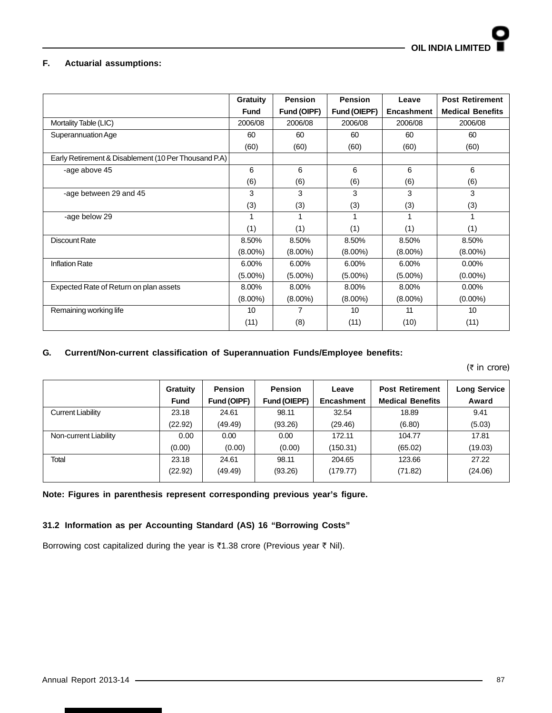#### **F. Actuarial assumptions:**

|                                                      | Gratuity        | Pension     | <b>Pension</b> | Leave      | <b>Post Retirement</b>  |
|------------------------------------------------------|-----------------|-------------|----------------|------------|-------------------------|
|                                                      | <b>Fund</b>     | Fund (OIPF) | Fund (OIEPF)   | Encashment | <b>Medical Benefits</b> |
| Mortality Table (LIC)                                | 2006/08         | 2006/08     | 2006/08        | 2006/08    | 2006/08                 |
| Superannuation Age                                   | 60              | 60          | 60             | 60         | 60                      |
|                                                      | (60)            | (60)        | (60)           | (60)       | (60)                    |
| Early Retirement & Disablement (10 Per Thousand P.A) |                 |             |                |            |                         |
| -age above 45                                        | 6               | 6           | 6              | 6          | 6                       |
|                                                      | (6)             | (6)         | (6)            | (6)        | (6)                     |
| -age between 29 and 45                               | 3               | 3           | 3              | 3          | 3                       |
|                                                      | (3)             | (3)         | (3)            | (3)        | (3)                     |
| -age below 29                                        |                 |             |                | 1          | 4                       |
|                                                      | (1)             | (1)         | (1)            | (1)        | (1)                     |
| <b>Discount Rate</b>                                 | 8.50%           | 8.50%       | 8.50%          | 8.50%      | 8.50%                   |
|                                                      | $(8.00\%)$      | $(8.00\%)$  | $(8.00\%)$     | $(8.00\%)$ | $(8.00\%)$              |
| <b>Inflation Rate</b>                                | 6.00%           | 6.00%       | 6.00%          | 6.00%      | 0.00%                   |
|                                                      | $(5.00\%)$      | $(5.00\%)$  | $(5.00\%)$     | $(5.00\%)$ | $(0.00\%)$              |
| Expected Rate of Return on plan assets               | 8.00%           | 8.00%       | 8.00%          | 8.00%      | $0.00\%$                |
|                                                      | $(8.00\%)$      | $(8.00\%)$  | $(8.00\%)$     | $(8.00\%)$ | $(0.00\%)$              |
| Remaining working life                               | 10 <sup>°</sup> | 7           | 10             | 11         | 10 <sup>°</sup>         |
|                                                      | (11)            | (8)         | (11)           | (10)       | (11)                    |

### **G. Current/Non-current classification of Superannuation Funds/Employee benefits:**

 $($ ₹ in crore)

|                          | Gratuity    | <b>Pension</b> | <b>Pension</b> | Leave             | <b>Post Retirement</b>  | <b>Long Service</b> |
|--------------------------|-------------|----------------|----------------|-------------------|-------------------------|---------------------|
|                          | <b>Fund</b> | Fund (OIPF)    | Fund (OIEPF)   | <b>Encashment</b> | <b>Medical Benefits</b> | Award               |
| <b>Current Liability</b> | 23.18       | 24.61          | 98.11          | 32.54             | 18.89                   | 9.41                |
|                          | (22.92)     | (49.49)        | (93.26)        | (29.46)           | (6.80)                  | (5.03)              |
| Non-current Liability    | 0.00        | 0.00           | 0.00           | 172.11            | 104.77                  | 17.81               |
|                          | (0.00)      | (0.00)         | (0.00)         | (150.31)          | (65.02)                 | (19.03)             |
| Total                    | 23.18       | 24.61          | 98.11          | 204.65            | 123.66                  | 27.22               |
|                          | (22.92)     | (49.49)        | (93.26)        | (179.77)          | (71.82)                 | (24.06)             |

**Note: Figures in parenthesis represent corresponding previous year's figure.**

**31.2 Information as per Accounting Standard (AS) 16 "Borrowing Costs"**

Borrowing cost capitalized during the year is  $\overline{51.38}$  crore (Previous year  $\overline{5}$  Nil).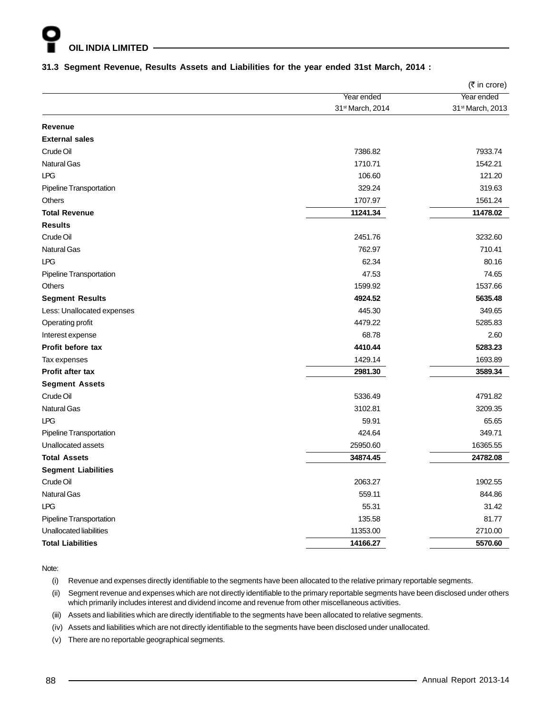## **31.3 Segment Revenue, Results Assets and Liabilities for the year ended 31st March, 2014 :**

|                                |                  | $(5 \text{ in } \text{core})$ |
|--------------------------------|------------------|-------------------------------|
|                                | Year ended       | Year ended                    |
|                                | 31st March, 2014 | 31 <sup>st</sup> March, 2013  |
| Revenue                        |                  |                               |
| <b>External sales</b>          |                  |                               |
| Crude Oil                      | 7386.82          | 7933.74                       |
| <b>Natural Gas</b>             | 1710.71          | 1542.21                       |
| <b>LPG</b>                     | 106.60           | 121.20                        |
| Pipeline Transportation        | 329.24           | 319.63                        |
| Others                         | 1707.97          | 1561.24                       |
| <b>Total Revenue</b>           | 11241.34         | 11478.02                      |
| <b>Results</b>                 |                  |                               |
| Crude Oil                      | 2451.76          | 3232.60                       |
| <b>Natural Gas</b>             | 762.97           | 710.41                        |
| <b>LPG</b>                     | 62.34            | 80.16                         |
| Pipeline Transportation        | 47.53            | 74.65                         |
| Others                         | 1599.92          | 1537.66                       |
| <b>Segment Results</b>         | 4924.52          | 5635.48                       |
| Less: Unallocated expenses     | 445.30           | 349.65                        |
| Operating profit               | 4479.22          | 5285.83                       |
| Interest expense               | 68.78            | 2.60                          |
| <b>Profit before tax</b>       | 4410.44          | 5283.23                       |
| Tax expenses                   | 1429.14          | 1693.89                       |
| Profit after tax               | 2981.30          | 3589.34                       |
| <b>Segment Assets</b>          |                  |                               |
| Crude Oil                      | 5336.49          | 4791.82                       |
| <b>Natural Gas</b>             | 3102.81          | 3209.35                       |
| <b>LPG</b>                     | 59.91            | 65.65                         |
| Pipeline Transportation        | 424.64           | 349.71                        |
| Unallocated assets             | 25950.60         | 16365.55                      |
| <b>Total Assets</b>            | 34874.45         | 24782.08                      |
| <b>Segment Liabilities</b>     |                  |                               |
| Crude Oil                      | 2063.27          | 1902.55                       |
| <b>Natural Gas</b>             | 559.11           | 844.86                        |
| LPG                            | 55.31            | 31.42                         |
| Pipeline Transportation        | 135.58           | 81.77                         |
| <b>Unallocated liabilities</b> | 11353.00         | 2710.00                       |
| <b>Total Liabilities</b>       | 14166.27         | 5570.60                       |

Note:

(i) Revenue and expenses directly identifiable to the segments have been allocated to the relative primary reportable segments.

(ii) Segment revenue and expenses which are not directly identifiable to the primary reportable segments have been disclosed under others which primarily includes interest and dividend income and revenue from other miscellaneous activities.

(iii) Assets and liabilities which are directly identifiable to the segments have been allocated to relative segments.

(iv) Assets and liabilities which are not directly identifiable to the segments have been disclosed under unallocated.

(v) There are no reportable geographical segments.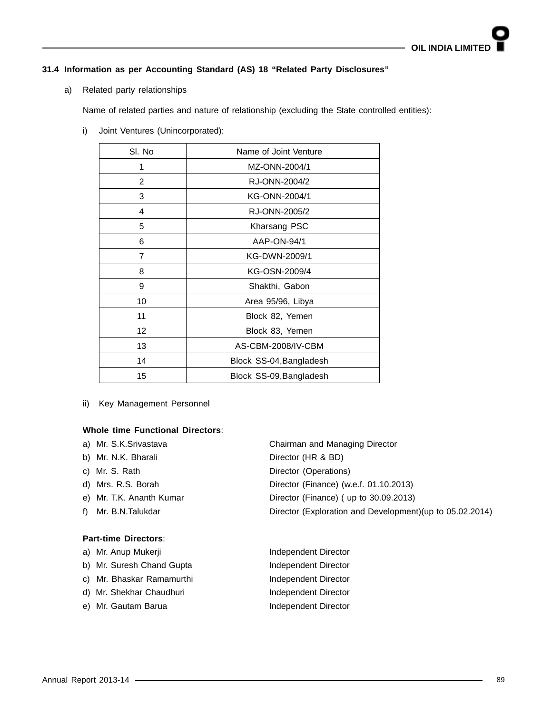#### **31.4 Information as per Accounting Standard (AS) 18 "Related Party Disclosures"**

a) Related party relationships

Name of related parties and nature of relationship (excluding the State controlled entities):

i) Joint Ventures (Unincorporated):

| SI. No | Name of Joint Venture   |
|--------|-------------------------|
| 1      | MZ-ONN-2004/1           |
| 2      | RJ-ONN-2004/2           |
| 3      | KG-ONN-2004/1           |
| 4      | RJ-ONN-2005/2           |
| 5      | Kharsang PSC            |
| 6      | AAP-ON-94/1             |
| 7      | KG-DWN-2009/1           |
| 8      | KG-OSN-2009/4           |
| 9      | Shakthi, Gabon          |
| 10     | Area 95/96, Libya       |
| 11     | Block 82, Yemen         |
| 12     | Block 83, Yemen         |
| 13     | AS-CBM-2008/IV-CBM      |
| 14     | Block SS-04, Bangladesh |
| 15     | Block SS-09, Bangladesh |

ii) Key Management Personnel

#### **Whole time Functional Directors**:

| a) Mr. S.K.Srivastava    | Chairman and Managing Director                            |
|--------------------------|-----------------------------------------------------------|
| b) Mr. N.K. Bharali      | Director (HR & BD)                                        |
| c) Mr. S. Rath           | Director (Operations)                                     |
| d) Mrs. R.S. Borah       | Director (Finance) (w.e.f. 01.10.2013)                    |
| e) Mr. T.K. Ananth Kumar | Director (Finance) (up to 30.09.2013)                     |
| f) Mr. B.N. Talukdar     | Director (Exploration and Development) (up to 05.02.2014) |
|                          |                                                           |

#### **Part-time Directors**:

- a) Mr. Anup Mukerji **Independent Director**
- b) Mr. Suresh Chand Gupta Independent Director
- c) Mr. Bhaskar Ramamurthi Independent Director
- d) Mr. Shekhar Chaudhuri **Independent Director**
- e) Mr. Gautam Barua **Independent Director**

Annual Report 2013-14 89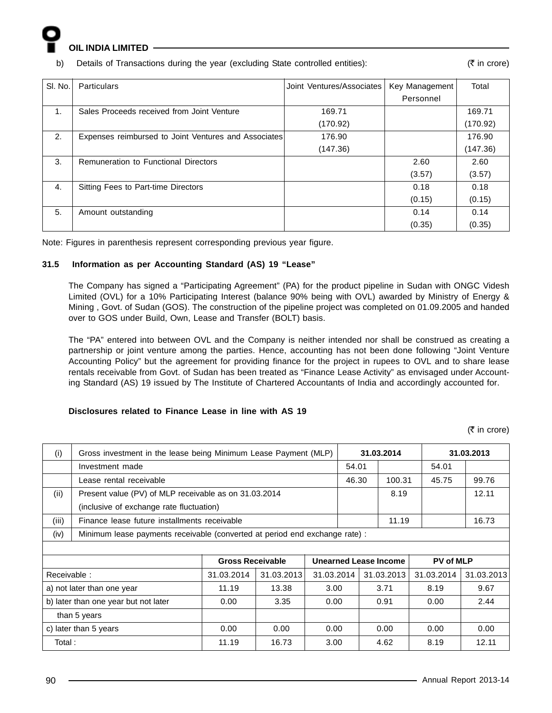# **INDIA LIMITED**

| b) Details of Transactions during the year (excluding State controlled entities): |  | (₹ in crore) |
|-----------------------------------------------------------------------------------|--|--------------|

| SI. No. | <b>Particulars</b>                                   | Joint Ventures/Associates | Key Management | Total    |
|---------|------------------------------------------------------|---------------------------|----------------|----------|
|         |                                                      |                           | Personnel      |          |
| 1.      | Sales Proceeds received from Joint Venture           | 169.71                    |                | 169.71   |
|         |                                                      | (170.92)                  |                | (170.92) |
| 2.      | Expenses reimbursed to Joint Ventures and Associates | 176.90                    |                | 176.90   |
|         |                                                      | (147.36)                  |                | (147.36) |
| 3.      | Remuneration to Functional Directors                 |                           | 2.60           | 2.60     |
|         |                                                      |                           | (3.57)         | (3.57)   |
| 4.      | Sitting Fees to Part-time Directors                  |                           | 0.18           | 0.18     |
|         |                                                      |                           | (0.15)         | (0.15)   |
| 5.      | Amount outstanding                                   |                           | 0.14           | 0.14     |
|         |                                                      |                           | (0.35)         | (0.35)   |

Note: Figures in parenthesis represent corresponding previous year figure.

## **31.5 Information as per Accounting Standard (AS) 19 "Lease"**

The Company has signed a "Participating Agreement" (PA) for the product pipeline in Sudan with ONGC Videsh Limited (OVL) for a 10% Participating Interest (balance 90% being with OVL) awarded by Ministry of Energy & Mining , Govt. of Sudan (GOS). The construction of the pipeline project was completed on 01.09.2005 and handed over to GOS under Build, Own, Lease and Transfer (BOLT) basis.

The "PA" entered into between OVL and the Company is neither intended nor shall be construed as creating a partnership or joint venture among the parties. Hence, accounting has not been done following "Joint Venture Accounting Policy" but the agreement for providing finance for the project in rupees to OVL and to share lease rentals receivable from Govt. of Sudan has been treated as "Finance Lease Activity" as envisaged under Accounting Standard (AS) 19 issued by The Institute of Chartered Accountants of India and accordingly accounted for.

#### **Disclosures related to Finance Lease in line with AS 19**

| (i)         | Gross investment in the lease being Minimum Lease Payment (MLP)             |                         |            |            |            | 31.03.2014                   |                  | 31.03.2013 |
|-------------|-----------------------------------------------------------------------------|-------------------------|------------|------------|------------|------------------------------|------------------|------------|
|             | Investment made                                                             | 54.01                   |            | 54.01      |            |                              |                  |            |
|             | Lease rental receivable                                                     |                         |            | 46.30      | 100.31     | 45.75                        | 99.76            |            |
| (ii)        | Present value (PV) of MLP receivable as on 31.03.2014                       |                         |            | 8.19       |            | 12.11                        |                  |            |
|             | (inclusive of exchange rate fluctuation)                                    |                         |            |            |            |                              |                  |            |
| (iii)       | Finance lease future installments receivable                                |                         |            | 11.19      |            | 16.73                        |                  |            |
| (iv)        | Minimum lease payments receivable (converted at period end exchange rate) : |                         |            |            |            |                              |                  |            |
|             |                                                                             |                         |            |            |            |                              |                  |            |
|             |                                                                             | <b>Gross Receivable</b> |            |            |            | <b>Unearned Lease Income</b> | <b>PV of MLP</b> |            |
| Receivable: |                                                                             | 31.03.2014              | 31.03.2013 | 31.03.2014 | 31.03.2013 |                              | 31.03.2014       | 31.03.2013 |
|             | a) not later than one year                                                  | 11.19                   | 13.38      | 3.00       |            | 3.71                         | 8.19             | 9.67       |
|             | b) later than one year but not later                                        | 0.00                    | 3.35       | 0.00       |            | 0.91                         | 0.00             | 2.44       |
|             | than 5 years                                                                |                         |            |            |            |                              |                  |            |
|             | c) later than 5 years                                                       | 0.00                    | 0.00       | 0.00       |            | 0.00                         | 0.00             | 0.00       |
| Total:      |                                                                             | 11.19                   | 16.73      | 3.00       |            | 4.62                         | 8.19             | 12.11      |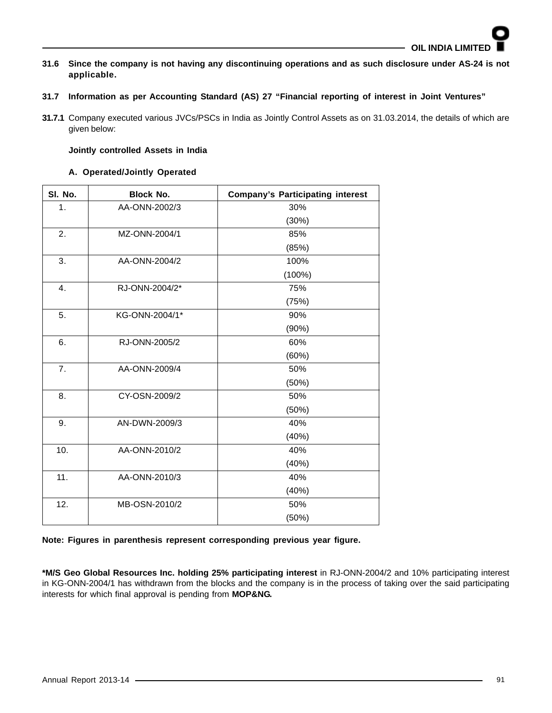- **31.6 Since the company is not having any discontinuing operations and as such disclosure under AS-24 is not applicable.**
- **31.7 Information as per Accounting Standard (AS) 27 "Financial reporting of interest in Joint Ventures"**
- **31.7.1** Company executed various JVCs/PSCs in India as Jointly Control Assets as on 31.03.2014, the details of which are given below:

#### **Jointly controlled Assets in India**

#### **A. Operated/Jointly Operated**

| SI. No. | <b>Block No.</b> | <b>Company's Participating interest</b> |
|---------|------------------|-----------------------------------------|
| 1.      | AA-ONN-2002/3    | 30%                                     |
|         |                  | (30%)                                   |
| 2.      | MZ-ONN-2004/1    | 85%                                     |
|         |                  | (85%)                                   |
| 3.      | AA-ONN-2004/2    | 100%                                    |
|         |                  | $(100\%)$                               |
| 4.      | RJ-ONN-2004/2*   | 75%                                     |
|         |                  | (75%)                                   |
| 5.      | KG-ONN-2004/1*   | 90%                                     |
|         |                  | (90%)                                   |
| 6.      | RJ-ONN-2005/2    | 60%                                     |
|         |                  | (60%)                                   |
| 7.      | AA-ONN-2009/4    | 50%                                     |
|         |                  | (50%)                                   |
| 8.      | CY-OSN-2009/2    | 50%                                     |
|         |                  | (50%)                                   |
| 9.      | AN-DWN-2009/3    | 40%                                     |
|         |                  | (40%)                                   |
| 10.     | AA-ONN-2010/2    | 40%                                     |
|         |                  | (40%)                                   |
| 11.     | AA-ONN-2010/3    | 40%                                     |
|         |                  | (40%)                                   |
| 12.     | MB-OSN-2010/2    | 50%                                     |
|         |                  | (50%)                                   |

**Note: Figures in parenthesis represent corresponding previous year figure.**

**\*M/S Geo Global Resources Inc. holding 25% participating interest** in RJ-ONN-2004/2 and 10% participating interest in KG-ONN-2004/1 has withdrawn from the blocks and the company is in the process of taking over the said participating interests for which final approval is pending from **MOP&NG.**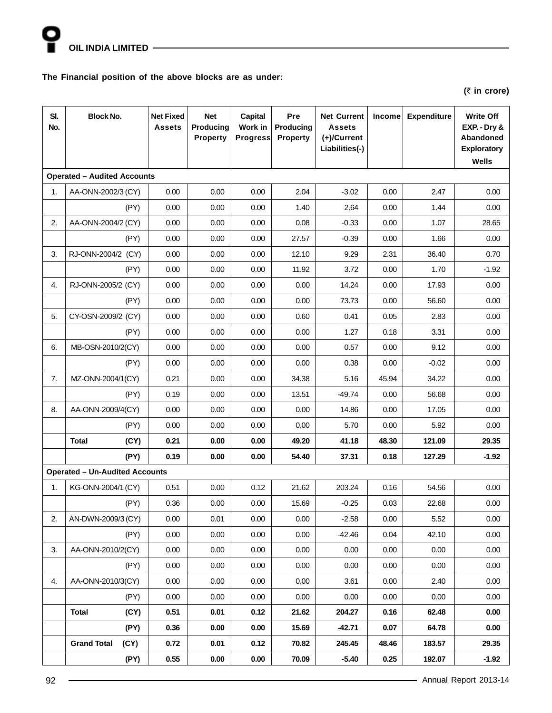**The Financial position of the above blocks are as under:**

| SI.<br>No. | <b>Block No.</b>                      | <b>Net Fixed</b><br><b>Assets</b> | <b>Net</b><br>Producing<br><b>Property</b> | Capital<br>Work in<br><b>Progress</b> | Pre<br>Producing<br><b>Property</b> | <b>Net Current</b><br><b>Assets</b><br>(+)/Current<br>Liabilities(-) | <b>Income</b> | <b>Expenditure</b> | <b>Write Off</b><br>EXP. - Dry &<br>Abandoned<br><b>Exploratory</b><br><b>Wells</b> |
|------------|---------------------------------------|-----------------------------------|--------------------------------------------|---------------------------------------|-------------------------------------|----------------------------------------------------------------------|---------------|--------------------|-------------------------------------------------------------------------------------|
|            | <b>Operated - Audited Accounts</b>    |                                   |                                            |                                       |                                     |                                                                      |               |                    |                                                                                     |
| 1.         | AA-ONN-2002/3 (CY)                    | 0.00                              | 0.00                                       | 0.00                                  | 2.04                                | $-3.02$                                                              | 0.00          | 2.47               | 0.00                                                                                |
|            | (PY)                                  | 0.00                              | 0.00                                       | 0.00                                  | 1.40                                | 2.64                                                                 | 0.00          | 1.44               | 0.00                                                                                |
| 2.         | AA-ONN-2004/2 (CY)                    | 0.00                              | 0.00                                       | 0.00                                  | 0.08                                | $-0.33$                                                              | 0.00          | 1.07               | 28.65                                                                               |
|            | (PY)                                  | 0.00                              | 0.00                                       | 0.00                                  | 27.57                               | $-0.39$                                                              | 0.00          | 1.66               | 0.00                                                                                |
| 3.         | RJ-ONN-2004/2 (CY)                    | 0.00                              | 0.00                                       | 0.00                                  | 12.10                               | 9.29                                                                 | 2.31          | 36.40              | 0.70                                                                                |
|            | (PY)                                  | 0.00                              | 0.00                                       | 0.00                                  | 11.92                               | 3.72                                                                 | 0.00          | 1.70               | $-1.92$                                                                             |
| 4.         | RJ-ONN-2005/2 (CY)                    | 0.00                              | 0.00                                       | 0.00                                  | 0.00                                | 14.24                                                                | 0.00          | 17.93              | 0.00                                                                                |
|            | (PY)                                  | 0.00                              | 0.00                                       | 0.00                                  | 0.00                                | 73.73                                                                | 0.00          | 56.60              | 0.00                                                                                |
| 5.         | CY-OSN-2009/2 (CY)                    | 0.00                              | 0.00                                       | 0.00                                  | 0.60                                | 0.41                                                                 | 0.05          | 2.83               | 0.00                                                                                |
|            | (PY)                                  | 0.00                              | 0.00                                       | 0.00                                  | 0.00                                | 1.27                                                                 | 0.18          | 3.31               | 0.00                                                                                |
| 6.         | MB-OSN-2010/2(CY)                     | 0.00                              | 0.00                                       | 0.00                                  | 0.00                                | 0.57                                                                 | 0.00          | 9.12               | 0.00                                                                                |
|            | (PY)                                  | 0.00                              | 0.00                                       | 0.00                                  | 0.00                                | 0.38                                                                 | 0.00          | $-0.02$            | 0.00                                                                                |
| 7.         | MZ-ONN-2004/1(CY)                     | 0.21                              | 0.00                                       | 0.00                                  | 34.38                               | 5.16                                                                 | 45.94         | 34.22              | 0.00                                                                                |
|            | (PY)                                  | 0.19                              | 0.00                                       | 0.00                                  | 13.51                               | $-49.74$                                                             | 0.00          | 56.68              | 0.00                                                                                |
| 8.         | AA-ONN-2009/4(CY)                     | 0.00                              | 0.00                                       | 0.00                                  | 0.00                                | 14.86                                                                | 0.00          | 17.05              | 0.00                                                                                |
|            | (PY)                                  | 0.00                              | 0.00                                       | 0.00                                  | 0.00                                | 5.70                                                                 | 0.00          | 5.92               | 0.00                                                                                |
|            | <b>Total</b><br>(CY)                  | 0.21                              | 0.00                                       | 0.00                                  | 49.20                               | 41.18                                                                | 48.30         | 121.09             | 29.35                                                                               |
|            | (PY)                                  | 0.19                              | 0.00                                       | 0.00                                  | 54.40                               | 37.31                                                                | 0.18          | 127.29             | $-1.92$                                                                             |
|            | <b>Operated - Un-Audited Accounts</b> |                                   |                                            |                                       |                                     |                                                                      |               |                    |                                                                                     |
| 1.         | KG-ONN-2004/1 (CY)                    | 0.51                              | 0.00                                       | 0.12                                  | 21.62                               | 203.24                                                               | 0.16          | 54.56              | 0.00                                                                                |
|            | (PY)                                  | 0.36                              | 0.00                                       | 0.00                                  | 15.69                               | $-0.25$                                                              | 0.03          | 22.68              | 0.00                                                                                |
| 2.         | AN-DWN-2009/3 (CY)                    | 0.00                              | 0.01                                       | 0.00                                  | 0.00                                | $-2.58$                                                              | 0.00          | 5.52               | 0.00                                                                                |
|            | (PY)                                  | 0.00                              | 0.00                                       | 0.00                                  | 0.00                                | $-42.46$                                                             | 0.04          | 42.10              | 0.00                                                                                |
| 3.         | AA-ONN-2010/2(CY)                     | 0.00                              | 0.00                                       | 0.00                                  | 0.00                                | 0.00                                                                 | 0.00          | 0.00               | 0.00                                                                                |
|            | (PY)                                  | 0.00                              | 0.00                                       | 0.00                                  | 0.00                                | 0.00                                                                 | 0.00          | 0.00               | 0.00                                                                                |
| 4.         | AA-ONN-2010/3(CY)                     | $0.00\,$                          | 0.00                                       | 0.00                                  | 0.00                                | 3.61                                                                 | 0.00          | 2.40               | 0.00                                                                                |
|            | (PY)                                  | $0.00\,$                          | 0.00                                       | 0.00                                  | 0.00                                | 0.00                                                                 | 0.00          | 0.00               | 0.00                                                                                |
|            | <b>Total</b><br>(CY)                  | 0.51                              | 0.01                                       | 0.12                                  | 21.62                               | 204.27                                                               | 0.16          | 62.48              | 0.00                                                                                |
|            | (PY)                                  | 0.36                              | 0.00                                       | 0.00                                  | 15.69                               | $-42.71$                                                             | 0.07          | 64.78              | 0.00                                                                                |
|            | <b>Grand Total</b><br>(CY)            | 0.72                              | 0.01                                       | 0.12                                  | 70.82                               | 245.45                                                               | 48.46         | 183.57             | 29.35                                                                               |
|            | (PY)                                  | 0.55                              | 0.00                                       | 0.00                                  | 70.09                               | $-5.40$                                                              | 0.25          | 192.07             | $-1.92$                                                                             |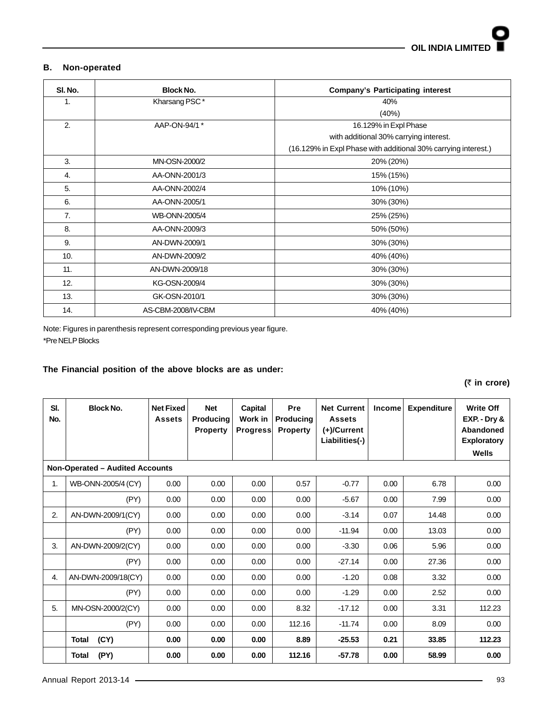#### **B. Non-operated**

| SI. No. | <b>Block No.</b>   | <b>Company's Participating interest</b>                        |
|---------|--------------------|----------------------------------------------------------------|
| 1.      | Kharsang PSC*      | 40%                                                            |
|         |                    | (40%)                                                          |
| 2.      | AAP-ON-94/1*       | 16.129% in Expl Phase                                          |
|         |                    | with additional 30% carrying interest.                         |
|         |                    | (16.129% in Expl Phase with additional 30% carrying interest.) |
| 3.      | MN-OSN-2000/2      | 20% (20%)                                                      |
| 4.      | AA-ONN-2001/3      | 15% (15%)                                                      |
| 5.      | AA-ONN-2002/4      | 10% (10%)                                                      |
| 6.      | AA-ONN-2005/1      | 30% (30%)                                                      |
| 7.      | WB-ONN-2005/4      | 25% (25%)                                                      |
| 8.      | AA-ONN-2009/3      | 50% (50%)                                                      |
| 9.      | AN-DWN-2009/1      | 30% (30%)                                                      |
| 10.     | AN-DWN-2009/2      | 40% (40%)                                                      |
| 11.     | AN-DWN-2009/18     | 30% (30%)                                                      |
| 12.     | KG-OSN-2009/4      | 30% (30%)                                                      |
| 13.     | GK-OSN-2010/1      | 30% (30%)                                                      |
| 14.     | AS-CBM-2008/IV-CBM | 40% (40%)                                                      |

Note: Figures in parenthesis represent corresponding previous year figure. \*Pre NELP Blocks

# **The Financial position of the above blocks are as under:**

| SI.<br>No. | <b>Block No.</b>                | <b>Net Fixed</b><br><b>Assets</b> | <b>Net</b><br><b>Producing</b><br>Property | Capital<br>Work in<br><b>Progress</b> | Pre<br>Producing<br><b>Property</b> | <b>Net Current</b><br><b>Assets</b><br>(+)/Current<br>Liabilities(-) | <b>Income</b> | <b>Expenditure</b> | <b>Write Off</b><br>EXP. - Dry &<br>Abandoned<br><b>Exploratory</b><br>Wells |
|------------|---------------------------------|-----------------------------------|--------------------------------------------|---------------------------------------|-------------------------------------|----------------------------------------------------------------------|---------------|--------------------|------------------------------------------------------------------------------|
|            | Non-Operated - Audited Accounts |                                   |                                            |                                       |                                     |                                                                      |               |                    |                                                                              |
| 1.         | WB-ONN-2005/4 (CY)              | 0.00                              | 0.00                                       | 0.00                                  | 0.57                                | $-0.77$                                                              | 0.00          | 6.78               | 0.00                                                                         |
|            | (PY)                            | 0.00                              | 0.00                                       | 0.00                                  | 0.00                                | $-5.67$                                                              | 0.00          | 7.99               | 0.00                                                                         |
| 2.         | AN-DWN-2009/1(CY)               | 0.00                              | 0.00                                       | 0.00                                  | 0.00                                | $-3.14$                                                              | 0.07          | 14.48              | 0.00                                                                         |
|            | (PY)                            | 0.00                              | 0.00                                       | 0.00                                  | 0.00                                | $-11.94$                                                             | 0.00          | 13.03              | 0.00                                                                         |
| 3.         | AN-DWN-2009/2(CY)               | 0.00                              | 0.00                                       | 0.00                                  | 0.00                                | $-3.30$                                                              | 0.06          | 5.96               | 0.00                                                                         |
|            | (PY)                            | 0.00                              | 0.00                                       | 0.00                                  | 0.00                                | $-27.14$                                                             | 0.00          | 27.36              | 0.00                                                                         |
| 4.         | AN-DWN-2009/18(CY)              | 0.00                              | 0.00                                       | 0.00                                  | 0.00                                | $-1.20$                                                              | 0.08          | 3.32               | 0.00                                                                         |
|            | (PY)                            | 0.00                              | 0.00                                       | 0.00                                  | 0.00                                | $-1.29$                                                              | 0.00          | 2.52               | 0.00                                                                         |
| 5.         | MN-OSN-2000/2(CY)               | 0.00                              | 0.00                                       | 0.00                                  | 8.32                                | $-17.12$                                                             | 0.00          | 3.31               | 112.23                                                                       |
|            | (PY)                            | 0.00                              | 0.00                                       | 0.00                                  | 112.16                              | $-11.74$                                                             | 0.00          | 8.09               | 0.00                                                                         |
|            | (CY)<br><b>Total</b>            | 0.00                              | 0.00                                       | 0.00                                  | 8.89                                | $-25.53$                                                             | 0.21          | 33.85              | 112.23                                                                       |
|            | (PY)<br><b>Total</b>            | 0.00                              | 0.00                                       | 0.00                                  | 112.16                              | $-57.78$                                                             | 0.00          | 58.99              | 0.00                                                                         |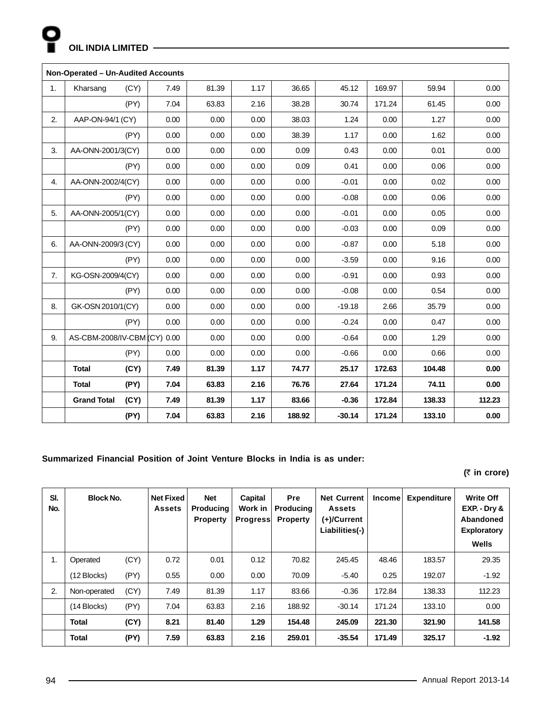|    | Non-Operated - Un-Audited Accounts |      |       |      |        |          |        |        |        |
|----|------------------------------------|------|-------|------|--------|----------|--------|--------|--------|
| 1. | Kharsang<br>(CY)                   | 7.49 | 81.39 | 1.17 | 36.65  | 45.12    | 169.97 | 59.94  | 0.00   |
|    | (PY)                               | 7.04 | 63.83 | 2.16 | 38.28  | 30.74    | 171.24 | 61.45  | 0.00   |
| 2. | AAP-ON-94/1 (CY)                   | 0.00 | 0.00  | 0.00 | 38.03  | 1.24     | 0.00   | 1.27   | 0.00   |
|    | (PY)                               | 0.00 | 0.00  | 0.00 | 38.39  | 1.17     | 0.00   | 1.62   | 0.00   |
| 3. | AA-ONN-2001/3(CY)                  | 0.00 | 0.00  | 0.00 | 0.09   | 0.43     | 0.00   | 0.01   | 0.00   |
|    | (PY)                               | 0.00 | 0.00  | 0.00 | 0.09   | 0.41     | 0.00   | 0.06   | 0.00   |
| 4. | AA-ONN-2002/4(CY)                  | 0.00 | 0.00  | 0.00 | 0.00   | $-0.01$  | 0.00   | 0.02   | 0.00   |
|    | (PY)                               | 0.00 | 0.00  | 0.00 | 0.00   | $-0.08$  | 0.00   | 0.06   | 0.00   |
| 5. | AA-ONN-2005/1(CY)                  | 0.00 | 0.00  | 0.00 | 0.00   | $-0.01$  | 0.00   | 0.05   | 0.00   |
|    | (PY)                               | 0.00 | 0.00  | 0.00 | 0.00   | $-0.03$  | 0.00   | 0.09   | 0.00   |
| 6. | AA-ONN-2009/3 (CY)                 | 0.00 | 0.00  | 0.00 | 0.00   | $-0.87$  | 0.00   | 5.18   | 0.00   |
|    | (PY)                               | 0.00 | 0.00  | 0.00 | 0.00   | $-3.59$  | 0.00   | 9.16   | 0.00   |
| 7. | KG-OSN-2009/4(CY)                  | 0.00 | 0.00  | 0.00 | 0.00   | $-0.91$  | 0.00   | 0.93   | 0.00   |
|    | (PY)                               | 0.00 | 0.00  | 0.00 | 0.00   | $-0.08$  | 0.00   | 0.54   | 0.00   |
| 8. | GK-OSN 2010/1(CY)                  | 0.00 | 0.00  | 0.00 | 0.00   | $-19.18$ | 2.66   | 35.79  | 0.00   |
|    | (PY)                               | 0.00 | 0.00  | 0.00 | 0.00   | $-0.24$  | 0.00   | 0.47   | 0.00   |
| 9. | AS-CBM-2008/IV-CBM (CY) 0.00       |      | 0.00  | 0.00 | 0.00   | $-0.64$  | 0.00   | 1.29   | 0.00   |
|    | (PY)                               | 0.00 | 0.00  | 0.00 | 0.00   | $-0.66$  | 0.00   | 0.66   | 0.00   |
|    | <b>Total</b><br>(CY)               | 7.49 | 81.39 | 1.17 | 74.77  | 25.17    | 172.63 | 104.48 | 0.00   |
|    | (PY)<br><b>Total</b>               | 7.04 | 63.83 | 2.16 | 76.76  | 27.64    | 171.24 | 74.11  | 0.00   |
|    | <b>Grand Total</b><br>(CY)         | 7.49 | 81.39 | 1.17 | 83.66  | $-0.36$  | 172.84 | 138.33 | 112.23 |
|    | (PY)                               | 7.04 | 63.83 | 2.16 | 188.92 | $-30.14$ | 171.24 | 133.10 | 0.00   |

## **Summarized Financial Position of Joint Venture Blocks in India is as under:**

| SI.<br>No. | <b>Block No.</b> |      | <b>Net Fixed</b><br><b>Assets</b> | <b>Net</b><br>Producing<br><b>Property</b> | Capital<br>Work in<br><b>Progress</b> | <b>Pre</b><br>Producing<br><b>Property</b> | <b>Net Current</b><br><b>Assets</b><br>$(+)/$ Current<br>Liabilities(-) | Income | <b>Expenditure</b> | <b>Write Off</b><br>EXP. - Dry &<br>Abandoned<br><b>Exploratory</b><br>Wells |
|------------|------------------|------|-----------------------------------|--------------------------------------------|---------------------------------------|--------------------------------------------|-------------------------------------------------------------------------|--------|--------------------|------------------------------------------------------------------------------|
| 1.         | Operated         | (CY) | 0.72                              | 0.01                                       | 0.12                                  | 70.82                                      | 245.45                                                                  | 48.46  | 183.57             | 29.35                                                                        |
|            | (12 Blocks)      | (PY) | 0.55                              | 0.00                                       | 0.00                                  | 70.09                                      | $-5.40$                                                                 | 0.25   | 192.07             | $-1.92$                                                                      |
| 2.         | Non-operated     | (CY) | 7.49                              | 81.39                                      | 1.17                                  | 83.66                                      | $-0.36$                                                                 | 172.84 | 138.33             | 112.23                                                                       |
|            | (14 Blocks)      | (PY) | 7.04                              | 63.83                                      | 2.16                                  | 188.92                                     | $-30.14$                                                                | 171.24 | 133.10             | 0.00                                                                         |
|            | <b>Total</b>     | (CY) | 8.21                              | 81.40                                      | 1.29                                  | 154.48                                     | 245.09                                                                  | 221.30 | 321.90             | 141.58                                                                       |
|            | <b>Total</b>     | (PY) | 7.59                              | 63.83                                      | 2.16                                  | 259.01                                     | $-35.54$                                                                | 171.49 | 325.17             | $-1.92$                                                                      |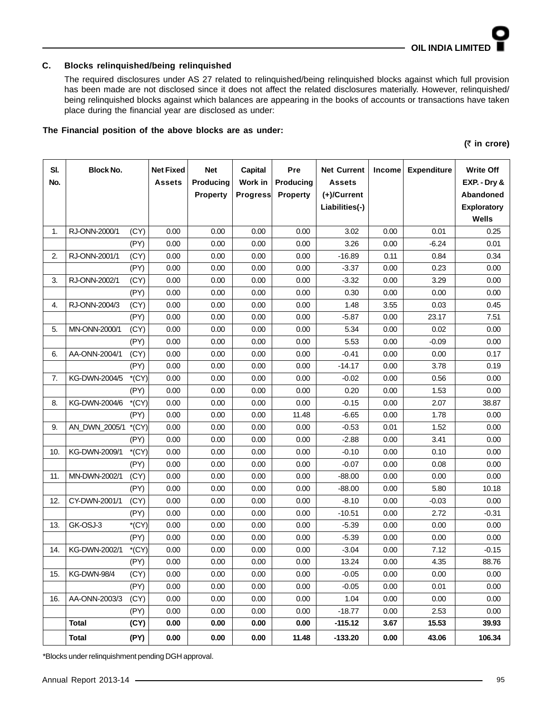#### **C. Blocks relinquished/being relinquished**

The required disclosures under AS 27 related to relinquished/being relinquished blocks against which full provision has been made are not disclosed since it does not affect the related disclosures materially. However, relinquished/ being relinquished blocks against which balances are appearing in the books of accounts or transactions have taken place during the financial year are disclosed as under:

#### **The Financial position of the above blocks are as under:**

#### **(**` **in crore)**

| SI.<br>No. | <b>Block No.</b> |         | <b>Net Fixed</b><br><b>Assets</b> | <b>Net</b><br>Producing<br><b>Property</b> | Capital<br>Work in<br><b>Progress</b> | Pre<br>Producing<br><b>Property</b> | <b>Net Current</b><br><b>Assets</b><br>(+)/Current<br>Liabilities(-) | <b>Income</b> | <b>Expenditure</b> | <b>Write Off</b><br>EXP. - Dry &<br>Abandoned<br><b>Exploratory</b> |
|------------|------------------|---------|-----------------------------------|--------------------------------------------|---------------------------------------|-------------------------------------|----------------------------------------------------------------------|---------------|--------------------|---------------------------------------------------------------------|
|            |                  |         |                                   |                                            |                                       |                                     |                                                                      |               |                    | <b>Wells</b>                                                        |
| 1.         | RJ-ONN-2000/1    | (CY)    | 0.00                              | 0.00                                       | 0.00                                  | 0.00                                | 3.02                                                                 | 0.00          | 0.01               | 0.25                                                                |
|            |                  | (PY)    | 0.00                              | 0.00                                       | 0.00                                  | 0.00                                | 3.26                                                                 | 0.00          | $-6.24$            | 0.01                                                                |
| 2.         | RJ-ONN-2001/1    | (CY)    | 0.00                              | 0.00                                       | 0.00                                  | 0.00                                | $-16.89$                                                             | 0.11          | 0.84               | 0.34                                                                |
|            |                  | (PY)    | 0.00                              | 0.00                                       | 0.00                                  | 0.00                                | $-3.37$                                                              | 0.00          | 0.23               | 0.00                                                                |
| 3.         | RJ-ONN-2002/1    | (CY)    | 0.00                              | 0.00                                       | 0.00                                  | 0.00                                | $-3.32$                                                              | 0.00          | 3.29               | 0.00                                                                |
|            |                  | (PY)    | 0.00                              | 0.00                                       | 0.00                                  | 0.00                                | 0.30                                                                 | 0.00          | 0.00               | 0.00                                                                |
| 4.         | RJ-ONN-2004/3    | (CY)    | 0.00                              | 0.00                                       | 0.00                                  | 0.00                                | 1.48                                                                 | 3.55          | 0.03               | 0.45                                                                |
|            |                  | (PY)    | 0.00                              | 0.00                                       | 0.00                                  | 0.00                                | $-5.87$                                                              | 0.00          | 23.17              | 7.51                                                                |
| 5.         | MN-ONN-2000/1    | (CY)    | 0.00                              | 0.00                                       | 0.00                                  | 0.00                                | 5.34                                                                 | 0.00          | 0.02               | 0.00                                                                |
|            |                  | (PY)    | 0.00                              | 0.00                                       | 0.00                                  | 0.00                                | 5.53                                                                 | 0.00          | $-0.09$            | 0.00                                                                |
| 6.         | AA-ONN-2004/1    | (CY)    | 0.00                              | 0.00                                       | 0.00                                  | 0.00                                | $-0.41$                                                              | 0.00          | 0.00               | 0.17                                                                |
|            |                  | (PY)    | 0.00                              | 0.00                                       | 0.00                                  | 0.00                                | $-14.17$                                                             | 0.00          | 3.78               | 0.19                                                                |
| 7.         | KG-DWN-2004/5    | $*(CY)$ | 0.00                              | 0.00                                       | 0.00                                  | 0.00                                | $-0.02$                                                              | 0.00          | 0.56               | 0.00                                                                |
|            |                  | (PY)    | 0.00                              | 0.00                                       | 0.00                                  | 0.00                                | 0.20                                                                 | 0.00          | 1.53               | 0.00                                                                |
| 8.         | KG-DWN-2004/6    | $*(CY)$ | 0.00                              | 0.00                                       | 0.00                                  | 0.00                                | $-0.15$                                                              | 0.00          | 2.07               | 38.87                                                               |
|            |                  | (PY)    | 0.00                              | 0.00                                       | 0.00                                  | 11.48                               | $-6.65$                                                              | 0.00          | 1.78               | 0.00                                                                |
| 9.         | AN_DWN_2005/1    | $*(CY)$ | 0.00                              | 0.00                                       | 0.00                                  | 0.00                                | $-0.53$                                                              | 0.01          | 1.52               | 0.00                                                                |
|            |                  | (PY)    | 0.00                              | 0.00                                       | 0.00                                  | 0.00                                | $-2.88$                                                              | 0.00          | 3.41               | 0.00                                                                |
| 10.        | KG-DWN-2009/1    | $*(CY)$ | 0.00                              | 0.00                                       | 0.00                                  | 0.00                                | $-0.10$                                                              | 0.00          | 0.10               | 0.00                                                                |
|            |                  | (PY)    | 0.00                              | 0.00                                       | 0.00                                  | 0.00                                | $-0.07$                                                              | 0.00          | 0.08               | 0.00                                                                |
| 11.        | MN-DWN-2002/1    | (CY)    | 0.00                              | 0.00                                       | 0.00                                  | 0.00                                | $-88.00$                                                             | 0.00          | 0.00               | 0.00                                                                |
|            |                  | (PY)    | 0.00                              | 0.00                                       | 0.00                                  | 0.00                                | $-88.00$                                                             | 0.00          | 5.80               | 10.18                                                               |
| 12.        | CY-DWN-2001/1    | (CY)    | 0.00                              | 0.00                                       | 0.00                                  | 0.00                                | $-8.10$                                                              | 0.00          | -0.03              | 0.00                                                                |
|            |                  | (PY)    | 0.00                              | 0.00                                       | 0.00                                  | 0.00                                | $-10.51$                                                             | 0.00          | 2.72               | $-0.31$                                                             |
| 13.        | GK-OSJ-3         | $*(CY)$ | 0.00                              | 0.00                                       | 0.00                                  | 0.00                                | $-5.39$                                                              | 0.00          | 0.00               | 0.00                                                                |
|            |                  | (PY)    | 0.00                              | 0.00                                       | 0.00                                  | 0.00                                | $-5.39$                                                              | 0.00          | 0.00               | 0.00                                                                |
| 14.        | KG-DWN-2002/1    | $*(CY)$ | 0.00                              | 0.00                                       | 0.00                                  | 0.00                                | $-3.04$                                                              | 0.00          | 7.12               | $-0.15$                                                             |
|            |                  | (PY)    | 0.00                              | 0.00                                       | 0.00                                  | 0.00                                | 13.24                                                                | 0.00          | 4.35               | 88.76                                                               |
| 15.        | KG-DWN-98/4      | (CY)    | 0.00                              | 0.00                                       | 0.00                                  | 0.00                                | $-0.05$                                                              | 0.00          | 0.00               | 0.00                                                                |
|            |                  | (PY)    | 0.00                              | 0.00                                       | 0.00                                  | 0.00                                | $-0.05$                                                              | 0.00          | 0.01               | 0.00                                                                |
| 16.        | AA-ONN-2003/3    | (CY)    | 0.00                              | 0.00                                       | 0.00                                  | 0.00                                | 1.04                                                                 | 0.00          | 0.00               | 0.00                                                                |
|            |                  | (PY)    | 0.00                              | 0.00                                       | 0.00                                  | 0.00                                | $-18.77$                                                             | 0.00          | 2.53               | 0.00                                                                |
|            | <b>Total</b>     | (CY)    | 0.00                              | 0.00                                       | 0.00                                  | 0.00                                | $-115.12$                                                            | 3.67          | 15.53              | 39.93                                                               |
|            | <b>Total</b>     | (PY)    | 0.00                              | 0.00                                       | 0.00                                  | 11.48                               | $-133.20$                                                            | 0.00          | 43.06              | 106.34                                                              |

\*Blocks under relinquishment pending DGH approval.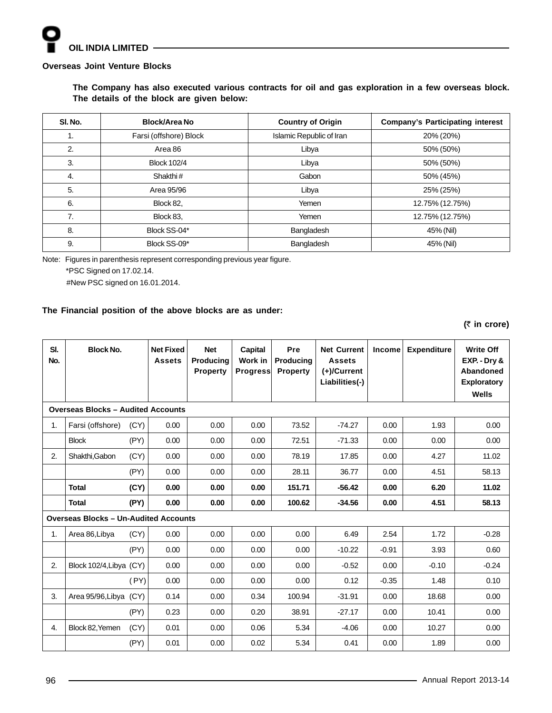#### **Overseas Joint Venture Blocks**

#### **The Company has also executed various contracts for oil and gas exploration in a few overseas block. The details of the block are given below:**

| SI. No. | <b>Block/Area No</b>   | <b>Country of Origin</b> | <b>Company's Participating interest</b> |
|---------|------------------------|--------------------------|-----------------------------------------|
| 1.      | Farsi (offshore) Block | Islamic Republic of Iran | 20% (20%)                               |
| 2.      | Area 86                | Libya                    | 50% (50%)                               |
| 3.      | <b>Block 102/4</b>     | Libya                    | 50% (50%)                               |
| 4.      | Shakthi#               | Gabon                    | 50% (45%)                               |
| 5.      | Area 95/96             | Libya                    | 25% (25%)                               |
| 6.      | Block 82,              | Yemen                    | 12.75% (12.75%)                         |
| 7.      | Block 83,              | Yemen                    | 12.75% (12.75%)                         |
| 8.      | Block SS-04*           | Bangladesh               | 45% (Nil)                               |
| 9.      | Block SS-09*           | Bangladesh               | 45% (Nil)                               |

Note: Figures in parenthesis represent corresponding previous year figure.

\*PSC Signed on 17.02.14.

#New PSC signed on 16.01.2014.

#### **The Financial position of the above blocks are as under:**

| SI.<br>No. | <b>Block No.</b>                             |      | <b>Net Fixed</b><br><b>Assets</b> | <b>Net</b><br><b>Producing</b><br><b>Property</b> | <b>Capital</b><br>Work in<br><b>Progress</b> | Pre<br>Producing<br><b>Property</b> | <b>Net Current</b><br><b>Assets</b><br>(+)/Current<br>Liabilities(-) | Income  | <b>Expenditure</b> | <b>Write Off</b><br>EXP. - Dry &<br>Abandoned<br><b>Exploratory</b><br><b>Wells</b> |
|------------|----------------------------------------------|------|-----------------------------------|---------------------------------------------------|----------------------------------------------|-------------------------------------|----------------------------------------------------------------------|---------|--------------------|-------------------------------------------------------------------------------------|
|            | <b>Overseas Blocks - Audited Accounts</b>    |      |                                   |                                                   |                                              |                                     |                                                                      |         |                    |                                                                                     |
| 1.         | Farsi (offshore)                             | (CY) | 0.00                              | 0.00                                              | 0.00                                         | 73.52                               | $-74.27$                                                             | 0.00    | 1.93               | 0.00                                                                                |
|            | <b>Block</b>                                 | (PY) | 0.00                              | 0.00                                              | 0.00                                         | 72.51                               | $-71.33$                                                             | 0.00    | 0.00               | 0.00                                                                                |
| 2.         | Shakthi, Gabon                               | (CY) | 0.00                              | 0.00                                              | 0.00                                         | 78.19                               | 17.85                                                                | 0.00    | 4.27               | 11.02                                                                               |
|            |                                              | (PY) | 0.00                              | 0.00                                              | 0.00                                         | 28.11                               | 36.77                                                                | 0.00    | 4.51               | 58.13                                                                               |
|            | <b>Total</b>                                 | (CY) | 0.00                              | 0.00                                              | 0.00                                         | 151.71                              | $-56.42$                                                             | 0.00    | 6.20               | 11.02                                                                               |
|            | <b>Total</b>                                 | (PY) | 0.00                              | 0.00                                              | 0.00                                         | 100.62                              | $-34.56$                                                             | 0.00    | 4.51               | 58.13                                                                               |
|            | <b>Overseas Blocks - Un-Audited Accounts</b> |      |                                   |                                                   |                                              |                                     |                                                                      |         |                    |                                                                                     |
| 1.         | Area 86, Libya                               | (CY) | 0.00                              | 0.00                                              | 0.00                                         | 0.00                                | 6.49                                                                 | 2.54    | 1.72               | $-0.28$                                                                             |
|            |                                              | (PY) | 0.00                              | 0.00                                              | 0.00                                         | 0.00                                | $-10.22$                                                             | $-0.91$ | 3.93               | 0.60                                                                                |
| 2.         | Block 102/4, Libya (CY)                      |      | 0.00                              | 0.00                                              | 0.00                                         | 0.00                                | $-0.52$                                                              | 0.00    | $-0.10$            | $-0.24$                                                                             |
|            |                                              | (PY) | 0.00                              | 0.00                                              | 0.00                                         | 0.00                                | 0.12                                                                 | $-0.35$ | 1.48               | 0.10                                                                                |
| 3.         | Area 95/96, Libya (CY)                       |      | 0.14                              | 0.00                                              | 0.34                                         | 100.94                              | $-31.91$                                                             | 0.00    | 18.68              | 0.00                                                                                |
|            |                                              | (PY) | 0.23                              | 0.00                                              | 0.20                                         | 38.91                               | $-27.17$                                                             | 0.00    | 10.41              | 0.00                                                                                |
| 4.         | Block 82, Yemen                              | (CY) | 0.01                              | 0.00                                              | 0.06                                         | 5.34                                | $-4.06$                                                              | 0.00    | 10.27              | 0.00                                                                                |
|            |                                              | (PY) | 0.01                              | 0.00                                              | 0.02                                         | 5.34                                | 0.41                                                                 | 0.00    | 1.89               | 0.00                                                                                |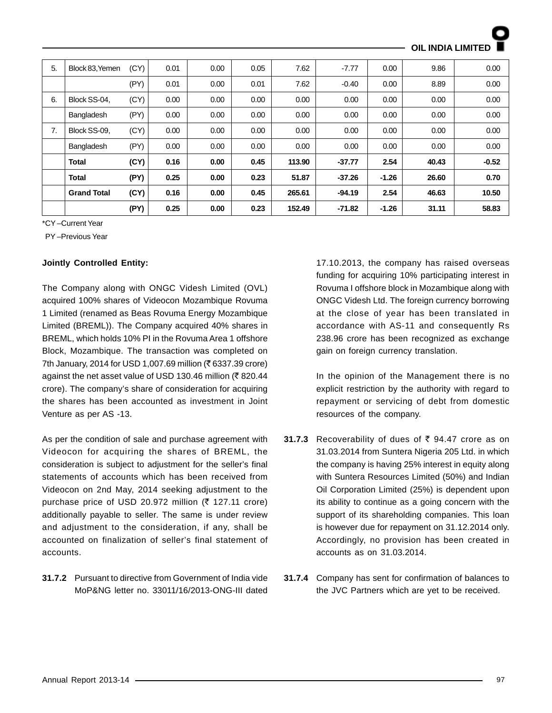| 5. | Block 83, Yemen    | (CY) | 0.01 | 0.00 | 0.05 | 7.62   | $-7.77$  | 0.00    | 9.86  | 0.00    |
|----|--------------------|------|------|------|------|--------|----------|---------|-------|---------|
|    |                    | (PY) | 0.01 | 0.00 | 0.01 | 7.62   | $-0.40$  | 0.00    | 8.89  | 0.00    |
| 6. | Block SS-04.       | (CY) | 0.00 | 0.00 | 0.00 | 0.00   | 0.00     | 0.00    | 0.00  | 0.00    |
|    | Bangladesh         | (PY) | 0.00 | 0.00 | 0.00 | 0.00   | 0.00     | 0.00    | 0.00  | 0.00    |
| 7. | Block SS-09,       | (CY) | 0.00 | 0.00 | 0.00 | 0.00   | 0.00     | 0.00    | 0.00  | 0.00    |
|    | Bangladesh         | (PY) | 0.00 | 0.00 | 0.00 | 0.00   | 0.00     | 0.00    | 0.00  | 0.00    |
|    | <b>Total</b>       | (CY) | 0.16 | 0.00 | 0.45 | 113.90 | $-37.77$ | 2.54    | 40.43 | $-0.52$ |
|    | <b>Total</b>       | (PY) | 0.25 | 0.00 | 0.23 | 51.87  | $-37.26$ | $-1.26$ | 26.60 | 0.70    |
|    | <b>Grand Total</b> | (CY) | 0.16 | 0.00 | 0.45 | 265.61 | $-94.19$ | 2.54    | 46.63 | 10.50   |
|    |                    | (PY) | 0.25 | 0.00 | 0.23 | 152.49 | $-71.82$ | $-1.26$ | 31.11 | 58.83   |

\*CY –Current Year

PY –Previous Year

#### **Jointly Controlled Entity:**

The Company along with ONGC Videsh Limited (OVL) acquired 100% shares of Videocon Mozambique Rovuma 1 Limited (renamed as Beas Rovuma Energy Mozambique Limited (BREML)). The Company acquired 40% shares in BREML, which holds 10% PI in the Rovuma Area 1 offshore Block, Mozambique. The transaction was completed on 7th January, 2014 for USD 1,007.69 million (₹6337.39 crore) against the net asset value of USD 130.46 million ( $\bar{\mathrm{z}}$  820.44 crore). The company's share of consideration for acquiring the shares has been accounted as investment in Joint Venture as per AS -13.

As per the condition of sale and purchase agreement with Videocon for acquiring the shares of BREML, the consideration is subject to adjustment for the seller's final statements of accounts which has been received from Videocon on 2nd May, 2014 seeking adjustment to the purchase price of USD 20.972 million ( $\bar{z}$  127.11 crore) additionally payable to seller. The same is under review and adjustment to the consideration, if any, shall be accounted on finalization of seller's final statement of accounts.

**31.7.2** Pursuant to directive from Government of India vide MoP&NG letter no. 33011/16/2013-ONG-III dated

17.10.2013, the company has raised overseas funding for acquiring 10% participating interest in Rovuma I offshore block in Mozambique along with ONGC Videsh Ltd. The foreign currency borrowing at the close of year has been translated in accordance with AS-11 and consequently Rs 238.96 crore has been recognized as exchange gain on foreign currency translation.

In the opinion of the Management there is no explicit restriction by the authority with regard to repayment or servicing of debt from domestic resources of the company.

- **31.7.3** Recoverability of dues of  $\bar{\tau}$  94.47 crore as on 31.03.2014 from Suntera Nigeria 205 Ltd. in which the company is having 25% interest in equity along with Suntera Resources Limited (50%) and Indian Oil Corporation Limited (25%) is dependent upon its ability to continue as a going concern with the support of its shareholding companies. This loan is however due for repayment on 31.12.2014 only. Accordingly, no provision has been created in accounts as on 31.03.2014.
- **31.7.4** Company has sent for confirmation of balances to the JVC Partners which are yet to be received.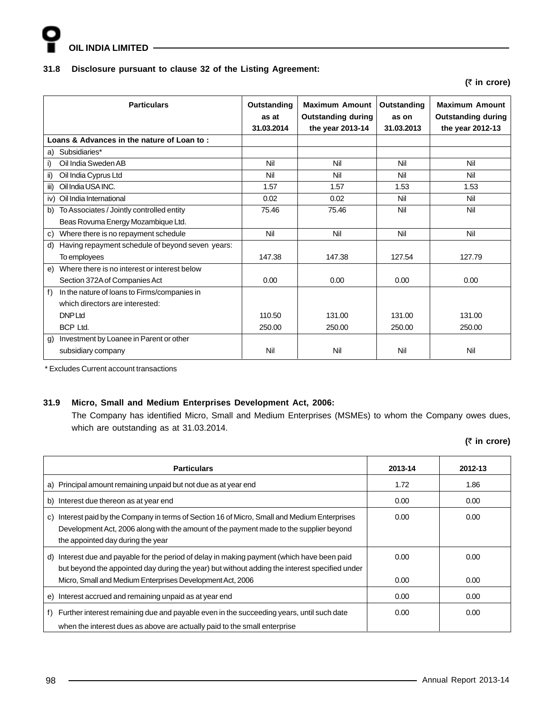## **31.8 Disclosure pursuant to clause 32 of the Listing Agreement:**

**(**` **in crore)**

| <b>Particulars</b>                                     | Outstanding<br>as at<br>31.03.2014 | <b>Maximum Amount</b><br><b>Outstanding during</b><br>the year 2013-14 | Outstanding<br>as on<br>31.03.2013 | <b>Maximum Amount</b><br><b>Outstanding during</b><br>the year 2012-13 |
|--------------------------------------------------------|------------------------------------|------------------------------------------------------------------------|------------------------------------|------------------------------------------------------------------------|
| Loans & Advances in the nature of Loan to:             |                                    |                                                                        |                                    |                                                                        |
| Subsidiaries*<br>a)                                    |                                    |                                                                        |                                    |                                                                        |
| i)<br>Oil India Sweden AB                              | Nil                                | Nil                                                                    | Nil                                | Nil                                                                    |
| Oil India Cyprus Ltd<br>ii)                            | Nil                                | Nil                                                                    | Nil                                | Nil                                                                    |
| Oil India USA INC.<br>iii)                             | 1.57                               | 1.57                                                                   | 1.53                               | 1.53                                                                   |
| Oil India International<br>iv)                         | 0.02                               | 0.02                                                                   | Nil                                | Nil                                                                    |
| To Associates / Jointly controlled entity<br>b)        | 75.46                              | 75.46                                                                  | Nil                                | Nil                                                                    |
| Beas Rovuma Energy Mozambique Ltd.                     |                                    |                                                                        |                                    |                                                                        |
| Where there is no repayment schedule<br>C)             | Nil                                | Nil                                                                    | Nil                                | Nil                                                                    |
| Having repayment schedule of beyond seven years:<br>d) |                                    |                                                                        |                                    |                                                                        |
| To employees                                           | 147.38                             | 147.38                                                                 | 127.54                             | 127.79                                                                 |
| Where there is no interest or interest below<br>e)     |                                    |                                                                        |                                    |                                                                        |
| Section 372A of Companies Act                          | 0.00                               | 0.00                                                                   | 0.00                               | 0.00                                                                   |
| f)<br>In the nature of loans to Firms/companies in     |                                    |                                                                        |                                    |                                                                        |
| which directors are interested:                        |                                    |                                                                        |                                    |                                                                        |
| <b>DNPLtd</b>                                          | 110.50                             | 131.00                                                                 | 131.00                             | 131.00                                                                 |
| <b>BCP Ltd.</b>                                        | 250.00                             | 250.00                                                                 | 250.00                             | 250.00                                                                 |
| Investment by Loanee in Parent or other<br>g)          |                                    |                                                                        |                                    |                                                                        |
| subsidiary company                                     | Nil                                | Nil                                                                    | Nil                                | Nil                                                                    |

\* Excludes Current account transactions

## **31.9 Micro, Small and Medium Enterprises Development Act, 2006:**

The Company has identified Micro, Small and Medium Enterprises (MSMEs) to whom the Company owes dues, which are outstanding as at 31.03.2014.

| 2012-13 |
|---------|
| 1.86    |
| 0.00    |
| 0.00    |
| 0.00    |
| 0.00    |
| 0.00    |
| 0.00    |
|         |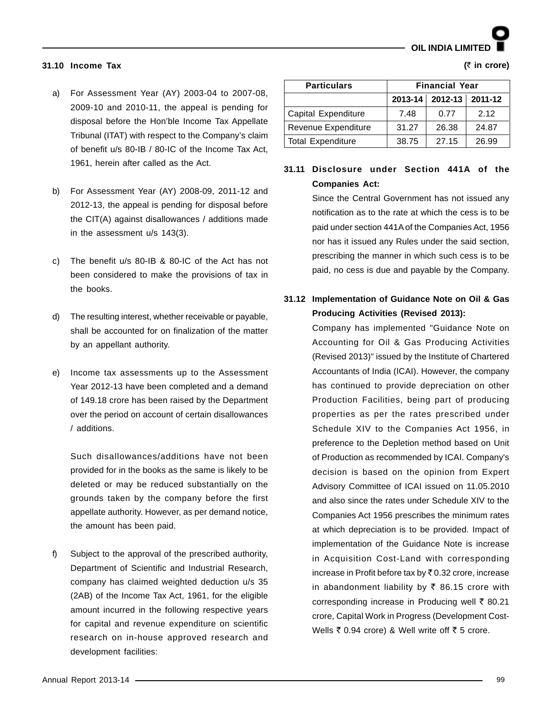

**(**` **in crore)**

#### **31.10 Income Tax**

- a) For Assessment Year (AY) 2003-04 to 2007-08, 2009-10 and 2010-11, the appeal is pending for disposal before the Hon'ble Income Tax Appellate Tribunal (ITAT) with respect to the Company's claim of benefit u/s 80-IB / 80-IC of the Income Tax Act, 1961, herein after called as the Act.
- b) For Assessment Year (AY) 2008-09, 2011-12 and 2012-13, the appeal is pending for disposal before the CIT(A) against disallowances / additions made in the assessment u/s 143(3).
- c) The benefit u/s 80-IB & 80-IC of the Act has not been considered to make the provisions of tax in the books.
- d) The resulting interest, whether receivable or payable, shall be accounted for on finalization of the matter by an appellant authority.
- e) Income tax assessments up to the Assessment Year 2012-13 have been completed and a demand of 149.18 crore has been raised by the Department over the period on account of certain disallowances / additions.

Such disallowances/additions have not been provided for in the books as the same is likely to be deleted or may be reduced substantially on the grounds taken by the company before the first appellate authority. However, as per demand notice, the amount has been paid.

f) Subject to the approval of the prescribed authority, Department of Scientific and Industrial Research, company has claimed weighted deduction u/s 35 (2AB) of the Income Tax Act, 1961, for the eligible amount incurred in the following respective years for capital and revenue expenditure on scientific research on in-house approved research and development facilities:

| <b>Particulars</b>       | <b>Financial Year</b> |                         |       |  |  |
|--------------------------|-----------------------|-------------------------|-------|--|--|
|                          |                       | 2013-14 2012-13 2011-12 |       |  |  |
| Capital Expenditure      | 7.48                  | 0.77                    | 2.12  |  |  |
| Revenue Expenditure      | 31.27                 | 26.38                   | 24.87 |  |  |
| <b>Total Expenditure</b> | 38.75                 | 27.15                   | 26.99 |  |  |

# **31.11 Disclosure under Section 441A of the Companies Act:**

Since the Central Government has not issued any notification as to the rate at which the cess is to be paid under section 441A of the Companies Act, 1956 nor has it issued any Rules under the said section, prescribing the manner in which such cess is to be paid, no cess is due and payable by the Company.

## **31.12 Implementation of Guidance Note on Oil & Gas Producing Activities (Revised 2013):**

Company has implemented "Guidance Note on Accounting for Oil & Gas Producing Activities (Revised 2013)" issued by the Institute of Chartered Accountants of India (ICAI). However, the company has continued to provide depreciation on other Production Facilities, being part of producing properties as per the rates prescribed under Schedule XIV to the Companies Act 1956, in preference to the Depletion method based on Unit of Production as recommended by ICAI. Company's decision is based on the opinion from Expert Advisory Committee of ICAI issued on 11.05.2010 and also since the rates under Schedule XIV to the Companies Act 1956 prescribes the minimum rates at which depreciation is to be provided. Impact of implementation of the Guidance Note is increase in Acquisition Cost-Land with corresponding increase in Profit before tax by  $\bar{\tau}$  0.32 crore, increase in abandonment liability by  $\bar{\tau}$  86.15 crore with corresponding increase in Producing well  $\bar{\tau}$  80.21 crore, Capital Work in Progress (Development Cost-Wells  $\bar{\tau}$  0.94 crore) & Well write off  $\bar{\tau}$  5 crore.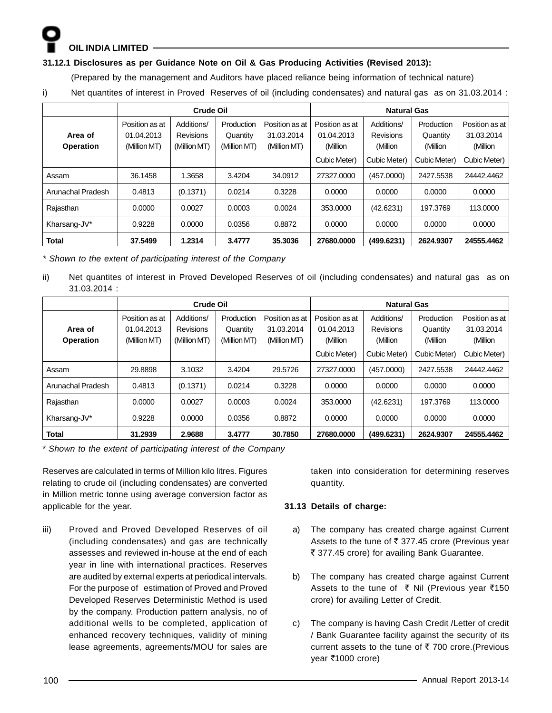## **31.12.1 Disclosures as per Guidance Note on Oil & Gas Producing Activities (Revised 2013):**

(Prepared by the management and Auditors have placed reliance being information of technical nature)

i) Net quantites of interest in Proved Reserves of oil (including condensates) and natural gas as on 31.03.2014 :

|                   | Crude Oil      |                  |              |                | <b>Natural Gas</b> |              |              |                |
|-------------------|----------------|------------------|--------------|----------------|--------------------|--------------|--------------|----------------|
|                   | Position as at | Additions/       | Production   | Position as at | Position as at     | Additions/   | Production   | Position as at |
| Area of           | 01.04.2013     | <b>Revisions</b> | Quantity     | 31.03.2014     | 01.04.2013         | Revisions    | Quantity     | 31.03.2014     |
| Operation         | (Million MT)   | (Million MT)     | (Million MT) | (Million MT)   | (Million           | (Million     | (Million     | (Million       |
|                   |                |                  |              |                | Cubic Meter)       | Cubic Meter) | Cubic Meter) | Cubic Meter)   |
| Assam             | 36.1458        | 1.3658           | 3.4204       | 34.0912        | 27327.0000         | (457.0000)   | 2427.5538    | 24442.4462     |
| Arunachal Pradesh | 0.4813         | (0.1371)         | 0.0214       | 0.3228         | 0.0000             | 0.0000       | 0.0000       | 0.0000         |
| Rajasthan         | 0.0000         | 0.0027           | 0.0003       | 0.0024         | 353,0000           | (42.6231)    | 197.3769     | 113,0000       |
| Kharsang-JV*      | 0.9228         | 0.0000           | 0.0356       | 0.8872         | 0.0000             | 0.0000       | 0.0000       | 0.0000         |
| Total             | 37.5499        | 1.2314           | 3.4777       | 35.3036        | 27680.0000         | (499.6231)   | 2624.9307    | 24555.4462     |

*\* Shown to the extent of participating interest of the Company*

ii) Net quantites of interest in Proved Developed Reserves of oil (including condensates) and natural gas as on 31.03.2014 :

|                   | Crude Oil      |                  |              |                | <b>Natural Gas</b> |                  |              |                |
|-------------------|----------------|------------------|--------------|----------------|--------------------|------------------|--------------|----------------|
|                   | Position as at | Additions/       | Production   | Position as at | Position as at     | Additions/       | Production   | Position as at |
| Area of           | 01.04.2013     | <b>Revisions</b> | Quantity     | 31.03.2014     | 01.04.2013         | <b>Revisions</b> | Quantity     | 31.03.2014     |
| Operation         | (Million MT)   | (Million MT)     | (Million MT) | (Million MT)   | (Million           | (Million         | (Million     | (Million       |
|                   |                |                  |              |                | Cubic Meter)       | Cubic Meter)     | Cubic Meter) | Cubic Meter)   |
| Assam             | 29.8898        | 3.1032           | 3.4204       | 29.5726        | 27327.0000         | (457.0000)       | 2427.5538    | 24442.4462     |
| Arunachal Pradesh | 0.4813         | (0.1371)         | 0.0214       | 0.3228         | 0.0000             | 0.0000           | 0.0000       | 0.0000         |
| Rajasthan         | 0.0000         | 0.0027           | 0.0003       | 0.0024         | 353,0000           | (42.6231)        | 197.3769     | 113,0000       |
| Kharsang-JV*      | 0.9228         | 0.0000           | 0.0356       | 0.8872         | 0.0000             | 0.0000           | 0.0000       | 0.0000         |
| <b>Total</b>      | 31.2939        | 2.9688           | 3.4777       | 30.7850        | 27680.0000         | (499.6231)       | 2624.9307    | 24555.4462     |

*\* Shown to the extent of participating interest of the Company*

Reserves are calculated in terms of Million kilo litres. Figures relating to crude oil (including condensates) are converted in Million metric tonne using average conversion factor as applicable for the year.

iii) Proved and Proved Developed Reserves of oil (including condensates) and gas are technically assesses and reviewed in-house at the end of each year in line with international practices. Reserves are audited by external experts at periodical intervals. For the purpose of estimation of Proved and Proved Developed Reserves Deterministic Method is used by the company. Production pattern analysis, no of additional wells to be completed, application of enhanced recovery techniques, validity of mining lease agreements, agreements/MOU for sales are

taken into consideration for determining reserves quantity.

#### **31.13 Details of charge:**

- a) The company has created charge against Current Assets to the tune of  $\bar{\tau}$  377.45 crore (Previous year ₹ 377.45 crore) for availing Bank Guarantee.
- b) The company has created charge against Current Assets to the tune of  $\bar{\tau}$  Nil (Previous year  $\bar{\tau}$ 150 crore) for availing Letter of Credit.
- c) The company is having Cash Credit /Letter of credit / Bank Guarantee facility against the security of its current assets to the tune of  $\bar{z}$  700 crore.(Previous year ₹1000 crore)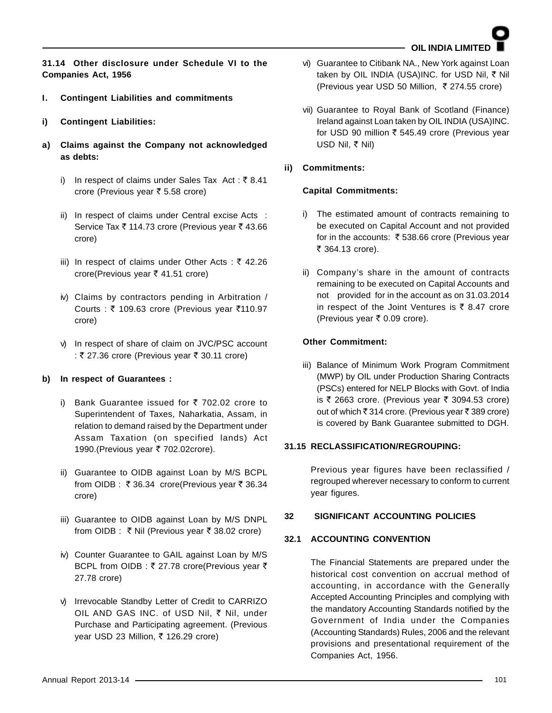**31.14 Other disclosure under Schedule VI to the Companies Act, 1956**

- **I. Contingent Liabilities and commitments**
- **i) Contingent Liabilities:**
- **a) Claims against the Company not acknowledged as debts:**
	- i) In respect of claims under Sales Tax Act:  $\bar{\tau}$  8.41 crore (Previous year  $\overline{\xi}$  5.58 crore)
	- ii) In respect of claims under Central excise Acts : Service Tax ₹ 114.73 crore (Previous year ₹ 43.66 crore)
	- iii) In respect of claims under Other Acts :  $\bar{\tau}$  42.26 crore(Previous year  $\bar{\tau}$  41.51 crore)
	- iv) Claims by contractors pending in Arbitration / Courts : ₹ 109.63 crore (Previous year ₹110.97 crore)
	- v) In respect of share of claim on JVC/PSC account :  $\overline{\xi}$  27.36 crore (Previous year  $\overline{\xi}$  30.11 crore)

#### **b) In respect of Guarantees :**

- i) Bank Guarantee issued for  $\bar{\tau}$  702.02 crore to Superintendent of Taxes, Naharkatia, Assam, in relation to demand raised by the Department under Assam Taxation (on specified lands) Act 1990.(Previous year ₹ 702.02crore).
- ii) Guarantee to OIDB against Loan by M/S BCPL from OIDB : ₹ 36.34 crore(Previous year ₹ 36.34 crore)
- iii) Guarantee to OIDB against Loan by M/S DNPL from OIDB :  $\bar{\tau}$  Nil (Previous year  $\bar{\tau}$  38.02 crore)
- iv) Counter Guarantee to GAIL against Loan by M/S BCPL from OIDB : ₹ 27.78 crore(Previous year ₹ 27.78 crore)
- v) Irrevocable Standby Letter of Credit to CARRIZO OIL AND GAS INC. of USD Nil, ₹ Nil, under Purchase and Participating agreement. (Previous year USD 23 Million,  $\overline{\zeta}$  126.29 crore)
- vi) Guarantee to Citibank NA., New York against Loan taken by OIL INDIA (USA)INC. for USD Nil, ₹ Nil (Previous year USD 50 Million,  $\bar{\tau}$  274.55 crore)
- vii) Guarantee to Royal Bank of Scotland (Finance) Ireland against Loan taken by OIL INDIA (USA)INC. for USD 90 million  $\bar{\tau}$  545.49 crore (Previous year USD Nil,  $\bar{\tau}$  Nil)

#### **ii) Commitments:**

#### **Capital Commitments:**

- i) The estimated amount of contracts remaining to be executed on Capital Account and not provided for in the accounts:  $\overline{\tau}$  538.66 crore (Previous year ₹ 364.13 crore).
- ii) Company's share in the amount of contracts remaining to be executed on Capital Accounts and not provided for in the account as on 31.03.2014 in respect of the Joint Ventures is  $\bar{\tau}$  8.47 crore (Previous year  $\bar{\tau}$  0.09 crore).

#### **Other Commitment:**

iii) Balance of Minimum Work Program Commitment (MWP) by OIL under Production Sharing Contracts (PSCs) entered for NELP Blocks with Govt. of India is ₹ 2663 crore. (Previous year ₹ 3094.53 crore) out of which ₹ 314 crore. (Previous year ₹ 389 crore) is covered by Bank Guarantee submitted to DGH.

#### **31.15 RECLASSIFICATION/REGROUPING:**

Previous year figures have been reclassified / regrouped wherever necessary to conform to current year figures.

#### **32 SIGNIFICANT ACCOUNTING POLICIES**

#### **32.1 ACCOUNTING CONVENTION**

The Financial Statements are prepared under the historical cost convention on accrual method of accounting, in accordance with the Generally Accepted Accounting Principles and complying with the mandatory Accounting Standards notified by the Government of India under the Companies (Accounting Standards) Rules, 2006 and the relevant provisions and presentational requirement of the Companies Act, 1956.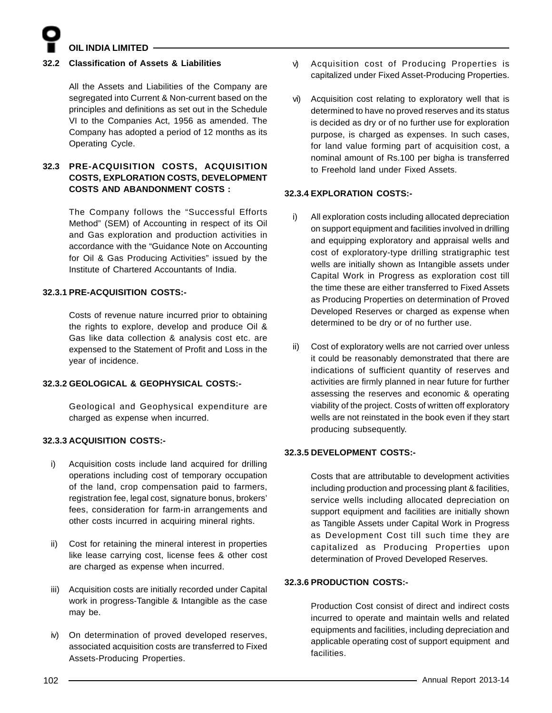#### **32.2 Classification of Assets & Liabilities**

All the Assets and Liabilities of the Company are segregated into Current & Non-current based on the principles and definitions as set out in the Schedule VI to the Companies Act, 1956 as amended. The Company has adopted a period of 12 months as its Operating Cycle.

## **32.3 PRE-ACQUISITION COSTS, ACQUISITION COSTS, EXPLORATION COSTS, DEVELOPMENT COSTS AND ABANDONMENT COSTS :**

The Company follows the "Successful Efforts Method" (SEM) of Accounting in respect of its Oil and Gas exploration and production activities in accordance with the "Guidance Note on Accounting for Oil & Gas Producing Activities" issued by the Institute of Chartered Accountants of India.

## **32.3.1 PRE-ACQUISITION COSTS:-**

Costs of revenue nature incurred prior to obtaining the rights to explore, develop and produce Oil & Gas like data collection & analysis cost etc. are expensed to the Statement of Profit and Loss in the year of incidence.

## **32.3.2 GEOLOGICAL & GEOPHYSICAL COSTS:-**

Geological and Geophysical expenditure are charged as expense when incurred.

## **32.3.3 ACQUISITION COSTS:-**

- i) Acquisition costs include land acquired for drilling operations including cost of temporary occupation of the land, crop compensation paid to farmers, registration fee, legal cost, signature bonus, brokers' fees, consideration for farm-in arrangements and other costs incurred in acquiring mineral rights.
- ii) Cost for retaining the mineral interest in properties like lease carrying cost, license fees & other cost are charged as expense when incurred.
- iii) Acquisition costs are initially recorded under Capital work in progress-Tangible & Intangible as the case may be.
- iv) On determination of proved developed reserves, associated acquisition costs are transferred to Fixed Assets-Producing Properties.
- v) Acquisition cost of Producing Properties is capitalized under Fixed Asset-Producing Properties.
- vi) Acquisition cost relating to exploratory well that is determined to have no proved reserves and its status is decided as dry or of no further use for exploration purpose, is charged as expenses. In such cases, for land value forming part of acquisition cost, a nominal amount of Rs.100 per bigha is transferred to Freehold land under Fixed Assets.

#### **32.3.4 EXPLORATION COSTS:-**

- i) All exploration costs including allocated depreciation on support equipment and facilities involved in drilling and equipping exploratory and appraisal wells and cost of exploratory-type drilling stratigraphic test wells are initially shown as Intangible assets under Capital Work in Progress as exploration cost till the time these are either transferred to Fixed Assets as Producing Properties on determination of Proved Developed Reserves or charged as expense when determined to be dry or of no further use.
- ii) Cost of exploratory wells are not carried over unless it could be reasonably demonstrated that there are indications of sufficient quantity of reserves and activities are firmly planned in near future for further assessing the reserves and economic & operating viability of the project. Costs of written off exploratory wells are not reinstated in the book even if they start producing subsequently.

#### **32.3.5 DEVELOPMENT COSTS:-**

Costs that are attributable to development activities including production and processing plant & facilities, service wells including allocated depreciation on support equipment and facilities are initially shown as Tangible Assets under Capital Work in Progress as Development Cost till such time they are capitalized as Producing Properties upon determination of Proved Developed Reserves.

#### **32.3.6 PRODUCTION COSTS:-**

Production Cost consist of direct and indirect costs incurred to operate and maintain wells and related equipments and facilities, including depreciation and applicable operating cost of support equipment and facilities.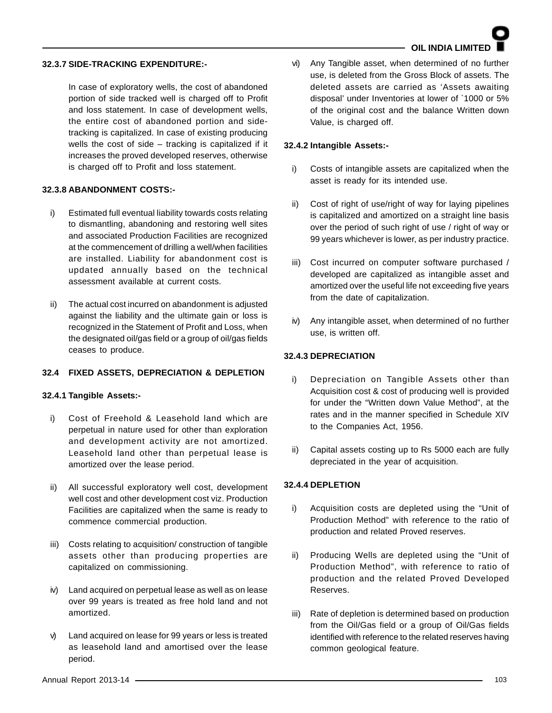#### **32.3.7 SIDE-TRACKING EXPENDITURE:-**

In case of exploratory wells, the cost of abandoned portion of side tracked well is charged off to Profit and loss statement. In case of development wells, the entire cost of abandoned portion and sidetracking is capitalized. In case of existing producing wells the cost of side – tracking is capitalized if it increases the proved developed reserves, otherwise is charged off to Profit and loss statement.

#### **32.3.8 ABANDONMENT COSTS:-**

- i) Estimated full eventual liability towards costs relating to dismantling, abandoning and restoring well sites and associated Production Facilities are recognized at the commencement of drilling a well/when facilities are installed. Liability for abandonment cost is updated annually based on the technical assessment available at current costs.
- ii) The actual cost incurred on abandonment is adjusted against the liability and the ultimate gain or loss is recognized in the Statement of Profit and Loss, when the designated oil/gas field or a group of oil/gas fields ceases to produce.

#### **32.4 FIXED ASSETS, DEPRECIATION & DEPLETION**

#### **32.4.1 Tangible Assets:-**

- i) Cost of Freehold & Leasehold land which are perpetual in nature used for other than exploration and development activity are not amortized. Leasehold land other than perpetual lease is amortized over the lease period.
- ii) All successful exploratory well cost, development well cost and other development cost viz. Production Facilities are capitalized when the same is ready to commence commercial production.
- iii) Costs relating to acquisition/ construction of tangible assets other than producing properties are capitalized on commissioning.
- iv) Land acquired on perpetual lease as well as on lease over 99 years is treated as free hold land and not amortized.
- v) Land acquired on lease for 99 years or less is treated as leasehold land and amortised over the lease period.

vi) Any Tangible asset, when determined of no further use, is deleted from the Gross Block of assets. The deleted assets are carried as 'Assets awaiting disposal' under Inventories at lower of `1000 or 5% of the original cost and the balance Written down Value, is charged off.

#### **32.4.2 Intangible Assets:-**

- i) Costs of intangible assets are capitalized when the asset is ready for its intended use.
- ii) Cost of right of use/right of way for laying pipelines is capitalized and amortized on a straight line basis over the period of such right of use / right of way or 99 years whichever is lower, as per industry practice.
- iii) Cost incurred on computer software purchased / developed are capitalized as intangible asset and amortized over the useful life not exceeding five years from the date of capitalization.
- iv) Any intangible asset, when determined of no further use, is written off.

#### **32.4.3 DEPRECIATION**

- i) Depreciation on Tangible Assets other than Acquisition cost & cost of producing well is provided for under the "Written down Value Method", at the rates and in the manner specified in Schedule XIV to the Companies Act, 1956.
- ii) Capital assets costing up to Rs 5000 each are fully depreciated in the year of acquisition.

#### **32.4.4 DEPLETION**

- i) Acquisition costs are depleted using the "Unit of Production Method" with reference to the ratio of production and related Proved reserves.
- ii) Producing Wells are depleted using the "Unit of Production Method", with reference to ratio of production and the related Proved Developed Reserves.
- iii) Rate of depletion is determined based on production from the Oil/Gas field or a group of Oil/Gas fields identified with reference to the related reserves having common geological feature.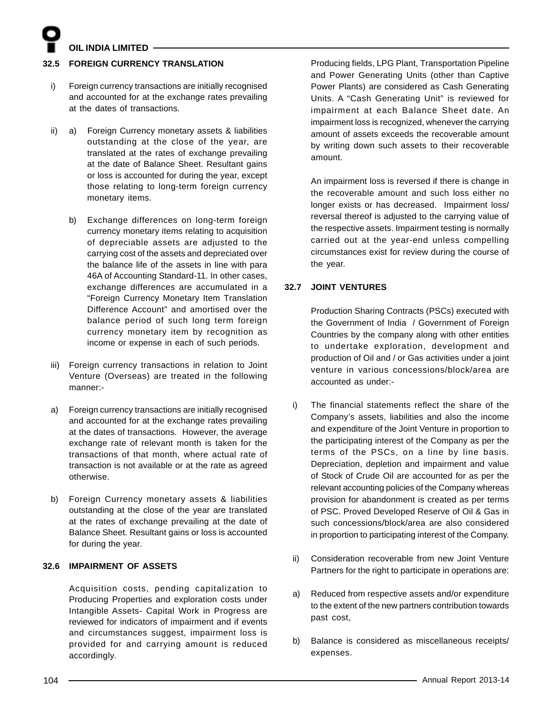#### **FOREIGN CURRENCY TRANSLATION**

- i) Foreign currency transactions are initially recognised and accounted for at the exchange rates prevailing at the dates of transactions.
- ii) a) Foreign Currency monetary assets & liabilities outstanding at the close of the year, are translated at the rates of exchange prevailing at the date of Balance Sheet. Resultant gains or loss is accounted for during the year, except those relating to long-term foreign currency monetary items.
	- b) Exchange differences on long-term foreign currency monetary items relating to acquisition of depreciable assets are adjusted to the carrying cost of the assets and depreciated over the balance life of the assets in line with para 46A of Accounting Standard-11. In other cases, exchange differences are accumulated in a "Foreign Currency Monetary Item Translation Difference Account" and amortised over the balance period of such long term foreign currency monetary item by recognition as income or expense in each of such periods.
- iii) Foreign currency transactions in relation to Joint Venture (Overseas) are treated in the following manner:-
- a) Foreign currency transactions are initially recognised and accounted for at the exchange rates prevailing at the dates of transactions. However, the average exchange rate of relevant month is taken for the transactions of that month, where actual rate of transaction is not available or at the rate as agreed otherwise.
- b) Foreign Currency monetary assets & liabilities outstanding at the close of the year are translated at the rates of exchange prevailing at the date of Balance Sheet. Resultant gains or loss is accounted for during the year.

#### **32.6 IMPAIRMENT OF ASSETS**

Acquisition costs, pending capitalization to Producing Properties and exploration costs under Intangible Assets- Capital Work in Progress are reviewed for indicators of impairment and if events and circumstances suggest, impairment loss is provided for and carrying amount is reduced accordingly.

Producing fields, LPG Plant, Transportation Pipeline and Power Generating Units (other than Captive Power Plants) are considered as Cash Generating Units. A "Cash Generating Unit" is reviewed for impairment at each Balance Sheet date. An impairment loss is recognized, whenever the carrying amount of assets exceeds the recoverable amount by writing down such assets to their recoverable amount.

An impairment loss is reversed if there is change in the recoverable amount and such loss either no longer exists or has decreased. Impairment loss/ reversal thereof is adjusted to the carrying value of the respective assets. Impairment testing is normally carried out at the year-end unless compelling circumstances exist for review during the course of the year.

#### **32.7 JOINT VENTURES**

Production Sharing Contracts (PSCs) executed with the Government of India / Government of Foreign Countries by the company along with other entities to undertake exploration, development and production of Oil and / or Gas activities under a joint venture in various concessions/block/area are accounted as under:-

- i) The financial statements reflect the share of the Company's assets, liabilities and also the income and expenditure of the Joint Venture in proportion to the participating interest of the Company as per the terms of the PSCs, on a line by line basis. Depreciation, depletion and impairment and value of Stock of Crude Oil are accounted for as per the relevant accounting policies of the Company whereas provision for abandonment is created as per terms of PSC. Proved Developed Reserve of Oil & Gas in such concessions/block/area are also considered in proportion to participating interest of the Company.
- ii) Consideration recoverable from new Joint Venture Partners for the right to participate in operations are:
- a) Reduced from respective assets and/or expenditure to the extent of the new partners contribution towards past cost,
- b) Balance is considered as miscellaneous receipts/ expenses.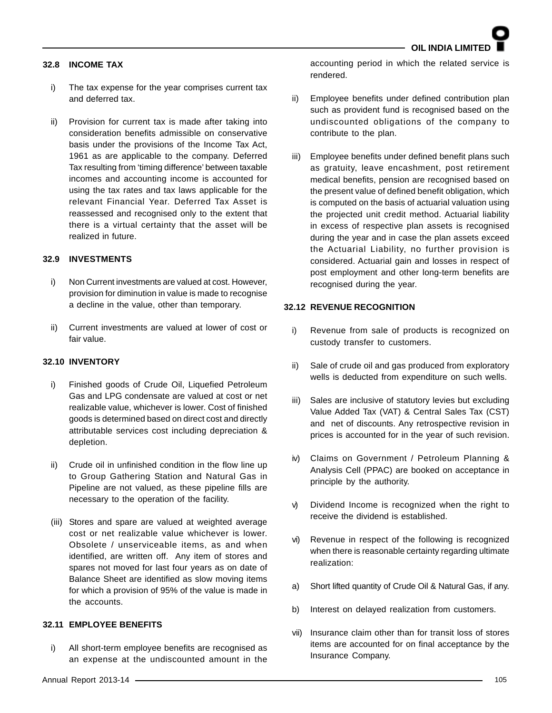#### **32.8 INCOME TAX**

- i) The tax expense for the year comprises current tax and deferred tax.
- ii) Provision for current tax is made after taking into consideration benefits admissible on conservative basis under the provisions of the Income Tax Act, 1961 as are applicable to the company. Deferred Tax resulting from 'timing difference' between taxable incomes and accounting income is accounted for using the tax rates and tax laws applicable for the relevant Financial Year. Deferred Tax Asset is reassessed and recognised only to the extent that there is a virtual certainty that the asset will be realized in future.

#### **32.9 INVESTMENTS**

- i) Non Current investments are valued at cost. However, provision for diminution in value is made to recognise a decline in the value, other than temporary.
- ii) Current investments are valued at lower of cost or fair value.

#### **32.10 INVENTORY**

- i) Finished goods of Crude Oil, Liquefied Petroleum Gas and LPG condensate are valued at cost or net realizable value, whichever is lower. Cost of finished goods is determined based on direct cost and directly attributable services cost including depreciation & depletion.
- ii) Crude oil in unfinished condition in the flow line up to Group Gathering Station and Natural Gas in Pipeline are not valued, as these pipeline fills are necessary to the operation of the facility.
- (iii) Stores and spare are valued at weighted average cost or net realizable value whichever is lower. Obsolete / unserviceable items, as and when identified, are written off. Any item of stores and spares not moved for last four years as on date of Balance Sheet are identified as slow moving items for which a provision of 95% of the value is made in the accounts.

#### **32.11 EMPLOYEE BENEFITS**

i) All short-term employee benefits are recognised as an expense at the undiscounted amount in the accounting period in which the related service is rendered.

- ii) Employee benefits under defined contribution plan such as provident fund is recognised based on the undiscounted obligations of the company to contribute to the plan.
- iii) Employee benefits under defined benefit plans such as gratuity, leave encashment, post retirement medical benefits, pension are recognised based on the present value of defined benefit obligation, which is computed on the basis of actuarial valuation using the projected unit credit method. Actuarial liability in excess of respective plan assets is recognised during the year and in case the plan assets exceed the Actuarial Liability, no further provision is considered. Actuarial gain and losses in respect of post employment and other long-term benefits are recognised during the year.

#### **32.12 REVENUE RECOGNITION**

- i) Revenue from sale of products is recognized on custody transfer to customers.
- ii) Sale of crude oil and gas produced from exploratory wells is deducted from expenditure on such wells.
- iii) Sales are inclusive of statutory levies but excluding Value Added Tax (VAT) & Central Sales Tax (CST) and net of discounts. Any retrospective revision in prices is accounted for in the year of such revision.
- iv) Claims on Government / Petroleum Planning & Analysis Cell (PPAC) are booked on acceptance in principle by the authority.
- v) Dividend Income is recognized when the right to receive the dividend is established.
- vi) Revenue in respect of the following is recognized when there is reasonable certainty regarding ultimate realization:
- a) Short lifted quantity of Crude Oil & Natural Gas, if any.
- b) Interest on delayed realization from customers.
- vii) Insurance claim other than for transit loss of stores items are accounted for on final acceptance by the Insurance Company.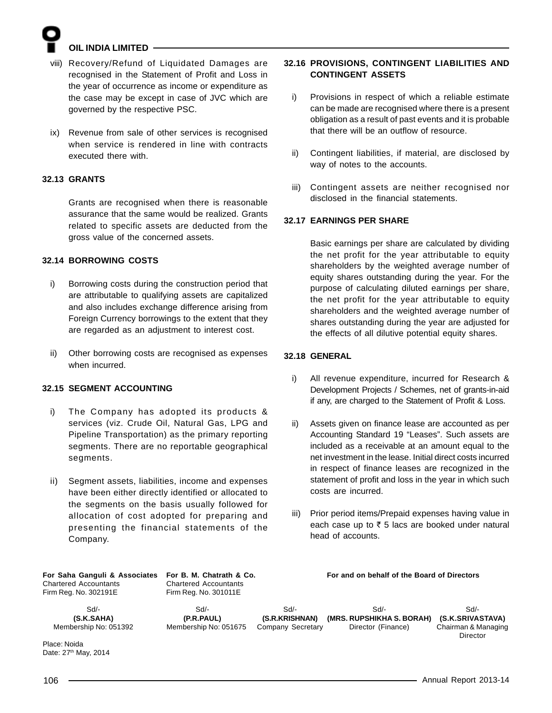- viii) Recovery/Refund of Liquidated Damages are recognised in the Statement of Profit and Loss in the year of occurrence as income or expenditure as the case may be except in case of JVC which are governed by the respective PSC.
- ix) Revenue from sale of other services is recognised when service is rendered in line with contracts executed there with.

## **32.13 GRANTS**

Grants are recognised when there is reasonable assurance that the same would be realized. Grants related to specific assets are deducted from the gross value of the concerned assets.

#### **32.14 BORROWING COSTS**

- i) Borrowing costs during the construction period that are attributable to qualifying assets are capitalized and also includes exchange difference arising from Foreign Currency borrowings to the extent that they are regarded as an adjustment to interest cost.
- ii) Other borrowing costs are recognised as expenses when incurred.

#### **32.15 SEGMENT ACCOUNTING**

- i) The Company has adopted its products & services (viz. Crude Oil, Natural Gas, LPG and Pipeline Transportation) as the primary reporting segments. There are no reportable geographical segments.
- ii) Segment assets, liabilities, income and expenses have been either directly identified or allocated to the segments on the basis usually followed for allocation of cost adopted for preparing and presenting the financial statements of the Company.

Chartered Accountants Chartered Accountants

## **32.16 PROVISIONS, CONTINGENT LIABILITIES AND CONTINGENT ASSETS**

- i) Provisions in respect of which a reliable estimate can be made are recognised where there is a present obligation as a result of past events and it is probable that there will be an outflow of resource.
- ii) Contingent liabilities, if material, are disclosed by way of notes to the accounts.
- iii) Contingent assets are neither recognised nor disclosed in the financial statements.

# **32.17 EARNINGS PER SHARE**

Basic earnings per share are calculated by dividing the net profit for the year attributable to equity shareholders by the weighted average number of equity shares outstanding during the year. For the purpose of calculating diluted earnings per share, the net profit for the year attributable to equity shareholders and the weighted average number of shares outstanding during the year are adjusted for the effects of all dilutive potential equity shares.

#### **32.18 GENERAL**

- i) All revenue expenditure, incurred for Research & Development Projects / Schemes, net of grants-in-aid if any, are charged to the Statement of Profit & Loss.
- ii) Assets given on finance lease are accounted as per Accounting Standard 19 "Leases". Such assets are included as a receivable at an amount equal to the net investment in the lease. Initial direct costs incurred in respect of finance leases are recognized in the statement of profit and loss in the year in which such costs are incurred.
- iii) Prior period items/Prepaid expenses having value in each case up to  $\overline{\xi}$  5 lacs are booked under natural head of accounts.

#### **For Saha Ganguli & Associates For B. M. Chatrath & Co. For and on behalf of the Board of Directors**

Firm Reg. No. 302191E Firm Reg. No. 301011E Sd/- Sd/- Sd/- Sd/- Sd/- **(S.K.SAHA) (P.R.PAUL) (S.R.KRISHNAN) (MRS. RUPSHIKHA S. BORAH) (S.K.SRIVASTAVA)** Membership No: 051392 Membership No: 051675 Company Secretary Director (Finance) Chairman & Managing Director

Place: Noida Date: 27<sup>th</sup> May, 2014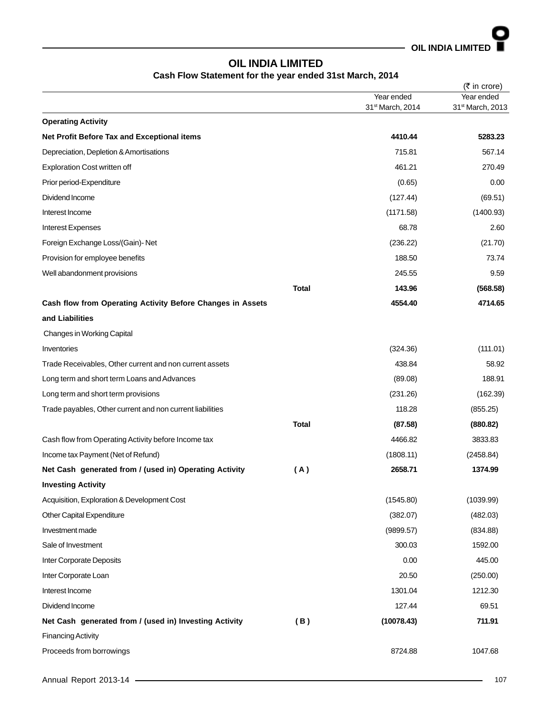# **OIL INDIA LIMITED**

# **Cash Flow Statement for the year ended 31st March, 2014**

|                                                            |              |                                            | (₹ in core)                    |
|------------------------------------------------------------|--------------|--------------------------------------------|--------------------------------|
|                                                            |              | Year ended<br>31 <sup>st</sup> March, 2014 | Year ended<br>31st March, 2013 |
| <b>Operating Activity</b>                                  |              |                                            |                                |
| Net Profit Before Tax and Exceptional items                |              | 4410.44                                    | 5283.23                        |
| Depreciation, Depletion & Amortisations                    |              | 715.81                                     | 567.14                         |
| <b>Exploration Cost written off</b>                        |              | 461.21                                     | 270.49                         |
| Prior period-Expenditure                                   |              | (0.65)                                     | 0.00                           |
| Dividend Income                                            |              | (127.44)                                   | (69.51)                        |
| Interest Income                                            |              | (1171.58)                                  | (1400.93)                      |
| <b>Interest Expenses</b>                                   |              | 68.78                                      | 2.60                           |
| Foreign Exchange Loss/(Gain)- Net                          |              | (236.22)                                   | (21.70)                        |
| Provision for employee benefits                            |              | 188.50                                     | 73.74                          |
| Well abandonment provisions                                |              | 245.55                                     | 9.59                           |
|                                                            | <b>Total</b> | 143.96                                     | (568.58)                       |
| Cash flow from Operating Activity Before Changes in Assets |              | 4554.40                                    | 4714.65                        |
| and Liabilities                                            |              |                                            |                                |
| <b>Changes in Working Capital</b>                          |              |                                            |                                |
| Inventories                                                |              | (324.36)                                   | (111.01)                       |
| Trade Receivables, Other current and non current assets    |              | 438.84                                     | 58.92                          |
| Long term and short term Loans and Advances                |              | (89.08)                                    | 188.91                         |
| Long term and short term provisions                        |              | (231.26)                                   | (162.39)                       |
| Trade payables, Other current and non current liabilities  |              | 118.28                                     | (855.25)                       |
|                                                            | <b>Total</b> | (87.58)                                    | (880.82)                       |
| Cash flow from Operating Activity before Income tax        |              | 4466.82                                    | 3833.83                        |
| Income tax Payment (Net of Refund)                         |              | (1808.11)                                  | (2458.84)                      |
| Net Cash generated from / (used in) Operating Activity     | (A)          | 2658.71                                    | 1374.99                        |
| <b>Investing Activity</b>                                  |              |                                            |                                |
| Acquisition, Exploration & Development Cost                |              | (1545.80)                                  | (1039.99)                      |
| <b>Other Capital Expenditure</b>                           |              | (382.07)                                   | (482.03)                       |
| Investment made                                            |              | (9899.57)                                  | (834.88)                       |
| Sale of Investment                                         |              | 300.03                                     | 1592.00                        |
| Inter Corporate Deposits                                   |              | 0.00                                       | 445.00                         |
| Inter Corporate Loan                                       |              | 20.50                                      | (250.00)                       |
| Interest Income                                            |              | 1301.04                                    | 1212.30                        |
| Dividend Income                                            |              | 127.44                                     | 69.51                          |
| Net Cash generated from / (used in) Investing Activity     | (B)          | (10078.43)                                 | 711.91                         |
| <b>Financing Activity</b>                                  |              |                                            |                                |
| Proceeds from borrowings                                   |              | 8724.88                                    | 1047.68                        |
|                                                            |              |                                            |                                |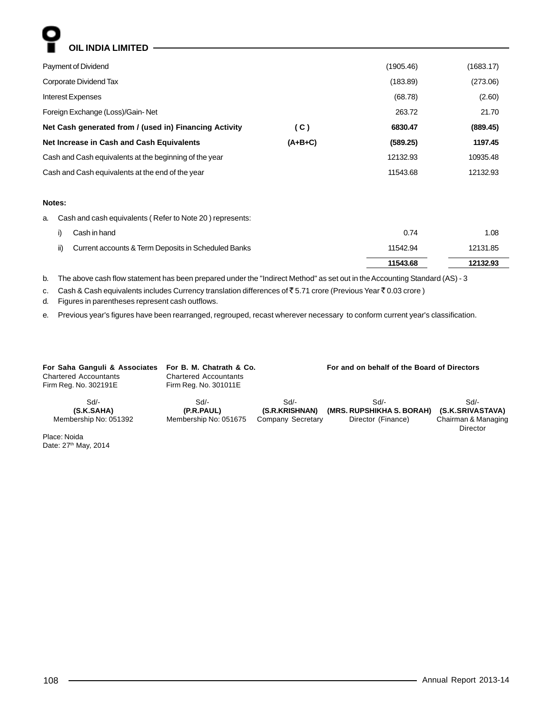| Payment of Dividend                                    |           | (1905.46) | (1683.17) |
|--------------------------------------------------------|-----------|-----------|-----------|
| Corporate Dividend Tax                                 |           | (183.89)  | (273.06)  |
| Interest Expenses                                      |           | (68.78)   | (2.60)    |
| Foreign Exchange (Loss)/Gain-Net                       |           | 263.72    | 21.70     |
| Net Cash generated from / (used in) Financing Activity | (C)       | 6830.47   | (889.45)  |
| Net Increase in Cash and Cash Equivalents              | $(A+B+C)$ | (589.25)  | 1197.45   |
| Cash and Cash equivalents at the beginning of the year |           | 12132.93  | 10935.48  |
| Cash and Cash equivalents at the end of the year       |           | 11543.68  | 12132.93  |

## **Notes:**

a. Cash and cash equivalents ( Refer to Note 20 ) represents:

|     | Cash in hand                                        | 0.74     | 1.08     |
|-----|-----------------------------------------------------|----------|----------|
| ii) | Current accounts & Term Deposits in Scheduled Banks | 11542.94 | 12131.85 |
|     |                                                     | 11543.68 | 12132.93 |

b. The above cash flow statement has been prepared under the "Indirect Method" as set out in the Accounting Standard (AS) - 3

c. Cash & Cash equivalents includes Currency translation differences of  $\bar{z}$  5.71 crore (Previous Year  $\bar{z}$  0.03 crore )

d. Figures in parentheses represent cash outflows.

e. Previous year's figures have been rearranged, regrouped, recast wherever necessary to conform current year's classification.

| For Saha Ganguli & Associates<br><b>Chartered Accountants</b><br>Firm Reg. No. 302191E | For B. M. Chatrath & Co.<br><b>Chartered Accountants</b><br>Firm Reg. No. 301011E |                   | For and on behalf of the Board of Directors |                                 |  |
|----------------------------------------------------------------------------------------|-----------------------------------------------------------------------------------|-------------------|---------------------------------------------|---------------------------------|--|
| Sd                                                                                     | Sd/-                                                                              | Sd/-              | Sd                                          | Sd                              |  |
| (S.K.SAHA)                                                                             | (P.R.PAUL)                                                                        | (S.R.KRISHNAN)    | (MRS. RUPSHIKHA S. BORAH)                   | (S.K.SRIVASTAVA)                |  |
| Membership No: 051392                                                                  | Membership No: 051675                                                             | Company Secretary | Director (Finance)                          | Chairman & Managing<br>Director |  |
| Dloop Noide                                                                            |                                                                                   |                   |                                             |                                 |  |

Place: Noida Date: 27th May, 2014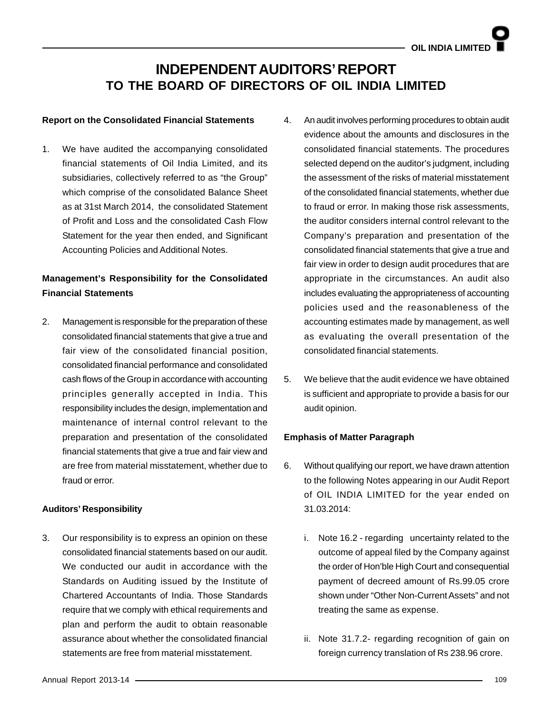# **INDEPENDENT AUDITORS' REPORT TO THE BOARD OF DIRECTORS OF OIL INDIA LIMITED**

### **Report on the Consolidated Financial Statements**

1. We have audited the accompanying consolidated financial statements of Oil India Limited, and its subsidiaries, collectively referred to as "the Group" which comprise of the consolidated Balance Sheet as at 31st March 2014, the consolidated Statement of Profit and Loss and the consolidated Cash Flow Statement for the year then ended, and Significant Accounting Policies and Additional Notes.

# **Management's Responsibility for the Consolidated Financial Statements**

2. Management is responsible for the preparation of these consolidated financial statements that give a true and fair view of the consolidated financial position, consolidated financial performance and consolidated cash flows of the Group in accordance with accounting principles generally accepted in India. This responsibility includes the design, implementation and maintenance of internal control relevant to the preparation and presentation of the consolidated financial statements that give a true and fair view and are free from material misstatement, whether due to fraud or error.

### **Auditors' Responsibility**

3. Our responsibility is to express an opinion on these consolidated financial statements based on our audit. We conducted our audit in accordance with the Standards on Auditing issued by the Institute of Chartered Accountants of India. Those Standards require that we comply with ethical requirements and plan and perform the audit to obtain reasonable assurance about whether the consolidated financial statements are free from material misstatement.

- 4. An audit involves performing procedures to obtain audit evidence about the amounts and disclosures in the consolidated financial statements. The procedures selected depend on the auditor's judgment, including the assessment of the risks of material misstatement of the consolidated financial statements, whether due to fraud or error. In making those risk assessments, the auditor considers internal control relevant to the Company's preparation and presentation of the consolidated financial statements that give a true and fair view in order to design audit procedures that are appropriate in the circumstances. An audit also includes evaluating the appropriateness of accounting policies used and the reasonableness of the accounting estimates made by management, as well as evaluating the overall presentation of the consolidated financial statements.
- 5. We believe that the audit evidence we have obtained is sufficient and appropriate to provide a basis for our audit opinion.

### **Emphasis of Matter Paragraph**

- 6. Without qualifying our report, we have drawn attention to the following Notes appearing in our Audit Report of OIL INDIA LIMITED for the year ended on 31.03.2014:
	- i. Note 16.2 regarding uncertainty related to the outcome of appeal filed by the Company against the order of Hon'ble High Court and consequential payment of decreed amount of Rs.99.05 crore shown under "Other Non-Current Assets" and not treating the same as expense.
	- ii. Note 31.7.2- regarding recognition of gain on foreign currency translation of Rs 238.96 crore.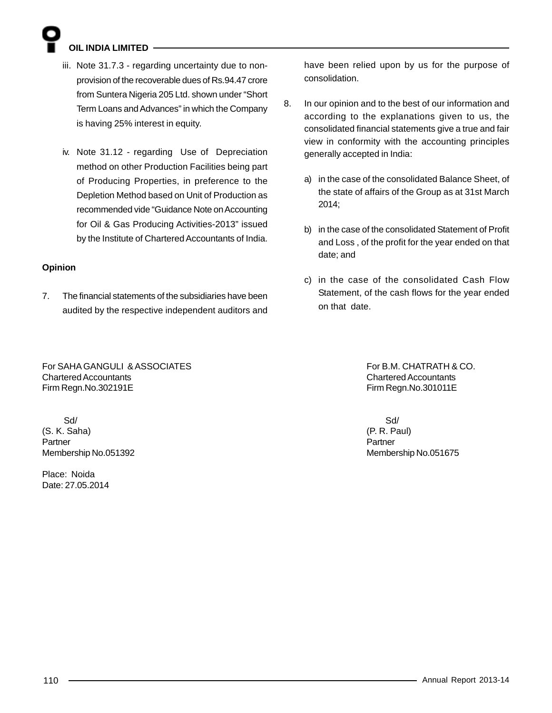- iii. Note 31.7.3 regarding uncertainty due to nonprovision of the recoverable dues of Rs.94.47 crore from Suntera Nigeria 205 Ltd. shown under "Short Term Loans and Advances" in which the Company is having 25% interest in equity.
- iv. Note 31.12 regarding Use of Depreciation method on other Production Facilities being part of Producing Properties, in preference to the Depletion Method based on Unit of Production as recommended vide "Guidance Note on Accounting for Oil & Gas Producing Activities-2013" issued by the Institute of Chartered Accountants of India.

# **Opinion**

7. The financial statements of the subsidiaries have been audited by the respective independent auditors and

For SAHA GANGULI & ASSOCIATES FOR B.M. CHATRATH & CO. Chartered Accountants Chartered Accountants Firm Regn.No.302191E Firm Regn.No.301011E

 $S$ d/  $S$ d/  $S$ d/  $S$ d/  $S$ d/  $S$ d/  $S$ d/  $S$ d/  $S$ d/  $S$ d/  $S$ d/  $S$ d/  $S$ d/  $S$ d/  $S$ d/  $S$ d/  $S$ d/  $S$ d/  $S$ d/  $S$ d/  $S$ d/  $S$ d/  $S$ d/  $S$ d/  $S$ d/  $S$ d/  $S$ d/  $S$ d/  $S$ d/  $S$ d/  $S$ d/  $S$ d/  $S$ d/  $S$ d/  $S$ d/  $S$ d/  $S$ d/ (S. K. Saha) (P. R. Paul) Partner Partner Membership No.051392 Membership No.051675

Place: Noida Date: 27.05.2014 have been relied upon by us for the purpose of consolidation.

- 8. In our opinion and to the best of our information and according to the explanations given to us, the consolidated financial statements give a true and fair view in conformity with the accounting principles generally accepted in India:
	- a) in the case of the consolidated Balance Sheet, of the state of affairs of the Group as at 31st March 2014;
	- b) in the case of the consolidated Statement of Profit and Loss , of the profit for the year ended on that date; and
	- c) in the case of the consolidated Cash Flow Statement, of the cash flows for the year ended on that date.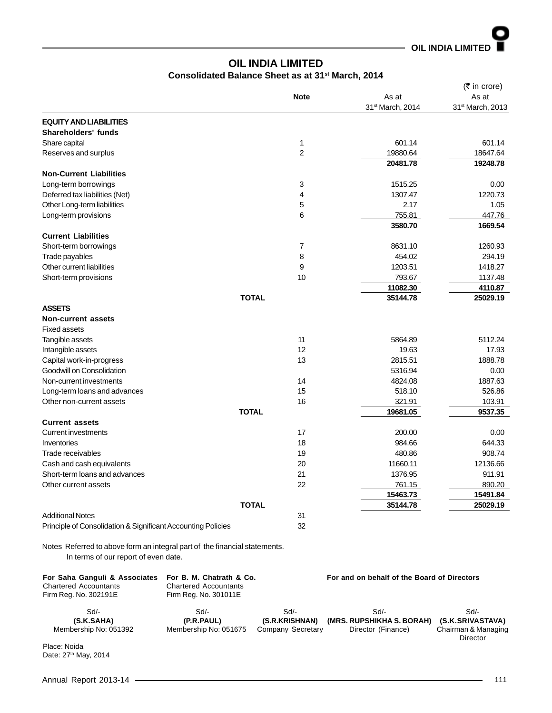# **Consolidated Balance Sheet as at 31st March, 2014**

|                                                                            |                              |                   |                                             | (₹ in crore)                    |
|----------------------------------------------------------------------------|------------------------------|-------------------|---------------------------------------------|---------------------------------|
|                                                                            |                              | <b>Note</b>       | As at                                       | As at                           |
|                                                                            |                              |                   | 31 <sup>st</sup> March, 2014                | 31st March, 2013                |
| <b>EQUITY AND LIABILITIES</b>                                              |                              |                   |                                             |                                 |
| Shareholders' funds                                                        |                              |                   |                                             |                                 |
| Share capital                                                              |                              | 1                 | 601.14                                      | 601.14                          |
| Reserves and surplus                                                       |                              | $\overline{2}$    | 19880.64                                    | 18647.64                        |
|                                                                            |                              |                   | 20481.78                                    | 19248.78                        |
| <b>Non-Current Liabilities</b>                                             |                              |                   |                                             |                                 |
| Long-term borrowings                                                       |                              | 3                 | 1515.25                                     | 0.00                            |
| Deferred tax liabilities (Net)                                             |                              | 4                 | 1307.47                                     | 1220.73                         |
| Other Long-term liabilities                                                |                              | 5                 | 2.17                                        | 1.05                            |
| Long-term provisions                                                       |                              | 6                 | 755.81                                      | 447.76                          |
|                                                                            |                              |                   | 3580.70                                     | 1669.54                         |
| <b>Current Liabilities</b>                                                 |                              |                   |                                             |                                 |
| Short-term borrowings                                                      |                              | 7                 | 8631.10                                     | 1260.93                         |
| Trade payables                                                             |                              | 8                 | 454.02                                      | 294.19                          |
| Other current liabilities                                                  |                              | 9                 | 1203.51                                     | 1418.27                         |
| Short-term provisions                                                      |                              | 10                | 793.67                                      | 1137.48                         |
|                                                                            |                              |                   | 11082.30                                    | 4110.87                         |
|                                                                            | <b>TOTAL</b>                 |                   | 35144.78                                    | 25029.19                        |
| <b>ASSETS</b>                                                              |                              |                   |                                             |                                 |
| <b>Non-current assets</b>                                                  |                              |                   |                                             |                                 |
| Fixed assets                                                               |                              |                   |                                             |                                 |
| Tangible assets                                                            |                              | 11                | 5864.89                                     | 5112.24                         |
| Intangible assets                                                          |                              | 12                | 19.63                                       | 17.93                           |
| Capital work-in-progress                                                   |                              | 13                | 2815.51                                     | 1888.78                         |
| Goodwill on Consolidation                                                  |                              |                   | 5316.94                                     | 0.00                            |
| Non-current investments                                                    |                              | 14                | 4824.08                                     | 1887.63                         |
| Long-term loans and advances                                               |                              | 15                | 518.10                                      | 526.86                          |
| Other non-current assets                                                   |                              | 16                | 321.91                                      | 103.91                          |
|                                                                            | <b>TOTAL</b>                 |                   | 19681.05                                    | 9537.35                         |
| <b>Current assets</b>                                                      |                              |                   |                                             |                                 |
| <b>Current investments</b>                                                 |                              | 17                | 200.00                                      | 0.00                            |
| Inventories                                                                |                              | 18                | 984.66                                      | 644.33                          |
| Trade receivables                                                          |                              | 19                | 480.86                                      | 908.74                          |
| Cash and cash equivalents                                                  |                              | 20                | 11660.11                                    | 12136.66                        |
| Short-term loans and advances                                              |                              | 21                | 1376.95                                     | 911.91                          |
| Other current assets                                                       |                              | 22                | 761.15                                      | 890.20                          |
|                                                                            |                              |                   | 15463.73                                    | 15491.84                        |
|                                                                            | <b>TOTAL</b>                 |                   | 35144.78                                    | 25029.19                        |
| <b>Additional Notes</b>                                                    |                              | 31                |                                             |                                 |
| Principle of Consolidation & Significant Accounting Policies               |                              | 32                |                                             |                                 |
|                                                                            |                              |                   |                                             |                                 |
| Notes Referred to above form an integral part of the financial statements. |                              |                   |                                             |                                 |
| In terms of our report of even date.                                       |                              |                   |                                             |                                 |
|                                                                            |                              |                   |                                             |                                 |
| For Saha Ganguli & Associates                                              | For B. M. Chatrath & Co.     |                   | For and on behalf of the Board of Directors |                                 |
| <b>Chartered Accountants</b>                                               | <b>Chartered Accountants</b> |                   |                                             |                                 |
| Firm Reg. No. 302191E                                                      | Firm Reg. No. 301011E        |                   |                                             |                                 |
| Sd/-                                                                       | Sd/-                         | Sd/-              | Sd/-                                        | Sd/-                            |
| (S.K.SAHA)                                                                 | (P.R.PAUL)                   | (S.R.KRISHNAN)    | (MRS. RUPSHIKHA S. BORAH)                   | (S.K.SRIVASTAVA)                |
| Membership No: 051392                                                      | Membership No: 051675        | Company Secretary | Director (Finance)                          | Chairman & Managing<br>Director |

Place: Noida Date: 27<sup>th</sup> May, 2014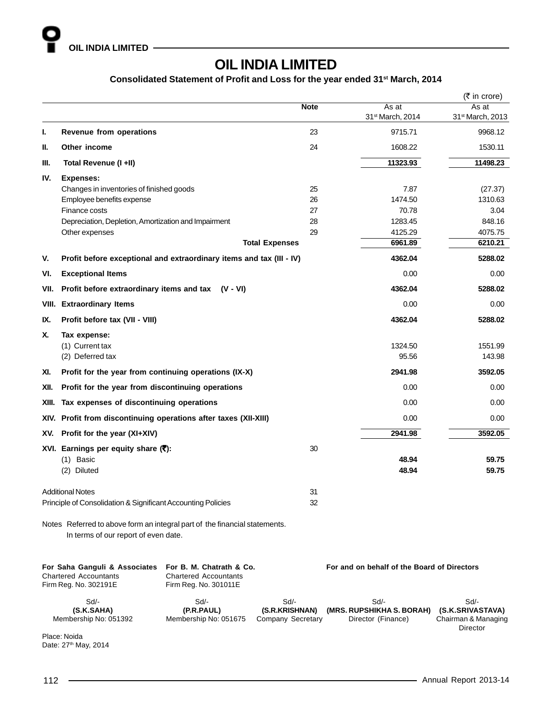# **OIL INDIA LIMITED**

# **Consolidated Statement of Profit and Loss for the year ended 31st March, 2014**

|       |                                                                                                                    |                                                                                   |                                     |                                                 | $(5 \nvert$ in crore)                   |
|-------|--------------------------------------------------------------------------------------------------------------------|-----------------------------------------------------------------------------------|-------------------------------------|-------------------------------------------------|-----------------------------------------|
|       |                                                                                                                    |                                                                                   | <b>Note</b>                         | As at<br>31st March, 2014                       | As at<br>31st March, 2013               |
| L.    | Revenue from operations                                                                                            |                                                                                   | 23                                  | 9715.71                                         | 9968.12                                 |
|       | Other income                                                                                                       |                                                                                   | 24                                  | 1608.22                                         | 1530.11                                 |
| II.   |                                                                                                                    |                                                                                   |                                     |                                                 |                                         |
| Ш.    | Total Revenue (I +II)                                                                                              |                                                                                   |                                     | 11323.93                                        | 11498.23                                |
| IV.   | <b>Expenses:</b>                                                                                                   |                                                                                   |                                     |                                                 |                                         |
|       | Changes in inventories of finished goods                                                                           |                                                                                   | 25                                  | 7.87                                            | (27.37)                                 |
|       | Employee benefits expense                                                                                          |                                                                                   | 26                                  | 1474.50                                         | 1310.63                                 |
|       | Finance costs                                                                                                      |                                                                                   | 27                                  | 70.78                                           | 3.04                                    |
|       | Depreciation, Depletion, Amortization and Impairment                                                               |                                                                                   | 28<br>29                            | 1283.45<br>4125.29                              | 848.16<br>4075.75                       |
|       | Other expenses                                                                                                     |                                                                                   | <b>Total Expenses</b>               | 6961.89                                         | 6210.21                                 |
| V.    |                                                                                                                    |                                                                                   |                                     | 4362.04                                         | 5288.02                                 |
|       | Profit before exceptional and extraordinary items and tax (III - IV)                                               |                                                                                   |                                     |                                                 |                                         |
| VI.   | <b>Exceptional Items</b>                                                                                           |                                                                                   |                                     | 0.00                                            | 0.00                                    |
| VII.  | Profit before extraordinary items and tax                                                                          | $(V - VI)$                                                                        |                                     | 4362.04                                         | 5288.02                                 |
| VIII. | <b>Extraordinary Items</b>                                                                                         |                                                                                   |                                     | 0.00                                            | 0.00                                    |
| IX.   | Profit before tax (VII - VIII)                                                                                     |                                                                                   |                                     | 4362.04                                         | 5288.02                                 |
| Х.    | Tax expense:<br>(1) Current tax                                                                                    |                                                                                   |                                     | 1324.50                                         | 1551.99                                 |
|       | (2) Deferred tax                                                                                                   |                                                                                   |                                     | 95.56                                           | 143.98                                  |
| XI.   | Profit for the year from continuing operations (IX-X)                                                              |                                                                                   |                                     | 2941.98                                         | 3592.05                                 |
| XII.  | Profit for the year from discontinuing operations                                                                  |                                                                                   |                                     | 0.00                                            | 0.00                                    |
| XIII. | Tax expenses of discontinuing operations                                                                           |                                                                                   |                                     | 0.00                                            | 0.00                                    |
|       | XIV. Profit from discontinuing operations after taxes (XII-XIII)                                                   |                                                                                   |                                     | 0.00                                            | 0.00                                    |
| XV.   | Profit for the year (XI+XIV)                                                                                       |                                                                                   |                                     | 2941.98                                         | 3592.05                                 |
|       | XVI. Earnings per equity share $(\overline{\mathbf{z}})$ :                                                         |                                                                                   | 30                                  |                                                 |                                         |
|       | Basic<br>(1)                                                                                                       |                                                                                   |                                     | 48.94                                           | 59.75                                   |
|       | (2) Diluted                                                                                                        |                                                                                   |                                     | 48.94                                           | 59.75                                   |
|       | <b>Additional Notes</b>                                                                                            |                                                                                   | 31                                  |                                                 |                                         |
|       | Principle of Consolidation & Significant Accounting Policies                                                       |                                                                                   | 32                                  |                                                 |                                         |
|       | Notes Referred to above form an integral part of the financial statements.<br>In terms of our report of even date. |                                                                                   |                                     |                                                 |                                         |
|       |                                                                                                                    |                                                                                   |                                     |                                                 |                                         |
|       | For Saha Ganguli & Associates<br><b>Chartered Accountants</b><br>Firm Reg. No. 302191E                             | For B. M. Chatrath & Co.<br><b>Chartered Accountants</b><br>Firm Reg. No. 301011E |                                     | For and on behalf of the Board of Directors     |                                         |
|       | Sd/-                                                                                                               | Sd/-                                                                              | Sd/-                                | Sd/-                                            | Sd/-                                    |
|       | (S.K.SAHA)<br>Membership No: 051392                                                                                | (P.R.PAUL)<br>Membership No: 051675                                               | (S.R.KRISHNAN)<br>Company Secretary | (MRS. RUPSHIKHA S. BORAH)<br>Director (Finance) | (S.K.SRIVASTAVA)<br>Chairman & Managing |
|       | Place: Noida                                                                                                       |                                                                                   |                                     |                                                 | Director                                |

Date: 27<sup>th</sup> May, 2014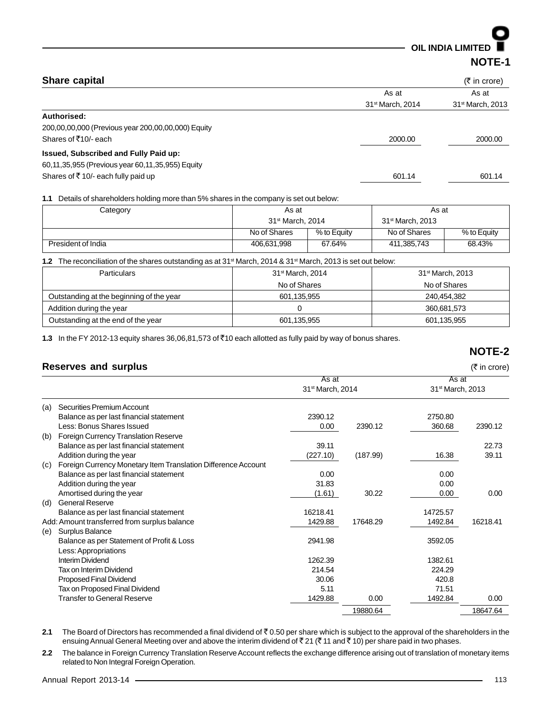| Share capital                                      |                              | $(5 \text{ in } \text{core})$ |
|----------------------------------------------------|------------------------------|-------------------------------|
|                                                    | As at                        | As at                         |
|                                                    | 31 <sup>st</sup> March, 2014 | 31 <sup>st</sup> March, 2013  |
| Authorised:                                        |                              |                               |
| 200,00,00,000 (Previous year 200,00,00,000) Equity |                              |                               |
| Shares of ₹10/- each                               | 2000.00                      | 2000.00                       |
| Issued, Subscribed and Fully Paid up:              |                              |                               |
| 60,11,35,955 (Previous year 60,11,35,955) Equity   |                              |                               |
| Shares of ₹10/- each fully paid up                 | 601.14                       | 601.14                        |

**1.1** Details of shareholders holding more than 5% shares in the company is set out below:

| Category           | As at              |             | As at                        |             |
|--------------------|--------------------|-------------|------------------------------|-------------|
|                    | $31st$ March, 2014 |             | 31 <sup>st</sup> March, 2013 |             |
|                    | No of Shares       | % to Equity | No of Shares                 | % to Equity |
| President of India | 406,631,998        | 67.64%      | 411,385,743                  | 68.43%      |

**1.2** The reconciliation of the shares outstanding as at 31<sup>st</sup> March, 2014 & 31<sup>st</sup> March, 2013 is set out below:

| <b>Particulars</b>                       | 31 <sup>st</sup> March, 2014 | $31st$ March, 2013 |
|------------------------------------------|------------------------------|--------------------|
|                                          | No of Shares                 | No of Shares       |
| Outstanding at the beginning of the year | 601,135,955                  | 240.454.382        |
| Addition during the year                 |                              | 360.681.573        |
| Outstanding at the end of the year       | 601,135,955                  | 601,135,955        |

**1.3** In the FY 2012-13 equity shares 36,06,81,573 of `10 each allotted as fully paid by way of bonus shares.

# **NOTE-2**

#### **Reserves and surplus** ( $\bar{\tau}$  in crore) As at As at As at 31st March, 2014 31st March, 2013 (a) Securities Premium Account Balance as per last financial statement 2390.12 2750.80 Less: Bonus Shares Issued 0.00 2390.12 360.68 2390.12 (b) Foreign Currency Translation Reserve Balance as per last financial statement 39.11 39.11 39.11 22.73 Addition during the year **187.99** 16.38 39.11 (c) Foreign Currency Monetary Item Translation Difference Account Balance as per last financial statement 0.00 0.00 Addition during the year 60.00 method of the state of the state of the 31.83 and 31.83 0.00 method of the state of the state of the state of the state of the state of the state of the state of the state of the state of the Amortised during the year (1.61) 30.22 0.00 0.00 0.00 (d) General Reserve Balance as per last financial statement 16218.41 16218.41 16218.41 Add: Amount transferred from surplus balance 1429.88 17648.29 1499.84 16218.41 (e) Surplus Balance Balance as per Statement of Profit & Loss 2001 2941.98 2941.98 3592.05 Less: Appropriations Interim Dividend 1262.39 1382.61 Tax on Interim Dividend 214.54 224.29 Proposed Final Dividend 30.06 420.8 Tax on Proposed Final Dividend 5.11 5.11 71.51 71.51 71.51 71.51 71.51 71.51 71.51 71.51 71.51 71.51 71.51 71.51 Transfer to General Reserve 1429.88 1429.88 0.00 1492.84 0.00 19880.64 18647.64

**2.1** The Board of Directors has recommended a final dividend of  $\bar{\tau}$  0.50 per share which is subject to the approval of the shareholders in the ensuing Annual General Meeting over and above the interim dividend of  $\bar{z}$  21 ( $\bar{z}$  11 and  $\bar{z}$  10) per share paid in two phases.

**2.2** The balance in Foreign Currency Translation Reserve Account reflects the exchange difference arising out of translation of monetary items related to Non Integral Foreign Operation.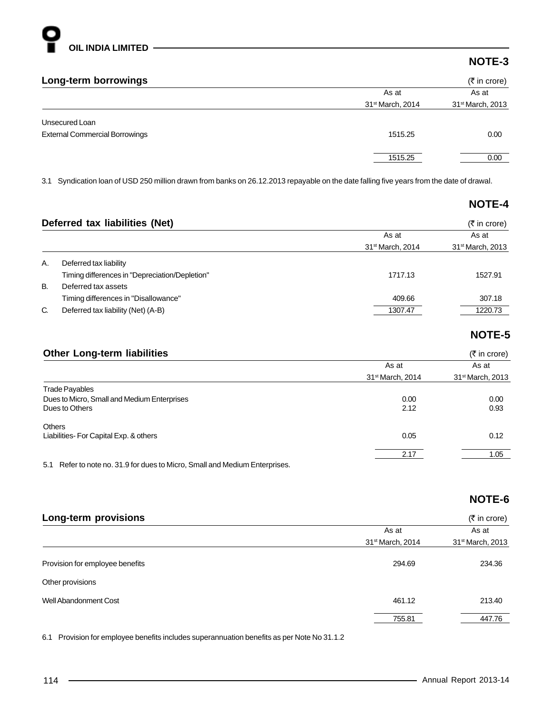

# **NOTE-3**

| Long-term borrowings                  |                              | $(5 \text{ in } \text{core})$ |
|---------------------------------------|------------------------------|-------------------------------|
|                                       | As at                        | As at                         |
|                                       | 31 <sup>st</sup> March, 2014 | 31 <sup>st</sup> March, 2013  |
| Unsecured Loan                        |                              |                               |
| <b>External Commercial Borrowings</b> | 1515.25                      | 0.00                          |
|                                       | 1515.25                      | 0.00                          |

3.1 Syndication loan of USD 250 million drawn from banks on 26.12.2013 repayable on the date falling five years from the date of drawal.

|    |                                                |                              | <b>NOTE-4</b>                |  |
|----|------------------------------------------------|------------------------------|------------------------------|--|
|    | Deferred tax liabilities (Net)                 |                              | $(5$ in crore)               |  |
|    |                                                | As at                        | As at                        |  |
|    |                                                | 31 <sup>st</sup> March, 2014 | 31 <sup>st</sup> March, 2013 |  |
| А. | Deferred tax liability                         |                              |                              |  |
|    | Timing differences in "Depreciation/Depletion" | 1717.13                      | 1527.91                      |  |
| В. | Deferred tax assets                            |                              |                              |  |
|    | Timing differences in "Disallowance"           | 409.66                       | 307.18                       |  |
| C. | Deferred tax liability (Net) (A-B)             | 1307.47                      | 1220.73                      |  |
|    |                                                |                              |                              |  |

# **NOTE-5**

| <b>Other Long-term liabilities</b>                                          |                              | $(5$ in crore)               |
|-----------------------------------------------------------------------------|------------------------------|------------------------------|
|                                                                             | As at                        | As at                        |
|                                                                             | 31 <sup>st</sup> March, 2014 | 31 <sup>st</sup> March, 2013 |
| <b>Trade Payables</b>                                                       |                              |                              |
| Dues to Micro, Small and Medium Enterprises                                 | 0.00                         | 0.00                         |
| Dues to Others                                                              | 2.12                         | 0.93                         |
| <b>Others</b>                                                               |                              |                              |
| Liabilities- For Capital Exp. & others                                      | 0.05                         | 0.12                         |
|                                                                             | 2.17                         | 1.05                         |
| 5.1 Refer to note no. 31.9 for dues to Micro, Small and Medium Enterprises. |                              |                              |

# **NOTE-6**

| Long-term provisions            |                              | (₹ in crore)                 |
|---------------------------------|------------------------------|------------------------------|
|                                 | As at                        | As at                        |
|                                 | 31 <sup>st</sup> March, 2014 | 31 <sup>st</sup> March, 2013 |
| Provision for employee benefits | 294.69                       | 234.36                       |
| Other provisions                |                              |                              |
| Well Abandonment Cost           | 461.12                       | 213.40                       |
|                                 | 755.81                       | 447.76                       |

6.1 Provision for employee benefits includes superannuation benefits as per Note No 31.1.2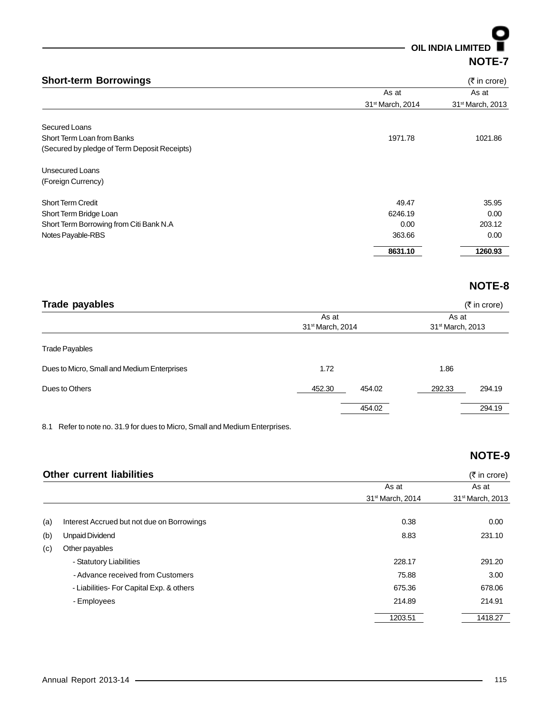**OIL INDIA LIMITED NOTE-7**

# **Short-term Borrowings** (₹ in crore) As at As at 31st March, 2014 31st March, 2013 Secured Loans Short Term Loan from Banks 1021.86 1021.86 (Secured by pledge of Term Deposit Receipts) Unsecured Loans (Foreign Currency) Short Term Credit 35.95 Short Term Bridge Loan 6246.19 0.00 Short Term Borrowing from Citi Bank N.A 0.00 203.12 Notes Payable-RBS 363.66 0.00 **8631.10 1260.93**

# **NOTE-8**

| Trade payables                              |                                       |                                       |        | $(5 \text{ in } \text{core})$ |
|---------------------------------------------|---------------------------------------|---------------------------------------|--------|-------------------------------|
|                                             | As at<br>31 <sup>st</sup> March, 2014 | As at<br>31 <sup>st</sup> March, 2013 |        |                               |
| <b>Trade Payables</b>                       |                                       |                                       |        |                               |
| Dues to Micro, Small and Medium Enterprises | 1.72                                  |                                       | 1.86   |                               |
| Dues to Others                              | 452.30                                | 454.02                                | 292.33 | 294.19                        |
|                                             |                                       | 454.02                                |        | 294.19                        |

8.1 Refer to note no. 31.9 for dues to Micro, Small and Medium Enterprises.

# **NOTE-9**

|     | <b>Other current liabilities</b>           |                              | $(5$ in crore)               |
|-----|--------------------------------------------|------------------------------|------------------------------|
|     |                                            | As at                        | As at                        |
|     |                                            | 31 <sup>st</sup> March, 2014 | 31 <sup>st</sup> March, 2013 |
| (a) | Interest Accrued but not due on Borrowings | 0.38                         | 0.00                         |
| (b) | <b>Unpaid Dividend</b>                     | 8.83                         | 231.10                       |
| (c) | Other payables                             |                              |                              |
|     | - Statutory Liabilities                    | 228.17                       | 291.20                       |
|     | - Advance received from Customers          | 75.88                        | 3.00                         |
|     | - Liabilities- For Capital Exp. & others   | 675.36                       | 678.06                       |
|     | - Employees                                | 214.89                       | 214.91                       |
|     |                                            | 1203.51                      | 1418.27                      |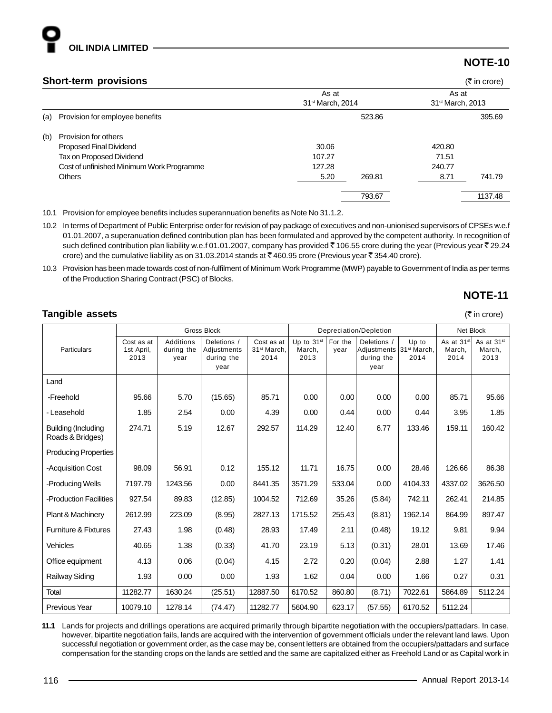# **NOTE-10**

|     | <b>Short-term provisions</b>              |                              |        |                              | $(5 \text{ in } \text{core})$ |
|-----|-------------------------------------------|------------------------------|--------|------------------------------|-------------------------------|
|     |                                           | As at                        |        | As at                        |                               |
|     |                                           | 31 <sup>st</sup> March, 2014 |        | 31 <sup>st</sup> March, 2013 |                               |
| (a) | Provision for employee benefits           |                              | 523.86 |                              | 395.69                        |
| (b) | Provision for others                      |                              |        |                              |                               |
|     | Proposed Final Dividend                   | 30.06                        |        | 420.80                       |                               |
|     | Tax on Proposed Dividend                  | 107.27                       |        | 71.51                        |                               |
|     | Cost of unfinished Minimum Work Programme | 127.28                       |        | 240.77                       |                               |
|     | <b>Others</b>                             | 5.20                         | 269.81 | 8.71                         | 741.79                        |
|     |                                           |                              | 793.67 |                              | 1137.48                       |

10.1 Provision for employee benefits includes superannuation benefits as Note No 31.1.2.

10.2 In terms of Department of Public Enterprise order for revision of pay package of executives and non-unionised supervisors of CPSEs w.e.f 01.01.2007, a superanuation defined contribution plan has been formulated and approved by the competent authority. In recognition of such defined contribution plan liability w.e.f 01.01.2007, company has provided ₹106.55 crore during the year (Previous year ₹29.24 crore) and the cumulative liability as on 31.03.2014 stands at  $\bar{z}$  460.95 crore (Previous year  $\bar{z}$  354.40 crore).

# **NOTE-11**

# **Tangible assets** ( $\vec{\tau}$  in crore)

|                                                |                                  |                                        | <b>Gross Block</b>                               |                                               |                                          |                 | Depreciation/Depletion                                                   |               | Net Block                    |                                          |  |
|------------------------------------------------|----------------------------------|----------------------------------------|--------------------------------------------------|-----------------------------------------------|------------------------------------------|-----------------|--------------------------------------------------------------------------|---------------|------------------------------|------------------------------------------|--|
| Particulars                                    | Cost as at<br>1st April,<br>2013 | <b>Additions</b><br>during the<br>year | Deletions /<br>Adjustments<br>during the<br>year | Cost as at<br>31 <sup>st</sup> March.<br>2014 | Up to 31 <sup>st</sup><br>March,<br>2013 | For the<br>year | Deletions /<br>Adjustments 31 <sup>st</sup> March.<br>during the<br>year | Up to<br>2014 | As at 31st<br>March,<br>2014 | As at 31 <sup>st</sup><br>March,<br>2013 |  |
| Land                                           |                                  |                                        |                                                  |                                               |                                          |                 |                                                                          |               |                              |                                          |  |
| -Freehold                                      | 95.66                            | 5.70                                   | (15.65)                                          | 85.71                                         | 0.00                                     | 0.00            | 0.00                                                                     | 0.00          | 85.71                        | 95.66                                    |  |
| - Leasehold                                    | 1.85                             | 2.54                                   | 0.00                                             | 4.39                                          | 0.00                                     | 0.44            | 0.00                                                                     | 0.44          | 3.95                         | 1.85                                     |  |
| <b>Building (Including</b><br>Roads & Bridges) | 274.71                           | 5.19                                   | 12.67                                            | 292.57                                        | 114.29                                   | 12.40           | 6.77                                                                     | 133.46        | 159.11                       | 160.42                                   |  |
| <b>Producing Properties</b>                    |                                  |                                        |                                                  |                                               |                                          |                 |                                                                          |               |                              |                                          |  |
| -Acquisition Cost                              | 98.09                            | 56.91                                  | 0.12                                             | 155.12                                        | 11.71                                    | 16.75           | 0.00                                                                     | 28.46         | 126.66                       | 86.38                                    |  |
| -Producing Wells                               | 7197.79                          | 1243.56                                | 0.00                                             | 8441.35                                       | 3571.29                                  | 533.04          | 0.00                                                                     | 4104.33       | 4337.02                      | 3626.50                                  |  |
| -Production Facilities                         | 927.54                           | 89.83                                  | (12.85)                                          | 1004.52                                       | 712.69                                   | 35.26           | (5.84)                                                                   | 742.11        | 262.41                       | 214.85                                   |  |
| Plant & Machinery                              | 2612.99                          | 223.09                                 | (8.95)                                           | 2827.13                                       | 1715.52                                  | 255.43          | (8.81)                                                                   | 1962.14       | 864.99                       | 897.47                                   |  |
| <b>Furniture &amp; Fixtures</b>                | 27.43                            | 1.98                                   | (0.48)                                           | 28.93                                         | 17.49                                    | 2.11            | (0.48)                                                                   | 19.12         | 9.81                         | 9.94                                     |  |
| Vehicles                                       | 40.65                            | 1.38                                   | (0.33)                                           | 41.70                                         | 23.19                                    | 5.13            | (0.31)                                                                   | 28.01         | 13.69                        | 17.46                                    |  |
| Office equipment                               | 4.13                             | 0.06                                   | (0.04)                                           | 4.15                                          | 2.72                                     | 0.20            | (0.04)                                                                   | 2.88          | 1.27                         | 1.41                                     |  |
| Railway Siding                                 | 1.93                             | 0.00                                   | 0.00                                             | 1.93                                          | 1.62                                     | 0.04            | 0.00                                                                     | 1.66          | 0.27                         | 0.31                                     |  |
| Total                                          | 11282.77                         | 1630.24                                | (25.51)                                          | 12887.50                                      | 6170.52                                  | 860.80          | (8.71)                                                                   | 7022.61       | 5864.89                      | 5112.24                                  |  |
| Previous Year                                  | 10079.10                         | 1278.14                                | (74.47)                                          | 11282.77                                      | 5604.90                                  | 623.17          | (57.55)                                                                  | 6170.52       | 5112.24                      |                                          |  |

**11.1** Lands for projects and drillings operations are acquired primarily through bipartite negotiation with the occupiers/pattadars. In case, however, bipartite negotiation fails, lands are acquired with the intervention of government officials under the relevant land laws. Upon successful negotiation or government order, as the case may be, consent letters are obtained from the occupiers/pattadars and surface compensation for the standing crops on the lands are settled and the same are capitalized either as Freehold Land or as Capital work in

<sup>10.3</sup> Provision has been made towards cost of non-fulfilment of Minimum Work Programme (MWP) payable to Government of India as per terms of the Production Sharing Contract (PSC) of Blocks.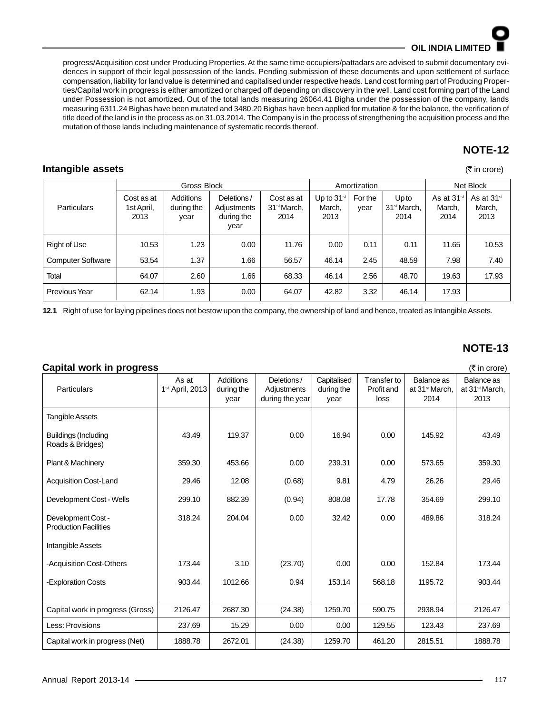

progress/Acquisition cost under Producing Properties. At the same time occupiers/pattadars are advised to submit documentary evidences in support of their legal possession of the lands. Pending submission of these documents and upon settlement of surface compensation, liability for land value is determined and capitalised under respective heads. Land cost forming part of Producing Properties/Capital work in progress is either amortized or charged off depending on discovery in the well. Land cost forming part of the Land under Possession is not amortized. Out of the total lands measuring 26064.41 Bigha under the possession of the company, lands measuring 6311.24 Bighas have been mutated and 3480.20 Bighas have been applied for mutation & for the balance, the verification of title deed of the land is in the process as on 31.03.2014. The Company is in the process of strengthening the acquisition process and the mutation of those lands including maintenance of systematic records thereof.

# **NOTE-12**

## **Intangible assets** ( $\vec{\tau}$  in crore)

|                          | Gross Block                      |                                 |                                                 | Amortization                                  |                                |                 | Net Block                                |                                          |                                          |
|--------------------------|----------------------------------|---------------------------------|-------------------------------------------------|-----------------------------------------------|--------------------------------|-----------------|------------------------------------------|------------------------------------------|------------------------------------------|
| <b>Particulars</b>       | Cost as at<br>1st April,<br>2013 | Additions<br>during the<br>year | Deletions/<br>Adjustments<br>during the<br>year | Cost as at<br>31 <sup>st</sup> March,<br>2014 | Up to $31st$<br>March,<br>2013 | For the<br>year | Up to<br>31 <sup>st</sup> March,<br>2014 | As at 31 <sup>st</sup><br>March,<br>2014 | As at 31 <sup>st</sup><br>March,<br>2013 |
| <b>Right of Use</b>      | 10.53                            | 1.23                            | 0.00                                            | 11.76                                         | 0.00                           | 0.11            | 0.11                                     | 11.65                                    | 10.53                                    |
| <b>Computer Software</b> | 53.54                            | 1.37                            | 1.66                                            | 56.57                                         | 46.14                          | 2.45            | 48.59                                    | 7.98                                     | 7.40                                     |
| Total                    | 64.07                            | 2.60                            | 1.66                                            | 68.33                                         | 46.14                          | 2.56            | 48.70                                    | 19.63                                    | 17.93                                    |
| <b>Previous Year</b>     | 62.14                            | 1.93                            | 0.00                                            | 64.07                                         | 42.82                          | 3.32            | 46.14                                    | 17.93                                    |                                          |

**12.1** Right of use for laying pipelines does not bestow upon the company, the ownership of land and hence, treated as Intangible Assets.

# **NOTE-13**

## **Capital work in progress** ( $\bar{\tau}$  in crore)

| Particulars                                        | As at<br>1 <sup>st</sup> April, 2013 | Additions<br>during the<br>year | Deletions/<br>Adjustments<br>during the year | Capitalised<br>during the<br>year | Transfer to<br>Profit and<br>loss | Balance as<br>at 31 <sup>st</sup> March.<br>2014 | Balance as<br>at 31 <sup>st</sup> March,<br>2013 |
|----------------------------------------------------|--------------------------------------|---------------------------------|----------------------------------------------|-----------------------------------|-----------------------------------|--------------------------------------------------|--------------------------------------------------|
| Tangible Assets                                    |                                      |                                 |                                              |                                   |                                   |                                                  |                                                  |
| <b>Buildings (Including</b><br>Roads & Bridges)    | 43.49                                | 119.37                          | 0.00                                         | 16.94                             | 0.00                              | 145.92                                           | 43.49                                            |
| Plant & Machinery                                  | 359.30                               | 453.66                          | 0.00                                         | 239.31                            | 0.00                              | 573.65                                           | 359.30                                           |
| <b>Acquisition Cost-Land</b>                       | 29.46                                | 12.08                           | (0.68)                                       | 9.81                              | 4.79                              | 26.26                                            | 29.46                                            |
| Development Cost - Wells                           | 299.10                               | 882.39                          | (0.94)                                       | 808.08                            | 17.78                             | 354.69                                           | 299.10                                           |
| Development Cost -<br><b>Production Facilities</b> | 318.24                               | 204.04                          | 0.00                                         | 32.42                             | 0.00                              | 489.86                                           | 318.24                                           |
| Intangible Assets                                  |                                      |                                 |                                              |                                   |                                   |                                                  |                                                  |
| -Acquisition Cost-Others                           | 173.44                               | 3.10                            | (23.70)                                      | 0.00                              | 0.00                              | 152.84                                           | 173.44                                           |
| -Exploration Costs                                 | 903.44                               | 1012.66                         | 0.94                                         | 153.14                            | 568.18                            | 1195.72                                          | 903.44                                           |
|                                                    |                                      |                                 |                                              |                                   |                                   |                                                  |                                                  |
| Capital work in progress (Gross)                   | 2126.47                              | 2687.30                         | (24.38)                                      | 1259.70                           | 590.75                            | 2938.94                                          | 2126.47                                          |
| Less: Provisions                                   | 237.69                               | 15.29                           | 0.00                                         | 0.00                              | 129.55                            | 123.43                                           | 237.69                                           |
| Capital work in progress (Net)                     | 1888.78                              | 2672.01                         | (24.38)                                      | 1259.70                           | 461.20                            | 2815.51                                          | 1888.78                                          |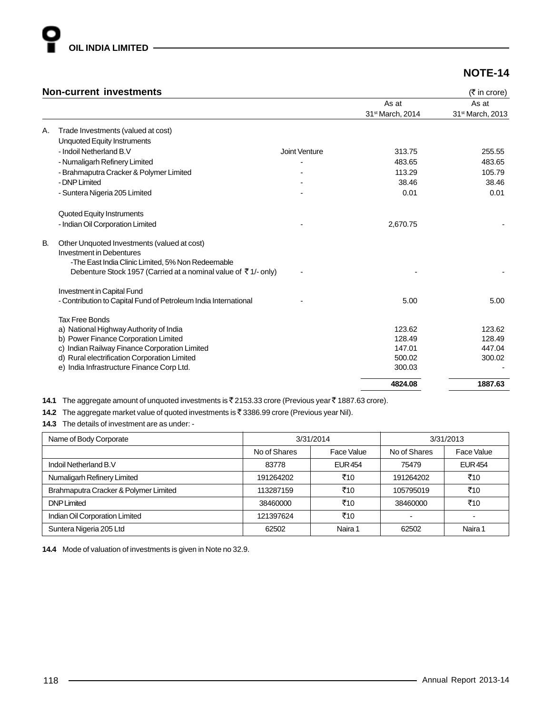

# **NOTE-14**

| <b>Non-current investments</b>     |                                                                 |               |                              | (₹ in crore)                 |
|------------------------------------|-----------------------------------------------------------------|---------------|------------------------------|------------------------------|
|                                    |                                                                 |               | As at                        | As at                        |
|                                    |                                                                 |               | 31 <sup>st</sup> March, 2014 | 31 <sup>st</sup> March, 2013 |
| А.                                 | Trade Investments (valued at cost)                              |               |                              |                              |
| <b>Unquoted Equity Instruments</b> |                                                                 |               |                              |                              |
| - Indoil Netherland B.V            |                                                                 | Joint Venture | 313.75                       | 255.55                       |
| - Numaligarh Refinery Limited      |                                                                 |               | 483.65                       | 483.65                       |
|                                    | - Brahmaputra Cracker & Polymer Limited                         |               | 113.29                       | 105.79                       |
| - DNP Limited                      |                                                                 |               | 38.46                        | 38.46                        |
| - Suntera Nigeria 205 Limited      |                                                                 |               | 0.01                         | 0.01                         |
| Quoted Equity Instruments          |                                                                 |               |                              |                              |
| - Indian Oil Corporation Limited   |                                                                 |               | 2,670.75                     |                              |
| В.                                 | Other Unquoted Investments (valued at cost)                     |               |                              |                              |
| Investment in Debentures           |                                                                 |               |                              |                              |
|                                    | -The East India Clinic Limited, 5% Non Redeemable               |               |                              |                              |
|                                    | Debenture Stock 1957 (Carried at a nominal value of ₹1/- only)  |               |                              |                              |
| Investment in Capital Fund         |                                                                 |               |                              |                              |
|                                    | - Contribution to Capital Fund of Petroleum India International |               | 5.00                         | 5.00                         |
| <b>Tax Free Bonds</b>              |                                                                 |               |                              |                              |
|                                    | a) National Highway Authority of India                          |               | 123.62                       | 123.62                       |
|                                    | b) Power Finance Corporation Limited                            |               | 128.49                       | 128.49                       |
|                                    | c) Indian Railway Finance Corporation Limited                   |               | 147.01                       | 447.04                       |
|                                    | d) Rural electrification Corporation Limited                    |               | 500.02                       | 300.02                       |
|                                    | e) India Infrastructure Finance Corp Ltd.                       |               | 300.03                       |                              |
|                                    |                                                                 |               | 4824.08                      | 1887.63                      |

14.1 The aggregate amount of unquoted investments is ₹ 2153.33 crore (Previous year ₹ 1887.63 crore).

**14.2** The aggregate market value of quoted investments is ₹ 3386.99 crore (Previous year Nil).

**14.3** The details of investment are as under: -

| Name of Body Corporate                | 3/31/2014    |               | 3/31/2013    |                |
|---------------------------------------|--------------|---------------|--------------|----------------|
|                                       | No of Shares | Face Value    | No of Shares | Face Value     |
| Indoil Netherland B.V                 | 83778        | <b>EUR454</b> | 75479        | <b>EUR 454</b> |
| Numaligarh Refinery Limited           | 191264202    | ₹10           | 191264202    | ₹10            |
| Brahmaputra Cracker & Polymer Limited | 113287159    | ₹10           | 105795019    | ₹10            |
| <b>DNP Limited</b>                    | 38460000     | ₹10           | 38460000     | ₹10            |
| Indian Oil Corporation Limited        | 121397624    | ₹10           |              |                |
| Suntera Nigeria 205 Ltd               | 62502        | Naira 1       | 62502        | Naira 1        |

**14.4** Mode of valuation of investments is given in Note no 32.9.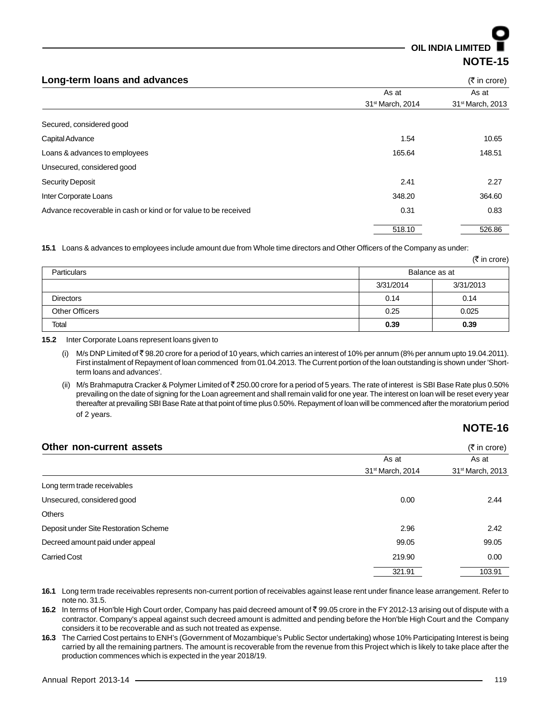# $\mathsf{L}_{\mathsf{A}}$  and  $\mathsf{L}_{\mathsf{A}}$  and  $\mathsf{L}_{\mathsf{A}}$  in cross  $\mathsf{L}_{\mathsf{A}}$  is called the set of  $\mathsf{L}_{\mathsf{A}}$  is called the set of  $\mathsf{L}_{\mathsf{A}}$  is called the set of  $\mathsf{L}_{\mathsf{A}}$  is called the set of  $\mathsf{L}_{\mathsf{A}}$

| LUNG-TENNI IUANS ANU AUVANCES                                   |                              | (< in crore)                 |
|-----------------------------------------------------------------|------------------------------|------------------------------|
|                                                                 | As at                        | As at                        |
|                                                                 | 31 <sup>st</sup> March, 2014 | 31 <sup>st</sup> March, 2013 |
| Secured, considered good                                        |                              |                              |
| Capital Advance                                                 | 1.54                         | 10.65                        |
| Loans & advances to employees                                   | 165.64                       | 148.51                       |
| Unsecured, considered good                                      |                              |                              |
| <b>Security Deposit</b>                                         | 2.41                         | 2.27                         |
| Inter Corporate Loans                                           | 348.20                       | 364.60                       |
| Advance recoverable in cash or kind or for value to be received | 0.31                         | 0.83                         |
|                                                                 | 518.10                       | 526.86                       |

**15.1** Loans & advances to employees include amount due from Whole time directors and Other Officers of the Company as under:

|                    |               | $($ ₹ in crore) |  |
|--------------------|---------------|-----------------|--|
| <b>Particulars</b> | Balance as at |                 |  |
|                    | 3/31/2014     | 3/31/2013       |  |
| <b>Directors</b>   | 0.14          | 0.14            |  |
| Other Officers     | 0.25          | 0.025           |  |
| Total              | 0.39          | 0.39            |  |

**15.2** Inter Corporate Loans represent loans given to

(i) M/s DNP Limited of  $\bar{\xi}$  98.20 crore for a period of 10 years, which carries an interest of 10% per annum (8% per annum upto 19.04.2011). First instalment of Repayment of loan commenced from 01.04.2013. The Current portion of the loan outstanding is shown under 'Shortterm loans and advances'.

# **NOTE-16**

| Other non-current assets              |                              | $(5$ in crore)               |
|---------------------------------------|------------------------------|------------------------------|
|                                       | As at                        | As at                        |
|                                       | 31 <sup>st</sup> March, 2014 | 31 <sup>st</sup> March, 2013 |
| Long term trade receivables           |                              |                              |
| Unsecured, considered good            | 0.00                         | 2.44                         |
| <b>Others</b>                         |                              |                              |
| Deposit under Site Restoration Scheme | 2.96                         | 2.42                         |
| Decreed amount paid under appeal      | 99.05                        | 99.05                        |
| <b>Carried Cost</b>                   | 219.90                       | 0.00                         |
|                                       | 321.91                       | 103.91                       |

**16.1** Long term trade receivables represents non-current portion of receivables against lease rent under finance lease arrangement. Refer to note no. 31.5.

**16.2** In terms of Hon'ble High Court order, Company has paid decreed amount of ₹ 99.05 crore in the FY 2012-13 arising out of dispute with a contractor. Company's appeal against such decreed amount is admitted and pending before the Hon'ble High Court and the Company considers it to be recoverable and as such not treated as expense.

**16.3** The Carried Cost pertains to ENH's (Government of Mozambique's Public Sector undertaking) whose 10% Participating Interest is being carried by all the remaining partners. The amount is recoverable from the revenue from this Project which is likely to take place after the production commences which is expected in the year 2018/19.

<sup>(</sup>ii) M/s Brahmaputra Cracker & Polymer Limited of  $\bar{z}$  250.00 crore for a period of 5 years. The rate of interest is SBI Base Rate plus 0.50% prevailing on the date of signing for the Loan agreement and shall remain valid for one year. The interest on loan will be reset every year thereafter at prevailing SBI Base Rate at that point of time plus 0.50%. Repayment of loan will be commenced after the moratorium period of 2 years.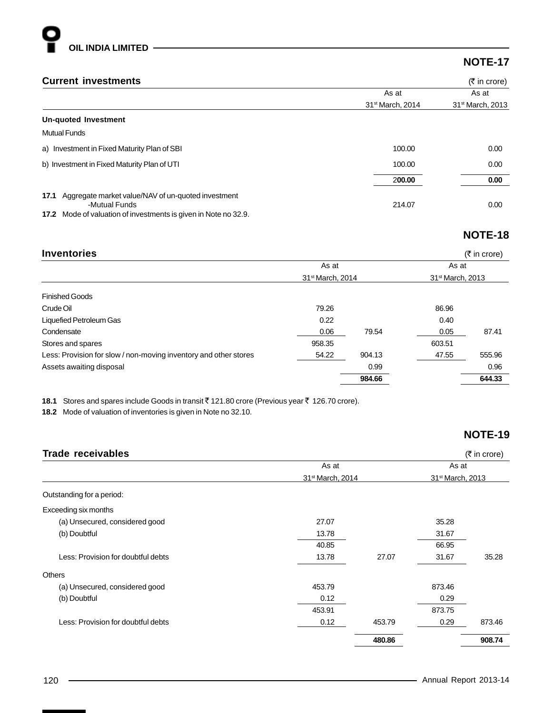# **NOTE-17**

| <b>Current investments</b>                                                                                                                     |                              | $(5 \text{ in } \text{core})$ |
|------------------------------------------------------------------------------------------------------------------------------------------------|------------------------------|-------------------------------|
|                                                                                                                                                | As at                        | As at                         |
|                                                                                                                                                | 31 <sup>st</sup> March, 2014 | 31 <sup>st</sup> March, 2013  |
| Un-quoted Investment                                                                                                                           |                              |                               |
| <b>Mutual Funds</b>                                                                                                                            |                              |                               |
| a) Investment in Fixed Maturity Plan of SBI                                                                                                    | 100.00                       | 0.00                          |
| b) Investment in Fixed Maturity Plan of UTI                                                                                                    | 100.00                       | 0.00                          |
|                                                                                                                                                | 200.00                       | 0.00                          |
| Aggregate market value/NAV of un-quoted investment<br>17.1<br>-Mutual Funds<br>17.2 Mode of valuation of investments is given in Note no 32.9. | 214.07                       | 0.00                          |

# **NOTE-18**

| <b>Inventories</b>                                               |                              |        |                              | $(5$ in crore) |
|------------------------------------------------------------------|------------------------------|--------|------------------------------|----------------|
|                                                                  | As at                        |        | As at                        |                |
|                                                                  | 31 <sup>st</sup> March, 2014 |        | 31 <sup>st</sup> March, 2013 |                |
| <b>Finished Goods</b>                                            |                              |        |                              |                |
| Crude Oil                                                        | 79.26                        |        | 86.96                        |                |
| Liquefied Petroleum Gas                                          | 0.22                         |        | 0.40                         |                |
| Condensate                                                       | 0.06                         | 79.54  | 0.05                         | 87.41          |
| Stores and spares                                                | 958.35                       |        | 603.51                       |                |
| Less: Provision for slow / non-moving inventory and other stores | 54.22                        | 904.13 | 47.55                        | 555.96         |
| Assets awaiting disposal                                         |                              | 0.99   |                              | 0.96           |
|                                                                  |                              | 984.66 |                              | 644.33         |

18.1 Stores and spares include Goods in transit ₹ 121.80 crore (Previous year ₹ 126.70 crore).

**18.2** Mode of valuation of inventories is given in Note no 32.10.

# **NOTE-19**

| Trade receivables                  |                              |        |                              | $(5 \text{ in } \text{core})$ |
|------------------------------------|------------------------------|--------|------------------------------|-------------------------------|
|                                    | As at                        |        | As at                        |                               |
|                                    | 31 <sup>st</sup> March, 2014 |        | 31 <sup>st</sup> March, 2013 |                               |
| Outstanding for a period:          |                              |        |                              |                               |
| Exceeding six months               |                              |        |                              |                               |
| (a) Unsecured, considered good     | 27.07                        |        | 35.28                        |                               |
| (b) Doubtful                       | 13.78                        |        | 31.67                        |                               |
|                                    | 40.85                        |        | 66.95                        |                               |
| Less: Provision for doubtful debts | 13.78                        | 27.07  | 31.67                        | 35.28                         |
| Others                             |                              |        |                              |                               |
| (a) Unsecured, considered good     | 453.79                       |        | 873.46                       |                               |
| (b) Doubtful                       | 0.12                         |        | 0.29                         |                               |
|                                    | 453.91                       |        | 873.75                       |                               |
| Less: Provision for doubtful debts | 0.12                         | 453.79 | 0.29                         | 873.46                        |
|                                    |                              | 480.86 |                              | 908.74                        |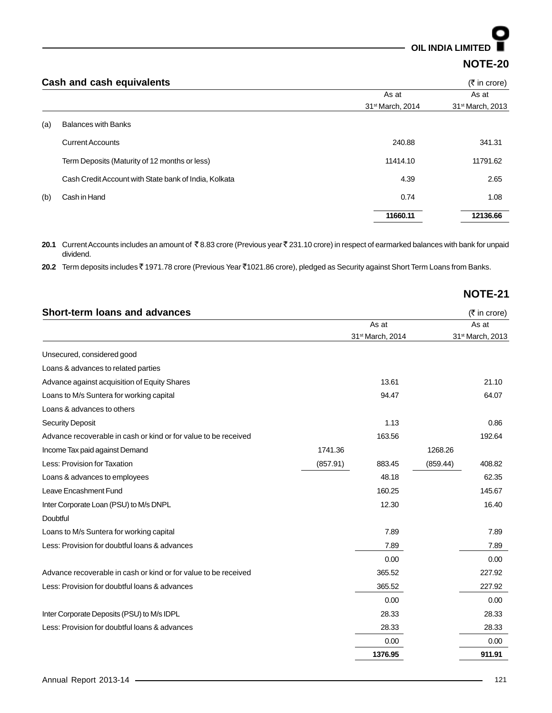|     | Cash and cash equivalents                             |                              | $(5 \text{ in } \text{core})$ |
|-----|-------------------------------------------------------|------------------------------|-------------------------------|
|     |                                                       | As at                        | As at                         |
|     |                                                       | 31 <sup>st</sup> March, 2014 | 31 <sup>st</sup> March, 2013  |
| (a) | <b>Balances with Banks</b>                            |                              |                               |
|     | <b>Current Accounts</b>                               | 240.88                       | 341.31                        |
|     | Term Deposits (Maturity of 12 months or less)         | 11414.10                     | 11791.62                      |
|     | Cash Credit Account with State bank of India, Kolkata | 4.39                         | 2.65                          |
| (b) | Cash in Hand                                          | 0.74                         | 1.08                          |
|     |                                                       | 11660.11                     | 12136.66                      |

**20.1** Current Accounts includes an amount of ₹8.83 crore (Previous year ₹ 231.10 crore) in respect of earmarked balances with bank for unpaid dividend.

**20.2** Term deposits includes ₹1971.78 crore (Previous Year ₹1021.86 crore), pledged as Security against Short Term Loans from Banks.

|                                                                 |          |                              |          | <b>NOTE-21</b>               |
|-----------------------------------------------------------------|----------|------------------------------|----------|------------------------------|
| <b>Short-term loans and advances</b>                            |          |                              |          | (₹ in core)                  |
|                                                                 |          | As at                        |          | As at                        |
|                                                                 |          | 31 <sup>st</sup> March, 2014 |          | 31 <sup>st</sup> March, 2013 |
| Unsecured, considered good                                      |          |                              |          |                              |
| Loans & advances to related parties                             |          |                              |          |                              |
| Advance against acquisition of Equity Shares                    |          | 13.61                        |          | 21.10                        |
| Loans to M/s Suntera for working capital                        |          | 94.47                        |          | 64.07                        |
| Loans & advances to others                                      |          |                              |          |                              |
| <b>Security Deposit</b>                                         |          | 1.13                         |          | 0.86                         |
| Advance recoverable in cash or kind or for value to be received |          | 163.56                       |          | 192.64                       |
| Income Tax paid against Demand                                  | 1741.36  |                              | 1268.26  |                              |
| Less: Provision for Taxation                                    | (857.91) | 883.45                       | (859.44) | 408.82                       |
| Loans & advances to employees                                   |          | 48.18                        |          | 62.35                        |
| Leave Encashment Fund                                           |          | 160.25                       |          | 145.67                       |
| Inter Corporate Loan (PSU) to M/s DNPL                          |          | 12.30                        |          | 16.40                        |
| Doubtful                                                        |          |                              |          |                              |
| Loans to M/s Suntera for working capital                        |          | 7.89                         |          | 7.89                         |
| Less: Provision for doubtful loans & advances                   |          | 7.89                         |          | 7.89                         |
|                                                                 |          | 0.00                         |          | 0.00                         |
| Advance recoverable in cash or kind or for value to be received |          | 365.52                       |          | 227.92                       |
| Less: Provision for doubtful loans & advances                   |          | 365.52                       |          | 227.92                       |
|                                                                 |          | 0.00                         |          | 0.00                         |
| Inter Corporate Deposits (PSU) to M/s IDPL                      |          | 28.33                        |          | 28.33                        |
| Less: Provision for doubtful loans & advances                   |          | 28.33                        |          | 28.33                        |
|                                                                 |          | 0.00                         |          | 0.00                         |
|                                                                 |          | 1376.95                      |          | 911.91                       |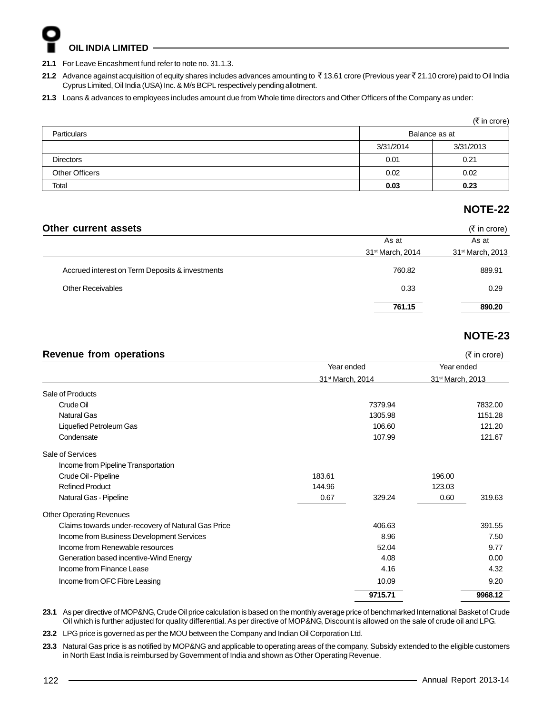**21.1** For Leave Encashment fund refer to note no. 31.1.3.

- **21.2** Advance against acquisition of equity shares includes advances amounting to ₹13.61 crore (Previous year ₹21.10 crore) paid to Oil India Cyprus Limited, Oil India (USA) Inc. & M/s BCPL respectively pending allotment.
- **21.3** Loans & advances to employees includes amount due from Whole time directors and Other Officers of the Company as under:

|                       |               | $($ ₹ in crore) |
|-----------------------|---------------|-----------------|
| Particulars           | Balance as at |                 |
|                       | 3/31/2014     | 3/31/2013       |
| <b>Directors</b>      | 0.01          | 0.21            |
| <b>Other Officers</b> | 0.02          | 0.02            |
| Total                 | 0.03          | 0.23            |

# **NOTE-22**

**NOTE-23**

| Other current assets                            |                              | $(5 \text{ in } \text{core})$ |
|-------------------------------------------------|------------------------------|-------------------------------|
|                                                 | As at                        | As at                         |
|                                                 | 31 <sup>st</sup> March, 2014 | 31 <sup>st</sup> March, 2013  |
| Accrued interest on Term Deposits & investments | 760.82                       | 889.91                        |
| <b>Other Receivables</b>                        | 0.33                         | 0.29                          |
|                                                 | 761.15                       | 890.20                        |

# **Revenue from operations** ( $\vec{\tau}$  in crore)

|                                                    | Year ended                   |         | Year ended                   |         |
|----------------------------------------------------|------------------------------|---------|------------------------------|---------|
|                                                    | 31 <sup>st</sup> March, 2014 |         | 31 <sup>st</sup> March, 2013 |         |
| Sale of Products                                   |                              |         |                              |         |
| Crude Oil                                          |                              | 7379.94 |                              | 7832.00 |
| <b>Natural Gas</b>                                 |                              | 1305.98 |                              | 1151.28 |
| Liquefied Petroleum Gas                            |                              | 106.60  |                              | 121.20  |
| Condensate                                         |                              | 107.99  |                              | 121.67  |
| Sale of Services                                   |                              |         |                              |         |
| Income from Pipeline Transportation                |                              |         |                              |         |
| Crude Oil - Pipeline                               | 183.61                       |         | 196.00                       |         |
| <b>Refined Product</b>                             | 144.96                       |         | 123.03                       |         |
| Natural Gas - Pipeline                             | 0.67                         | 329.24  | 0.60                         | 319.63  |
| <b>Other Operating Revenues</b>                    |                              |         |                              |         |
| Claims towards under-recovery of Natural Gas Price |                              | 406.63  |                              | 391.55  |
| Income from Business Development Services          |                              | 8.96    |                              | 7.50    |
| Income from Renewable resources                    |                              | 52.04   |                              | 9.77    |
| Generation based incentive-Wind Energy             |                              | 4.08    |                              | 0.00    |
| Income from Finance Lease                          |                              | 4.16    |                              | 4.32    |
| Income from OFC Fibre Leasing                      |                              | 10.09   |                              | 9.20    |
|                                                    |                              | 9715.71 |                              | 9968.12 |

**23.1** As per directive of MOP&NG, Crude Oil price calculation is based on the monthly average price of benchmarked International Basket of Crude Oil which is further adjusted for quality differential. As per directive of MOP&NG, Discount is allowed on the sale of crude oil and LPG.

**23.2** LPG price is governed as per the MOU between the Company and Indian Oil Corporation Ltd.

**23.3** Natural Gas price is as notified by MOP&NG and applicable to operating areas of the company. Subsidy extended to the eligible customers in North East India is reimbursed by Government of India and shown as Other Operating Revenue.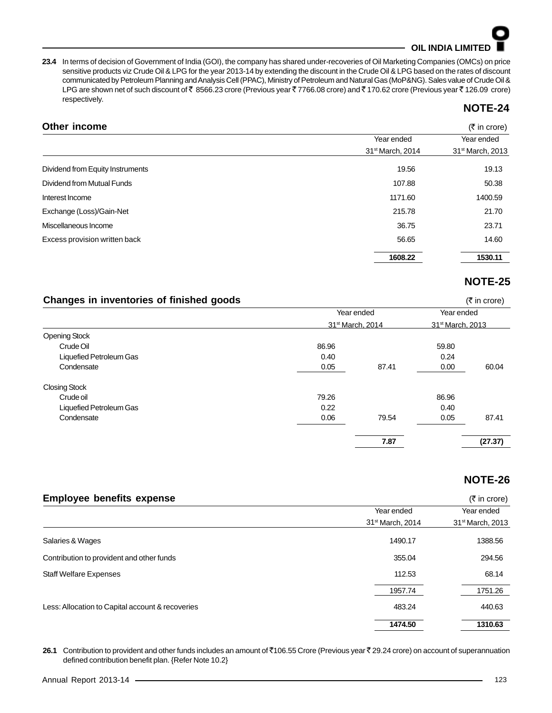**23.4** In terms of decision of Government of India (GOI), the company has shared under-recoveries of Oil Marketing Companies (OMCs) on price sensitive products viz Crude Oil & LPG for the year 2013-14 by extending the discount in the Crude Oil & LPG based on the rates of discount communicated by Petroleum Planning and Analysis Cell (PPAC), Ministry of Petroleum and Natural Gas (MoP&NG). Sales value of Crude Oil & LPG are shown net of such discount of ₹ 8566.23 crore (Previous year ₹ 7766.08 crore) and ₹ 170.62 crore (Previous year ₹ 126.09 crore) respectively.

# **NOTE-24**

| Other income                     |                              | (₹ in crore)                 |
|----------------------------------|------------------------------|------------------------------|
|                                  | Year ended                   | Year ended                   |
|                                  | 31 <sup>st</sup> March, 2014 | 31 <sup>st</sup> March, 2013 |
| Dividend from Equity Instruments | 19.56                        | 19.13                        |
| Dividend from Mutual Funds       | 107.88                       | 50.38                        |
| Interest Income                  | 1171.60                      | 1400.59                      |
| Exchange (Loss)/Gain-Net         | 215.78                       | 21.70                        |
| Miscellaneous Income             | 36.75                        | 23.71                        |
| Excess provision written back    | 56.65                        | 14.60                        |
|                                  | 1608.22                      | 1530.11                      |

# **NOTE-25**

| Changes in inventories of finished goods |       |                              |                              | $(5 \text{ in } \text{core})$ |
|------------------------------------------|-------|------------------------------|------------------------------|-------------------------------|
|                                          |       | Year ended                   | Year ended                   |                               |
|                                          |       | 31 <sup>st</sup> March, 2014 | 31 <sup>st</sup> March, 2013 |                               |
| <b>Opening Stock</b>                     |       |                              |                              |                               |
| Crude Oil                                | 86.96 |                              | 59.80                        |                               |
| Liquefied Petroleum Gas                  | 0.40  |                              | 0.24                         |                               |
| Condensate                               | 0.05  | 87.41                        | 0.00                         | 60.04                         |
| Closing Stock                            |       |                              |                              |                               |
| Crude oil                                | 79.26 |                              | 86.96                        |                               |
| Liquefied Petroleum Gas                  | 0.22  |                              | 0.40                         |                               |
| Condensate                               | 0.06  | 79.54                        | 0.05                         | 87.41                         |
|                                          |       | 7.87                         |                              | (27.37)                       |

# **NOTE-26**

| <b>Employee benefits expense</b>                 |                              | $(5 \text{ in } \text{core})$ |
|--------------------------------------------------|------------------------------|-------------------------------|
|                                                  | Year ended                   | Year ended                    |
|                                                  | 31 <sup>st</sup> March, 2014 | 31 <sup>st</sup> March, 2013  |
| Salaries & Wages                                 | 1490.17                      | 1388.56                       |
| Contribution to provident and other funds        | 355.04                       | 294.56                        |
| <b>Staff Welfare Expenses</b>                    | 112.53                       | 68.14                         |
|                                                  | 1957.74                      | 1751.26                       |
| Less: Allocation to Capital account & recoveries | 483.24                       | 440.63                        |
|                                                  | 1474.50                      | 1310.63                       |

**26.1** Contribution to provident and other funds includes an amount of ₹106.55 Crore (Previous year ₹ 29.24 crore) on account of superannuation defined contribution benefit plan. {Refer Note 10.2}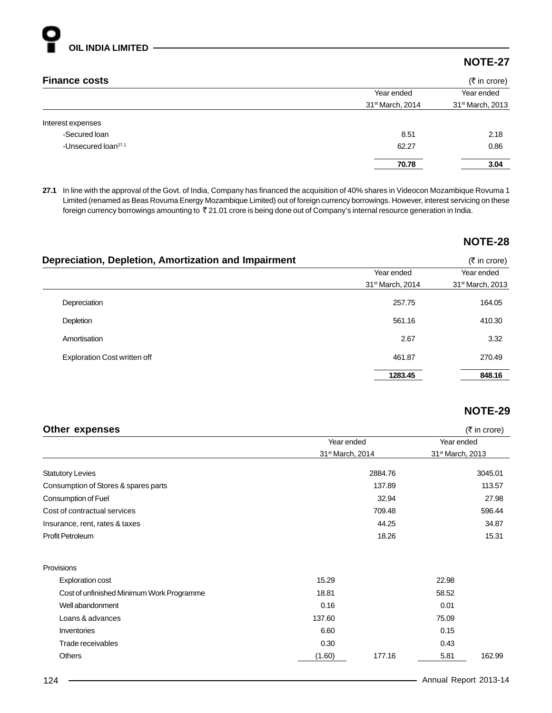# **NOTE-27**

| <b>Finance costs</b>            |                              | $(5$ in crore)               |
|---------------------------------|------------------------------|------------------------------|
|                                 | Year ended                   | Year ended                   |
|                                 | 31 <sup>st</sup> March, 2014 | 31 <sup>st</sup> March, 2013 |
| Interest expenses               |                              |                              |
| -Secured loan                   | 8.51                         | 2.18                         |
| -Unsecured loan <sup>27.1</sup> | 62.27                        | 0.86                         |
|                                 | 70.78                        | 3.04                         |

**27.1** In line with the approval of the Govt. of India, Company has financed the acquisition of 40% shares in Videocon Mozambique Rovuma 1 Limited (renamed as Beas Rovuma Energy Mozambique Limited) out of foreign currency borrowings. However, interest servicing on these foreign currency borrowings amounting to ₹21.01 crore is being done out of Company's internal resource generation in India.

# **NOTE-28**

| Depreciation, Depletion, Amortization and Impairment |                              | (₹ in crore)                 |
|------------------------------------------------------|------------------------------|------------------------------|
|                                                      | Year ended                   | Year ended                   |
|                                                      | 31 <sup>st</sup> March, 2014 | 31 <sup>st</sup> March, 2013 |
| Depreciation                                         | 257.75                       | 164.05                       |
| Depletion                                            | 561.16                       | 410.30                       |
| Amortisation                                         | 2.67                         | 3.32                         |
| <b>Exploration Cost written off</b>                  | 461.87                       | 270.49                       |
|                                                      | 1283.45                      | 848.16                       |

# **NOTE-29**

| <b>Other expenses</b>                     |                              | $(5 \text{ in } \text{core})$ |
|-------------------------------------------|------------------------------|-------------------------------|
|                                           | Year ended                   | Year ended                    |
|                                           | 31 <sup>st</sup> March, 2014 | 31 <sup>st</sup> March, 2013  |
| <b>Statutory Levies</b>                   | 2884.76                      | 3045.01                       |
| Consumption of Stores & spares parts      | 137.89                       | 113.57                        |
| Consumption of Fuel                       | 32.94                        | 27.98                         |
| Cost of contractual services              | 709.48                       | 596.44                        |
| Insurance, rent, rates & taxes            | 44.25                        | 34.87                         |
| Profit Petroleum                          | 18.26                        | 15.31                         |
| Provisions                                |                              |                               |
| <b>Exploration cost</b>                   | 15.29                        | 22.98                         |
| Cost of unfinished Minimum Work Programme | 18.81                        | 58.52                         |
| Well abandonment                          | 0.16                         | 0.01                          |
| Loans & advances                          | 137.60                       | 75.09                         |
| Inventories                               | 6.60                         | 0.15                          |
| Trade receivables                         | 0.30                         | 0.43                          |
| <b>Others</b>                             | 177.16<br>(1.60)             | 162.99<br>5.81                |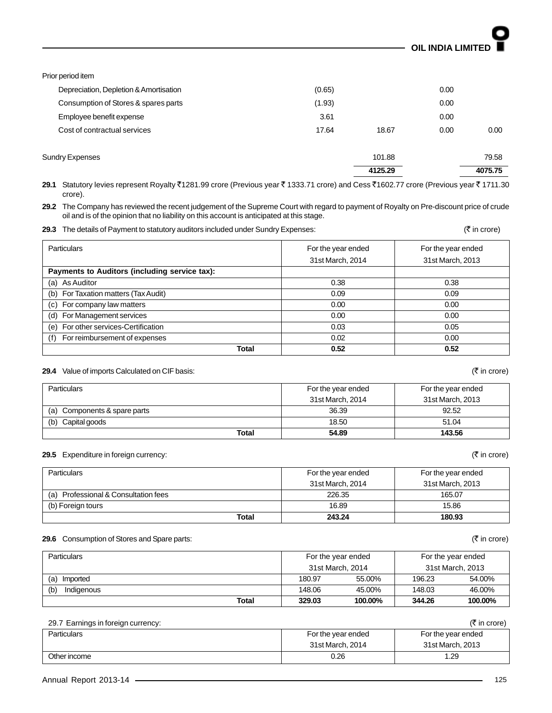| Prior period item |
|-------------------|
|-------------------|

|                                        |        | 4125.29 |      | 4075.75 |
|----------------------------------------|--------|---------|------|---------|
| Sundry Expenses                        |        | 101.88  |      | 79.58   |
| Cost of contractual services           | 17.64  | 18.67   | 0.00 | 0.00    |
| Employee benefit expense               | 3.61   |         | 0.00 |         |
| Consumption of Stores & spares parts   | (1.93) |         | 0.00 |         |
| Depreciation, Depletion & Amortisation | (0.65) |         | 0.00 |         |
|                                        |        |         |      |         |

29.1 Statutory levies represent Royalty ₹1281.99 crore (Previous year ₹ 1333.71 crore) and Cess ₹1602.77 crore (Previous year ₹ 1711.30 crore).

**29.2** The Company has reviewed the recent judgement of the Supreme Court with regard to payment of Royalty on Pre-discount price of crude oil and is of the opinion that no liability on this account is anticipated at this stage.

|  | 29.3 The details of Payment to statutory auditors included under Sundry Expenses: | (₹ in crore) |
|--|-----------------------------------------------------------------------------------|--------------|
|--|-----------------------------------------------------------------------------------|--------------|

| <b>Particulars</b>                            | For the year ended | For the year ended |
|-----------------------------------------------|--------------------|--------------------|
|                                               | 31st March, 2014   | 31st March, 2013   |
| Payments to Auditors (including service tax): |                    |                    |
| As Auditor<br>(a)                             | 0.38               | 0.38               |
| (b) For Taxation matters (Tax Audit)          | 0.09               | 0.09               |
| For company law matters<br>(c)                | 0.00               | 0.00               |
| For Management services<br>(d)                | 0.00               | 0.00               |
| (e) For other services-Certification          | 0.03               | 0.05               |
| For reimbursement of expenses<br>(f)          | 0.02               | 0.00               |
| <b>Total</b>                                  | 0.52               | 0.52               |

#### 29.4 Value of imports Calculated on CIF basis:  $(\bar{z})$  in crore)

| <b>Particulars</b>           | For the year ended | For the year ended |  |
|------------------------------|--------------------|--------------------|--|
|                              | 31st March, 2014   | 31st March, 2013   |  |
| (a) Components & spare parts | 36.39              | 92.52              |  |
| (b)<br>Capital goods         | 18.50              | 51.04              |  |
| Total                        | 54.89              | 143.56             |  |

#### 29.5 Expenditure in foreign currency:  $(\bar{z})$  in crore)

| <b>Particulars</b>                   | For the year ended | For the year ended |
|--------------------------------------|--------------------|--------------------|
|                                      | 31st March, 2014   | 31st March, 2013   |
| (a) Professional & Consultation fees | 226.35             | 165.07             |
| (b) Foreign tours                    | 16.89              | 15.86              |
| <b>Total</b>                         | 243.24             | 180.93             |

#### **29.6** Consumption of Stores and Spare parts: (₹ in crore)

| <b>Particulars</b> | For the year ended |         | For the year ended |         |  |
|--------------------|--------------------|---------|--------------------|---------|--|
|                    | 31st March, 2014   |         | 31st March, 2013   |         |  |
| (a)<br>Imported    | 180.97             | 55.00%  | 196.23             | 54.00%  |  |
| (b)<br>Indigenous  | 148.06             | 45.00%  | 148.03             | 46.00%  |  |
| Total              | 329.03             | 100.00% | 344.26             | 100.00% |  |

#### 29.7 Earnings in foreign currency: (` in crore)

| Particulars  | For the year ended<br>For the year ended<br>31st March, 2014<br>31st March, 2013 |      |
|--------------|----------------------------------------------------------------------------------|------|
| Other income | 0.26                                                                             | 1.29 |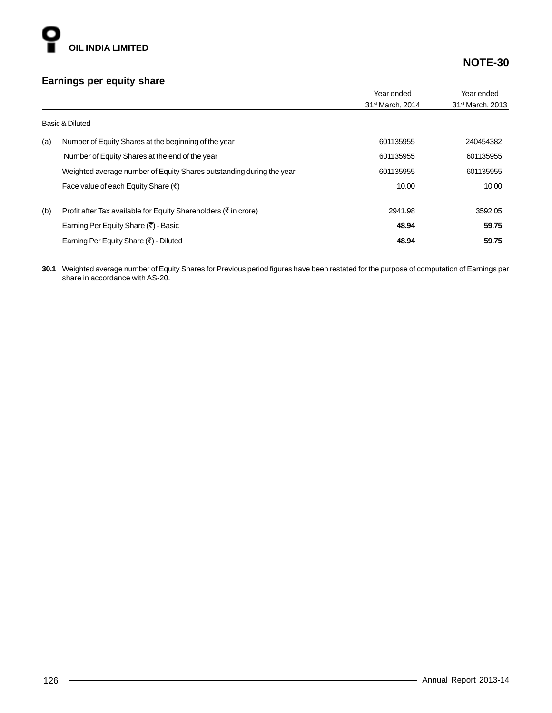# **Earnings per equity share**

# **NOTE-30**

|     |                                                                             | Year ended                   | Year ended                   |
|-----|-----------------------------------------------------------------------------|------------------------------|------------------------------|
|     |                                                                             | 31 <sup>st</sup> March, 2014 | 31 <sup>st</sup> March, 2013 |
|     | Basic & Diluted                                                             |                              |                              |
| (a) | Number of Equity Shares at the beginning of the year                        | 601135955                    | 240454382                    |
|     | Number of Equity Shares at the end of the year                              | 601135955                    | 601135955                    |
|     | Weighted average number of Equity Shares outstanding during the year        | 601135955                    | 601135955                    |
|     | Face value of each Equity Share $(\bar{\zeta})$                             | 10.00                        | 10.00                        |
| (b) | Profit after Tax available for Equity Shareholders ( $\bar{\tau}$ in crore) | 2941.98                      | 3592.05                      |
|     | Earning Per Equity Share $(\overline{\tau})$ - Basic                        | 48.94                        | 59.75                        |
|     | Earning Per Equity Share $(\overline{\mathfrak{F}})$ - Diluted              | 48.94                        | 59.75                        |

**30.1** Weighted average number of Equity Shares for Previous period figures have been restated for the purpose of computation of Earnings per share in accordance with AS-20.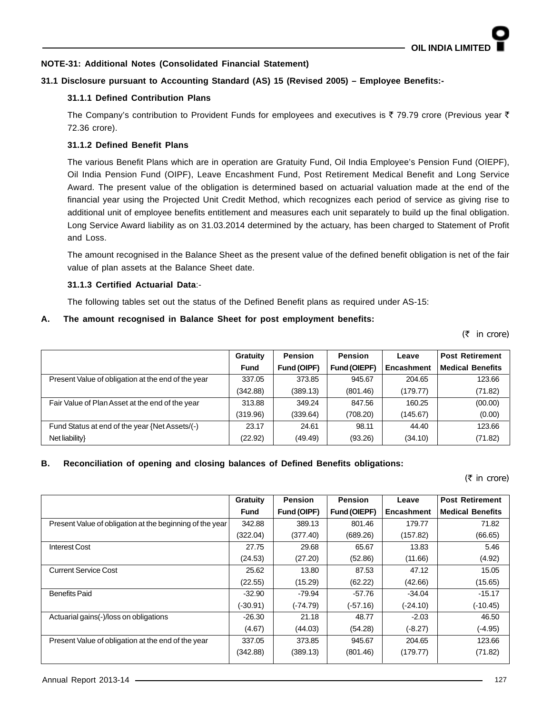#### **NOTE-31: Additional Notes (Consolidated Financial Statement)**

#### **31.1 Disclosure pursuant to Accounting Standard (AS) 15 (Revised 2005) – Employee Benefits:-**

#### **31.1.1 Defined Contribution Plans**

The Company's contribution to Provident Funds for employees and executives is  $\bar{\tau}$  79.79 crore (Previous year  $\bar{\tau}$ 72.36 crore).

#### **31.1.2 Defined Benefit Plans**

The various Benefit Plans which are in operation are Gratuity Fund, Oil India Employee's Pension Fund (OIEPF), Oil India Pension Fund (OIPF), Leave Encashment Fund, Post Retirement Medical Benefit and Long Service Award. The present value of the obligation is determined based on actuarial valuation made at the end of the financial year using the Projected Unit Credit Method, which recognizes each period of service as giving rise to additional unit of employee benefits entitlement and measures each unit separately to build up the final obligation. Long Service Award liability as on 31.03.2014 determined by the actuary, has been charged to Statement of Profit and Loss.

The amount recognised in the Balance Sheet as the present value of the defined benefit obligation is net of the fair value of plan assets at the Balance Sheet date.

#### **31.1.3 Certified Actuarial Data**:-

The following tables set out the status of the Defined Benefit plans as required under AS-15:

#### **A. The amount recognised in Balance Sheet for post employment benefits:**

 $(5$  in crore)

|                                                    | <b>Gratuity</b> | <b>Pension</b>     | <b>Pension</b> | Leave             | <b>Post Retirement</b>  |
|----------------------------------------------------|-----------------|--------------------|----------------|-------------------|-------------------------|
|                                                    | <b>Fund</b>     | <b>Fund (OIPF)</b> | Fund (OIEPF)   | <b>Encashment</b> | <b>Medical Benefits</b> |
| Present Value of obligation at the end of the year | 337.05          | 373.85             | 945.67         | 204.65            | 123.66                  |
|                                                    | (342.88)        | (389.13)           | (801.46)       | (179.77)          | (71.82)                 |
| Fair Value of Plan Asset at the end of the year    | 313.88          | 349.24             | 847.56         | 160.25            | (00.00)                 |
|                                                    | (319.96)        | (339.64)           | (708.20)       | (145.67)          | (0.00)                  |
| Fund Status at end of the year {Net Assets/(-)     | 23.17           | 24.61              | 98.11          | 44.40             | 123.66                  |
| Net liability }                                    | (22.92)         | (49.49)            | (93.26)        | (34.10)           | (71.82)                 |

#### **B. Reconciliation of opening and closing balances of Defined Benefits obligations:**

|                                                          | Gratuity    | <b>Pension</b>     | <b>Pension</b> | Leave             | <b>Post Retirement</b>  |
|----------------------------------------------------------|-------------|--------------------|----------------|-------------------|-------------------------|
|                                                          | <b>Fund</b> | <b>Fund (OIPF)</b> | Fund (OIEPF)   | <b>Encashment</b> | <b>Medical Benefits</b> |
| Present Value of obligation at the beginning of the year | 342.88      | 389.13             | 801.46         | 179.77            | 71.82                   |
|                                                          | (322.04)    | (377.40)           | (689.26)       | (157.82)          | (66.65)                 |
| <b>Interest Cost</b>                                     | 27.75       | 29.68              | 65.67          | 13.83             | 5.46                    |
|                                                          | (24.53)     | (27.20)            | (52.86)        | (11.66)           | (4.92)                  |
| <b>Current Service Cost</b>                              | 25.62       | 13.80              | 87.53          | 47.12             | 15.05                   |
|                                                          | (22.55)     | (15.29)            | (62.22)        | (42.66)           | (15.65)                 |
| <b>Benefits Paid</b>                                     | $-32.90$    | $-79.94$           | -57.76         | $-34.04$          | $-15.17$                |
|                                                          | (-30.91)    | $(-74.79)$         | $(-57.16)$     | (-24.10)          | $(-10.45)$              |
| Actuarial gains(-)/loss on obligations                   | $-26.30$    | 21.18              | 48.77          | $-2.03$           | 46.50                   |
|                                                          | (4.67)      | (44.03)            | (54.28)        | $(-8.27)$         | (-4.95)                 |
| Present Value of obligation at the end of the year       | 337.05      | 373.85             | 945.67         | 204.65            | 123.66                  |
|                                                          | (342.88)    | (389.13)           | (801.46)       | (179.77)          | (71.82)                 |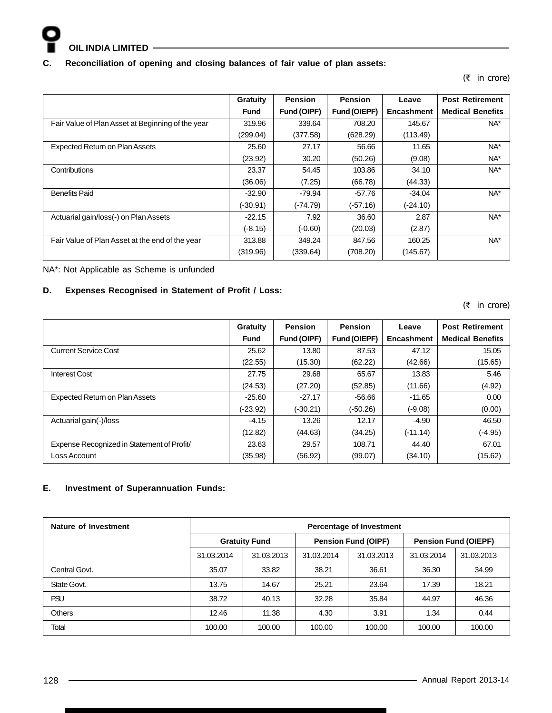## **C. Reconciliation of opening and closing balances of fair value of plan assets:**

 $(5$  in crore)

|                                                   | <b>Gratuity</b> | <b>Pension</b> | <b>Pension</b> | Leave             | <b>Post Retirement</b>  |
|---------------------------------------------------|-----------------|----------------|----------------|-------------------|-------------------------|
|                                                   | <b>Fund</b>     | Fund (OIPF)    | Fund (OIEPF)   | <b>Encashment</b> | <b>Medical Benefits</b> |
| Fair Value of Plan Asset at Beginning of the year | 319.96          | 339.64         | 708.20         | 145.67            | NA*                     |
|                                                   | (299.04)        | (377.58)       | (628.29)       | (113.49)          |                         |
| <b>Expected Return on Plan Assets</b>             | 25.60           | 27.17          | 56.66          | 11.65             | NA*                     |
|                                                   | (23.92)         | 30.20          | (50.26)        | (9.08)            | NA*                     |
| Contributions                                     | 23.37           | 54.45          | 103.86         | 34.10             | NA*                     |
|                                                   | (36.06)         | (7.25)         | (66.78)        | (44.33)           |                         |
| <b>Benefits Paid</b>                              | $-32.90$        | $-79.94$       | $-57.76$       | $-34.04$          | $NA^*$                  |
|                                                   | (-30.91)        | $(-74.79)$     | (-57.16)       | (-24.10)          |                         |
| Actuarial gain/loss(-) on Plan Assets             | $-22.15$        | 7.92           | 36.60          | 2.87              | $NA^*$                  |
|                                                   | $(-8.15)$       | $(-0.60)$      | (20.03)        | (2.87)            |                         |
| Fair Value of Plan Asset at the end of the year   | 313.88          | 349.24         | 847.56         | 160.25            | NA*                     |
|                                                   | (319.96)        | (339.64)       | (708.20)       | (145.67)          |                         |

NA\*: Not Applicable as Scheme is unfunded

### **D. Expenses Recognised in Statement of Profit / Loss:**

 $($ ₹ in crore)

|                                            | Gratuity    | Pension     | <b>Pension</b> | Leave             | <b>Post Retirement</b>  |
|--------------------------------------------|-------------|-------------|----------------|-------------------|-------------------------|
|                                            | <b>Fund</b> | Fund (OIPF) | Fund (OIEPF)   | <b>Encashment</b> | <b>Medical Benefits</b> |
| <b>Current Service Cost</b>                | 25.62       | 13.80       | 87.53          | 47.12             | 15.05                   |
|                                            | (22.55)     | (15.30)     | (62.22)        | (42.66)           | (15.65)                 |
| <b>Interest Cost</b>                       | 27.75       | 29.68       | 65.67          | 13.83             | 5.46                    |
|                                            | (24.53)     | (27.20)     | (52.85)        | (11.66)           | (4.92)                  |
| <b>Expected Return on Plan Assets</b>      | $-25.60$    | $-27.17$    | $-56.66$       | $-11.65$          | 0.00                    |
|                                            | (-23.92)    | $(-30.21)$  | (-50.26)       | (-9.08)           | (0.00)                  |
| Actuarial gain(-)/loss                     | $-4.15$     | 13.26       | 12.17          | $-4.90$           | 46.50                   |
|                                            | (12.82)     | (44.63)     | (34.25)        | $(-11.14)$        | (-4.95)                 |
| Expense Recognized in Statement of Profit/ | 23.63       | 29.57       | 108.71         | 44.40             | 67.01                   |
| Loss Account                               | (35.98)     | (56.92)     | (99.07)        | (34.10)           | (15.62)                 |

# **E. Investment of Superannuation Funds:**

| Nature of Investment | Percentage of Investment |            |            |                            |                             |            |  |
|----------------------|--------------------------|------------|------------|----------------------------|-----------------------------|------------|--|
|                      | <b>Gratuity Fund</b>     |            |            | <b>Pension Fund (OIPF)</b> | <b>Pension Fund (OIEPF)</b> |            |  |
|                      | 31.03.2014               | 31.03.2013 | 31.03.2014 | 31.03.2013                 | 31.03.2014                  | 31.03.2013 |  |
| Central Govt.        | 35.07                    | 33.82      | 38.21      | 36.61                      | 36.30                       | 34.99      |  |
| State Govt.          | 13.75                    | 14.67      | 25.21      | 23.64                      | 17.39                       | 18.21      |  |
| <b>PSU</b>           | 38.72                    | 40.13      | 32.28      | 35.84                      | 44.97                       | 46.36      |  |
| <b>Others</b>        | 12.46                    | 11.38      | 4.30       | 3.91                       | 1.34                        | 0.44       |  |
| Total                | 100.00                   | 100.00     | 100.00     | 100.00                     | 100.00                      | 100.00     |  |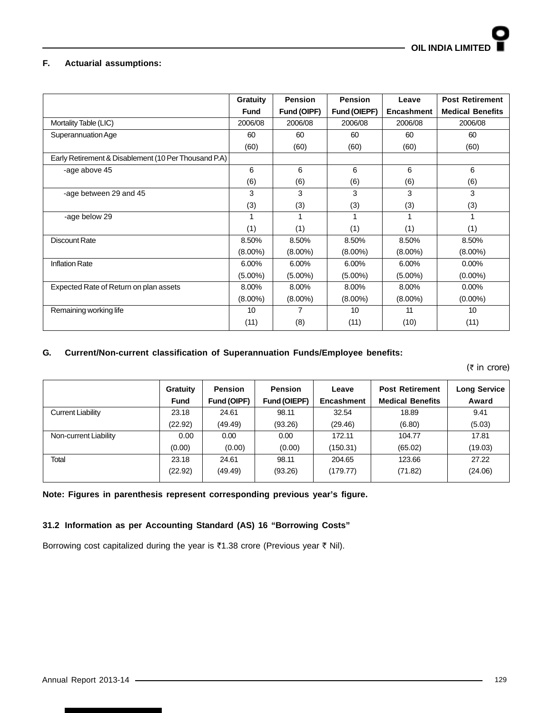#### **F. Actuarial assumptions:**

|                                                      | Gratuity        | Pension     | Pension      | Leave      | <b>Post Retirement</b>  |
|------------------------------------------------------|-----------------|-------------|--------------|------------|-------------------------|
|                                                      | <b>Fund</b>     | Fund (OIPF) | Fund (OIEPF) | Encashment | <b>Medical Benefits</b> |
| Mortality Table (LIC)                                | 2006/08         | 2006/08     | 2006/08      | 2006/08    | 2006/08                 |
| Superannuation Age                                   | 60              | 60          | 60           | 60         | 60                      |
|                                                      | (60)            | (60)        | (60)         | (60)       | (60)                    |
| Early Retirement & Disablement (10 Per Thousand P.A) |                 |             |              |            |                         |
| -age above 45                                        | 6               | 6           | 6            | 6          | 6                       |
|                                                      | (6)             | (6)         | (6)          | (6)        | (6)                     |
| -age between 29 and 45                               | 3               | 3           | 3            | 3          | 3                       |
|                                                      | (3)             | (3)         | (3)          | (3)        | (3)                     |
| -age below 29                                        |                 |             |              | 1          | 4                       |
|                                                      | (1)             | (1)         | (1)          | (1)        | (1)                     |
| <b>Discount Rate</b>                                 | 8.50%           | 8.50%       | 8.50%        | 8.50%      | 8.50%                   |
|                                                      | $(8.00\%)$      | $(8.00\%)$  | $(8.00\%)$   | $(8.00\%)$ | $(8.00\%)$              |
| <b>Inflation Rate</b>                                | 6.00%           | 6.00%       | 6.00%        | 6.00%      | 0.00%                   |
|                                                      | $(5.00\%)$      | $(5.00\%)$  | $(5.00\%)$   | $(5.00\%)$ | $(0.00\%)$              |
| Expected Rate of Return on plan assets               | 8.00%           | 8.00%       | 8.00%        | 8.00%      | $0.00\%$                |
|                                                      | $(8.00\%)$      | $(8.00\%)$  | $(8.00\%)$   | $(8.00\%)$ | $(0.00\%)$              |
| Remaining working life                               | 10 <sup>°</sup> | 7           | 10           | 11         | 10 <sup>°</sup>         |
|                                                      | (11)            | (8)         | (11)         | (10)       | (11)                    |

## **G. Current/Non-current classification of Superannuation Funds/Employee benefits:**

 $($ ₹ in crore)

|                          | Gratuity    | <b>Pension</b> | <b>Pension</b> | Leave             | <b>Post Retirement</b>  | <b>Long Service</b> |
|--------------------------|-------------|----------------|----------------|-------------------|-------------------------|---------------------|
|                          | <b>Fund</b> | Fund (OIPF)    | Fund (OIEPF)   | <b>Encashment</b> | <b>Medical Benefits</b> | Award               |
| <b>Current Liability</b> | 23.18       | 24.61          | 98.11          | 32.54             | 18.89                   | 9.41                |
|                          | (22.92)     | (49.49)        | (93.26)        | (29.46)           | (6.80)                  | (5.03)              |
| Non-current Liability    | 0.00        | 0.00           | 0.00           | 172.11            | 104.77                  | 17.81               |
|                          | (0.00)      | (0.00)         | (0.00)         | (150.31)          | (65.02)                 | (19.03)             |
| Total                    | 23.18       | 24.61          | 98.11          | 204.65            | 123.66                  | 27.22               |
|                          | (22.92)     | (49.49)        | (93.26)        | (179.77)          | (71.82)                 | (24.06)             |

**Note: Figures in parenthesis represent corresponding previous year's figure.**

**31.2 Information as per Accounting Standard (AS) 16 "Borrowing Costs"**

Borrowing cost capitalized during the year is  $\overline{51.38}$  crore (Previous year  $\overline{5}$  Nil).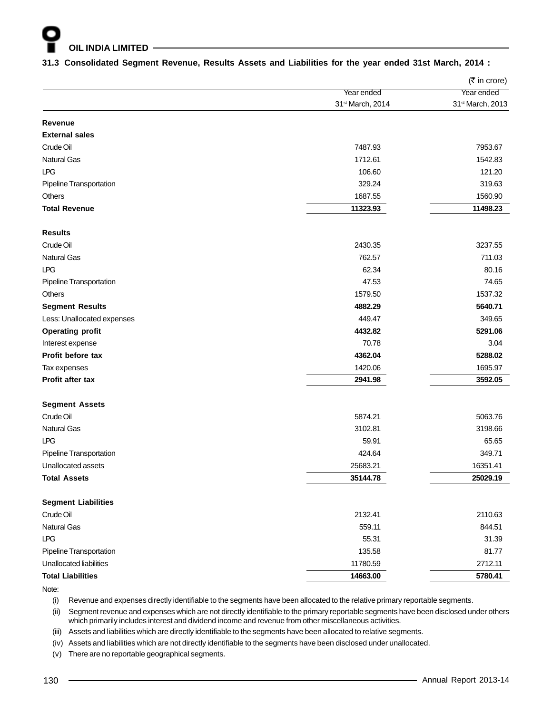|  | 31.3 Consolidated Segment Revenue, Results Assets and Liabilities for the year ended 31st March, 2014 : |  |  |  |  |  |  |  |  |  |  |  |  |  |  |
|--|---------------------------------------------------------------------------------------------------------|--|--|--|--|--|--|--|--|--|--|--|--|--|--|
|--|---------------------------------------------------------------------------------------------------------|--|--|--|--|--|--|--|--|--|--|--|--|--|--|

|                            |                  | $(5 \text{ in } \text{core})$ |
|----------------------------|------------------|-------------------------------|
|                            | Year ended       | Year ended                    |
|                            | 31st March, 2014 | 31st March, 2013              |
| Revenue                    |                  |                               |
| <b>External sales</b>      |                  |                               |
| Crude Oil                  | 7487.93          | 7953.67                       |
| <b>Natural Gas</b>         | 1712.61          | 1542.83                       |
| LPG                        | 106.60           | 121.20                        |
| Pipeline Transportation    | 329.24           | 319.63                        |
| <b>Others</b>              | 1687.55          | 1560.90                       |
| <b>Total Revenue</b>       | 11323.93         | 11498.23                      |
| <b>Results</b>             |                  |                               |
| Crude Oil                  | 2430.35          | 3237.55                       |
| <b>Natural Gas</b>         | 762.57           | 711.03                        |
| LPG                        | 62.34            | 80.16                         |
| Pipeline Transportation    | 47.53            | 74.65                         |
| <b>Others</b>              | 1579.50          | 1537.32                       |
| <b>Segment Results</b>     | 4882.29          | 5640.71                       |
| Less: Unallocated expenses | 449.47           | 349.65                        |
| <b>Operating profit</b>    | 4432.82          | 5291.06                       |
| Interest expense           | 70.78            | 3.04                          |
| Profit before tax          | 4362.04          | 5288.02                       |
| Tax expenses               | 1420.06          | 1695.97                       |
| Profit after tax           | 2941.98          | 3592.05                       |
| <b>Segment Assets</b>      |                  |                               |
| Crude Oil                  | 5874.21          | 5063.76                       |
| <b>Natural Gas</b>         | 3102.81          | 3198.66                       |
| <b>LPG</b>                 | 59.91            | 65.65                         |
| Pipeline Transportation    | 424.64           | 349.71                        |
| Unallocated assets         | 25683.21         | 16351.41                      |
| <b>Total Assets</b>        | 35144.78         | 25029.19                      |
| <b>Segment Liabilities</b> |                  |                               |
| Crude Oil                  | 2132.41          | 2110.63                       |
| <b>Natural Gas</b>         | 559.11           | 844.51                        |
| LPG                        | 55.31            | 31.39                         |
| Pipeline Transportation    | 135.58           | 81.77                         |
| Unallocated liabilities    | 11780.59         | 2712.11                       |
| <b>Total Liabilities</b>   | 14663.00         | 5780.41                       |

Note:

(i) Revenue and expenses directly identifiable to the segments have been allocated to the relative primary reportable segments.

(ii) Segment revenue and expenses which are not directly identifiable to the primary reportable segments have been disclosed under others which primarily includes interest and dividend income and revenue from other miscellaneous activities.

(iii) Assets and liabilities which are directly identifiable to the segments have been allocated to relative segments.

(iv) Assets and liabilities which are not directly identifiable to the segments have been disclosed under unallocated.

(v) There are no reportable geographical segments.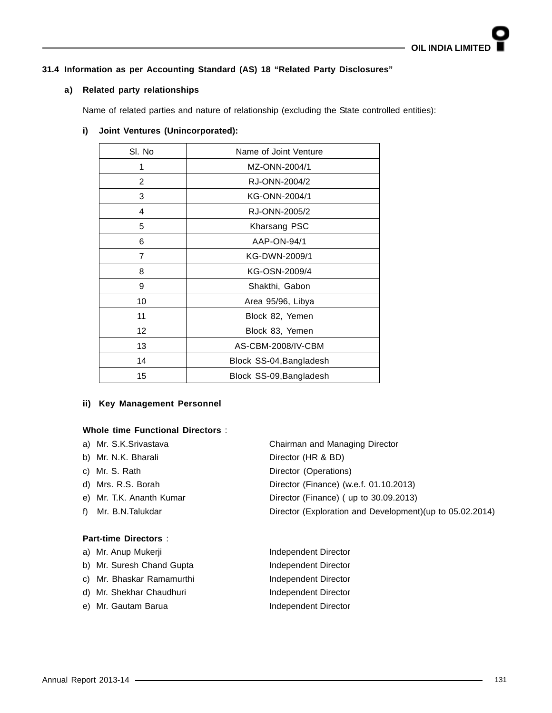# **31.4 Information as per Accounting Standard (AS) 18 "Related Party Disclosures"**

### **a) Related party relationships**

Name of related parties and nature of relationship (excluding the State controlled entities):

#### **i) Joint Ventures (Unincorporated):**

| SI. No         | Name of Joint Venture   |  |  |  |
|----------------|-------------------------|--|--|--|
| 1              | MZ-ONN-2004/1           |  |  |  |
| $\overline{2}$ | RJ-ONN-2004/2           |  |  |  |
| 3              | KG-ONN-2004/1           |  |  |  |
| 4              | RJ-ONN-2005/2           |  |  |  |
| 5              | Kharsang PSC            |  |  |  |
| 6              | AAP-ON-94/1             |  |  |  |
| 7              | KG-DWN-2009/1           |  |  |  |
| 8              | KG-OSN-2009/4           |  |  |  |
| 9              | Shakthi, Gabon          |  |  |  |
| 10             | Area 95/96, Libya       |  |  |  |
| 11             | Block 82, Yemen         |  |  |  |
| 12             | Block 83, Yemen         |  |  |  |
| 13             | AS-CBM-2008/IV-CBM      |  |  |  |
| 14             | Block SS-04, Bangladesh |  |  |  |
| 15             | Block SS-09, Bangladesh |  |  |  |

#### **ii) Key Management Personnel**

#### **Whole time Functional Directors** :

| a) Mr. S.K.Srivastava    | Chairman and Managing Director                            |
|--------------------------|-----------------------------------------------------------|
| b) Mr. N.K. Bharali      | Director (HR & BD)                                        |
| c) Mr. S. Rath           | Director (Operations)                                     |
| d) Mrs. R.S. Borah       | Director (Finance) (w.e.f. 01.10.2013)                    |
| e) Mr. T.K. Ananth Kumar | Director (Finance) (up to 30.09.2013)                     |
| f) Mr. B.N. Talukdar     | Director (Exploration and Development) (up to 05.02.2014) |

#### **Part-time Directors** :

- a) Mr. Anup Mukerji **Independent Director**
- b) Mr. Suresh Chand Gupta Independent Director
- c) Mr. Bhaskar Ramamurthi Independent Director
- d) Mr. Shekhar Chaudhuri **Independent Director**
- 
- e) Mr. Gautam Barua **Independent Director**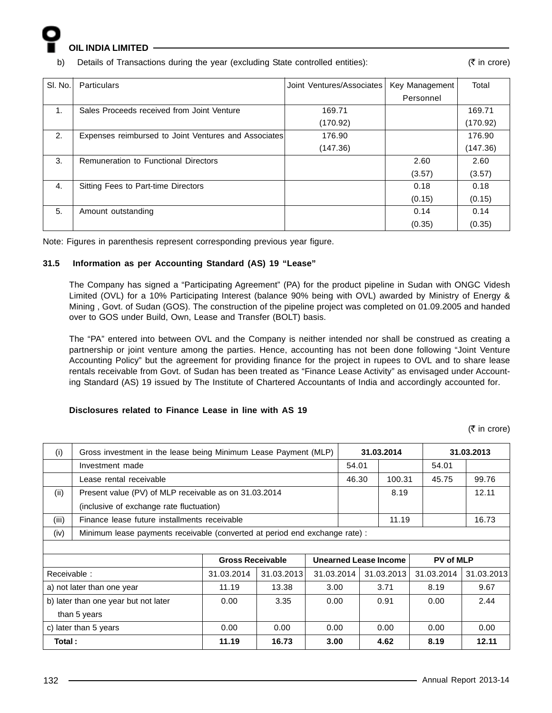# **INDIA LIMITED**

| b) Details of Transactions during the year (excluding State controlled entities): |  |  | (₹ in crore) |
|-----------------------------------------------------------------------------------|--|--|--------------|

| SI. No. | <b>Particulars</b>                                   | Joint Ventures/Associates | Key Management | Total    |
|---------|------------------------------------------------------|---------------------------|----------------|----------|
|         |                                                      |                           | Personnel      |          |
| 1.      | Sales Proceeds received from Joint Venture           | 169.71                    |                | 169.71   |
|         |                                                      | (170.92)                  |                | (170.92) |
| 2.      | Expenses reimbursed to Joint Ventures and Associates | 176.90                    |                | 176.90   |
|         |                                                      | (147.36)                  |                | (147.36) |
| 3.      | Remuneration to Functional Directors                 |                           | 2.60           | 2.60     |
|         |                                                      |                           | (3.57)         | (3.57)   |
| 4.      | Sitting Fees to Part-time Directors                  |                           | 0.18           | 0.18     |
|         |                                                      |                           | (0.15)         | (0.15)   |
| 5.      | Amount outstanding                                   |                           | 0.14           | 0.14     |
|         |                                                      |                           | (0.35)         | (0.35)   |

Note: Figures in parenthesis represent corresponding previous year figure.

# **31.5 Information as per Accounting Standard (AS) 19 "Lease"**

The Company has signed a "Participating Agreement" (PA) for the product pipeline in Sudan with ONGC Videsh Limited (OVL) for a 10% Participating Interest (balance 90% being with OVL) awarded by Ministry of Energy & Mining , Govt. of Sudan (GOS). The construction of the pipeline project was completed on 01.09.2005 and handed over to GOS under Build, Own, Lease and Transfer (BOLT) basis.

The "PA" entered into between OVL and the Company is neither intended nor shall be construed as creating a partnership or joint venture among the parties. Hence, accounting has not been done following "Joint Venture Accounting Policy" but the agreement for providing finance for the project in rupees to OVL and to share lease rentals receivable from Govt. of Sudan has been treated as "Finance Lease Activity" as envisaged under Accounting Standard (AS) 19 issued by The Institute of Chartered Accountants of India and accordingly accounted for.

### **Disclosures related to Finance Lease in line with AS 19**

| (i)         | Gross investment in the lease being Minimum Lease Payment (MLP)             |                         |            |            |              | 31.03.2014            |                  | 31.03.2013 |
|-------------|-----------------------------------------------------------------------------|-------------------------|------------|------------|--------------|-----------------------|------------------|------------|
|             | Investment made                                                             | 54.01                   |            | 54.01      |              |                       |                  |            |
|             | Lease rental receivable                                                     |                         | 46.30      | 100.31     | 45.75        | 99.76                 |                  |            |
| (ii)        | Present value (PV) of MLP receivable as on 31.03.2014                       |                         |            |            |              | 8.19                  |                  | 12.11      |
|             | (inclusive of exchange rate fluctuation)                                    |                         |            |            |              |                       |                  |            |
| (iii)       | Finance lease future installments receivable                                |                         |            |            |              | 11.19                 |                  | 16.73      |
| (iv)        | Minimum lease payments receivable (converted at period end exchange rate) : |                         |            |            |              |                       |                  |            |
|             |                                                                             |                         |            |            |              |                       |                  |            |
|             |                                                                             | <b>Gross Receivable</b> |            |            |              | Unearned Lease Income | <b>PV of MLP</b> |            |
| Receivable: |                                                                             | 31.03.2014              | 31.03.2013 | 31.03.2014 |              | 31.03.2013            | 31.03.2014       | 31.03.2013 |
|             | a) not later than one year                                                  | 11.19                   | 13.38      |            | 3.00<br>3.71 |                       | 8.19             | 9.67       |
|             | b) later than one year but not later                                        | 0.00                    | 3.35       | 0.00       |              | 0.91                  | 0.00             | 2.44       |
|             | than 5 years                                                                |                         |            |            |              |                       |                  |            |
|             | c) later than 5 years                                                       | 0.00<br>0.00            |            | 0.00       |              | 0.00                  | 0.00             | 0.00       |
| Total :     |                                                                             | 11.19                   | 16.73      | 3.00       |              | 4.62                  | 8.19             | 12.11      |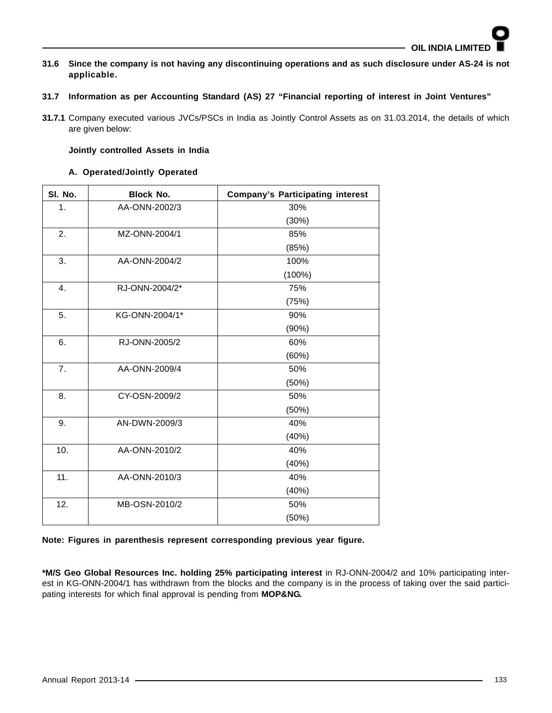- **31.6 Since the company is not having any discontinuing operations and as such disclosure under AS-24 is not applicable.**
- **31.7 Information as per Accounting Standard (AS) 27 "Financial reporting of interest in Joint Ventures"**
- **31.7.1** Company executed various JVCs/PSCs in India as Jointly Control Assets as on 31.03.2014, the details of which are given below:

#### **Jointly controlled Assets in India**

#### **A. Operated/Jointly Operated**

| SI. No. | <b>Block No.</b> | <b>Company's Participating interest</b> |
|---------|------------------|-----------------------------------------|
| 1.      | AA-ONN-2002/3    | 30%                                     |
|         |                  | (30%)                                   |
| 2.      | MZ-ONN-2004/1    | 85%                                     |
|         |                  | (85%)                                   |
| 3.      | AA-ONN-2004/2    | 100%                                    |
|         |                  | $(100\%)$                               |
| 4.      | RJ-ONN-2004/2*   | 75%                                     |
|         |                  | (75%)                                   |
| 5.      | KG-ONN-2004/1*   | 90%                                     |
|         |                  | (90%)                                   |
| 6.      | RJ-ONN-2005/2    | 60%                                     |
|         |                  | (60%)                                   |
| 7.      | AA-ONN-2009/4    | 50%                                     |
|         |                  | (50%)                                   |
| 8.      | CY-OSN-2009/2    | 50%                                     |
|         |                  | (50%)                                   |
| 9.      | AN-DWN-2009/3    | 40%                                     |
|         |                  | (40%)                                   |
| 10.     | AA-ONN-2010/2    | 40%                                     |
|         |                  | (40%)                                   |
| 11.     | AA-ONN-2010/3    | 40%                                     |
|         |                  | (40%)                                   |
| 12.     | MB-OSN-2010/2    | 50%                                     |
|         |                  | (50%)                                   |

**Note: Figures in parenthesis represent corresponding previous year figure.**

**\*M/S Geo Global Resources Inc. holding 25% participating interest** in RJ-ONN-2004/2 and 10% participating interest in KG-ONN-2004/1 has withdrawn from the blocks and the company is in the process of taking over the said participating interests for which final approval is pending from **MOP&NG.**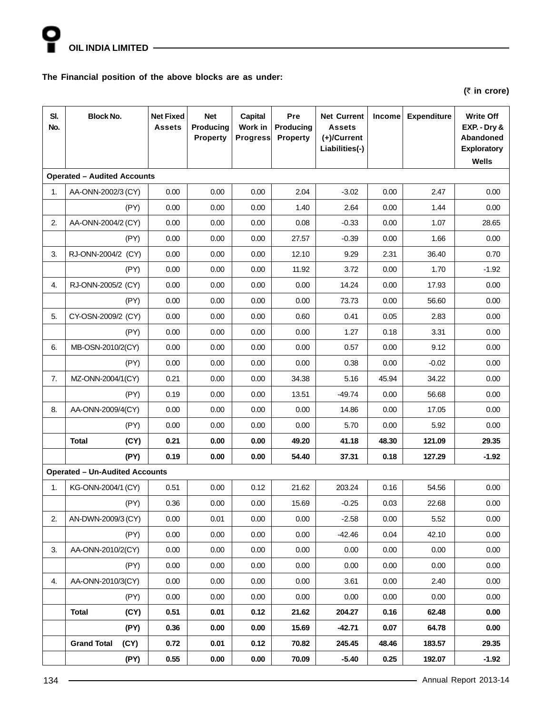**The Financial position of the above blocks are as under:**

| SI.<br>No. | <b>Block No.</b>                      | <b>Net Fixed</b><br><b>Assets</b> | <b>Net</b><br>Producing<br><b>Property</b> | Capital<br>Work in<br><b>Progress</b> | Pre<br>Producing<br><b>Property</b> | <b>Net Current</b><br><b>Assets</b><br>(+)/Current<br>Liabilities(-) | <b>Income</b> | <b>Expenditure</b> | <b>Write Off</b><br>EXP. - Dry &<br>Abandoned<br><b>Exploratory</b><br>Wells |
|------------|---------------------------------------|-----------------------------------|--------------------------------------------|---------------------------------------|-------------------------------------|----------------------------------------------------------------------|---------------|--------------------|------------------------------------------------------------------------------|
|            | <b>Operated - Audited Accounts</b>    |                                   |                                            |                                       |                                     |                                                                      |               |                    |                                                                              |
| 1.         | AA-ONN-2002/3 (CY)                    | 0.00                              | 0.00                                       | 0.00                                  | 2.04                                | $-3.02$                                                              | 0.00          | 2.47               | 0.00                                                                         |
|            | (PY)                                  | 0.00                              | 0.00                                       | 0.00                                  | 1.40                                | 2.64                                                                 | 0.00          | 1.44               | 0.00                                                                         |
| 2.         | AA-ONN-2004/2 (CY)                    | 0.00                              | 0.00                                       | 0.00                                  | 0.08                                | $-0.33$                                                              | 0.00          | 1.07               | 28.65                                                                        |
|            | (PY)                                  | 0.00                              | 0.00                                       | 0.00                                  | 27.57                               | $-0.39$                                                              | 0.00          | 1.66               | 0.00                                                                         |
| 3.         | RJ-ONN-2004/2 (CY)                    | 0.00                              | 0.00                                       | 0.00                                  | 12.10                               | 9.29                                                                 | 2.31          | 36.40              | 0.70                                                                         |
|            | (PY)                                  | 0.00                              | 0.00                                       | 0.00                                  | 11.92                               | 3.72                                                                 | 0.00          | 1.70               | $-1.92$                                                                      |
| 4.         | RJ-ONN-2005/2 (CY)                    | 0.00                              | 0.00                                       | 0.00                                  | 0.00                                | 14.24                                                                | 0.00          | 17.93              | 0.00                                                                         |
|            | (PY)                                  | 0.00                              | 0.00                                       | 0.00                                  | 0.00                                | 73.73                                                                | 0.00          | 56.60              | 0.00                                                                         |
| 5.         | CY-OSN-2009/2 (CY)                    | 0.00                              | 0.00                                       | 0.00                                  | 0.60                                | 0.41                                                                 | 0.05          | 2.83               | 0.00                                                                         |
|            | (PY)                                  | 0.00                              | 0.00                                       | 0.00                                  | 0.00                                | 1.27                                                                 | 0.18          | 3.31               | 0.00                                                                         |
| 6.         | MB-OSN-2010/2(CY)                     | 0.00                              | 0.00                                       | 0.00                                  | 0.00                                | 0.57                                                                 | 0.00          | 9.12               | 0.00                                                                         |
|            | (PY)                                  | 0.00                              | 0.00                                       | 0.00                                  | 0.00                                | 0.38                                                                 | 0.00          | $-0.02$            | 0.00                                                                         |
| 7.         | MZ-ONN-2004/1(CY)                     | 0.21                              | 0.00                                       | 0.00                                  | 34.38                               | 5.16                                                                 | 45.94         | 34.22              | 0.00                                                                         |
|            | (PY)                                  | 0.19                              | 0.00                                       | 0.00                                  | 13.51                               | $-49.74$                                                             | 0.00          | 56.68              | 0.00                                                                         |
| 8.         | AA-ONN-2009/4(CY)                     | 0.00                              | 0.00                                       | 0.00                                  | 0.00                                | 14.86                                                                | 0.00          | 17.05              | 0.00                                                                         |
|            | (PY)                                  | 0.00                              | 0.00                                       | 0.00                                  | 0.00                                | 5.70                                                                 | 0.00          | 5.92               | 0.00                                                                         |
|            | <b>Total</b><br>(CY)                  | 0.21                              | 0.00                                       | 0.00                                  | 49.20                               | 41.18                                                                | 48.30         | 121.09             | 29.35                                                                        |
|            | (PY)                                  | 0.19                              | 0.00                                       | 0.00                                  | 54.40                               | 37.31                                                                | 0.18          | 127.29             | $-1.92$                                                                      |
|            | <b>Operated - Un-Audited Accounts</b> |                                   |                                            |                                       |                                     |                                                                      |               |                    |                                                                              |
| 1.         | KG-ONN-2004/1 (CY)                    | 0.51                              | 0.00                                       | 0.12                                  | 21.62                               | 203.24                                                               | 0.16          | 54.56              | 0.00                                                                         |
|            | (PY)                                  | 0.36                              | 0.00                                       | 0.00                                  | 15.69                               | $-0.25$                                                              | 0.03          | 22.68              | 0.00                                                                         |
| 2.         | AN-DWN-2009/3 (CY)                    | 0.00                              | 0.01                                       | 0.00                                  | 0.00                                | $-2.58$                                                              | 0.00          | 5.52               | 0.00                                                                         |
|            | (PY)                                  | 0.00                              | 0.00                                       | 0.00                                  | 0.00                                | $-42.46$                                                             | 0.04          | 42.10              | 0.00                                                                         |
| 3.         | AA-ONN-2010/2(CY)                     | 0.00                              | 0.00                                       | 0.00                                  | 0.00                                | 0.00                                                                 | 0.00          | 0.00               | 0.00                                                                         |
|            | (PY)                                  | $0.00\,$                          | 0.00                                       | 0.00                                  | 0.00                                | 0.00                                                                 | 0.00          | 0.00               | 0.00                                                                         |
| 4.         | AA-ONN-2010/3(CY)                     | 0.00                              | 0.00                                       | 0.00                                  | 0.00                                | 3.61                                                                 | 0.00          | 2.40               | 0.00                                                                         |
|            | (PY)                                  | $0.00\,$                          | 0.00                                       | 0.00                                  | 0.00                                | 0.00                                                                 | 0.00          | 0.00               | 0.00                                                                         |
|            | <b>Total</b><br>(CY)                  | 0.51                              | 0.01                                       | 0.12                                  | 21.62                               | 204.27                                                               | 0.16          | 62.48              | 0.00                                                                         |
|            | (PY)                                  | 0.36                              | 0.00                                       | 0.00                                  | 15.69                               | $-42.71$                                                             | 0.07          | 64.78              | 0.00                                                                         |
|            | <b>Grand Total</b><br>(CY)            | 0.72                              | 0.01                                       | 0.12                                  | 70.82                               | 245.45                                                               | 48.46         | 183.57             | 29.35                                                                        |
|            | (PY)                                  | 0.55                              | 0.00                                       | 0.00                                  | 70.09                               | $-5.40$                                                              | 0.25          | 192.07             | $-1.92$                                                                      |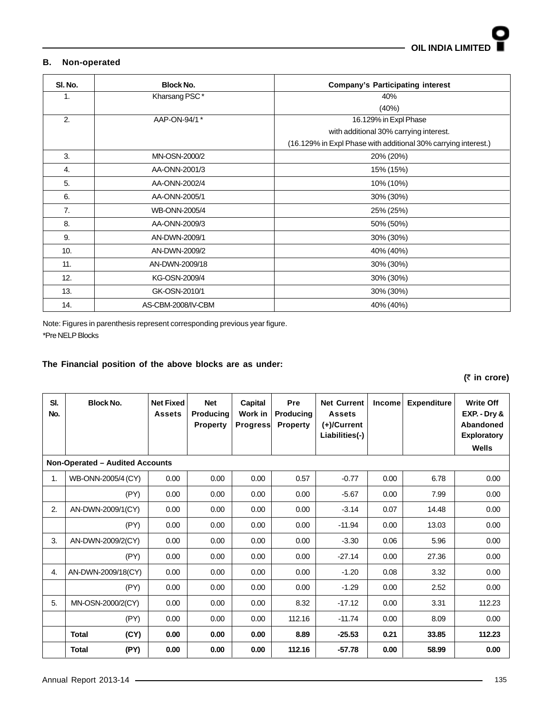#### **B. Non-operated**

| SI. No. | <b>Block No.</b>   | <b>Company's Participating interest</b>                        |
|---------|--------------------|----------------------------------------------------------------|
| 1.      | Kharsang PSC*      | 40%                                                            |
|         |                    | (40%)                                                          |
| 2.      | AAP-ON-94/1*       | 16.129% in Expl Phase                                          |
|         |                    | with additional 30% carrying interest.                         |
|         |                    | (16.129% in Expl Phase with additional 30% carrying interest.) |
| 3.      | MN-OSN-2000/2      | 20% (20%)                                                      |
| 4.      | AA-ONN-2001/3      | 15% (15%)                                                      |
| 5.      | AA-ONN-2002/4      | 10% (10%)                                                      |
| 6.      | AA-ONN-2005/1      | 30% (30%)                                                      |
| 7.      | WB-ONN-2005/4      | 25% (25%)                                                      |
| 8.      | AA-ONN-2009/3      | 50% (50%)                                                      |
| 9.      | AN-DWN-2009/1      | 30% (30%)                                                      |
| 10.     | AN-DWN-2009/2      | 40% (40%)                                                      |
| 11.     | AN-DWN-2009/18     | 30% (30%)                                                      |
| 12.     | KG-OSN-2009/4      | 30% (30%)                                                      |
| 13.     | GK-OSN-2010/1      | 30% (30%)                                                      |
| 14.     | AS-CBM-2008/IV-CBM | 40% (40%)                                                      |

Note: Figures in parenthesis represent corresponding previous year figure. \*Pre NELP Blocks

## **The Financial position of the above blocks are as under:**

| SI.<br>No. | <b>Block No.</b>                | <b>Net Fixed</b><br><b>Assets</b> | <b>Net</b><br>Producing<br><b>Property</b> | Capital<br>Work in<br><b>Progress</b> | Pre<br>Producing<br><b>Property</b> | <b>Net Current</b><br><b>Assets</b><br>(+)/Current<br>Liabilities(-) | <b>Income</b> | <b>Expenditure</b> | <b>Write Off</b><br>EXP. - Dry &<br>Abandoned<br><b>Exploratory</b><br>Wells |
|------------|---------------------------------|-----------------------------------|--------------------------------------------|---------------------------------------|-------------------------------------|----------------------------------------------------------------------|---------------|--------------------|------------------------------------------------------------------------------|
|            | Non-Operated - Audited Accounts |                                   |                                            |                                       |                                     |                                                                      |               |                    |                                                                              |
| 1.         | WB-ONN-2005/4 (CY)              | 0.00                              | 0.00                                       | 0.00                                  | 0.57                                | $-0.77$                                                              | 0.00          | 6.78               | 0.00                                                                         |
|            | (PY)                            | 0.00                              | 0.00                                       | 0.00                                  | 0.00                                | $-5.67$                                                              | 0.00          | 7.99               | 0.00                                                                         |
| 2.         | AN-DWN-2009/1(CY)               | 0.00                              | 0.00                                       | 0.00                                  | 0.00                                | $-3.14$                                                              | 0.07          | 14.48              | 0.00                                                                         |
|            | (PY)                            | 0.00                              | 0.00                                       | 0.00                                  | 0.00                                | $-11.94$                                                             | 0.00          | 13.03              | 0.00                                                                         |
| 3.         | AN-DWN-2009/2(CY)               | 0.00                              | 0.00                                       | 0.00                                  | 0.00                                | $-3.30$                                                              | 0.06          | 5.96               | 0.00                                                                         |
|            | (PY)                            | 0.00                              | 0.00                                       | 0.00                                  | 0.00                                | $-27.14$                                                             | 0.00          | 27.36              | 0.00                                                                         |
| 4.         | AN-DWN-2009/18(CY)              | 0.00                              | 0.00                                       | 0.00                                  | 0.00                                | $-1.20$                                                              | 0.08          | 3.32               | 0.00                                                                         |
|            | (PY)                            | 0.00                              | 0.00                                       | 0.00                                  | 0.00                                | $-1.29$                                                              | 0.00          | 2.52               | 0.00                                                                         |
| 5.         | MN-OSN-2000/2(CY)               | 0.00                              | 0.00                                       | 0.00                                  | 8.32                                | $-17.12$                                                             | 0.00          | 3.31               | 112.23                                                                       |
|            | (PY)                            | 0.00                              | 0.00                                       | 0.00                                  | 112.16                              | $-11.74$                                                             | 0.00          | 8.09               | 0.00                                                                         |
|            | (CY)<br><b>Total</b>            | 0.00                              | 0.00                                       | 0.00                                  | 8.89                                | $-25.53$                                                             | 0.21          | 33.85              | 112.23                                                                       |
|            | (PY)<br><b>Total</b>            | 0.00                              | 0.00                                       | 0.00                                  | 112.16                              | $-57.78$                                                             | 0.00          | 58.99              | 0.00                                                                         |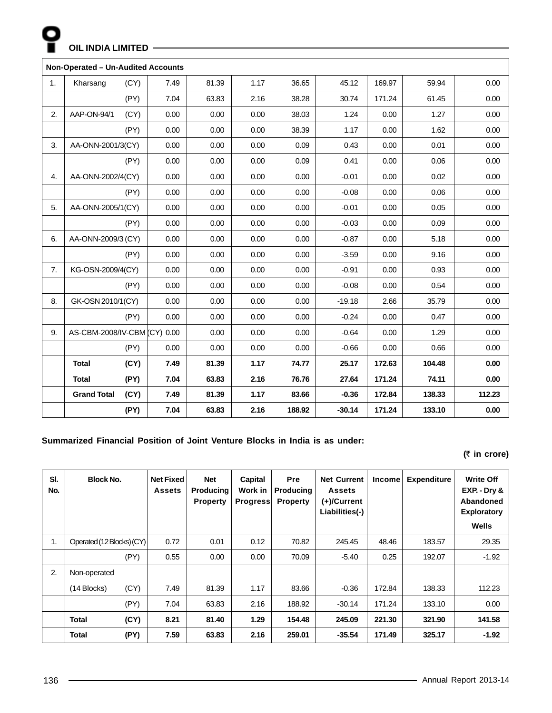|                | Non-Operated - Un-Audited Accounts |      |       |      |        |          |        |        |        |
|----------------|------------------------------------|------|-------|------|--------|----------|--------|--------|--------|
| 1 <sub>1</sub> | (CY)<br>Kharsang                   | 7.49 | 81.39 | 1.17 | 36.65  | 45.12    | 169.97 | 59.94  | 0.00   |
|                | (PY)                               | 7.04 | 63.83 | 2.16 | 38.28  | 30.74    | 171.24 | 61.45  | 0.00   |
| 2.             | AAP-ON-94/1<br>(CY)                | 0.00 | 0.00  | 0.00 | 38.03  | 1.24     | 0.00   | 1.27   | 0.00   |
|                | (PY)                               | 0.00 | 0.00  | 0.00 | 38.39  | 1.17     | 0.00   | 1.62   | 0.00   |
| 3.             | AA-ONN-2001/3(CY)                  | 0.00 | 0.00  | 0.00 | 0.09   | 0.43     | 0.00   | 0.01   | 0.00   |
|                | (PY)                               | 0.00 | 0.00  | 0.00 | 0.09   | 0.41     | 0.00   | 0.06   | 0.00   |
| 4.             | AA-ONN-2002/4(CY)                  | 0.00 | 0.00  | 0.00 | 0.00   | $-0.01$  | 0.00   | 0.02   | 0.00   |
|                | (PY)                               | 0.00 | 0.00  | 0.00 | 0.00   | $-0.08$  | 0.00   | 0.06   | 0.00   |
| 5.             | AA-ONN-2005/1(CY)                  | 0.00 | 0.00  | 0.00 | 0.00   | $-0.01$  | 0.00   | 0.05   | 0.00   |
|                | (PY)                               | 0.00 | 0.00  | 0.00 | 0.00   | $-0.03$  | 0.00   | 0.09   | 0.00   |
| 6.             | AA-ONN-2009/3 (CY)                 | 0.00 | 0.00  | 0.00 | 0.00   | $-0.87$  | 0.00   | 5.18   | 0.00   |
|                | (PY)                               | 0.00 | 0.00  | 0.00 | 0.00   | $-3.59$  | 0.00   | 9.16   | 0.00   |
| 7.             | KG-OSN-2009/4(CY)                  | 0.00 | 0.00  | 0.00 | 0.00   | $-0.91$  | 0.00   | 0.93   | 0.00   |
|                | (PY)                               | 0.00 | 0.00  | 0.00 | 0.00   | $-0.08$  | 0.00   | 0.54   | 0.00   |
| 8.             | GK-OSN 2010/1(CY)                  | 0.00 | 0.00  | 0.00 | 0.00   | $-19.18$ | 2.66   | 35.79  | 0.00   |
|                | (PY)                               | 0.00 | 0.00  | 0.00 | 0.00   | $-0.24$  | 0.00   | 0.47   | 0.00   |
| 9.             | AS-CBM-2008/IV-CBM (CY) 0.00       |      | 0.00  | 0.00 | 0.00   | $-0.64$  | 0.00   | 1.29   | 0.00   |
|                | (PY)                               | 0.00 | 0.00  | 0.00 | 0.00   | $-0.66$  | 0.00   | 0.66   | 0.00   |
|                | <b>Total</b><br>(CY)               | 7.49 | 81.39 | 1.17 | 74.77  | 25.17    | 172.63 | 104.48 | 0.00   |
|                | (PY)<br><b>Total</b>               | 7.04 | 63.83 | 2.16 | 76.76  | 27.64    | 171.24 | 74.11  | 0.00   |
|                | <b>Grand Total</b><br>(CY)         | 7.49 | 81.39 | 1.17 | 83.66  | $-0.36$  | 172.84 | 138.33 | 112.23 |
|                | (PY)                               | 7.04 | 63.83 | 2.16 | 188.92 | $-30.14$ | 171.24 | 133.10 | 0.00   |

# **Summarized Financial Position of Joint Venture Blocks in India is as under:**

| SI.<br>No. | <b>Block No.</b>          |      | <b>Net Fixed</b><br><b>Assets</b> | <b>Net</b><br><b>Producing</b><br><b>Property</b> | Capital<br>Work in<br><b>Progress</b> | <b>Pre</b><br>Producing<br><b>Property</b> | <b>Net Current</b><br><b>Assets</b><br>$(+)/$ Current<br>Liabilities(-) | Income | <b>Expenditure</b> | <b>Write Off</b><br>EXP. - Dry &<br>Abandoned<br><b>Exploratory</b><br>Wells |
|------------|---------------------------|------|-----------------------------------|---------------------------------------------------|---------------------------------------|--------------------------------------------|-------------------------------------------------------------------------|--------|--------------------|------------------------------------------------------------------------------|
| 1.         | Operated (12 Blocks) (CY) |      | 0.72                              | 0.01                                              | 0.12                                  | 70.82                                      | 245.45                                                                  | 48.46  | 183.57             | 29.35                                                                        |
|            |                           | (PY) | 0.55                              | 0.00                                              | 0.00                                  | 70.09                                      | $-5.40$                                                                 | 0.25   | 192.07             | $-1.92$                                                                      |
| 2.         | Non-operated              |      |                                   |                                                   |                                       |                                            |                                                                         |        |                    |                                                                              |
|            | (14 Blocks)               | (CY) | 7.49                              | 81.39                                             | 1.17                                  | 83.66                                      | $-0.36$                                                                 | 172.84 | 138.33             | 112.23                                                                       |
|            |                           | (PY) | 7.04                              | 63.83                                             | 2.16                                  | 188.92                                     | $-30.14$                                                                | 171.24 | 133.10             | 0.00                                                                         |
|            | <b>Total</b>              | (CY) | 8.21                              | 81.40                                             | 1.29                                  | 154.48                                     | 245.09                                                                  | 221.30 | 321.90             | 141.58                                                                       |
|            | Total                     | (PY) | 7.59                              | 63.83                                             | 2.16                                  | 259.01                                     | $-35.54$                                                                | 171.49 | 325.17             | $-1.92$                                                                      |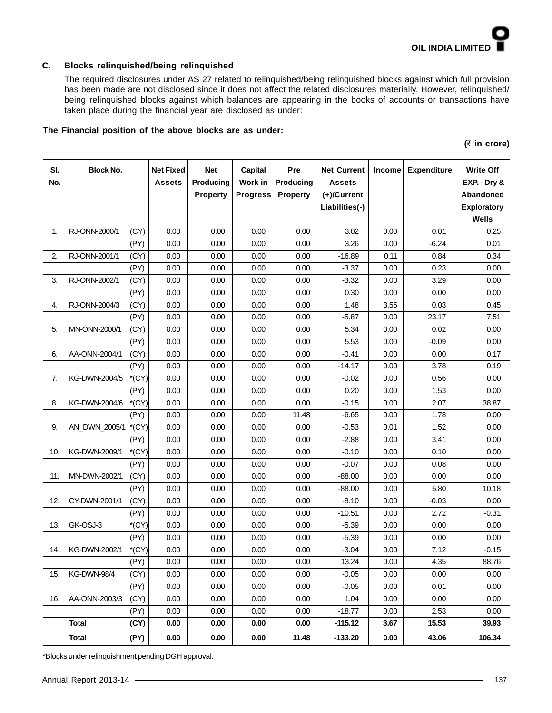#### **C. Blocks relinquished/being relinquished**

The required disclosures under AS 27 related to relinquished/being relinquished blocks against which full provision has been made are not disclosed since it does not affect the related disclosures materially. However, relinquished/ being relinquished blocks against which balances are appearing in the books of accounts or transactions have taken place during the financial year are disclosed as under:

#### **The Financial position of the above blocks are as under:**

#### **(**` **in crore)**

| SI.<br>No. | <b>Block No.</b> |         | <b>Net Fixed</b><br><b>Assets</b> | <b>Net</b><br>Producing<br>Property | Capital<br>Work in<br><b>Progress</b> | Pre<br>Producing<br><b>Property</b> | <b>Net Current</b><br><b>Assets</b><br>(+)/Current<br>Liabilities(-) | <b>Income</b> | <b>Expenditure</b> | <b>Write Off</b><br>EXP. - Dry &<br>Abandoned<br><b>Exploratory</b> |
|------------|------------------|---------|-----------------------------------|-------------------------------------|---------------------------------------|-------------------------------------|----------------------------------------------------------------------|---------------|--------------------|---------------------------------------------------------------------|
|            |                  |         |                                   |                                     |                                       |                                     |                                                                      |               |                    | Wells                                                               |
| 1.         | RJ-ONN-2000/1    | (CY)    | 0.00                              | 0.00                                | 0.00                                  | 0.00                                | 3.02                                                                 | 0.00          | 0.01               | 0.25                                                                |
|            |                  | (PY)    | 0.00                              | 0.00                                | 0.00                                  | 0.00                                | 3.26                                                                 | 0.00          | $-6.24$            | 0.01                                                                |
| 2.         | RJ-ONN-2001/1    | (CY)    | 0.00                              | 0.00                                | 0.00                                  | 0.00                                | $-16.89$                                                             | 0.11          | 0.84               | 0.34                                                                |
|            |                  | (PY)    | 0.00                              | 0.00                                | 0.00                                  | 0.00                                | $-3.37$                                                              | 0.00          | 0.23               | 0.00                                                                |
| 3.         | RJ-ONN-2002/1    | (CY)    | 0.00                              | 0.00                                | 0.00                                  | 0.00                                | $-3.32$                                                              | 0.00          | 3.29               | 0.00                                                                |
|            |                  | (PY)    | 0.00                              | 0.00                                | 0.00                                  | 0.00                                | 0.30                                                                 | 0.00          | 0.00               | 0.00                                                                |
| 4.         | RJ-ONN-2004/3    | (CY)    | 0.00                              | 0.00                                | 0.00                                  | 0.00                                | 1.48                                                                 | 3.55          | 0.03               | 0.45                                                                |
|            |                  | (PY)    | 0.00                              | 0.00                                | 0.00                                  | 0.00                                | $-5.87$                                                              | 0.00          | 23.17              | 7.51                                                                |
| 5.         | MN-ONN-2000/1    | (CY)    | 0.00                              | 0.00                                | 0.00                                  | 0.00                                | 5.34                                                                 | 0.00          | 0.02               | 0.00                                                                |
|            |                  | (PY)    | 0.00                              | 0.00                                | 0.00                                  | 0.00                                | 5.53                                                                 | 0.00          | $-0.09$            | 0.00                                                                |
| 6.         | AA-ONN-2004/1    | (CY)    | 0.00                              | 0.00                                | 0.00                                  | 0.00                                | $-0.41$                                                              | 0.00          | 0.00               | 0.17                                                                |
|            |                  | (PY)    | 0.00                              | 0.00                                | 0.00                                  | 0.00                                | $-14.17$                                                             | 0.00          | 3.78               | 0.19                                                                |
| 7.         | KG-DWN-2004/5    | $*(CY)$ | 0.00                              | 0.00                                | 0.00                                  | 0.00                                | $-0.02$                                                              | 0.00          | 0.56               | 0.00                                                                |
|            |                  | (PY)    | 0.00                              | 0.00                                | 0.00                                  | 0.00                                | 0.20                                                                 | 0.00          | 1.53               | 0.00                                                                |
| 8.         | KG-DWN-2004/6    | $*(CY)$ | 0.00                              | 0.00                                | 0.00                                  | 0.00                                | $-0.15$                                                              | 0.00          | 2.07               | 38.87                                                               |
|            |                  | (PY)    | 0.00                              | 0.00                                | 0.00                                  | 11.48                               | $-6.65$                                                              | 0.00          | 1.78               | 0.00                                                                |
| 9.         | AN_DWN_2005/1    | $*(CY)$ | 0.00                              | 0.00                                | 0.00                                  | 0.00                                | $-0.53$                                                              | 0.01          | 1.52               | 0.00                                                                |
|            |                  | (PY)    | 0.00                              | 0.00                                | 0.00                                  | 0.00                                | $-2.88$                                                              | 0.00          | 3.41               | 0.00                                                                |
| 10.        | KG-DWN-2009/1    | $*(CY)$ | 0.00                              | 0.00                                | 0.00                                  | 0.00                                | $-0.10$                                                              | 0.00          | 0.10               | 0.00                                                                |
|            |                  | (PY)    | 0.00                              | 0.00                                | 0.00                                  | 0.00                                | $-0.07$                                                              | 0.00          | 0.08               | 0.00                                                                |
| 11.        | MN-DWN-2002/1    | (CY)    | 0.00                              | 0.00                                | 0.00                                  | 0.00                                | $-88.00$                                                             | 0.00          | 0.00               | 0.00                                                                |
|            |                  | (PY)    | 0.00                              | 0.00                                | 0.00                                  | 0.00                                | $-88.00$                                                             | 0.00          | 5.80               | 10.18                                                               |
| 12.        | CY-DWN-2001/1    | (CY)    | 0.00                              | 0.00                                | 0.00                                  | 0.00                                | $-8.10$                                                              | 0.00          | -0.03              | 0.00                                                                |
|            |                  | (PY)    | 0.00                              | 0.00                                | 0.00                                  | 0.00                                | $-10.51$                                                             | 0.00          | 2.72               | $-0.31$                                                             |
| 13.        | GK-OSJ-3         | $*(CY)$ | 0.00                              | 0.00                                | 0.00                                  | 0.00                                | $-5.39$                                                              | 0.00          | 0.00               | 0.00                                                                |
|            |                  | (PY)    | 0.00                              | 0.00                                | 0.00                                  | 0.00                                | $-5.39$                                                              | 0.00          | 0.00               | 0.00                                                                |
| 14.        | KG-DWN-2002/1    | $*(CY)$ | 0.00                              | 0.00                                | 0.00                                  | 0.00                                | $-3.04$                                                              | 0.00          | 7.12               | $-0.15$                                                             |
|            |                  | (PY)    | 0.00                              | 0.00                                | 0.00                                  | 0.00                                | 13.24                                                                | 0.00          | 4.35               | 88.76                                                               |
| 15.        | KG-DWN-98/4      | (CY)    | 0.00                              | 0.00                                | 0.00                                  | 0.00                                | $-0.05$                                                              | 0.00          | 0.00               | 0.00                                                                |
|            |                  | (PY)    | 0.00                              | 0.00                                | 0.00                                  | 0.00                                | $-0.05$                                                              | 0.00          | 0.01               | 0.00                                                                |
| 16.        | AA-ONN-2003/3    | (CY)    | 0.00                              | 0.00                                | 0.00                                  | 0.00                                | 1.04                                                                 | 0.00          | 0.00               | 0.00                                                                |
|            |                  | (PY)    | 0.00                              | 0.00                                | 0.00                                  | 0.00                                | $-18.77$                                                             | 0.00          | 2.53               | 0.00                                                                |
|            | <b>Total</b>     | (CY)    | 0.00                              | 0.00                                | 0.00                                  | 0.00                                | $-115.12$                                                            | 3.67          | 15.53              | 39.93                                                               |
|            | <b>Total</b>     | (PY)    | 0.00                              | 0.00                                | 0.00                                  | 11.48                               | $-133.20$                                                            | 0.00          | 43.06              | 106.34                                                              |

\*Blocks under relinquishment pending DGH approval.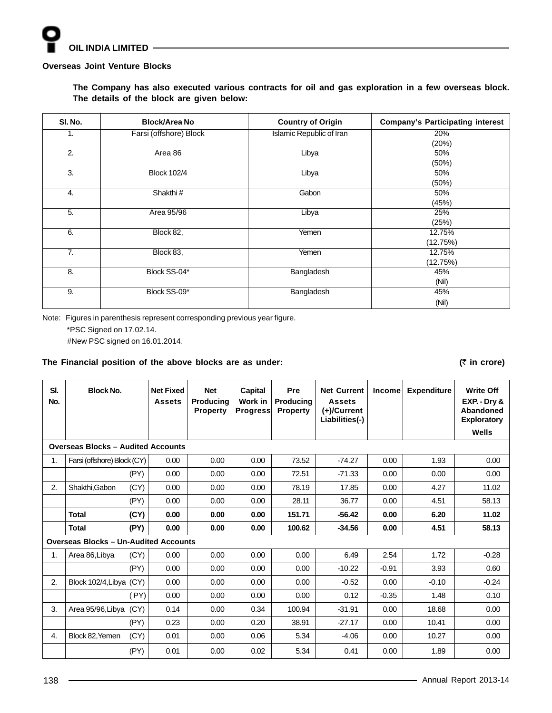#### **Overseas Joint Venture Blocks**

**The Company has also executed various contracts for oil and gas exploration in a few overseas block. The details of the block are given below:**

| SI. No.          | <b>Block/Area No</b>   | <b>Country of Origin</b> | <b>Company's Participating interest</b> |
|------------------|------------------------|--------------------------|-----------------------------------------|
| 1.               | Farsi (offshore) Block | Islamic Republic of Iran | 20%                                     |
|                  |                        |                          | (20%)                                   |
| 2.               | Area 86                | Libya                    | 50%                                     |
|                  |                        |                          | (50%)                                   |
| 3.               | <b>Block 102/4</b>     | Libya                    | 50%                                     |
|                  |                        |                          | (50%)                                   |
| 4.               | Shakthi#               | Gabon                    | 50%                                     |
|                  |                        |                          | (45%)                                   |
| 5.               | Area 95/96             | Libya                    | 25%                                     |
|                  |                        |                          | (25%)                                   |
| 6.               | Block 82,              | Yemen                    | 12.75%                                  |
|                  |                        |                          | (12.75%)                                |
| $\overline{7}$ . | Block 83,              | Yemen                    | 12.75%                                  |
|                  |                        |                          | (12.75%)                                |
| 8.               | Block SS-04*           | Bangladesh               | 45%                                     |
|                  |                        |                          | (Nil)                                   |
| 9.               | Block SS-09*           | Bangladesh               | 45%                                     |
|                  |                        |                          | (Nil)                                   |

Note: Figures in parenthesis represent corresponding previous year figure.

\*PSC Signed on 17.02.14.

#New PSC signed on 16.01.2014.

# The Financial position of the above blocks are as under:  $(3\pi)$  ( $(3\pi)$  in crore)

| SI.<br>No.     | <b>Block No.</b>                             |      | <b>Net Fixed</b><br><b>Assets</b> | <b>Net</b><br>Producina<br><b>Property</b> | Capital<br>Work in<br><b>Progress</b> | Pre<br>Producina<br><b>Property</b> | <b>Net Current</b><br><b>Assets</b><br>(+)/Current<br>Liabilities(-) | <b>Income</b> | <b>Expenditure</b> | <b>Write Off</b><br>EXP. - Dry &<br>Abandoned<br><b>Exploratory</b> |
|----------------|----------------------------------------------|------|-----------------------------------|--------------------------------------------|---------------------------------------|-------------------------------------|----------------------------------------------------------------------|---------------|--------------------|---------------------------------------------------------------------|
|                |                                              |      |                                   |                                            |                                       |                                     |                                                                      |               |                    | Wells                                                               |
|                | <b>Overseas Blocks - Audited Accounts</b>    |      |                                   |                                            |                                       |                                     |                                                                      |               |                    |                                                                     |
| 1.             | Farsi (offshore) Block (CY)                  |      | 0.00                              | 0.00                                       | 0.00                                  | 73.52                               | $-74.27$                                                             | 0.00          | 1.93               | 0.00                                                                |
|                |                                              | (PY) | 0.00                              | 0.00                                       | 0.00                                  | 72.51                               | $-71.33$                                                             | 0.00          | 0.00               | 0.00                                                                |
| 2.             | Shakthi, Gabon                               | (CY) | 0.00                              | 0.00                                       | 0.00                                  | 78.19                               | 17.85                                                                | 0.00          | 4.27               | 11.02                                                               |
|                |                                              | (PY) | 0.00                              | 0.00                                       | 0.00                                  | 28.11                               | 36.77                                                                | 0.00          | 4.51               | 58.13                                                               |
|                | <b>Total</b>                                 | (CY) | 0.00                              | 0.00                                       | 0.00                                  | 151.71                              | $-56.42$                                                             | 0.00          | 6.20               | 11.02                                                               |
|                | <b>Total</b>                                 | (PY) | 0.00                              | 0.00                                       | 0.00                                  | 100.62                              | $-34.56$                                                             | 0.00          | 4.51               | 58.13                                                               |
|                | <b>Overseas Blocks - Un-Audited Accounts</b> |      |                                   |                                            |                                       |                                     |                                                                      |               |                    |                                                                     |
| $\mathbf{1}$ . | Area 86, Libya                               | (CY) | 0.00                              | 0.00                                       | 0.00                                  | 0.00                                | 6.49                                                                 | 2.54          | 1.72               | $-0.28$                                                             |
|                |                                              | (PY) | 0.00                              | 0.00                                       | 0.00                                  | 0.00                                | $-10.22$                                                             | $-0.91$       | 3.93               | 0.60                                                                |
| 2.             | Block 102/4, Libya (CY)                      |      | 0.00                              | 0.00                                       | 0.00                                  | 0.00                                | $-0.52$                                                              | 0.00          | $-0.10$            | $-0.24$                                                             |
|                |                                              | (PY) | 0.00                              | 0.00                                       | 0.00                                  | 0.00                                | 0.12                                                                 | $-0.35$       | 1.48               | 0.10                                                                |
| 3.             | Area 95/96, Libya                            | (CY) | 0.14                              | 0.00                                       | 0.34                                  | 100.94                              | $-31.91$                                                             | 0.00          | 18.68              | 0.00                                                                |
|                |                                              | (PY) | 0.23                              | 0.00                                       | 0.20                                  | 38.91                               | $-27.17$                                                             | 0.00          | 10.41              | 0.00                                                                |
| 4.             | Block 82, Yemen                              | (CY) | 0.01                              | 0.00                                       | 0.06                                  | 5.34                                | $-4.06$                                                              | 0.00          | 10.27              | 0.00                                                                |
|                |                                              | (PY) | 0.01                              | 0.00                                       | 0.02                                  | 5.34                                | 0.41                                                                 | 0.00          | 1.89               | 0.00                                                                |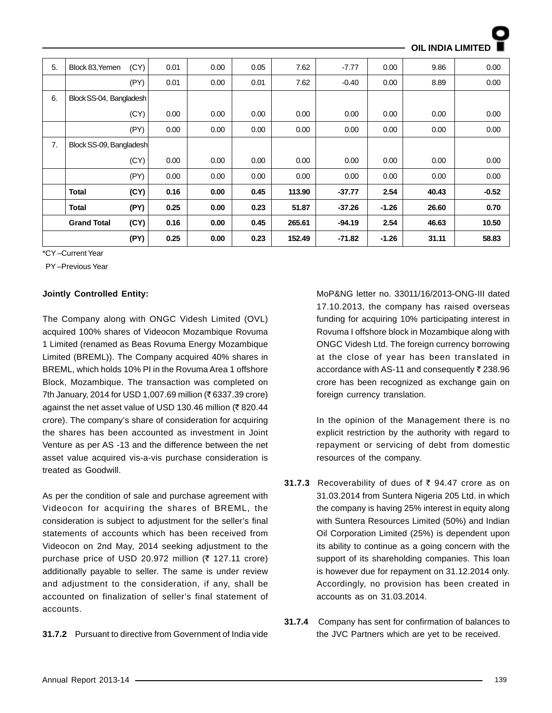| 5. | Block 83, Yemen         | (CY) | 0.01 | 0.00 | 0.05 | 7.62   | $-7.77$  | 0.00    | 9.86  | 0.00    |
|----|-------------------------|------|------|------|------|--------|----------|---------|-------|---------|
|    |                         | (PY) | 0.01 | 0.00 | 0.01 | 7.62   | $-0.40$  | 0.00    | 8.89  | 0.00    |
| 6. | Block SS-04, Bangladesh |      |      |      |      |        |          |         |       |         |
|    |                         | (CY) | 0.00 | 0.00 | 0.00 | 0.00   | 0.00     | 0.00    | 0.00  | 0.00    |
|    |                         | (PY) | 0.00 | 0.00 | 0.00 | 0.00   | 0.00     | 0.00    | 0.00  | 0.00    |
| 7. | Block SS-09, Bangladesh |      |      |      |      |        |          |         |       |         |
|    |                         | (CY) | 0.00 | 0.00 | 0.00 | 0.00   | 0.00     | 0.00    | 0.00  | 0.00    |
|    |                         | (PY) | 0.00 | 0.00 | 0.00 | 0.00   | 0.00     | 0.00    | 0.00  | 0.00    |
|    | Total                   | (CY) | 0.16 | 0.00 | 0.45 | 113.90 | $-37.77$ | 2.54    | 40.43 | $-0.52$ |
|    | <b>Total</b>            | (PY) | 0.25 | 0.00 | 0.23 | 51.87  | $-37.26$ | $-1.26$ | 26.60 | 0.70    |
|    | <b>Grand Total</b>      | (CY) | 0.16 | 0.00 | 0.45 | 265.61 | $-94.19$ | 2.54    | 46.63 | 10.50   |
|    |                         | (PY) | 0.25 | 0.00 | 0.23 | 152.49 | $-71.82$ | $-1.26$ | 31.11 | 58.83   |

\*CY –Current Year

PY –Previous Year

#### **Jointly Controlled Entity:**

The Company along with ONGC Videsh Limited (OVL) acquired 100% shares of Videocon Mozambique Rovuma 1 Limited (renamed as Beas Rovuma Energy Mozambique Limited (BREML)). The Company acquired 40% shares in BREML, which holds 10% PI in the Rovuma Area 1 offshore Block, Mozambique. The transaction was completed on 7th January, 2014 for USD 1,007.69 million (₹6337.39 crore) against the net asset value of USD 130.46 million ( $\overline{5}$  820.44 crore). The company's share of consideration for acquiring the shares has been accounted as investment in Joint Venture as per AS -13 and the difference between the net asset value acquired vis-a-vis purchase consideration is treated as Goodwill.

As per the condition of sale and purchase agreement with Videocon for acquiring the shares of BREML, the consideration is subject to adjustment for the seller's final statements of accounts which has been received from Videocon on 2nd May, 2014 seeking adjustment to the purchase price of USD 20.972 million ( $\bar{\tau}$  127.11 crore) additionally payable to seller. The same is under review and adjustment to the consideration, if any, shall be accounted on finalization of seller's final statement of accounts.

**31.7.2** Pursuant to directive from Government of India vide

MoP&NG letter no. 33011/16/2013-ONG-III dated 17.10.2013, the company has raised overseas funding for acquiring 10% participating interest in Rovuma I offshore block in Mozambique along with ONGC Videsh Ltd. The foreign currency borrowing at the close of year has been translated in accordance with AS-11 and consequently  $\bar{\tau}$  238.96 crore has been recognized as exchange gain on foreign currency translation.

In the opinion of the Management there is no explicit restriction by the authority with regard to repayment or servicing of debt from domestic resources of the company.

- **31.7.3** Recoverability of dues of ₹ 94.47 crore as on 31.03.2014 from Suntera Nigeria 205 Ltd. in which the company is having 25% interest in equity along with Suntera Resources Limited (50%) and Indian Oil Corporation Limited (25%) is dependent upon its ability to continue as a going concern with the support of its shareholding companies. This loan is however due for repayment on 31.12.2014 only. Accordingly, no provision has been created in accounts as on 31.03.2014.
- **31.7.4** Company has sent for confirmation of balances to the JVC Partners which are yet to be received.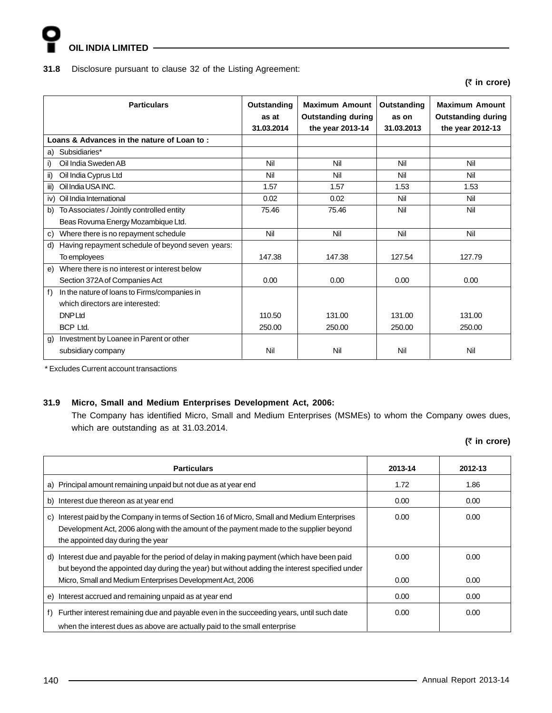## **31.8** Disclosure pursuant to clause 32 of the Listing Agreement:

**(**` **in crore)**

|                | <b>Particulars</b>                               | Outstanding<br>as at<br>31.03.2014 | <b>Maximum Amount</b><br><b>Outstanding during</b><br>the year 2013-14 | Outstanding<br>as on<br>31.03.2013 | <b>Maximum Amount</b><br><b>Outstanding during</b><br>the year 2012-13 |
|----------------|--------------------------------------------------|------------------------------------|------------------------------------------------------------------------|------------------------------------|------------------------------------------------------------------------|
|                | Loans & Advances in the nature of Loan to:       |                                    |                                                                        |                                    |                                                                        |
| a)             | Subsidiaries*                                    |                                    |                                                                        |                                    |                                                                        |
| i)             | Oil India Sweden AB                              | Nil                                | Nil                                                                    | Nil                                | Nil                                                                    |
| ii)            | Oil India Cyprus Ltd                             | Nil                                | Nil                                                                    | Nil                                | Nil                                                                    |
| iii)           | Oil India USA INC.                               | 1.57                               | 1.57                                                                   | 1.53                               | 1.53                                                                   |
| iv)            | Oil India International                          | 0.02                               | 0.02                                                                   | Nil                                | Nil                                                                    |
| b)             | To Associates / Jointly controlled entity        | 75.46                              | 75.46                                                                  | Nil                                | Nil                                                                    |
|                | Beas Rovuma Energy Mozambique Ltd.               |                                    |                                                                        |                                    |                                                                        |
| C)             | Where there is no repayment schedule             | Nil                                | Nil                                                                    | Nil                                | Nil                                                                    |
| d)             | Having repayment schedule of beyond seven years: |                                    |                                                                        |                                    |                                                                        |
|                | To employees                                     | 147.38                             | 147.38                                                                 | 127.54                             | 127.79                                                                 |
| e)             | Where there is no interest or interest below     |                                    |                                                                        |                                    |                                                                        |
|                | Section 372A of Companies Act                    | 0.00                               | 0.00                                                                   | 0.00                               | 0.00                                                                   |
| f)             | In the nature of loans to Firms/companies in     |                                    |                                                                        |                                    |                                                                        |
|                | which directors are interested:                  |                                    |                                                                        |                                    |                                                                        |
|                | DNP Ltd                                          | 110.50                             | 131.00                                                                 | 131.00                             | 131.00                                                                 |
|                | BCP Ltd.                                         | 250.00                             | 250.00                                                                 | 250.00                             | 250.00                                                                 |
| $\mathfrak{g}$ | Investment by Loanee in Parent or other          |                                    |                                                                        |                                    |                                                                        |
|                | subsidiary company                               | Nil                                | Nil                                                                    | Nil                                | Nil                                                                    |

\* Excludes Current account transactions

# **31.9 Micro, Small and Medium Enterprises Development Act, 2006:**

The Company has identified Micro, Small and Medium Enterprises (MSMEs) to whom the Company owes dues, which are outstanding as at 31.03.2014.

| <b>Particulars</b>                                                                                                                                                                                                              | 2013-14 | 2012-13 |
|---------------------------------------------------------------------------------------------------------------------------------------------------------------------------------------------------------------------------------|---------|---------|
| a) Principal amount remaining unpaid but not due as at year end                                                                                                                                                                 | 1.72    | 1.86    |
| Interest due thereon as at year end<br>b)                                                                                                                                                                                       | 0.00    | 0.00    |
| Interest paid by the Company in terms of Section 16 of Micro, Small and Medium Enterprises<br>C)<br>Development Act, 2006 along with the amount of the payment made to the supplier beyond<br>the appointed day during the year | 0.00    | 0.00    |
| Interest due and payable for the period of delay in making payment (which have been paid<br>d)<br>but beyond the appointed day during the year) but without adding the interest specified under                                 | 0.00    | 0.00    |
| Micro, Small and Medium Enterprises Development Act, 2006                                                                                                                                                                       | 0.00    | 0.00    |
| Interest accrued and remaining unpaid as at year end<br>e)                                                                                                                                                                      | 0.00    | 0.00    |
| Further interest remaining due and payable even in the succeeding years, until such date<br>f)<br>when the interest dues as above are actually paid to the small enterprise                                                     | 0.00    | 0.00    |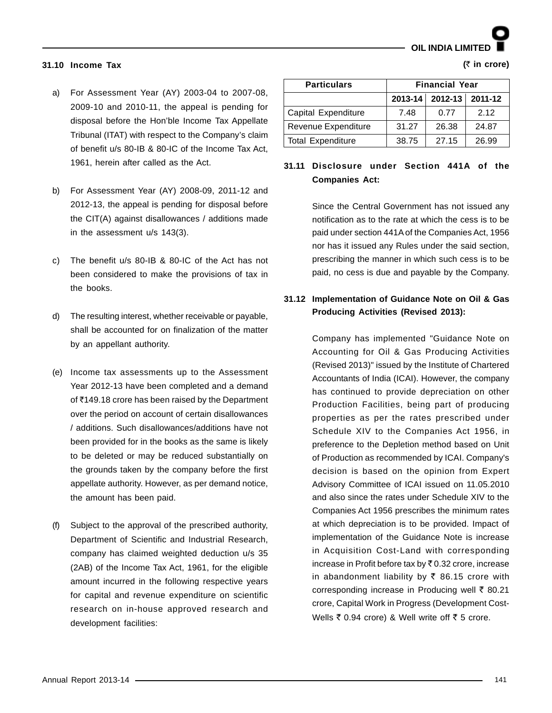#### **31.10 Income Tax**

- a) For Assessment Year (AY) 2003-04 to 2007-08, 2009-10 and 2010-11, the appeal is pending for disposal before the Hon'ble Income Tax Appellate Tribunal (ITAT) with respect to the Company's claim of benefit u/s 80-IB & 80-IC of the Income Tax Act, 1961, herein after called as the Act.
- b) For Assessment Year (AY) 2008-09, 2011-12 and 2012-13, the appeal is pending for disposal before the CIT(A) against disallowances / additions made in the assessment u/s 143(3).
- c) The benefit u/s 80-IB & 80-IC of the Act has not been considered to make the provisions of tax in the books.
- d) The resulting interest, whether receivable or payable, shall be accounted for on finalization of the matter by an appellant authority.
- (e) Income tax assessments up to the Assessment Year 2012-13 have been completed and a demand of ₹149.18 crore has been raised by the Department over the period on account of certain disallowances / additions. Such disallowances/additions have not been provided for in the books as the same is likely to be deleted or may be reduced substantially on the grounds taken by the company before the first appellate authority. However, as per demand notice, the amount has been paid.
- (f) Subject to the approval of the prescribed authority, Department of Scientific and Industrial Research, company has claimed weighted deduction u/s 35 (2AB) of the Income Tax Act, 1961, for the eligible amount incurred in the following respective years for capital and revenue expenditure on scientific research on in-house approved research and development facilities:

| <b>Particulars</b>       | <b>Financial Year</b> |                         |       |  |
|--------------------------|-----------------------|-------------------------|-------|--|
|                          |                       | 2013-14 2012-13 2011-12 |       |  |
| Capital Expenditure      | 7.48                  | 0.77                    | 2.12  |  |
| Revenue Expenditure      | 31.27                 | 26.38                   | 24.87 |  |
| <b>Total Expenditure</b> | 38.75                 | 27.15                   | 26.99 |  |

# **31.11 Disclosure under Section 441A of the Companies Act:**

Since the Central Government has not issued any notification as to the rate at which the cess is to be paid under section 441A of the Companies Act, 1956 nor has it issued any Rules under the said section, prescribing the manner in which such cess is to be paid, no cess is due and payable by the Company.

# **31.12 Implementation of Guidance Note on Oil & Gas Producing Activities (Revised 2013):**

Company has implemented "Guidance Note on Accounting for Oil & Gas Producing Activities (Revised 2013)" issued by the Institute of Chartered Accountants of India (ICAI). However, the company has continued to provide depreciation on other Production Facilities, being part of producing properties as per the rates prescribed under Schedule XIV to the Companies Act 1956, in preference to the Depletion method based on Unit of Production as recommended by ICAI. Company's decision is based on the opinion from Expert Advisory Committee of ICAI issued on 11.05.2010 and also since the rates under Schedule XIV to the Companies Act 1956 prescribes the minimum rates at which depreciation is to be provided. Impact of implementation of the Guidance Note is increase in Acquisition Cost-Land with corresponding increase in Profit before tax by  $\bar{\tau}$  0.32 crore, increase in abandonment liability by  $\bar{\tau}$  86.15 crore with corresponding increase in Producing well  $\bar{\tau}$  80.21 crore, Capital Work in Progress (Development Cost-Wells  $\overline{\tau}$  0.94 crore) & Well write off  $\overline{\tau}$  5 crore.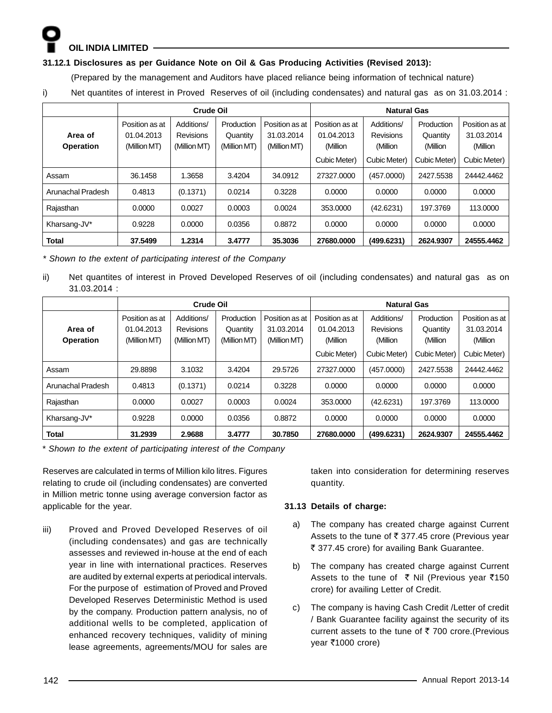# **31.12.1 Disclosures as per Guidance Note on Oil & Gas Producing Activities (Revised 2013):**

(Prepared by the management and Auditors have placed reliance being information of technical nature)

i) Net quantites of interest in Proved Reserves of oil (including condensates) and natural gas as on 31.03.2014 :

|                   | <b>Crude Oil</b> |              |              |                | <b>Natural Gas</b> |              |              |                |
|-------------------|------------------|--------------|--------------|----------------|--------------------|--------------|--------------|----------------|
|                   | Position as at   | Additions/   | Production   | Position as at | Position as at     | Additions/   | Production   | Position as at |
| Area of           | 01.04.2013       | Revisions    | Quantity     | 31.03.2014     | 01.04.2013         | Revisions    | Quantity     | 31.03.2014     |
| Operation         | (Million MT)     | (Million MT) | (Million MT) | (Million MT)   | (Million           | (Million     | (Million     | (Million       |
|                   |                  |              |              |                | Cubic Meter)       | Cubic Meter) | Cubic Meter) | Cubic Meter)   |
| Assam             | 36.1458          | 1.3658       | 3.4204       | 34.0912        | 27327.0000         | (457.0000)   | 2427.5538    | 24442.4462     |
| Arunachal Pradesh | 0.4813           | (0.1371)     | 0.0214       | 0.3228         | 0.0000             | 0.0000       | 0.0000       | 0.0000         |
| Rajasthan         | 0.0000           | 0.0027       | 0.0003       | 0.0024         | 353,0000           | (42.6231)    | 197.3769     | 113,0000       |
| Kharsang-JV*      | 0.9228           | 0.0000       | 0.0356       | 0.8872         | 0.0000             | 0.0000       | 0.0000       | 0.0000         |
| Total             | 37.5499          | 1.2314       | 3.4777       | 35.3036        | 27680,0000         | (499.6231)   | 2624.9307    | 24555.4462     |

*\* Shown to the extent of participating interest of the Company*

ii) Net quantites of interest in Proved Developed Reserves of oil (including condensates) and natural gas as on 31.03.2014 :

|                   | Crude Oil      |                  |              |                | <b>Natural Gas</b> |                  |              |                |
|-------------------|----------------|------------------|--------------|----------------|--------------------|------------------|--------------|----------------|
|                   | Position as at | Additions/       | Production   | Position as at | Position as at     | Additions/       | Production   | Position as at |
| Area of           | 01.04.2013     | <b>Revisions</b> | Quantity     | 31.03.2014     | 01.04.2013         | <b>Revisions</b> | Quantity     | 31.03.2014     |
| Operation         | (Million MT)   | (Million MT)     | (Million MT) | (Million MT)   | (Million           | (Million         | (Million     | (Million       |
|                   |                |                  |              |                | Cubic Meter)       | Cubic Meter)     | Cubic Meter) | Cubic Meter)   |
| Assam             | 29.8898        | 3.1032           | 3.4204       | 29.5726        | 27327.0000         | (457.0000)       | 2427.5538    | 24442.4462     |
| Arunachal Pradesh | 0.4813         | (0.1371)         | 0.0214       | 0.3228         | 0.0000             | 0.0000           | 0.0000       | 0.0000         |
| Rajasthan         | 0.0000         | 0.0027           | 0.0003       | 0.0024         | 353,0000           | (42.6231)        | 197.3769     | 113.0000       |
| Kharsang-JV*      | 0.9228         | 0.0000           | 0.0356       | 0.8872         | 0.0000             | 0.0000           | 0.0000       | 0.0000         |
| <b>Total</b>      | 31.2939        | 2.9688           | 3.4777       | 30.7850        | 27680.0000         | (499.6231)       | 2624.9307    | 24555.4462     |

*\* Shown to the extent of participating interest of the Company*

Reserves are calculated in terms of Million kilo litres. Figures relating to crude oil (including condensates) are converted in Million metric tonne using average conversion factor as applicable for the year.

iii) Proved and Proved Developed Reserves of oil (including condensates) and gas are technically assesses and reviewed in-house at the end of each year in line with international practices. Reserves are audited by external experts at periodical intervals. For the purpose of estimation of Proved and Proved Developed Reserves Deterministic Method is used by the company. Production pattern analysis, no of additional wells to be completed, application of enhanced recovery techniques, validity of mining lease agreements, agreements/MOU for sales are

taken into consideration for determining reserves quantity.

### **31.13 Details of charge:**

- a) The company has created charge against Current Assets to the tune of  $\bar{\tau}$  377.45 crore (Previous year ₹ 377.45 crore) for availing Bank Guarantee.
- b) The company has created charge against Current Assets to the tune of  $\bar{\tau}$  Nil (Previous year  $\bar{\tau}$ 150 crore) for availing Letter of Credit.
- c) The company is having Cash Credit /Letter of credit / Bank Guarantee facility against the security of its current assets to the tune of  $\bar{\tau}$  700 crore.(Previous year  $\overline{\tau}$ 1000 crore)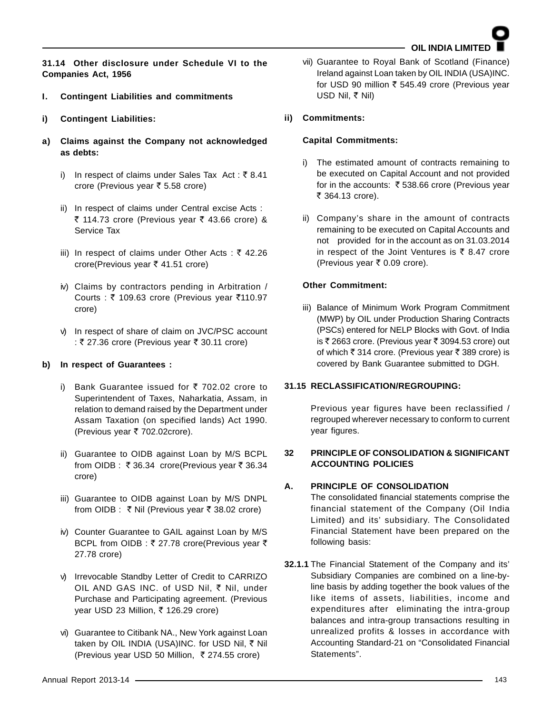**OIL INDIA LIMITED**

**31.14 Other disclosure under Schedule VI to the Companies Act, 1956**

- **I. Contingent Liabilities and commitments**
- **i) Contingent Liabilities:**
- **a) Claims against the Company not acknowledged as debts:**
	- i) In respect of claims under Sales Tax Act:  $\bar{\tau}$  8.41 crore (Previous year  $\overline{\xi}$  5.58 crore)
	- ii) In respect of claims under Central excise Acts : ₹ 114.73 crore (Previous year ₹ 43.66 crore) & Service Tax
	- iii) In respect of claims under Other Acts :  $\bar{\tau}$  42.26 crore(Previous year  $\bar{\tau}$  41.51 crore)
	- iv) Claims by contractors pending in Arbitration / Courts :  $\bar{\tau}$  109.63 crore (Previous year  $\bar{\tau}$ 110.97 crore)
	- v) In respect of share of claim on JVC/PSC account :  $\overline{\xi}$  27.36 crore (Previous year  $\overline{\xi}$  30.11 crore)

### **b) In respect of Guarantees :**

- i) Bank Guarantee issued for  $\bar{\tau}$  702.02 crore to Superintendent of Taxes, Naharkatia, Assam, in relation to demand raised by the Department under Assam Taxation (on specified lands) Act 1990. (Previous year ₹ 702.02crore).
- ii) Guarantee to OIDB against Loan by M/S BCPL from OIDB :  $\bar{\tau}$  36.34 crore(Previous year  $\bar{\tau}$  36.34 crore)
- iii) Guarantee to OIDB against Loan by M/S DNPL from OIDB :  $\bar{\tau}$  Nil (Previous year  $\bar{\tau}$  38.02 crore)
- iv) Counter Guarantee to GAIL against Loan by M/S BCPL from OIDB : ₹ 27.78 crore(Previous year ₹ 27.78 crore)
- v) Irrevocable Standby Letter of Credit to CARRIZO OIL AND GAS INC. of USD Nil, ₹ Nil, under Purchase and Participating agreement. (Previous vear USD 23 Million,  $\bar{\tau}$  126.29 crore)
- vi) Guarantee to Citibank NA., New York against Loan taken by OIL INDIA (USA)INC. for USD Nil, ₹ Nil (Previous year USD 50 Million,  $\bar{\tau}$  274.55 crore)

vii) Guarantee to Royal Bank of Scotland (Finance) Ireland against Loan taken by OIL INDIA (USA)INC. for USD 90 million ₹ 545.49 crore (Previous year USD Nil,  $\bar{\tau}$  Nil)

### **ii) Commitments:**

### **Capital Commitments:**

- i) The estimated amount of contracts remaining to be executed on Capital Account and not provided for in the accounts:  $\overline{\tau}$  538.66 crore (Previous year ₹ 364.13 crore).
- ii) Company's share in the amount of contracts remaining to be executed on Capital Accounts and not provided for in the account as on 31.03.2014 in respect of the Joint Ventures is  $\bar{\tau}$  8.47 crore (Previous year  $\bar{\tau}$  0.09 crore).

### **Other Commitment:**

iii) Balance of Minimum Work Program Commitment (MWP) by OIL under Production Sharing Contracts (PSCs) entered for NELP Blocks with Govt. of India is ₹ 2663 crore. (Previous year ₹ 3094.53 crore) out of which  $\bar{\tau}$  314 crore. (Previous year  $\bar{\tau}$  389 crore) is covered by Bank Guarantee submitted to DGH.

### **31.15 RECLASSIFICATION/REGROUPING:**

Previous year figures have been reclassified / regrouped wherever necessary to conform to current year figures.

### **32 PRINCIPLE OF CONSOLIDATION & SIGNIFICANT ACCOUNTING POLICIES**

### **A. PRINCIPLE OF CONSOLIDATION**

The consolidated financial statements comprise the financial statement of the Company (Oil India Limited) and its' subsidiary. The Consolidated Financial Statement have been prepared on the following basis:

**32.1.1** The Financial Statement of the Company and its' Subsidiary Companies are combined on a line-byline basis by adding together the book values of the like items of assets, liabilities, income and expenditures after eliminating the intra-group balances and intra-group transactions resulting in unrealized profits & losses in accordance with Accounting Standard-21 on "Consolidated Financial Statements".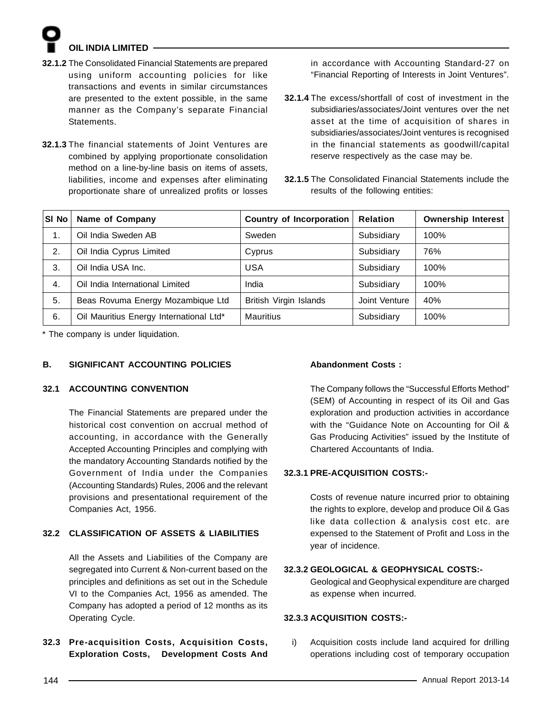# **OIL INDIA LIMITED**

- **32.1.2** The Consolidated Financial Statements are prepared using uniform accounting policies for like transactions and events in similar circumstances are presented to the extent possible, in the same manner as the Company's separate Financial Statements.
- **32.1.3** The financial statements of Joint Ventures are combined by applying proportionate consolidation method on a line-by-line basis on items of assets, liabilities, income and expenses after eliminating proportionate share of unrealized profits or losses

in accordance with Accounting Standard-27 on "Financial Reporting of Interests in Joint Ventures".

- **32.1.4** The excess/shortfall of cost of investment in the subsidiaries/associates/Joint ventures over the net asset at the time of acquisition of shares in subsidiaries/associates/Joint ventures is recognised in the financial statements as goodwill/capital reserve respectively as the case may be.
- **32.1.5** The Consolidated Financial Statements include the results of the following entities:

| <b>SI No</b>                                  | Name of Company     | <b>Country of Incorporation</b> | Relation      | <b>Ownership Interest</b> |
|-----------------------------------------------|---------------------|---------------------------------|---------------|---------------------------|
| $\mathbf{1}$ .                                | Oil India Sweden AB | Sweden                          | Subsidiary    | 100%                      |
| 2.<br>Oil India Cyprus Limited                |                     | Cyprus                          | Subsidiary    | 76%                       |
| Oil India USA Inc.<br>3.                      |                     | USA                             | Subsidiary    | 100%                      |
| 4.<br>Oil India International Limited         |                     | India                           | Subsidiary    | 100%                      |
| 5.<br>Beas Rovuma Energy Mozambique Ltd       |                     | British Virgin Islands          | Joint Venture | 40%                       |
| 6.<br>Oil Mauritius Energy International Ltd* |                     | <b>Mauritius</b>                | Subsidiary    | 100%                      |

\* The company is under liquidation.

### **B. SIGNIFICANT ACCOUNTING POLICIES**

### **32.1 ACCOUNTING CONVENTION**

The Financial Statements are prepared under the historical cost convention on accrual method of accounting, in accordance with the Generally Accepted Accounting Principles and complying with the mandatory Accounting Standards notified by the Government of India under the Companies (Accounting Standards) Rules, 2006 and the relevant provisions and presentational requirement of the Companies Act, 1956.

### **32.2 CLASSIFICATION OF ASSETS & LIABILITIES**

All the Assets and Liabilities of the Company are segregated into Current & Non-current based on the principles and definitions as set out in the Schedule VI to the Companies Act, 1956 as amended. The Company has adopted a period of 12 months as its Operating Cycle.

### **32.3 Pre-acquisition Costs, Acquisition Costs, Exploration Costs, Development Costs And**

### **Abandonment Costs :**

The Company follows the "Successful Efforts Method" (SEM) of Accounting in respect of its Oil and Gas exploration and production activities in accordance with the "Guidance Note on Accounting for Oil & Gas Producing Activities" issued by the Institute of Chartered Accountants of India.

### **32.3.1 PRE-ACQUISITION COSTS:-**

Costs of revenue nature incurred prior to obtaining the rights to explore, develop and produce Oil & Gas like data collection & analysis cost etc. are expensed to the Statement of Profit and Loss in the year of incidence.

### **32.3.2 GEOLOGICAL & GEOPHYSICAL COSTS:-**

Geological and Geophysical expenditure are charged as expense when incurred.

### **32.3.3 ACQUISITION COSTS:-**

i) Acquisition costs include land acquired for drilling operations including cost of temporary occupation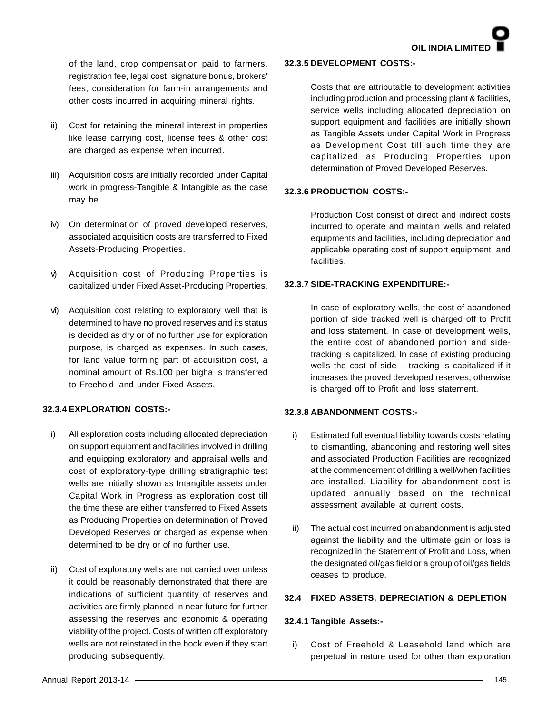of the land, crop compensation paid to farmers, registration fee, legal cost, signature bonus, brokers' fees, consideration for farm-in arrangements and other costs incurred in acquiring mineral rights.

- ii) Cost for retaining the mineral interest in properties like lease carrying cost, license fees & other cost are charged as expense when incurred.
- iii) Acquisition costs are initially recorded under Capital work in progress-Tangible & Intangible as the case may be.
- iv) On determination of proved developed reserves, associated acquisition costs are transferred to Fixed Assets-Producing Properties.
- v) Acquisition cost of Producing Properties is capitalized under Fixed Asset-Producing Properties.
- vi) Acquisition cost relating to exploratory well that is determined to have no proved reserves and its status is decided as dry or of no further use for exploration purpose, is charged as expenses. In such cases, for land value forming part of acquisition cost, a nominal amount of Rs.100 per bigha is transferred to Freehold land under Fixed Assets.

### **32.3.4 EXPLORATION COSTS:-**

- i) All exploration costs including allocated depreciation on support equipment and facilities involved in drilling and equipping exploratory and appraisal wells and cost of exploratory-type drilling stratigraphic test wells are initially shown as Intangible assets under Capital Work in Progress as exploration cost till the time these are either transferred to Fixed Assets as Producing Properties on determination of Proved Developed Reserves or charged as expense when determined to be dry or of no further use.
- ii) Cost of exploratory wells are not carried over unless it could be reasonably demonstrated that there are indications of sufficient quantity of reserves and activities are firmly planned in near future for further assessing the reserves and economic & operating viability of the project. Costs of written off exploratory wells are not reinstated in the book even if they start producing subsequently.

### **32.3.5 DEVELOPMENT COSTS:-**

Costs that are attributable to development activities including production and processing plant & facilities, service wells including allocated depreciation on support equipment and facilities are initially shown as Tangible Assets under Capital Work in Progress as Development Cost till such time they are capitalized as Producing Properties upon determination of Proved Developed Reserves.

### **32.3.6 PRODUCTION COSTS:-**

Production Cost consist of direct and indirect costs incurred to operate and maintain wells and related equipments and facilities, including depreciation and applicable operating cost of support equipment and facilities.

### **32.3.7 SIDE-TRACKING EXPENDITURE:-**

In case of exploratory wells, the cost of abandoned portion of side tracked well is charged off to Profit and loss statement. In case of development wells, the entire cost of abandoned portion and sidetracking is capitalized. In case of existing producing wells the cost of side – tracking is capitalized if it increases the proved developed reserves, otherwise is charged off to Profit and loss statement.

### **32.3.8 ABANDONMENT COSTS:-**

- i) Estimated full eventual liability towards costs relating to dismantling, abandoning and restoring well sites and associated Production Facilities are recognized at the commencement of drilling a well/when facilities are installed. Liability for abandonment cost is updated annually based on the technical assessment available at current costs.
- ii) The actual cost incurred on abandonment is adjusted against the liability and the ultimate gain or loss is recognized in the Statement of Profit and Loss, when the designated oil/gas field or a group of oil/gas fields ceases to produce.

### **32.4 FIXED ASSETS, DEPRECIATION & DEPLETION**

### **32.4.1 Tangible Assets:-**

i) Cost of Freehold & Leasehold land which are perpetual in nature used for other than exploration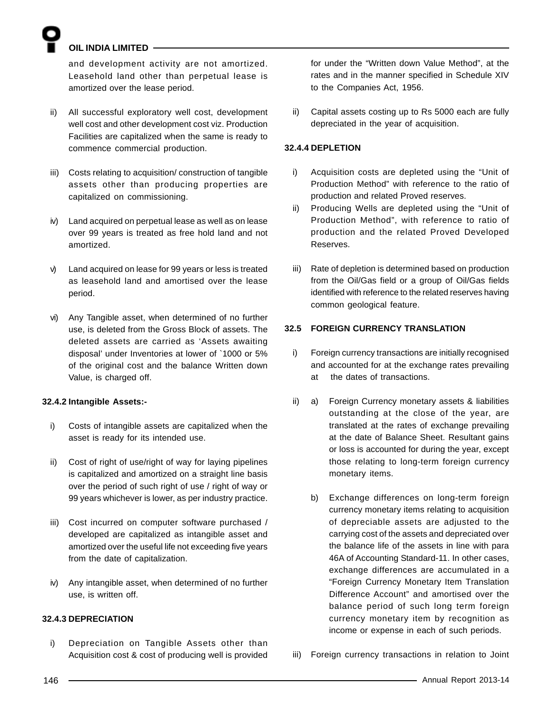**OIL INDIA LIMITED**

and development activity are not amortized. Leasehold land other than perpetual lease is amortized over the lease period.

- ii) All successful exploratory well cost, development well cost and other development cost viz. Production Facilities are capitalized when the same is ready to commence commercial production.
- iii) Costs relating to acquisition/ construction of tangible assets other than producing properties are capitalized on commissioning.
- iv) Land acquired on perpetual lease as well as on lease over 99 years is treated as free hold land and not amortized.
- v) Land acquired on lease for 99 years or less is treated as leasehold land and amortised over the lease period.
- vi) Any Tangible asset, when determined of no further use, is deleted from the Gross Block of assets. The deleted assets are carried as 'Assets awaiting disposal' under Inventories at lower of `1000 or 5% of the original cost and the balance Written down Value, is charged off.

### **32.4.2 Intangible Assets:-**

- i) Costs of intangible assets are capitalized when the asset is ready for its intended use.
- ii) Cost of right of use/right of way for laying pipelines is capitalized and amortized on a straight line basis over the period of such right of use / right of way or 99 years whichever is lower, as per industry practice.
- iii) Cost incurred on computer software purchased / developed are capitalized as intangible asset and amortized over the useful life not exceeding five years from the date of capitalization.
- iv) Any intangible asset, when determined of no further use, is written off.

### **32.4.3 DEPRECIATION**

i) Depreciation on Tangible Assets other than Acquisition cost & cost of producing well is provided for under the "Written down Value Method", at the rates and in the manner specified in Schedule XIV to the Companies Act, 1956.

ii) Capital assets costing up to Rs 5000 each are fully depreciated in the year of acquisition.

### **32.4.4 DEPLETION**

- i) Acquisition costs are depleted using the "Unit of Production Method" with reference to the ratio of production and related Proved reserves.
- ii) Producing Wells are depleted using the "Unit of Production Method", with reference to ratio of production and the related Proved Developed Reserves.
- iii) Rate of depletion is determined based on production from the Oil/Gas field or a group of Oil/Gas fields identified with reference to the related reserves having common geological feature.

### **32.5 FOREIGN CURRENCY TRANSLATION**

- i) Foreign currency transactions are initially recognised and accounted for at the exchange rates prevailing at the dates of transactions.
- ii) a) Foreign Currency monetary assets & liabilities outstanding at the close of the year, are translated at the rates of exchange prevailing at the date of Balance Sheet. Resultant gains or loss is accounted for during the year, except those relating to long-term foreign currency monetary items.
	- b) Exchange differences on long-term foreign currency monetary items relating to acquisition of depreciable assets are adjusted to the carrying cost of the assets and depreciated over the balance life of the assets in line with para 46A of Accounting Standard-11. In other cases, exchange differences are accumulated in a "Foreign Currency Monetary Item Translation Difference Account" and amortised over the balance period of such long term foreign currency monetary item by recognition as income or expense in each of such periods.
- iii) Foreign currency transactions in relation to Joint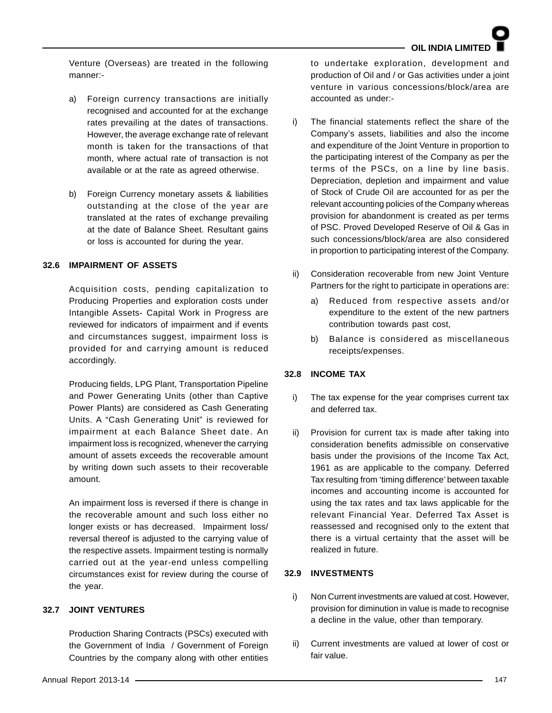Venture (Overseas) are treated in the following manner:-

- a) Foreign currency transactions are initially recognised and accounted for at the exchange rates prevailing at the dates of transactions. However, the average exchange rate of relevant month is taken for the transactions of that month, where actual rate of transaction is not available or at the rate as agreed otherwise.
- b) Foreign Currency monetary assets & liabilities outstanding at the close of the year are translated at the rates of exchange prevailing at the date of Balance Sheet. Resultant gains or loss is accounted for during the year.

### **32.6 IMPAIRMENT OF ASSETS**

Acquisition costs, pending capitalization to Producing Properties and exploration costs under Intangible Assets- Capital Work in Progress are reviewed for indicators of impairment and if events and circumstances suggest, impairment loss is provided for and carrying amount is reduced accordingly.

Producing fields, LPG Plant, Transportation Pipeline and Power Generating Units (other than Captive Power Plants) are considered as Cash Generating Units. A "Cash Generating Unit" is reviewed for impairment at each Balance Sheet date. An impairment loss is recognized, whenever the carrying amount of assets exceeds the recoverable amount by writing down such assets to their recoverable amount.

An impairment loss is reversed if there is change in the recoverable amount and such loss either no longer exists or has decreased. Impairment loss/ reversal thereof is adjusted to the carrying value of the respective assets. Impairment testing is normally carried out at the year-end unless compelling circumstances exist for review during the course of the year.

### **32.7 JOINT VENTURES**

Production Sharing Contracts (PSCs) executed with the Government of India / Government of Foreign Countries by the company along with other entities

to undertake exploration, development and production of Oil and / or Gas activities under a joint venture in various concessions/block/area are accounted as under:-

- i) The financial statements reflect the share of the Company's assets, liabilities and also the income and expenditure of the Joint Venture in proportion to the participating interest of the Company as per the terms of the PSCs, on a line by line basis. Depreciation, depletion and impairment and value of Stock of Crude Oil are accounted for as per the relevant accounting policies of the Company whereas provision for abandonment is created as per terms of PSC. Proved Developed Reserve of Oil & Gas in such concessions/block/area are also considered in proportion to participating interest of the Company.
- ii) Consideration recoverable from new Joint Venture Partners for the right to participate in operations are:
	- a) Reduced from respective assets and/or expenditure to the extent of the new partners contribution towards past cost,
	- b) Balance is considered as miscellaneous receipts/expenses.

### **32.8 INCOME TAX**

- i) The tax expense for the year comprises current tax and deferred tax.
- ii) Provision for current tax is made after taking into consideration benefits admissible on conservative basis under the provisions of the Income Tax Act, 1961 as are applicable to the company. Deferred Tax resulting from 'timing difference' between taxable incomes and accounting income is accounted for using the tax rates and tax laws applicable for the relevant Financial Year. Deferred Tax Asset is reassessed and recognised only to the extent that there is a virtual certainty that the asset will be realized in future.

### **32.9 INVESTMENTS**

- i) Non Current investments are valued at cost. However, provision for diminution in value is made to recognise a decline in the value, other than temporary.
- ii) Current investments are valued at lower of cost or fair value.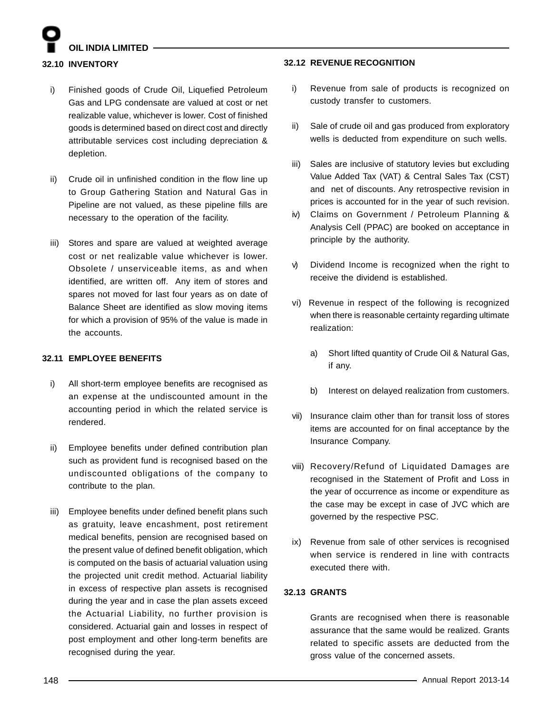## **OIL INDIA LIMITED 32.10 INVENTORY**

- i) Finished goods of Crude Oil, Liquefied Petroleum Gas and LPG condensate are valued at cost or net realizable value, whichever is lower. Cost of finished goods is determined based on direct cost and directly attributable services cost including depreciation & depletion.
- ii) Crude oil in unfinished condition in the flow line up to Group Gathering Station and Natural Gas in Pipeline are not valued, as these pipeline fills are necessary to the operation of the facility.
- iii) Stores and spare are valued at weighted average cost or net realizable value whichever is lower. Obsolete / unserviceable items, as and when identified, are written off. Any item of stores and spares not moved for last four years as on date of Balance Sheet are identified as slow moving items for which a provision of 95% of the value is made in the accounts.

### **32.11 EMPLOYEE BENEFITS**

- i) All short-term employee benefits are recognised as an expense at the undiscounted amount in the accounting period in which the related service is rendered.
- ii) Employee benefits under defined contribution plan such as provident fund is recognised based on the undiscounted obligations of the company to contribute to the plan.
- iii) Employee benefits under defined benefit plans such as gratuity, leave encashment, post retirement medical benefits, pension are recognised based on the present value of defined benefit obligation, which is computed on the basis of actuarial valuation using the projected unit credit method. Actuarial liability in excess of respective plan assets is recognised during the year and in case the plan assets exceed the Actuarial Liability, no further provision is considered. Actuarial gain and losses in respect of post employment and other long-term benefits are recognised during the year.

### **32.12 REVENUE RECOGNITION**

- i) Revenue from sale of products is recognized on custody transfer to customers.
- ii) Sale of crude oil and gas produced from exploratory wells is deducted from expenditure on such wells.
- iii) Sales are inclusive of statutory levies but excluding Value Added Tax (VAT) & Central Sales Tax (CST) and net of discounts. Any retrospective revision in prices is accounted for in the year of such revision.
- iv) Claims on Government / Petroleum Planning & Analysis Cell (PPAC) are booked on acceptance in principle by the authority.
- v) Dividend Income is recognized when the right to receive the dividend is established.
- vi) Revenue in respect of the following is recognized when there is reasonable certainty regarding ultimate realization:
	- a) Short lifted quantity of Crude Oil & Natural Gas, if any.
	- b) Interest on delayed realization from customers.
- vii) Insurance claim other than for transit loss of stores items are accounted for on final acceptance by the Insurance Company.
- viii) Recovery/Refund of Liquidated Damages are recognised in the Statement of Profit and Loss in the year of occurrence as income or expenditure as the case may be except in case of JVC which are governed by the respective PSC.
- ix) Revenue from sale of other services is recognised when service is rendered in line with contracts executed there with.

### **32.13 GRANTS**

Grants are recognised when there is reasonable assurance that the same would be realized. Grants related to specific assets are deducted from the gross value of the concerned assets.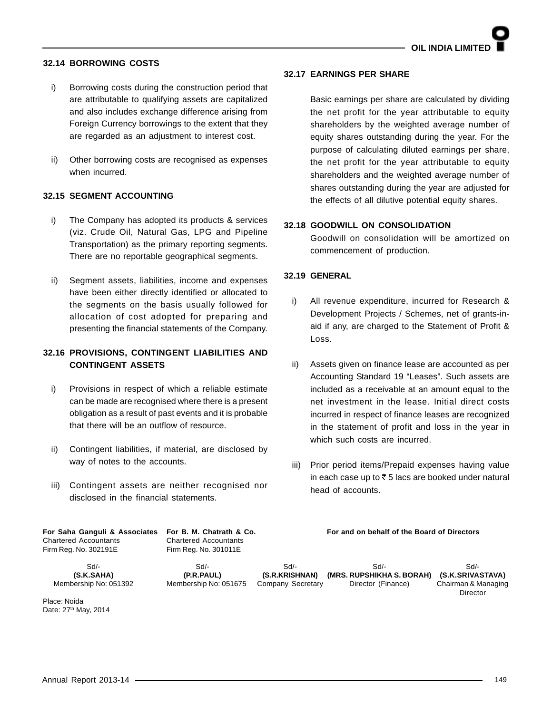### **32.14 BORROWING COSTS**

- i) Borrowing costs during the construction period that are attributable to qualifying assets are capitalized and also includes exchange difference arising from Foreign Currency borrowings to the extent that they are regarded as an adjustment to interest cost.
- ii) Other borrowing costs are recognised as expenses when incurred.

### **32.15 SEGMENT ACCOUNTING**

- i) The Company has adopted its products & services (viz. Crude Oil, Natural Gas, LPG and Pipeline Transportation) as the primary reporting segments. There are no reportable geographical segments.
- ii) Segment assets, liabilities, income and expenses have been either directly identified or allocated to the segments on the basis usually followed for allocation of cost adopted for preparing and presenting the financial statements of the Company.

### **32.16 PROVISIONS, CONTINGENT LIABILITIES AND CONTINGENT ASSETS**

- i) Provisions in respect of which a reliable estimate can be made are recognised where there is a present obligation as a result of past events and it is probable that there will be an outflow of resource.
- ii) Contingent liabilities, if material, are disclosed by way of notes to the accounts.
- iii) Contingent assets are neither recognised nor disclosed in the financial statements.

### **32.17 EARNINGS PER SHARE**

Basic earnings per share are calculated by dividing the net profit for the year attributable to equity shareholders by the weighted average number of equity shares outstanding during the year. For the purpose of calculating diluted earnings per share, the net profit for the year attributable to equity shareholders and the weighted average number of shares outstanding during the year are adjusted for the effects of all dilutive potential equity shares.

### **32.18 GOODWILL ON CONSOLIDATION**

Goodwill on consolidation will be amortized on commencement of production.

### **32.19 GENERAL**

- i) All revenue expenditure, incurred for Research & Development Projects / Schemes, net of grants-inaid if any, are charged to the Statement of Profit & Loss.
- ii) Assets given on finance lease are accounted as per Accounting Standard 19 "Leases". Such assets are included as a receivable at an amount equal to the net investment in the lease. Initial direct costs incurred in respect of finance leases are recognized in the statement of profit and loss in the year in which such costs are incurred.
- iii) Prior period items/Prepaid expenses having value in each case up to  $\bar{\tau}$  5 lacs are booked under natural head of accounts.

**For Saha Ganguli & Associates For B. M. Chatrath & Co. For and on behalf of the Board of Directors**

| <b>Chartered Accountants</b> | <b>Chartered Accountants</b> |                   |                           |                     |
|------------------------------|------------------------------|-------------------|---------------------------|---------------------|
| Firm Reg. No. 302191E        | Firm Reg. No. 301011E        |                   |                           |                     |
| Sd                           | Sd/-                         | Sd/-              | Sd/-                      | Sd                  |
| (S.K.SAHA)                   | (P.R.PAUL)                   | (S.R.KRISHNAN)    | (MRS. RUPSHIKHA S. BORAH) | (S.K.SRIVASTAVA)    |
| Membership No: 051392        | Membership No: 051675        | Company Secretary | Director (Finance)        | Chairman & Managing |
|                              |                              |                   |                           | Director            |

Place: Noida Date: 27<sup>th</sup> May, 2014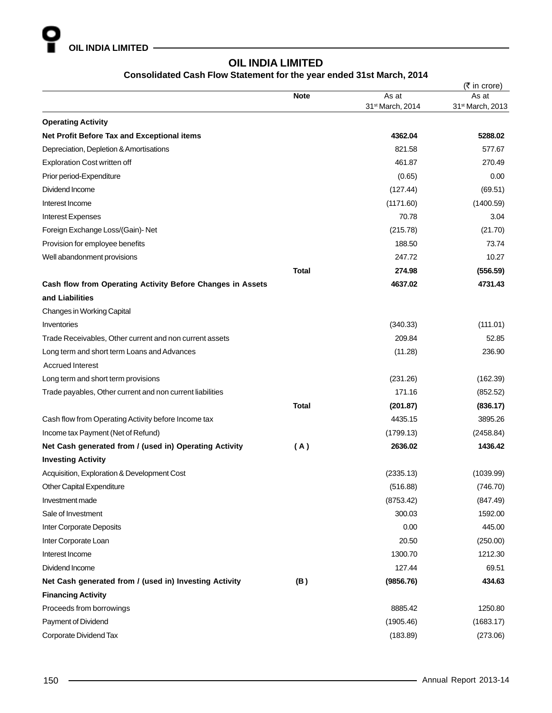ဝှ **OIL INDIA LIMITED**

### **OIL INDIA LIMITED**

### **Consolidated Cash Flow Statement for the year ended 31st March, 2014**

|                                                            |              |                           | (₹ in crore)              |
|------------------------------------------------------------|--------------|---------------------------|---------------------------|
|                                                            | <b>Note</b>  | As at<br>31st March, 2014 | As at<br>31st March, 2013 |
| <b>Operating Activity</b>                                  |              |                           |                           |
| Net Profit Before Tax and Exceptional items                |              | 4362.04                   | 5288.02                   |
| Depreciation, Depletion & Amortisations                    |              | 821.58                    | 577.67                    |
| <b>Exploration Cost written off</b>                        |              | 461.87                    | 270.49                    |
| Prior period-Expenditure                                   |              | (0.65)                    | 0.00                      |
| Dividend Income                                            |              | (127.44)                  | (69.51)                   |
| Interest Income                                            |              | (1171.60)                 | (1400.59)                 |
| Interest Expenses                                          |              | 70.78                     | 3.04                      |
| Foreign Exchange Loss/(Gain)- Net                          |              | (215.78)                  | (21.70)                   |
| Provision for employee benefits                            |              | 188.50                    | 73.74                     |
| Well abandonment provisions                                |              | 247.72                    | 10.27                     |
|                                                            | <b>Total</b> | 274.98                    | (556.59)                  |
| Cash flow from Operating Activity Before Changes in Assets |              | 4637.02                   | 4731.43                   |
| and Liabilities                                            |              |                           |                           |
| Changes in Working Capital                                 |              |                           |                           |
| Inventories                                                |              | (340.33)                  | (111.01)                  |
| Trade Receivables, Other current and non current assets    |              | 209.84                    | 52.85                     |
| Long term and short term Loans and Advances                |              | (11.28)                   | 236.90                    |
| <b>Accrued Interest</b>                                    |              |                           |                           |
| Long term and short term provisions                        |              | (231.26)                  | (162.39)                  |
| Trade payables, Other current and non current liabilities  |              | 171.16                    | (852.52)                  |
|                                                            | <b>Total</b> | (201.87)                  | (836.17)                  |
| Cash flow from Operating Activity before Income tax        |              | 4435.15                   | 3895.26                   |
| Income tax Payment (Net of Refund)                         |              | (1799.13)                 | (2458.84)                 |
| Net Cash generated from / (used in) Operating Activity     | (A)          | 2636.02                   | 1436.42                   |
| <b>Investing Activity</b>                                  |              |                           |                           |
| Acquisition, Exploration & Development Cost                |              | (2335.13)                 | (1039.99)                 |
| Other Capital Expenditure                                  |              | (516.88)                  | (746.70)                  |
| Investment made                                            |              | (8753.42)                 | (847.49)                  |
| Sale of Investment                                         |              | 300.03                    | 1592.00                   |
| Inter Corporate Deposits                                   |              | 0.00                      | 445.00                    |
| Inter Corporate Loan                                       |              | 20.50                     | (250.00)                  |
| Interest Income                                            |              | 1300.70                   | 1212.30                   |
| Dividend Income                                            |              | 127.44                    | 69.51                     |
| Net Cash generated from / (used in) Investing Activity     | (B)          | (9856.76)                 | 434.63                    |
| <b>Financing Activity</b>                                  |              |                           |                           |
| Proceeds from borrowings                                   |              | 8885.42                   | 1250.80                   |
| Payment of Dividend                                        |              | (1905.46)                 | (1683.17)                 |
| Corporate Dividend Tax                                     |              | (183.89)                  | (273.06)                  |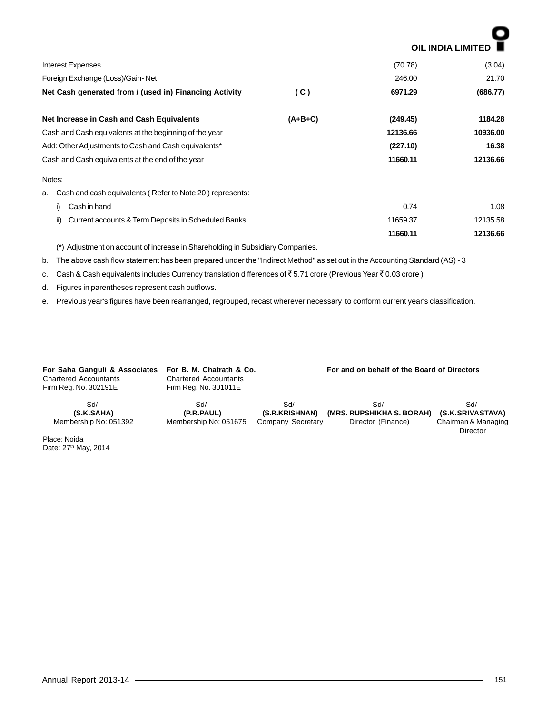|        |                                                          |           |          | <b>OIL INDIA LIMITED</b> |
|--------|----------------------------------------------------------|-----------|----------|--------------------------|
|        | Interest Expenses                                        |           | (70.78)  | (3.04)                   |
|        | Foreign Exchange (Loss)/Gain-Net                         |           | 246.00   | 21.70                    |
|        | Net Cash generated from / (used in) Financing Activity   | (C)       | 6971.29  | (686.77)                 |
|        | Net Increase in Cash and Cash Equivalents                | $(A+B+C)$ | (249.45) | 1184.28                  |
|        | Cash and Cash equivalents at the beginning of the year   |           | 12136.66 | 10936.00                 |
|        | Add: Other Adjustments to Cash and Cash equivalents*     |           | (227.10) | 16.38                    |
|        | Cash and Cash equivalents at the end of the year         |           | 11660.11 | 12136.66                 |
| Notes: |                                                          |           |          |                          |
| a.     | Cash and cash equivalents (Refer to Note 20) represents: |           |          |                          |
| i)     | Cash in hand                                             |           | 0.74     | 1.08                     |
| ii)    | Current accounts & Term Deposits in Scheduled Banks      |           | 11659.37 | 12135.58                 |
|        |                                                          |           | 11660.11 | 12136.66                 |
|        |                                                          |           |          |                          |

(\*) Adjustment on account of increase in Shareholding in Subsidiary Companies.

b. The above cash flow statement has been prepared under the "Indirect Method" as set out in the Accounting Standard (AS) - 3

c. Cash & Cash equivalents includes Currency translation differences of ₹5.71 crore (Previous Year ₹0.03 crore)

d. Figures in parentheses represent cash outflows.

e. Previous year's figures have been rearranged, regrouped, recast wherever necessary to conform current year's classification.

| For Saha Ganguli & Associates<br><b>Chartered Accountants</b><br>Firm Reg. No. 302191E | For B. M. Chatrath & Co.<br><b>Chartered Accountants</b><br>Firm Reg. No. 301011E |                                           | For and on behalf of the Board of Directors           |                                                               |
|----------------------------------------------------------------------------------------|-----------------------------------------------------------------------------------|-------------------------------------------|-------------------------------------------------------|---------------------------------------------------------------|
| Sd<br>(S.K.SAHA)<br>Membership No: 051392                                              | Sd/-<br>(P.R.PAUL)<br>Membership No: 051675                                       | Sd<br>(S.R.KRISHNAN)<br>Company Secretary | Sd<br>(MRS. RUPSHIKHA S. BORAH)<br>Director (Finance) | $Sd$ -<br>(S.K.SRIVASTAVA)<br>Chairman & Managing<br>Director |
| Place: Noida                                                                           |                                                                                   |                                           |                                                       |                                                               |

Date: 27<sup>th</sup> May, 2014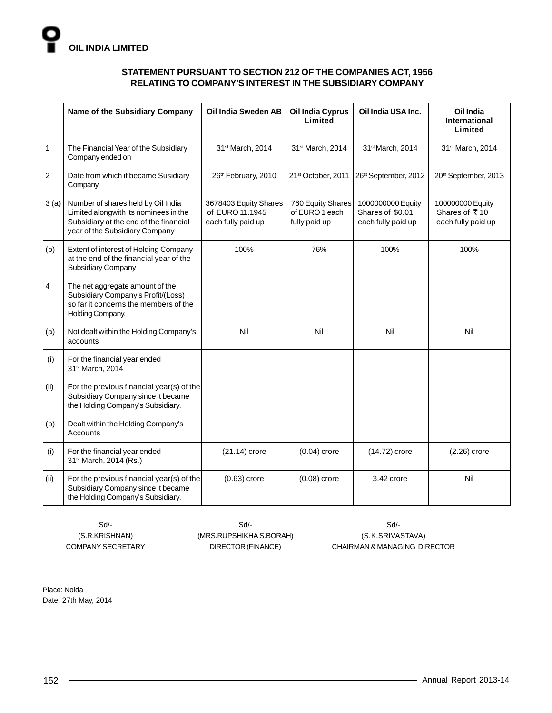### **STATEMENT PURSUANT TO SECTION 212 OF THE COMPANIES ACT, 1956 RELATING TO COMPANY'S INTEREST IN THE SUBSIDIARY COMPANY**

|                | Name of the Subsidiary Company                                                                                                                          | Oil India Sweden AB                                            | <b>Oil India Cyprus</b><br>Limited                   | Oil India USA Inc.                                          | Oil India<br><b>International</b><br>Limited            |
|----------------|---------------------------------------------------------------------------------------------------------------------------------------------------------|----------------------------------------------------------------|------------------------------------------------------|-------------------------------------------------------------|---------------------------------------------------------|
| 1              | The Financial Year of the Subsidiary<br>Company ended on                                                                                                | 31st March, 2014                                               | 31st March, 2014                                     | 31st March, 2014                                            | 31st March, 2014                                        |
| $\overline{2}$ | Date from which it became Susidiary<br>Company                                                                                                          | 26th February, 2010                                            | 21 <sup>st</sup> October, 2011                       | 26 <sup>st</sup> September, 2012                            | 20 <sup>th</sup> September, 2013                        |
| 3(a)           | Number of shares held by Oil India<br>Limited alongwith its nominees in the<br>Subsidiary at the end of the financial<br>year of the Subsidiary Company | 3678403 Equity Shares<br>of EURO 11.1945<br>each fully paid up | 760 Equity Shares<br>of EURO 1 each<br>fully paid up | 1000000000 Equity<br>Shares of \$0.01<br>each fully paid up | 100000000 Equity<br>Shares of ₹10<br>each fully paid up |
| (b)            | Extent of interest of Holding Company<br>at the end of the financial year of the<br>Subsidiary Company                                                  | 100%                                                           | 76%                                                  | 100%                                                        | 100%                                                    |
| 4              | The net aggregate amount of the<br>Subsidiary Company's Profit/(Loss)<br>so far it concerns the members of the<br>Holding Company.                      |                                                                |                                                      |                                                             |                                                         |
| (a)            | Not dealt within the Holding Company's<br>accounts                                                                                                      | Nil                                                            | Nil                                                  | Nil                                                         | Nil                                                     |
| (i)            | For the financial year ended<br>31 <sup>st</sup> March, 2014                                                                                            |                                                                |                                                      |                                                             |                                                         |
| (ii)           | For the previous financial year(s) of the<br>Subsidiary Company since it became<br>the Holding Company's Subsidiary.                                    |                                                                |                                                      |                                                             |                                                         |
| (b)            | Dealt within the Holding Company's<br>Accounts                                                                                                          |                                                                |                                                      |                                                             |                                                         |
| (i)            | For the financial year ended<br>31 <sup>st</sup> March, 2014 (Rs.)                                                                                      | (21.14) crore                                                  | $(0.04)$ crore                                       | (14.72) crore                                               | $(2.26)$ crore                                          |
| (ii)           | For the previous financial year(s) of the<br>Subsidiary Company since it became<br>the Holding Company's Subsidiary.                                    | $(0.63)$ crore                                                 | $(0.08)$ crore                                       | 3.42 crore                                                  | Nil                                                     |

(S.R.KRISHNAN) (MRS.RUPSHIKHA S.BORAH) (S.K.SRIVASTAVA)

Sd/- Sd/- Sd/- COMPANY SECRETARY DIRECTOR (FINANCE) CHAIRMAN & MANAGING DIRECTOR

Place: Noida Date: 27th May, 2014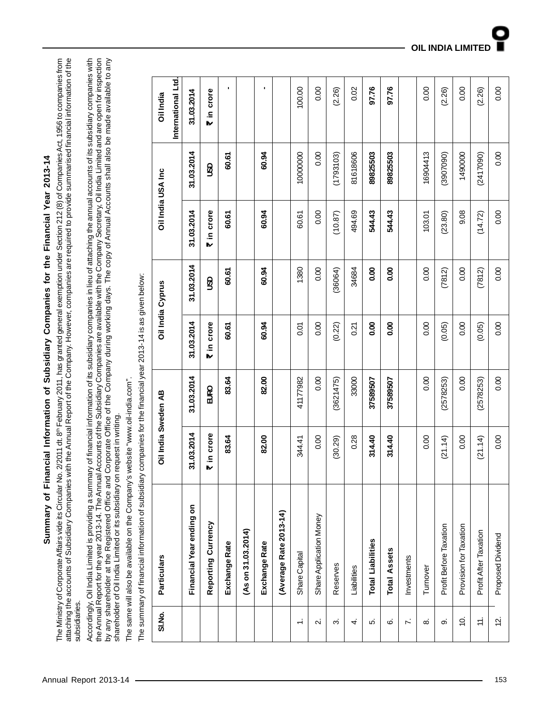Annual Report 2013-14 153

# Summary of Financial Information of Subsidiary Companies for the Financial Year 2013-14 **Summary of Financial Information of Subsidiary Companies for the Financial Year 2013-14**

The Ministry of Corporate Affairs vide its Circular No. 2/2011 of Sebruary 2011, has granted general exemption under Section 212 (8) of Companies Act, 1956 to companies from The Ministry of Corporate Affairs vide its Circular No. 2/2011 dt. 8th February 2011, has granted general exemption under Section 212 (8) of Companies Act, 1956 to companies from attaching the accounts of Subsidiary Companies with the Annual Report of the Company. However, companies are required to provide summarised financial information of the attaching the accounts of Subsidiary Companies with the Annual Report of the Company. However, companies are required to provide summarised financial information of the subsidiaries. subsidiaries.

theAnnual Report for the year 2013-14. TheAnnual Accounts of the Subsidiary Companies are available with the Company Secretary, Oil India Limited and are open for inspection<br>by any shareholder at the Registered Office and Accordingly, Oil India Limited is providing a summary of financial information of its subsidiary companies in lieu of attaching the annual accounts of its subsidiary companies with Accordingly, Oil India Limited is providing a summary of financial information of its subsidiary companies in lieu of attaching the annual accounts of its subsidiary companies with the Annual Report for the year 2013-14. The Annual Accounts of the Subsidiary Companies are available with the Company Secretary, Oil India Limited and are open for inspection by any shareholder at the Registered Office and Corporate Office of the Company during working days. The copy of Annual Accounts shall also be made available to any shareholder of Oil India Limited or its subsidiary on request in writing. shareholder of Oil India Limited or its subsidiary on request in writing.

The same will also be available on the Company's website "www.oil-india.com". The same will also be available on the Company's website "www.oil-india.com". The summary of financial information of subsidiary companies for the financial year 2013-14 is as given below: The summary of financial information of subsidiary companies for the financial year 2013-14 is as given below:

| SI.No.        | <b>Particulars</b>       | Oil India Sweden AB |            |                   | Oil India Cyprus |            | Oil India USA Inc | Oil India         |
|---------------|--------------------------|---------------------|------------|-------------------|------------------|------------|-------------------|-------------------|
|               |                          |                     |            |                   |                  |            |                   | International Ltd |
|               | Financial Year ending on | 31.03.2014          | 31.03.2014 | 31.03.2014        | 31.03.2014       | 31.03.2014 | 31.03.2014        | 31.03.2014        |
|               | Reporting Currency       | ₹ in crore          | EURO       | ₹ in crore        | ෂූ               | ₹ in crore | <b>B</b>          | in crore<br>⋫     |
|               | Exchange Rate            | 83.64               | 83.64      | 60.61             | 60.61            | 60.61      | 60.61             | ٠                 |
|               | (As on 31.03.2014)       |                     |            |                   |                  |            |                   |                   |
|               | Exchange Rate            | 82.00               | 82.00      | 60.94             | 60.94            | 60.94      | 60.94             | ٠                 |
|               | (Average Rate 2013-14)   |                     |            |                   |                  |            |                   |                   |
| $\div$        | Share Capital            | 344.41              | 41177982   | 500               | 1380             | 60.61      | 10000000          | 100.00            |
| N             | Share Application Money  | 0.00                | 0.00       | 0.00              | 0.00             | 0.00       | 0.00              | 0.00              |
| ო             | Reserves                 | (30.29)             | (3621475)  | (0.22)            | (36064)          | (10.87)    | (1793103)         | (2.26)            |
| 4             | Liabilities              | 0.28                | 33000      | $\overline{0.21}$ | 34684            | 494.69     | 81618606          | 0.02              |
| ΓÒ,           | <b>Total Liabilities</b> | 314.40              | 37589507   | 0.00              | 8.00             | 544.43     | 89825503          | 97.76             |
| ώ             | <b>Total Assets</b>      | 314.40              | 37589507   | 0.00              | 0.00             | 544.43     | 89825503          | 97.76             |
| $\ddot{\sim}$ | Investments              |                     |            |                   |                  |            |                   |                   |
| ∞             | Turnover                 | 0.00                | 0.00       | 0.00              | 0.00             | 103.01     | 16904413          | 0.00              |
| တ             | Profit Before Taxation   | (21.14)             | (2578253)  | (0.05)            | (7812)           | (23.80)    | (3907090)         | (2.26)            |
| ó.            | Provision for Taxation   | 0.00                | 0.00       | 0.00              | 0.00             | 9.08       | 1490000           | 0.00              |
| ί.            | Profit After Taxation    | (21.14)             | (2578253)  | (0.05)            | (7812)           | (14.72)    | (2417090)         | (2.26)            |
| 5.            | Proposed Dividend        | 0.00                | 0.00       | 0.00              | 0.00             | 0.00       | 0.00              | 0.00              |
|               |                          |                     |            |                   |                  |            |                   |                   |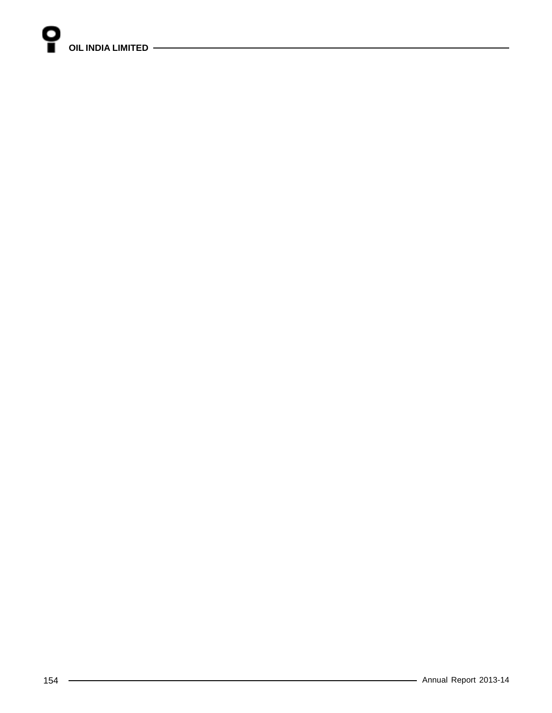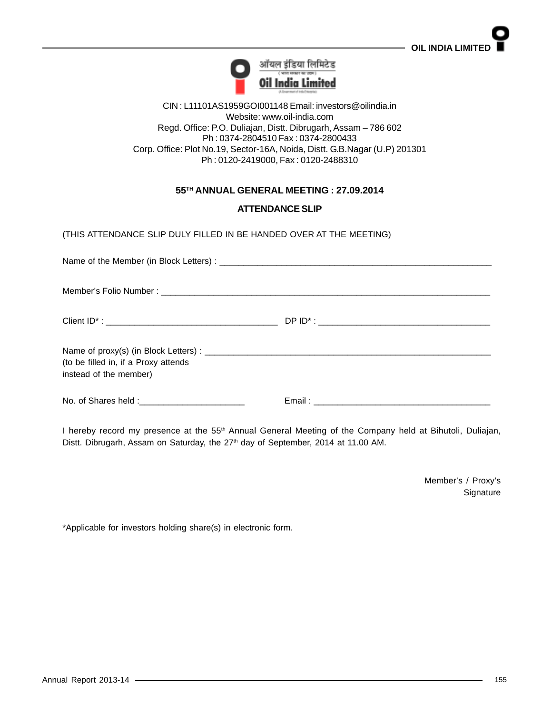

CIN : L11101AS1959GOI001148 Email: investors@oilindia.in Website: www.oil-india.com Regd. Office: P.O. Duliajan, Distt. Dibrugarh, Assam – 786 602 Ph : 0374-2804510 Fax : 0374-2800433 Corp. Office: Plot No.19, Sector-16A, Noida, Distt. G.B.Nagar (U.P) 201301 Ph : 0120-2419000, Fax : 0120-2488310

### **55TH ANNUAL GENERAL MEETING : 27.09.2014**

### **ATTENDANCE SLIP**

(THIS ATTENDANCE SLIP DULY FILLED IN BE HANDED OVER AT THE MEETING)

| (to be filled in, if a Proxy attends |  |
|--------------------------------------|--|
| instead of the member)               |  |
|                                      |  |
|                                      |  |
|                                      |  |

I hereby record my presence at the 55<sup>th</sup> Annual General Meeting of the Company held at Bihutoli, Duliajan, Distt. Dibrugarh, Assam on Saturday, the 27<sup>th</sup> day of September, 2014 at 11.00 AM.

> Member's / Proxy's **Signature**

\*Applicable for investors holding share(s) in electronic form.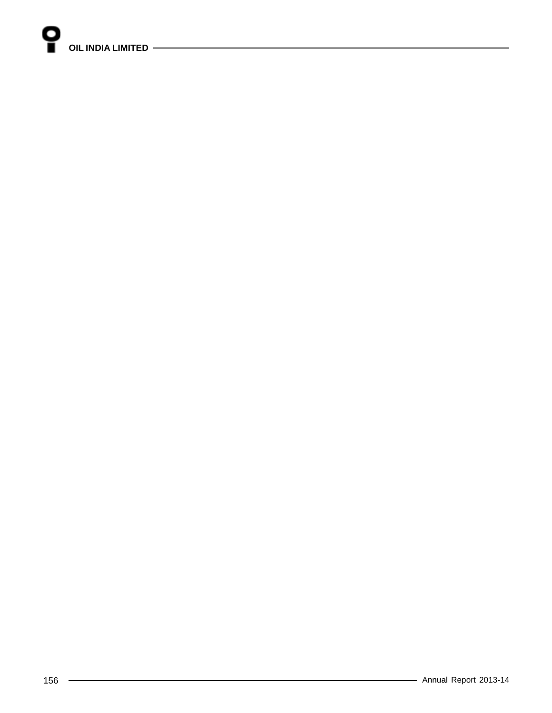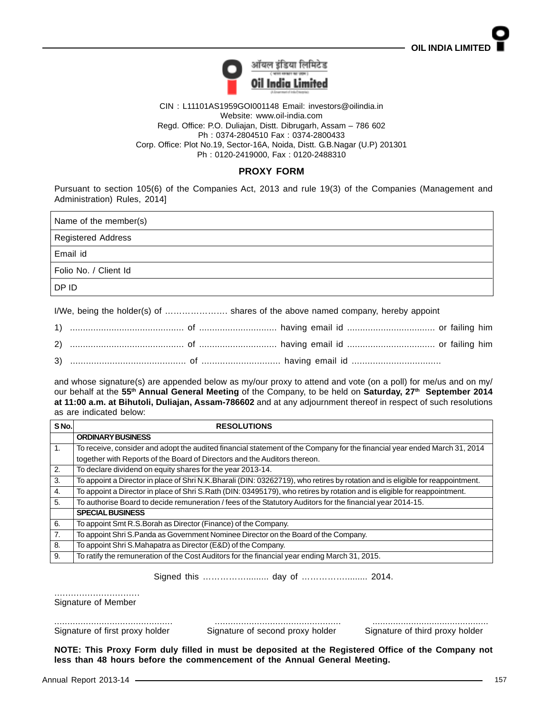

CIN : L11101AS1959GOI001148 Email: investors@oilindia.in Website: www.oil-india.com Regd. Office: P.O. Duliajan, Distt. Dibrugarh, Assam – 786 602 Ph : 0374-2804510 Fax : 0374-2800433 Corp. Office: Plot No.19, Sector-16A, Noida, Distt. G.B.Nagar (U.P) 201301 Ph : 0120-2419000, Fax : 0120-2488310

### **PROXY FORM**

Pursuant to section 105(6) of the Companies Act, 2013 and rule 19(3) of the Companies (Management and Administration) Rules, 2014]

| Name of the member(s)     |
|---------------------------|
| <b>Registered Address</b> |
| Email id                  |
| Folio No. / Client Id     |
| DP ID                     |

I/We, being the holder(s) of …………………. shares of the above named company, hereby appoint

1) ............................................ of .............................. having email id .................................. or failing him 2) ............................................ of .............................. having email id .................................. or failing him 3) ............................................ of .............................. having email id ..................................

and whose signature(s) are appended below as my/our proxy to attend and vote (on a poll) for me/us and on my/ our behalf at the **55th Annual General Meeting** of the Company, to be held on **Saturday, 27th September 2014 at 11:00 a.m. at Bihutoli, Duliajan, Assam-786602** and at any adjournment thereof in respect of such resolutions as are indicated below:

| S No. | <b>RESOLUTIONS</b>                                                                                                             |
|-------|--------------------------------------------------------------------------------------------------------------------------------|
|       | <b>ORDINARY BUSINESS</b>                                                                                                       |
| 1.    | To receive, consider and adopt the audited financial statement of the Company for the financial year ended March 31, 2014      |
|       | together with Reports of the Board of Directors and the Auditors thereon.                                                      |
| 2.    | To declare dividend on equity shares for the year 2013-14.                                                                     |
| 3.    | To appoint a Director in place of Shri N.K.Bharali (DIN: 03262719), who retires by rotation and is eligible for reappointment. |
| 4.    | To appoint a Director in place of Shri S.Rath (DIN: 03495179), who retires by rotation and is eligible for reappointment.      |
| 5.    | To authorise Board to decide remuneration / fees of the Statutory Auditors for the financial year 2014-15.                     |
|       | <b>SPECIAL BUSINESS</b>                                                                                                        |
| 6.    | To appoint Smt R.S. Borah as Director (Finance) of the Company.                                                                |
| 7.    | To appoint Shri S.Panda as Government Nominee Director on the Board of the Company.                                            |
| 8.    | To appoint Shri S.Mahapatra as Director (E&D) of the Company.                                                                  |
| 9.    | To ratify the remuneration of the Cost Auditors for the financial year ending March 31, 2015.                                  |

Signed this ……………......... day of ……………......... 2014.

............................... Signature of Member

Signature of first proxy holder Signature of second proxy holder Signature of third proxy holder

............................................. ................................................ .............................................

**NOTE: This Proxy Form duly filled in must be deposited at the Registered Office of the Company not less than 48 hours before the commencement of the Annual General Meeting.**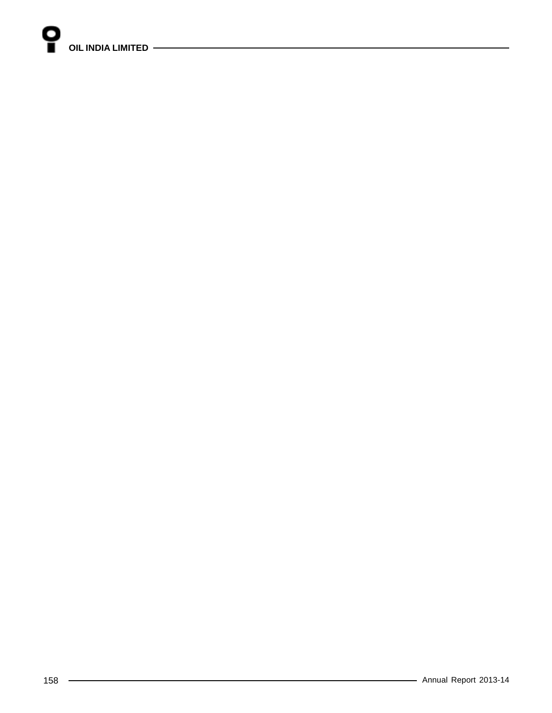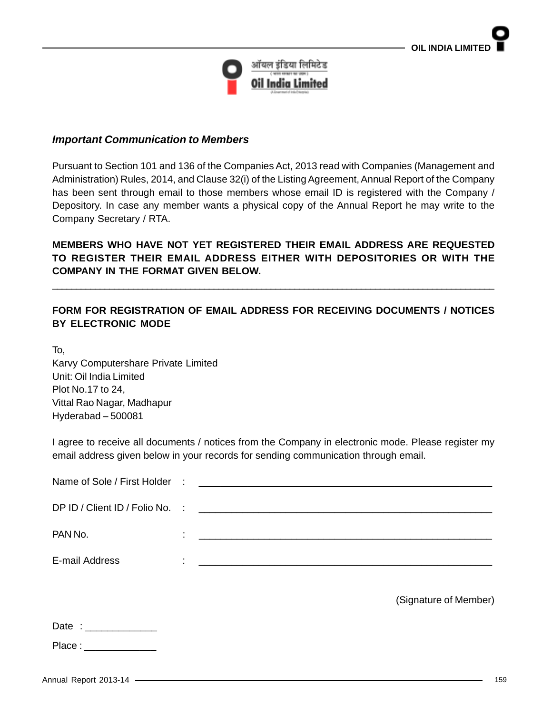

### *Important Communication to Members*

Pursuant to Section 101 and 136 of the Companies Act, 2013 read with Companies (Management and Administration) Rules, 2014, and Clause 32(i) of the Listing Agreement, Annual Report of the Company has been sent through email to those members whose email ID is registered with the Company / Depository. In case any member wants a physical copy of the Annual Report he may write to the Company Secretary / RTA.

### **MEMBERS WHO HAVE NOT YET REGISTERED THEIR EMAIL ADDRESS ARE REQUESTED TO REGISTER THEIR EMAIL ADDRESS EITHER WITH DEPOSITORIES OR WITH THE COMPANY IN THE FORMAT GIVEN BELOW.**

\_\_\_\_\_\_\_\_\_\_\_\_\_\_\_\_\_\_\_\_\_\_\_\_\_\_\_\_\_\_\_\_\_\_\_\_\_\_\_\_\_\_\_\_\_\_\_\_\_\_\_\_\_\_\_\_\_\_\_\_\_\_\_\_\_\_\_\_\_\_\_\_\_\_\_\_\_\_\_\_\_\_\_\_\_\_\_\_\_\_\_\_\_

### **FORM FOR REGISTRATION OF EMAIL ADDRESS FOR RECEIVING DOCUMENTS / NOTICES BY ELECTRONIC MODE**

To,

Karvy Computershare Private Limited Unit: Oil India Limited Plot No.17 to 24, Vittal Rao Nagar, Madhapur Hyderabad – 500081

I agree to receive all documents / notices from the Company in electronic mode. Please register my email address given below in your records for sending communication through email.

| PAN No.                 |                                                            |
|-------------------------|------------------------------------------------------------|
| E-mail Address          | <u> 1986 - Johann John Stein, fransk politik (f. 1986)</u> |
|                         | (Signature of Member)                                      |
| Date : _______________  |                                                            |
| Place : _______________ |                                                            |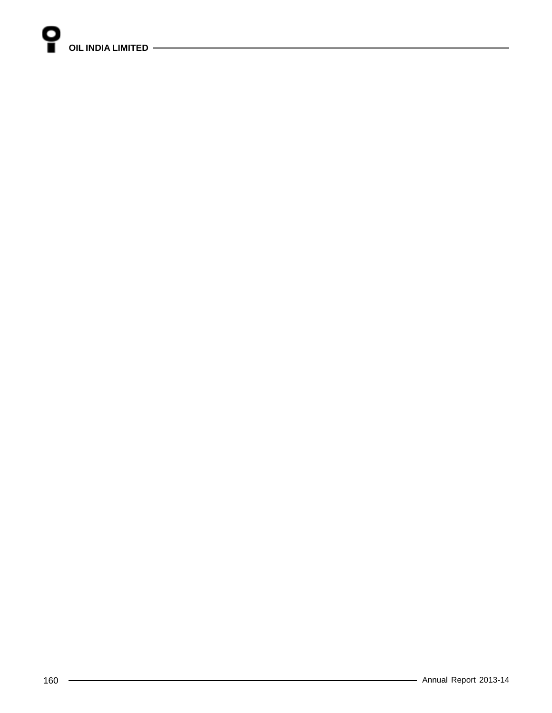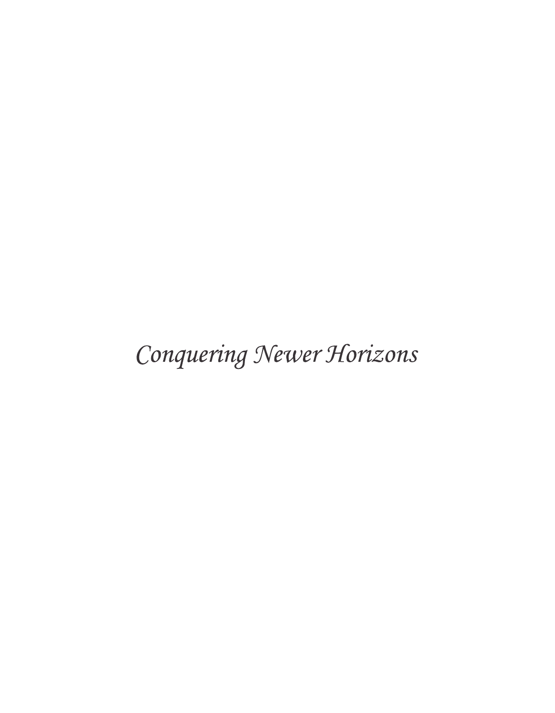# Conquering Newer Horizons